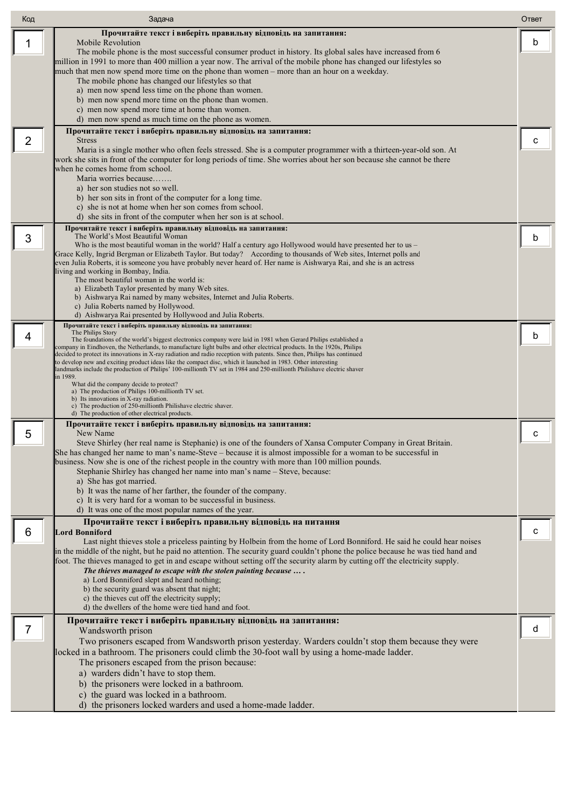| Код | Задача                                                                                                                                                                                                                                                    | Ответ |
|-----|-----------------------------------------------------------------------------------------------------------------------------------------------------------------------------------------------------------------------------------------------------------|-------|
|     | Прочитайте текст і виберіть правильну відповідь на запитання:<br>Mobile Revolution                                                                                                                                                                        | b     |
| 1   | The mobile phone is the most successful consumer product in history. Its global sales have increased from 6                                                                                                                                               |       |
|     | million in 1991 to more than 400 million a year now. The arrival of the mobile phone has changed our lifestyles so<br>much that men now spend more time on the phone than women – more than an hour on a weekday.                                         |       |
|     | The mobile phone has changed our lifestyles so that                                                                                                                                                                                                       |       |
|     | a) men now spend less time on the phone than women.<br>b) men now spend more time on the phone than women.                                                                                                                                                |       |
|     | c) men now spend more time at home than women.                                                                                                                                                                                                            |       |
|     | d) men now spend as much time on the phone as women.<br>Прочитайте текст і виберіть правильну відповідь на запитання:                                                                                                                                     |       |
| 2   | <b>Stress</b>                                                                                                                                                                                                                                             | c     |
|     | Maria is a single mother who often feels stressed. She is a computer programmer with a thirteen-year-old son. At<br>work she sits in front of the computer for long periods of time. She worries about her son because she cannot be there                |       |
|     | when he comes home from school.                                                                                                                                                                                                                           |       |
|     | Maria worries because<br>a) her son studies not so well.                                                                                                                                                                                                  |       |
|     | b) her son sits in front of the computer for a long time.                                                                                                                                                                                                 |       |
|     | c) she is not at home when her son comes from school.<br>d) she sits in front of the computer when her son is at school.                                                                                                                                  |       |
|     | Прочитайте текст і виберіть правильну відповідь на запитання:                                                                                                                                                                                             |       |
| 3   | The World's Most Beautiful Woman<br>Who is the most beautiful woman in the world? Half a century ago Hollywood would have presented her to us $-$                                                                                                         | b     |
|     | Grace Kelly, Ingrid Bergman or Elizabeth Taylor. But today? According to thousands of Web sites, Internet polls and                                                                                                                                       |       |
|     | even Julia Roberts, it is someone you have probably never heard of. Her name is Aishwarya Rai, and she is an actress<br>living and working in Bombay, India.                                                                                              |       |
|     | The most beautiful woman in the world is:<br>a) Elizabeth Taylor presented by many Web sites.                                                                                                                                                             |       |
|     | b) Aishwarya Rai named by many websites, Internet and Julia Roberts.                                                                                                                                                                                      |       |
|     | c) Julia Roberts named by Hollywood.<br>d) Aishwarya Rai presented by Hollywood and Julia Roberts.                                                                                                                                                        |       |
|     | Прочитайте текст і виберіть правильну відповідь на запитання:<br>The Philips Story                                                                                                                                                                        |       |
| 4   | The foundations of the world's biggest electronics company were laid in 1981 when Gerard Philips established a<br>company in Eindhoven, the Netherlands, to manufacture light bulbs and other electrical products. In the 1920s, Philips                  | b     |
|     | decided to protect its innovations in X-ray radiation and radio reception with patents. Since then, Philips has continued<br>to develop new and exciting product ideas like the compact disc, which it launched in 1983. Other interesting                |       |
|     | landmarks include the production of Philips' 100-millionth TV set in 1984 and 250-millionth Philishave electric shaver<br>in 1989.                                                                                                                        |       |
|     | What did the company decide to protect?<br>a) The production of Philips 100-millionth TV set.                                                                                                                                                             |       |
|     | b) Its innovations in X-ray radiation.<br>c) The production of 250-millionth Philishave electric shaver.                                                                                                                                                  |       |
|     | d) The production of other electrical products.                                                                                                                                                                                                           |       |
| 5   | Прочитайте текст і виберіть правильну відповідь на запитання:<br>New Name                                                                                                                                                                                 | С     |
|     | Steve Shirley (her real name is Stephanie) is one of the founders of Xansa Computer Company in Great Britain.<br>She has changed her name to man's name-Steve – because it is almost impossible for a woman to be successful in                           |       |
|     | business. Now she is one of the richest people in the country with more than 100 million pounds.                                                                                                                                                          |       |
|     | Stephanie Shirley has changed her name into man's name - Steve, because:<br>a) She has got married.                                                                                                                                                       |       |
|     | b) It was the name of her farther, the founder of the company.                                                                                                                                                                                            |       |
|     | c) It is very hard for a woman to be successful in business.<br>d) It was one of the most popular names of the year.                                                                                                                                      |       |
|     | Прочитайте текст і виберіть правильну відповідь на питання                                                                                                                                                                                                |       |
| 6   | <b>Lord Bonniford</b>                                                                                                                                                                                                                                     | с     |
|     | Last night thieves stole a priceless painting by Holbein from the home of Lord Bonniford. He said he could hear noises<br>in the middle of the night, but he paid no attention. The security guard couldn't phone the police because he was tied hand and |       |
|     | foot. The thieves managed to get in and escape without setting off the security alarm by cutting off the electricity supply.<br>The thieves managed to escape with the stolen painting because  .                                                         |       |
|     | a) Lord Bonniford slept and heard nothing;                                                                                                                                                                                                                |       |
|     | b) the security guard was absent that night;<br>c) the thieves cut off the electricity supply;                                                                                                                                                            |       |
|     | d) the dwellers of the home were tied hand and foot.                                                                                                                                                                                                      |       |
| 7   | Прочитайте текст і виберіть правильну відповідь на запитання:                                                                                                                                                                                             | d     |
|     | Wandsworth prison<br>Two prisoners escaped from Wandsworth prison yesterday. Warders couldn't stop them because they were                                                                                                                                 |       |
|     | locked in a bathroom. The prisoners could climb the 30-foot wall by using a home-made ladder.                                                                                                                                                             |       |
|     | The prisoners escaped from the prison because:<br>a) warders didn't have to stop them.                                                                                                                                                                    |       |
|     | b) the prisoners were locked in a bathroom.                                                                                                                                                                                                               |       |
|     | c) the guard was locked in a bathroom.                                                                                                                                                                                                                    |       |
|     | d) the prisoners locked warders and used a home-made ladder.                                                                                                                                                                                              |       |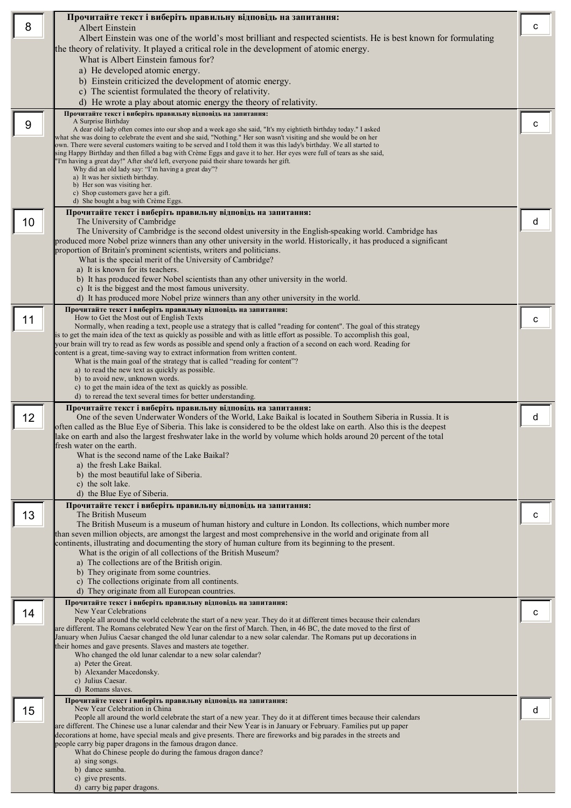|    | Прочитайте текст і виберіть правильну відповідь на запитання:                                                                                                                                                                                      |   |
|----|----------------------------------------------------------------------------------------------------------------------------------------------------------------------------------------------------------------------------------------------------|---|
| 8  | Albert Einstein                                                                                                                                                                                                                                    | c |
|    | Albert Einstein was one of the world's most brilliant and respected scientists. He is best known for formulating<br>the theory of relativity. It played a critical role in the development of atomic energy.                                       |   |
|    | What is Albert Einstein famous for?                                                                                                                                                                                                                |   |
|    | a) He developed atomic energy.                                                                                                                                                                                                                     |   |
|    | b) Einstein criticized the development of atomic energy.                                                                                                                                                                                           |   |
|    | c) The scientist formulated the theory of relativity.                                                                                                                                                                                              |   |
|    | d) He wrote a play about atomic energy the theory of relativity.<br>Прочитайте текст і виберіть правильну відповідь на запитання:                                                                                                                  |   |
| 9  | A Surprise Birthday                                                                                                                                                                                                                                | С |
|    | A dear old lady often comes into our shop and a week ago she said, "It's my eightieth birthday today." I asked<br>what she was doing to celebrate the event and she said, "Nothing." Her son wasn't visiting and she would be on her               |   |
|    | own. There were several customers waiting to be served and I told them it was this lady's birthday. We all started to<br>sing Happy Birthday and then filled a bag with Crème Eggs and gave it to her. Her eyes were full of tears as she said,    |   |
|    | "I'm having a great day!" After she'd left, everyone paid their share towards her gift.                                                                                                                                                            |   |
|    | Why did an old lady say: "I'm having a great day"?<br>a) It was her sixtieth birthday.                                                                                                                                                             |   |
|    | b) Her son was visiting her.                                                                                                                                                                                                                       |   |
|    | c) Shop customers gave her a gift.<br>d) She bought a bag with Crème Eggs.                                                                                                                                                                         |   |
|    | Прочитайте текст і виберіть правильну відповідь на запитання:                                                                                                                                                                                      |   |
| 10 | The University of Cambridge                                                                                                                                                                                                                        | d |
|    | The University of Cambridge is the second oldest university in the English-speaking world. Cambridge has<br>produced more Nobel prize winners than any other university in the world. Historically, it has produced a significant                  |   |
|    | proportion of Britain's prominent scientists, writers and politicians.                                                                                                                                                                             |   |
|    | What is the special merit of the University of Cambridge?<br>a) It is known for its teachers.                                                                                                                                                      |   |
|    | b) It has produced fewer Nobel scientists than any other university in the world.                                                                                                                                                                  |   |
|    | c) It is the biggest and the most famous university.                                                                                                                                                                                               |   |
|    | d) It has produced more Nobel prize winners than any other university in the world.<br>Прочитайте текст і виберіть правильну відповідь на запитання:                                                                                               |   |
| 11 | How to Get the Most out of English Texts                                                                                                                                                                                                           | с |
|    | Normally, when reading a text, people use a strategy that is called "reading for content". The goal of this strategy<br>is to get the main idea of the text as quickly as possible and with as little effort as possible. To accomplish this goal, |   |
|    | your brain will try to read as few words as possible and spend only a fraction of a second on each word. Reading for                                                                                                                               |   |
|    | content is a great, time-saving way to extract information from written content.<br>What is the main goal of the strategy that is called "reading for content"?                                                                                    |   |
|    | a) to read the new text as quickly as possible.                                                                                                                                                                                                    |   |
|    | b) to avoid new, unknown words.<br>c) to get the main idea of the text as quickly as possible.                                                                                                                                                     |   |
|    | d) to reread the text several times for better understanding.                                                                                                                                                                                      |   |
|    | Прочитайте текст і виберіть правильну відповідь на запитання:                                                                                                                                                                                      |   |
| 12 | One of the seven Underwater Wonders of the World, Lake Baikal is located in Southern Siberia in Russia. It is<br>often called as the Blue Eye of Siberia. This lake is considered to be the oldest lake on earth. Also this is the deepest         | d |
|    | lake on earth and also the largest freshwater lake in the world by volume which holds around 20 percent of the total                                                                                                                               |   |
|    | fresh water on the earth.                                                                                                                                                                                                                          |   |
|    | What is the second name of the Lake Baikal?<br>a) the fresh Lake Baikal.                                                                                                                                                                           |   |
|    | b) the most beautiful lake of Siberia.                                                                                                                                                                                                             |   |
|    | c) the solt lake.<br>d) the Blue Eye of Siberia.                                                                                                                                                                                                   |   |
|    | Прочитайте текст і виберіть правильну відповідь на запитання:                                                                                                                                                                                      |   |
| 13 | The British Museum                                                                                                                                                                                                                                 | С |
|    | The British Museum is a museum of human history and culture in London. Its collections, which number more<br>than seven million objects, are amongst the largest and most comprehensive in the world and originate from all                        |   |
|    | continents, illustrating and documenting the story of human culture from its beginning to the present.                                                                                                                                             |   |
|    | What is the origin of all collections of the British Museum?                                                                                                                                                                                       |   |
|    | a) The collections are of the British origin.<br>b) They originate from some countries.                                                                                                                                                            |   |
|    | c) The collections originate from all continents.                                                                                                                                                                                                  |   |
|    | d) They originate from all European countries.                                                                                                                                                                                                     |   |
| 14 | Прочитайте текст і виберіть правильну відповідь на запитання:<br>New Year Celebrations                                                                                                                                                             | с |
|    | People all around the world celebrate the start of a new year. They do it at different times because their calendars                                                                                                                               |   |
|    | are different. The Romans celebrated New Year on the first of March. Then, in 46 BC, the date moved to the first of<br>January when Julius Caesar changed the old lunar calendar to a new solar calendar. The Romans put up decorations in         |   |
|    | their homes and gave presents. Slaves and masters ate together.                                                                                                                                                                                    |   |
|    | Who changed the old lunar calendar to a new solar calendar?<br>a) Peter the Great.                                                                                                                                                                 |   |
|    | b) Alexander Macedonsky.                                                                                                                                                                                                                           |   |
|    | c) Julius Caesar.<br>d) Romans slaves.                                                                                                                                                                                                             |   |
|    | Прочитайте текст і виберіть правильну відповідь на запитання:                                                                                                                                                                                      |   |
| 15 | New Year Celebration in China<br>People all around the world celebrate the start of a new year. They do it at different times because their calendars                                                                                              | d |
|    | are different. The Chinese use a lunar calendar and their New Year is in January or February. Families put up paper                                                                                                                                |   |
|    | decorations at home, have special meals and give presents. There are fireworks and big parades in the streets and<br>people carry big paper dragons in the famous dragon dance.                                                                    |   |
|    | What do Chinese people do during the famous dragon dance?                                                                                                                                                                                          |   |
|    | a) sing songs.<br>b) dance samba.                                                                                                                                                                                                                  |   |
|    | c) give presents.                                                                                                                                                                                                                                  |   |
|    | d) carry big paper dragons.                                                                                                                                                                                                                        |   |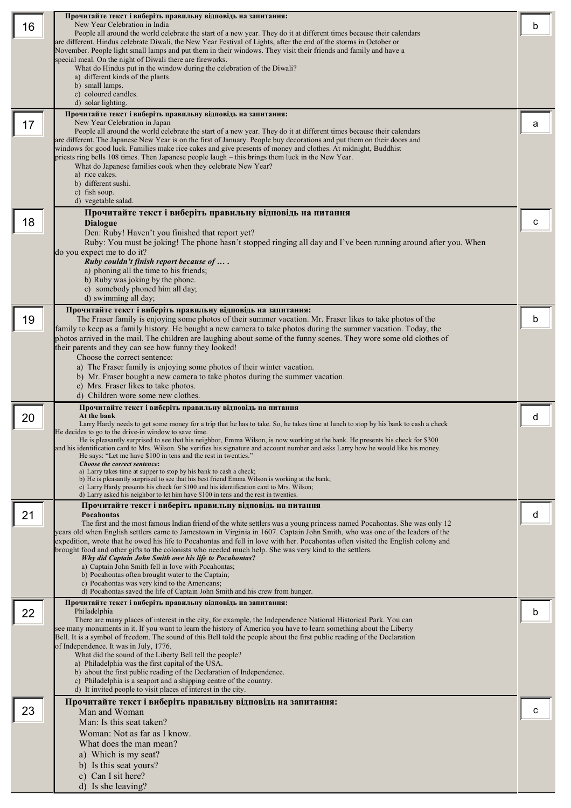|    | Прочитайте текст і виберіть правильну відповідь на запитання:                                                                                                                                                                              |   |
|----|--------------------------------------------------------------------------------------------------------------------------------------------------------------------------------------------------------------------------------------------|---|
| 16 | New Year Celebration in India<br>People all around the world celebrate the start of a new year. They do it at different times because their calendars                                                                                      | b |
|    | are different. Hindus celebrate Diwali, the New Year Festival of Lights, after the end of the storms in October or                                                                                                                         |   |
|    | November. People light small lamps and put them in their windows. They visit their friends and family and have a<br>special meal. On the night of Diwali there are fireworks.                                                              |   |
|    | What do Hindus put in the window during the celebration of the Diwali?                                                                                                                                                                     |   |
|    | a) different kinds of the plants.<br>b) small lamps.                                                                                                                                                                                       |   |
|    | c) coloured candles.                                                                                                                                                                                                                       |   |
|    | d) solar lighting.                                                                                                                                                                                                                         |   |
| 17 | Прочитайте текст і виберіть правильну відповідь на запитання:<br>New Year Celebration in Japan                                                                                                                                             | а |
|    | People all around the world celebrate the start of a new year. They do it at different times because their calendars                                                                                                                       |   |
|    | are different. The Japanese New Year is on the first of January. People buy decorations and put them on their doors and<br>windows for good luck. Families make rice cakes and give presents of money and clothes. At midnight, Buddhist   |   |
|    | priests ring bells 108 times. Then Japanese people laugh – this brings them luck in the New Year.                                                                                                                                          |   |
|    | What do Japanese families cook when they celebrate New Year?<br>a) rice cakes.                                                                                                                                                             |   |
|    | b) different sushi.                                                                                                                                                                                                                        |   |
|    | c) fish soup.<br>d) vegetable salad.                                                                                                                                                                                                       |   |
|    | Прочитайте текст і виберіть правильну відповідь на питання                                                                                                                                                                                 |   |
| 18 | <b>Dialogue</b>                                                                                                                                                                                                                            | с |
|    | Den: Ruby! Haven't you finished that report yet?                                                                                                                                                                                           |   |
|    | Ruby: You must be joking! The phone hasn't stopped ringing all day and I've been running around after you. When<br>do you expect me to do it?                                                                                              |   |
|    | Ruby couldn't finish report because of                                                                                                                                                                                                     |   |
|    | a) phoning all the time to his friends;                                                                                                                                                                                                    |   |
|    | b) Ruby was joking by the phone.<br>c) somebody phoned him all day;                                                                                                                                                                        |   |
|    | d) swimming all day;                                                                                                                                                                                                                       |   |
|    | Прочитайте текст і виберіть правильну відповідь на запитання:                                                                                                                                                                              |   |
| 19 | The Fraser family is enjoying some photos of their summer vacation. Mr. Fraser likes to take photos of the<br>family to keep as a family history. He bought a new camera to take photos during the summer vacation. Today, the             | b |
|    | photos arrived in the mail. The children are laughing about some of the funny scenes. They wore some old clothes of                                                                                                                        |   |
|    | their parents and they can see how funny they looked!                                                                                                                                                                                      |   |
|    | Choose the correct sentence:<br>a) The Fraser family is enjoying some photos of their winter vacation.                                                                                                                                     |   |
|    | b) Mr. Fraser bought a new camera to take photos during the summer vacation.                                                                                                                                                               |   |
|    | c) Mrs. Fraser likes to take photos.                                                                                                                                                                                                       |   |
|    | d) Children wore some new clothes.<br>Прочитайте текст і виберіть правильну відповідь на питання                                                                                                                                           |   |
| 20 | At the bank                                                                                                                                                                                                                                | d |
|    | Larry Hardy needs to get some money for a trip that he has to take. So, he takes time at lunch to stop by his bank to cash a check<br>He decides to go to the drive-in window to save time.                                                |   |
|    | He is pleasantly surprised to see that his neighbor, Emma Wilson, is now working at the bank. He presents his check for \$300                                                                                                              |   |
|    | and his identification card to Mrs. Wilson. She verifies his signature and account number and asks Larry how he would like his money.<br>He says: "Let me have \$100 in tens and the rest in twenties."                                    |   |
|    | Choose the correct sentence:<br>a) Larry takes time at supper to stop by his bank to cash a check;                                                                                                                                         |   |
|    | b) He is pleasantly surprised to see that his best friend Emma Wilson is working at the bank;                                                                                                                                              |   |
|    | c) Larry Hardy presents his check for \$100 and his identification card to Mrs. Wilson;<br>d) Larry asked his neighbor to let him have \$100 in tens and the rest in twenties.                                                             |   |
|    | Прочитайте текст і виберіть правильну відповідь на питання                                                                                                                                                                                 |   |
| 21 | Pocahontas<br>The first and the most famous Indian friend of the white settlers was a young princess named Pocahontas. She was only 12                                                                                                     | d |
|    | years old when English settlers came to Jamestown in Virginia in 1607. Captain John Smith, who was one of the leaders of the                                                                                                               |   |
|    | expedition, wrote that he owed his life to Pocahontas and fell in love with her. Pocahontas often visited the English colony and<br>brought food and other gifts to the colonists who needed much help. She was very kind to the settlers. |   |
|    | Why did Captain John Smith owe his life to Pocahontas?                                                                                                                                                                                     |   |
|    | a) Captain John Smith fell in love with Pocahontas;<br>b) Pocahontas often brought water to the Captain;                                                                                                                                   |   |
|    | c) Pocahontas was very kind to the Americans;<br>d) Pocahontas saved the life of Captain John Smith and his crew from hunger.                                                                                                              |   |
|    | Прочитайте текст і виберіть правильну відповідь на запитання:                                                                                                                                                                              |   |
| 22 | Philadelphia                                                                                                                                                                                                                               | b |
|    | There are many places of interest in the city, for example, the Independence National Historical Park. You can<br>see many monuments in it. If you want to learn the history of America you have to learn something about the Liberty      |   |
|    | Bell. It is a symbol of freedom. The sound of this Bell told the people about the first public reading of the Declaration                                                                                                                  |   |
|    | of Independence. It was in July, 1776.<br>What did the sound of the Liberty Bell tell the people?                                                                                                                                          |   |
|    | a) Philadelphia was the first capital of the USA.                                                                                                                                                                                          |   |
|    | b) about the first public reading of the Declaration of Independence.<br>c) Philadelphia is a seaport and a shipping centre of the country.                                                                                                |   |
|    | d) It invited people to visit places of interest in the city.                                                                                                                                                                              |   |
|    | Прочитайте текст і виберіть правильну відповідь на запитання:                                                                                                                                                                              |   |
| 23 | Man and Woman<br>Man: Is this seat taken?                                                                                                                                                                                                  | с |
|    | Woman: Not as far as I know.                                                                                                                                                                                                               |   |
|    | What does the man mean?                                                                                                                                                                                                                    |   |
|    | a) Which is my seat?                                                                                                                                                                                                                       |   |
|    | b) Is this seat yours?                                                                                                                                                                                                                     |   |
|    | c) Can I sit here?<br>d) Is she leaving?                                                                                                                                                                                                   |   |
|    |                                                                                                                                                                                                                                            |   |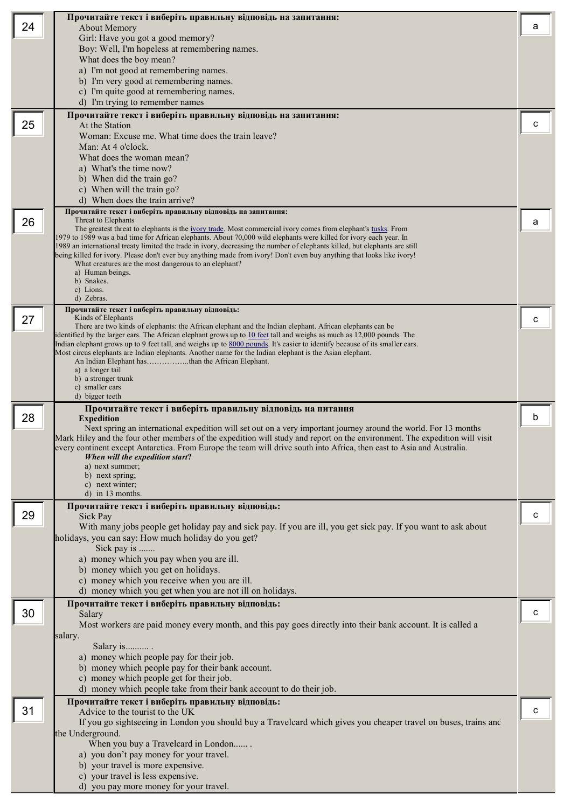|    | Прочитайте текст і виберіть правильну відповідь на запитання:                                                                                                                                                                                         |   |
|----|-------------------------------------------------------------------------------------------------------------------------------------------------------------------------------------------------------------------------------------------------------|---|
| 24 | <b>About Memory</b><br>Girl: Have you got a good memory?                                                                                                                                                                                              | а |
|    | Boy: Well, I'm hopeless at remembering names.                                                                                                                                                                                                         |   |
|    | What does the boy mean?                                                                                                                                                                                                                               |   |
|    | a) I'm not good at remembering names.<br>b) I'm very good at remembering names.                                                                                                                                                                       |   |
|    | c) I'm quite good at remembering names.                                                                                                                                                                                                               |   |
|    | d) I'm trying to remember names                                                                                                                                                                                                                       |   |
| 25 | Прочитайте текст і виберіть правильну відповідь на запитання:<br>At the Station                                                                                                                                                                       | C |
|    | Woman: Excuse me. What time does the train leave?                                                                                                                                                                                                     |   |
|    | Man: At 4 o'clock.<br>What does the woman mean?                                                                                                                                                                                                       |   |
|    | a) What's the time now?                                                                                                                                                                                                                               |   |
|    | b) When did the train go?                                                                                                                                                                                                                             |   |
|    | c) When will the train go?<br>d) When does the train arrive?                                                                                                                                                                                          |   |
|    | Прочитайте текст і виберіть правильну відповідь на запитання:                                                                                                                                                                                         |   |
| 26 | Threat to Elephants<br>The greatest threat to elephants is the <u>ivory trade</u> . Most commercial ivory comes from elephant's tusks. From                                                                                                           | а |
|    | 1979 to 1989 was a bad time for African elephants. About 70,000 wild elephants were killed for ivory each year. In                                                                                                                                    |   |
|    | 1989 an international treaty limited the trade in ivory, decreasing the number of elephants killed, but elephants are still<br>being killed for ivory. Please don't ever buy anything made from ivory! Don't even buy anything that looks like ivory! |   |
|    | What creatures are the most dangerous to an elephant?<br>a) Human beings.                                                                                                                                                                             |   |
|    | b) Snakes.                                                                                                                                                                                                                                            |   |
|    | c) Lions.<br>d) Zebras.                                                                                                                                                                                                                               |   |
|    | Прочитайте текст і виберіть правильну відповідь:                                                                                                                                                                                                      |   |
| 27 | Kinds of Elephants<br>There are two kinds of elephants: the African elephant and the Indian elephant. African elephants can be                                                                                                                        | с |
|    | identified by the larger ears. The African elephant grows up to 10 feet tall and weighs as much as 12,000 pounds. The<br>Indian elephant grows up to 9 feet tall, and weighs up to 8000 pounds. It's easier to identify because of its smaller ears.  |   |
|    | Most circus elephants are Indian elephants. Another name for the Indian elephant is the Asian elephant.                                                                                                                                               |   |
|    | a) a longer tail                                                                                                                                                                                                                                      |   |
|    | b) a stronger trunk<br>c) smaller ears                                                                                                                                                                                                                |   |
|    | d) bigger teeth                                                                                                                                                                                                                                       |   |
| 28 | Прочитайте текст і виберіть правильну відповідь на питання<br><b>Expedition</b>                                                                                                                                                                       | b |
|    | Next spring an international expedition will set out on a very important journey around the world. For 13 months                                                                                                                                      |   |
|    | Mark Hiley and the four other members of the expedition will study and report on the environment. The expedition will visit<br>every continent except Antarctica. From Europe the team will drive south into Africa, then east to Asia and Australia. |   |
|    | When will the expedition start?<br>a) next summer;                                                                                                                                                                                                    |   |
|    | b) next spring;                                                                                                                                                                                                                                       |   |
|    | c) next winter;<br>d) in 13 months.                                                                                                                                                                                                                   |   |
|    | Прочитайте текст і виберіть правильну відповідь:                                                                                                                                                                                                      |   |
| 29 | Sick Pay                                                                                                                                                                                                                                              | с |
|    | With many jobs people get holiday pay and sick pay. If you are ill, you get sick pay. If you want to ask about<br>holidays, you can say: How much holiday do you get?                                                                                 |   |
|    | Sick pay is                                                                                                                                                                                                                                           |   |
|    | a) money which you pay when you are ill.<br>b) money which you get on holidays.                                                                                                                                                                       |   |
|    | c) money which you receive when you are ill.                                                                                                                                                                                                          |   |
|    | d) money which you get when you are not ill on holidays.                                                                                                                                                                                              |   |
| 30 | Прочитайте текст і виберіть правильну відповідь:<br>Salary                                                                                                                                                                                            | с |
|    | Most workers are paid money every month, and this pay goes directly into their bank account. It is called a                                                                                                                                           |   |
|    | salary.                                                                                                                                                                                                                                               |   |
|    | Salary is<br>a) money which people pay for their job.                                                                                                                                                                                                 |   |
|    | b) money which people pay for their bank account.                                                                                                                                                                                                     |   |
|    | c) money which people get for their job.                                                                                                                                                                                                              |   |
|    | d) money which people take from their bank account to do their job.<br>Прочитайте текст і виберіть правильну відповідь:                                                                                                                               |   |
| 31 | Advice to the tourist to the UK                                                                                                                                                                                                                       | c |
|    | If you go sightseeing in London you should buy a Travelcard which gives you cheaper travel on buses, trains and                                                                                                                                       |   |
|    | the Underground.<br>When you buy a Travelcard in London                                                                                                                                                                                               |   |
|    | a) you don't pay money for your travel.                                                                                                                                                                                                               |   |
|    | b) your travel is more expensive.<br>c) your travel is less expensive.                                                                                                                                                                                |   |
|    |                                                                                                                                                                                                                                                       |   |
|    | d) you pay more money for your travel.                                                                                                                                                                                                                |   |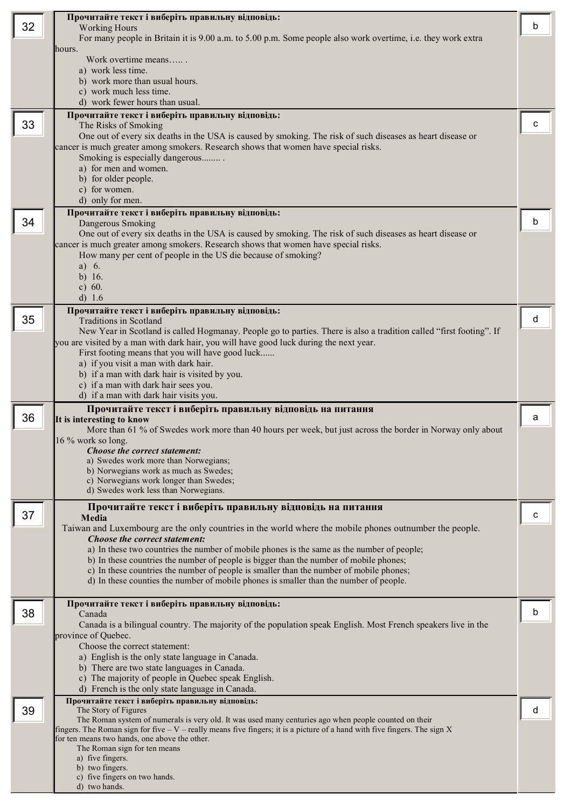|    | Прочитайте текст і виберіть правильну відповідь:                                                                                                                                  |   |
|----|-----------------------------------------------------------------------------------------------------------------------------------------------------------------------------------|---|
| 32 | <b>Working Hours</b>                                                                                                                                                              | b |
|    | For many people in Britain it is 9.00 a.m. to 5.00 p.m. Some people also work overtime, i.e. they work extra                                                                      |   |
|    | hours.<br>Work overtime means                                                                                                                                                     |   |
|    | a) work less time.                                                                                                                                                                |   |
|    | b) work more than usual hours.                                                                                                                                                    |   |
|    | c) work much less time.<br>d) work fewer hours than usual.                                                                                                                        |   |
|    | Прочитайте текст і виберіть правильну відповідь:                                                                                                                                  |   |
| 33 | The Risks of Smoking                                                                                                                                                              | с |
|    | One out of every six deaths in the USA is caused by smoking. The risk of such diseases as heart disease or                                                                        |   |
|    | cancer is much greater among smokers. Research shows that women have special risks.                                                                                               |   |
|    | Smoking is especially dangerous<br>a) for men and women.                                                                                                                          |   |
|    | b) for older people.                                                                                                                                                              |   |
|    | c) for women.                                                                                                                                                                     |   |
|    | d) only for men.                                                                                                                                                                  |   |
| 34 | Прочитайте текст і виберіть правильну відповідь:<br>Dangerous Smoking                                                                                                             | b |
|    | One out of every six deaths in the USA is caused by smoking. The risk of such diseases as heart disease or                                                                        |   |
|    | cancer is much greater among smokers. Research shows that women have special risks.                                                                                               |   |
|    | How many per cent of people in the US die because of smoking?                                                                                                                     |   |
|    | a) $6.$<br>b) $16.$                                                                                                                                                               |   |
|    | c) $60.$                                                                                                                                                                          |   |
|    | d) 1.6                                                                                                                                                                            |   |
| 35 | Прочитайте текст і виберіть правильну відповідь:                                                                                                                                  | d |
|    | <b>Traditions in Scotland</b><br>New Year in Scotland is called Hogmanay. People go to parties. There is also a tradition called "first footing". If                              |   |
|    | you are visited by a man with dark hair, you will have good luck during the next year.                                                                                            |   |
|    | First footing means that you will have good luck                                                                                                                                  |   |
|    | a) if you visit a man with dark hair.<br>b) if a man with dark hair is visited by you.                                                                                            |   |
|    | c) if a man with dark hair sees you.                                                                                                                                              |   |
|    | d) if a man with dark hair visits you.                                                                                                                                            |   |
|    | Прочитайте текст і виберіть правильну відповідь на питання                                                                                                                        |   |
| 36 | It is interesting to know<br>More than 61 % of Swedes work more than 40 hours per week, but just across the border in Norway only about                                           | a |
|    | 16 % work so long.                                                                                                                                                                |   |
|    | Choose the correct statement:                                                                                                                                                     |   |
|    | a) Swedes work more than Norwegians;<br>b) Norwegians work as much as Swedes;                                                                                                     |   |
|    | c) Norwegians work longer than Swedes;                                                                                                                                            |   |
|    | d) Swedes work less than Norwegians.                                                                                                                                              |   |
|    | Прочитайте текст і виберіть правильну відповідь на питання                                                                                                                        |   |
| 37 | Media                                                                                                                                                                             | C |
|    | Taiwan and Luxembourg are the only countries in the world where the mobile phones outnumber the people.<br>Choose the correct statement:                                          |   |
|    | a) In these two countries the number of mobile phones is the same as the number of people;                                                                                        |   |
|    | b) In these countries the number of people is bigger than the number of mobile phones;                                                                                            |   |
|    | c) In these countries the number of people is smaller than the number of mobile phones;<br>d) In these counties the number of mobile phones is smaller than the number of people. |   |
|    |                                                                                                                                                                                   |   |
|    | Прочитайте текст і виберіть правильну відповідь:                                                                                                                                  |   |
| 38 | Canada                                                                                                                                                                            | b |
|    | Canada is a bilingual country. The majority of the population speak English. Most French speakers live in the<br>province of Quebec.                                              |   |
|    | Choose the correct statement:                                                                                                                                                     |   |
|    | a) English is the only state language in Canada.                                                                                                                                  |   |
|    | b) There are two state languages in Canada.<br>c) The majority of people in Quebec speak English.                                                                                 |   |
|    | d) French is the only state language in Canada.                                                                                                                                   |   |
|    | Прочитайте текст і виберіть правильну відповідь:                                                                                                                                  |   |
| 39 | The Story of Figures<br>The Roman system of numerals is very old. It was used many centuries ago when people counted on their                                                     | d |
|    | fingers. The Roman sign for five $-V$ – really means five fingers; it is a picture of a hand with five fingers. The sign $X$                                                      |   |
|    | for ten means two hands, one above the other.                                                                                                                                     |   |
|    | The Roman sign for ten means<br>a) five fingers.                                                                                                                                  |   |
|    | b) two fingers.                                                                                                                                                                   |   |
|    | c) five fingers on two hands.<br>d) two hands.                                                                                                                                    |   |
|    |                                                                                                                                                                                   |   |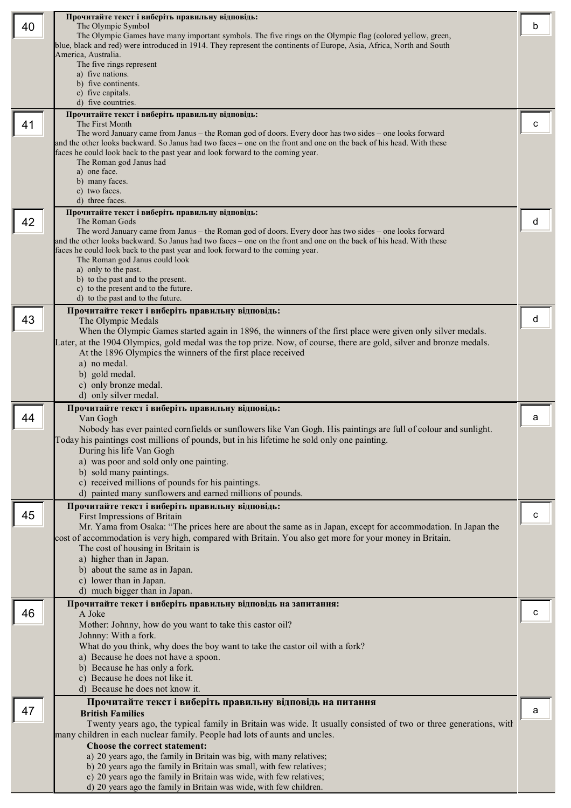|    | Прочитайте текст і виберіть правильну відповідь:                                                                                                                                                                                    |   |
|----|-------------------------------------------------------------------------------------------------------------------------------------------------------------------------------------------------------------------------------------|---|
| 40 | The Olympic Symbol                                                                                                                                                                                                                  | b |
|    | The Olympic Games have many important symbols. The five rings on the Olympic flag (colored yellow, green,<br>blue, black and red) were introduced in 1914. They represent the continents of Europe, Asia, Africa, North and South   |   |
|    | America, Australia.                                                                                                                                                                                                                 |   |
|    | The five rings represent                                                                                                                                                                                                            |   |
|    | a) five nations.<br>b) five continents.                                                                                                                                                                                             |   |
|    | c) five capitals.                                                                                                                                                                                                                   |   |
|    | d) five countries.                                                                                                                                                                                                                  |   |
|    | Прочитайте текст і виберіть правильну відповідь:                                                                                                                                                                                    |   |
| 41 | The First Month                                                                                                                                                                                                                     | с |
|    | The word January came from Janus – the Roman god of doors. Every door has two sides – one looks forward<br>and the other looks backward. So Janus had two faces - one on the front and one on the back of his head. With these      |   |
|    | faces he could look back to the past year and look forward to the coming year.                                                                                                                                                      |   |
|    | The Roman god Janus had                                                                                                                                                                                                             |   |
|    | a) one face.<br>b) many faces.                                                                                                                                                                                                      |   |
|    | c) two faces.                                                                                                                                                                                                                       |   |
|    | d) three faces.                                                                                                                                                                                                                     |   |
|    | Прочитайте текст і виберіть правильну відповідь:                                                                                                                                                                                    |   |
| 42 | The Roman Gods                                                                                                                                                                                                                      | d |
|    | The word January came from Janus – the Roman god of doors. Every door has two sides – one looks forward<br>and the other looks backward. So Janus had two faces – one on the front and one on the back of his head. With these      |   |
|    | faces he could look back to the past year and look forward to the coming year.                                                                                                                                                      |   |
|    | The Roman god Janus could look                                                                                                                                                                                                      |   |
|    | a) only to the past.<br>b) to the past and to the present.                                                                                                                                                                          |   |
|    | c) to the present and to the future.                                                                                                                                                                                                |   |
|    | d) to the past and to the future.                                                                                                                                                                                                   |   |
|    | Прочитайте текст і виберіть правильну відповідь:                                                                                                                                                                                    |   |
| 43 | The Olympic Medals                                                                                                                                                                                                                  | d |
|    | When the Olympic Games started again in 1896, the winners of the first place were given only silver medals.<br>Later, at the 1904 Olympics, gold medal was the top prize. Now, of course, there are gold, silver and bronze medals. |   |
|    | At the 1896 Olympics the winners of the first place received                                                                                                                                                                        |   |
|    | a) no medal.                                                                                                                                                                                                                        |   |
|    | b) gold medal.                                                                                                                                                                                                                      |   |
|    | c) only bronze medal.                                                                                                                                                                                                               |   |
|    | d) only silver medal.                                                                                                                                                                                                               |   |
|    | Прочитайте текст і виберіть правильну відповідь:                                                                                                                                                                                    |   |
|    |                                                                                                                                                                                                                                     |   |
| 44 | Van Gogh                                                                                                                                                                                                                            | a |
|    | Nobody has ever painted cornfields or sunflowers like Van Gogh. His paintings are full of colour and sunlight.                                                                                                                      |   |
|    | oday his paintings cost millions of pounds, but in his lifetime he sold only one painting.<br>During his life Van Gogh                                                                                                              |   |
|    | a) was poor and sold only one painting.                                                                                                                                                                                             |   |
|    | b) sold many paintings.                                                                                                                                                                                                             |   |
|    | c) received millions of pounds for his paintings.                                                                                                                                                                                   |   |
|    | d) painted many sunflowers and earned millions of pounds.                                                                                                                                                                           |   |
| 45 | Прочитайте текст і виберіть правильну відповідь:                                                                                                                                                                                    | c |
|    | First Impressions of Britain<br>Mr. Yama from Osaka: "The prices here are about the same as in Japan, except for accommodation. In Japan the                                                                                        |   |
|    | cost of accommodation is very high, compared with Britain. You also get more for your money in Britain.                                                                                                                             |   |
|    | The cost of housing in Britain is                                                                                                                                                                                                   |   |
|    | a) higher than in Japan.                                                                                                                                                                                                            |   |
|    | b) about the same as in Japan.                                                                                                                                                                                                      |   |
|    | c) lower than in Japan.<br>d) much bigger than in Japan.                                                                                                                                                                            |   |
|    | Прочитайте текст і виберіть правильну відповідь на запитання:                                                                                                                                                                       |   |
| 46 | A Joke                                                                                                                                                                                                                              | с |
|    | Mother: Johnny, how do you want to take this castor oil?                                                                                                                                                                            |   |
|    | Johnny: With a fork.                                                                                                                                                                                                                |   |
|    | What do you think, why does the boy want to take the castor oil with a fork?                                                                                                                                                        |   |
|    | a) Because he does not have a spoon.                                                                                                                                                                                                |   |
|    | b) Because he has only a fork.<br>c) Because he does not like it.                                                                                                                                                                   |   |
|    | d) Because he does not know it.                                                                                                                                                                                                     |   |
|    | Прочитайте текст і виберіть правильну відповідь на питання                                                                                                                                                                          |   |
| 47 | <b>British Families</b>                                                                                                                                                                                                             | a |
|    | Twenty years ago, the typical family in Britain was wide. It usually consisted of two or three generations, with                                                                                                                    |   |
|    | many children in each nuclear family. People had lots of aunts and uncles.                                                                                                                                                          |   |
|    | Choose the correct statement:                                                                                                                                                                                                       |   |
|    | a) 20 years ago, the family in Britain was big, with many relatives;<br>b) 20 years ago the family in Britain was small, with few relatives;                                                                                        |   |
|    | c) 20 years ago the family in Britain was wide, with few relatives;<br>d) 20 years ago the family in Britain was wide, with few children.                                                                                           |   |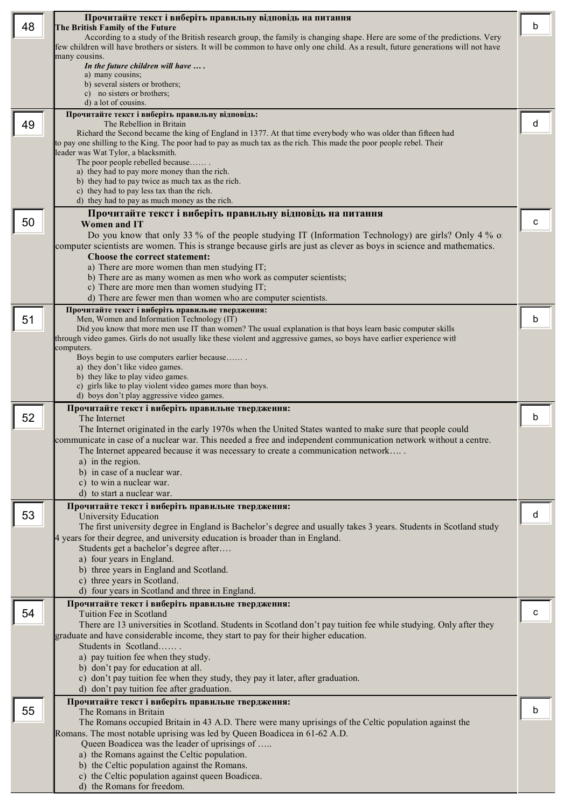|    | Прочитайте текст і виберіть правильну відповідь на питання                                                                                                   |   |
|----|--------------------------------------------------------------------------------------------------------------------------------------------------------------|---|
| 48 | The British Family of the Future<br>According to a study of the British research group, the family is changing shape. Here are some of the predictions. Very | b |
|    | few children will have brothers or sisters. It will be common to have only one child. As a result, future generations will not have                          |   |
|    | many cousins.<br>In the future children will have $\dots$ .                                                                                                  |   |
|    | a) many cousins;                                                                                                                                             |   |
|    | b) several sisters or brothers;<br>c) no sisters or brothers;                                                                                                |   |
|    | d) a lot of cousins.                                                                                                                                         |   |
| 49 | Прочитайте текст і виберіть правильну відповідь:<br>The Rebellion in Britain                                                                                 | d |
|    | Richard the Second became the king of England in 1377. At that time everybody who was older than fifteen had                                                 |   |
|    | to pay one shilling to the King. The poor had to pay as much tax as the rich. This made the poor people rebel. Their<br>leader was Wat Tylor, a blacksmith.  |   |
|    | The poor people rebelled because                                                                                                                             |   |
|    | a) they had to pay more money than the rich.<br>b) they had to pay twice as much tax as the rich.                                                            |   |
|    | c) they had to pay less tax than the rich.                                                                                                                   |   |
|    | d) they had to pay as much money as the rich.                                                                                                                |   |
| 50 | Прочитайте текст і виберіть правильну відповідь на питання<br><b>Women and IT</b>                                                                            | c |
|    | Do you know that only 33 % of the people studying IT (Information Technology) are girls? Only 4 % of                                                         |   |
|    | computer scientists are women. This is strange because girls are just as clever as boys in science and mathematics.<br>Choose the correct statement:         |   |
|    | a) There are more women than men studying IT;                                                                                                                |   |
|    | b) There are as many women as men who work as computer scientists;                                                                                           |   |
|    | c) There are more men than women studying IT;<br>d) There are fewer men than women who are computer scientists.                                              |   |
|    | Прочитайте текст і виберіть правильне твердження:                                                                                                            |   |
| 51 | Men, Women and Information Technology (IT)<br>Did you know that more men use IT than women? The usual explanation is that boys learn basic computer skills   | b |
|    | through video games. Girls do not usually like these violent and aggressive games, so boys have earlier experience with                                      |   |
|    | computers.<br>Boys begin to use computers earlier because                                                                                                    |   |
|    | a) they don't like video games.                                                                                                                              |   |
|    | b) they like to play video games.<br>c) girls like to play violent video games more than boys.                                                               |   |
|    | d) boys don't play aggressive video games.                                                                                                                   |   |
|    |                                                                                                                                                              |   |
|    | Прочитайте текст і виберіть правильне твердження:                                                                                                            | b |
| 52 | The Internet<br>The Internet originated in the early 1970s when the United States wanted to make sure that people could                                      |   |
|    | ommunicate in case of a nuclear war. This needed a free and independent communication network without a centre.                                              |   |
|    | The Internet appeared because it was necessary to create a communication network<br>a) in the region.                                                        |   |
|    | b) in case of a nuclear war.                                                                                                                                 |   |
|    | c) to win a nuclear war.                                                                                                                                     |   |
|    | d) to start a nuclear war.                                                                                                                                   |   |
| 53 | Прочитайте текст і виберіть правильне твердження:<br>University Education                                                                                    | d |
|    | The first university degree in England is Bachelor's degree and usually takes 3 years. Students in Scotland study                                            |   |
|    | 4 years for their degree, and university education is broader than in England.<br>Students get a bachelor's degree after                                     |   |
|    | a) four years in England.                                                                                                                                    |   |
|    | b) three years in England and Scotland.<br>c) three years in Scotland.                                                                                       |   |
|    | d) four years in Scotland and three in England.                                                                                                              |   |
|    | Прочитайте текст і виберіть правильне твердження:                                                                                                            |   |
| 54 | Tuition Fee in Scotland<br>There are 13 universities in Scotland. Students in Scotland don't pay tuition fee while studying. Only after they                 | с |
|    | graduate and have considerable income, they start to pay for their higher education.                                                                         |   |
|    | Students in Scotland                                                                                                                                         |   |
|    | a) pay tuition fee when they study.<br>b) don't pay for education at all.                                                                                    |   |
|    | c) don't pay tuition fee when they study, they pay it later, after graduation.                                                                               |   |
|    | d) don't pay tuition fee after graduation.                                                                                                                   |   |
| 55 | Прочитайте текст і виберіть правильне твердження:<br>The Romans in Britain                                                                                   | b |
|    | The Romans occupied Britain in 43 A.D. There were many uprisings of the Celtic population against the                                                        |   |
|    | Romans. The most notable uprising was led by Queen Boadicea in 61-62 A.D.<br>Queen Boadicea was the leader of uprisings of                                   |   |
|    | a) the Romans against the Celtic population.                                                                                                                 |   |
|    | b) the Celtic population against the Romans.<br>c) the Celtic population against queen Boadicea.                                                             |   |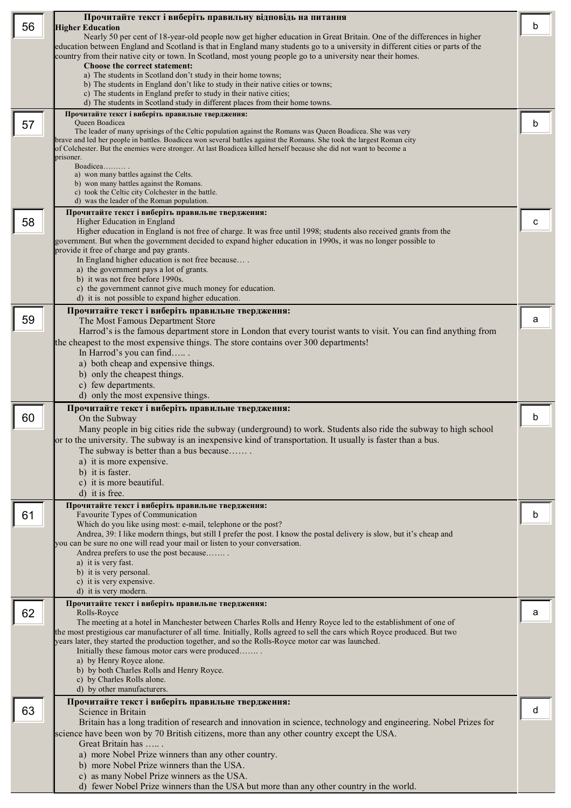| 56 | Прочитайте текст і виберіть правильну відповідь на питання                                                                                                                                                                         | b |
|----|------------------------------------------------------------------------------------------------------------------------------------------------------------------------------------------------------------------------------------|---|
|    | <b>Higher Education</b><br>Nearly 50 per cent of 18-year-old people now get higher education in Great Britain. One of the differences in higher                                                                                    |   |
|    | education between England and Scotland is that in England many students go to a university in different cities or parts of the                                                                                                     |   |
|    | country from their native city or town. In Scotland, most young people go to a university near their homes.<br>Choose the correct statement:                                                                                       |   |
|    | a) The students in Scotland don't study in their home towns;                                                                                                                                                                       |   |
|    | b) The students in England don't like to study in their native cities or towns;<br>c) The students in England prefer to study in their native cities;                                                                              |   |
|    | d) The students in Scotland study in different places from their home towns.                                                                                                                                                       |   |
| 57 | Прочитайте текст і виберіть правильне твердження:<br>Queen Boadicea                                                                                                                                                                | b |
|    | The leader of many uprisings of the Celtic population against the Romans was Queen Boadicea. She was very<br>brave and led her people in battles. Boadicea won several battles against the Romans. She took the largest Roman city |   |
|    | of Colchester. But the enemies were stronger. At last Boadicea killed herself because she did not want to become a                                                                                                                 |   |
|    | prisoner.<br>Boadicea                                                                                                                                                                                                              |   |
|    | a) won many battles against the Celts.<br>b) won many battles against the Romans.                                                                                                                                                  |   |
|    | c) took the Celtic city Colchester in the battle.                                                                                                                                                                                  |   |
|    | d) was the leader of the Roman population.<br>Прочитайте текст і виберіть правильне твердження:                                                                                                                                    |   |
| 58 | Higher Education in England                                                                                                                                                                                                        | с |
|    | Higher education in England is not free of charge. It was free until 1998; students also received grants from the<br>government. But when the government decided to expand higher education in 1990s, it was no longer possible to |   |
|    | provide it free of charge and pay grants.                                                                                                                                                                                          |   |
|    | In England higher education is not free because<br>a) the government pays a lot of grants.                                                                                                                                         |   |
|    | b) it was not free before 1990s.                                                                                                                                                                                                   |   |
|    | c) the government cannot give much money for education.<br>d) it is not possible to expand higher education.                                                                                                                       |   |
|    | Прочитайте текст і виберіть правильне твердження:                                                                                                                                                                                  |   |
| 59 | The Most Famous Department Store                                                                                                                                                                                                   | a |
|    | Harrod's is the famous department store in London that every tourist wants to visit. You can find anything from<br>the cheapest to the most expensive things. The store contains over 300 departments!                             |   |
|    | In Harrod's you can find                                                                                                                                                                                                           |   |
|    | a) both cheap and expensive things.<br>b) only the cheapest things.                                                                                                                                                                |   |
|    | c) few departments.                                                                                                                                                                                                                |   |
|    | d) only the most expensive things.                                                                                                                                                                                                 |   |
| 60 | Прочитайте текст і виберіть правильне твердження:<br>On the Subway                                                                                                                                                                 | b |
|    | Many people in big cities ride the subway (underground) to work. Students also ride the subway to high school                                                                                                                      |   |
|    | or to the university. The subway is an inexpensive kind of transportation. It usually is faster than a bus                                                                                                                         |   |
|    | The subway is better than a bus because<br>a) it is more expensive.                                                                                                                                                                |   |
|    | b) it is faster.                                                                                                                                                                                                                   |   |
|    | c) it is more beautiful.<br>d) it is free.                                                                                                                                                                                         |   |
|    | Прочитайте текст і виберіть правильне твердження:                                                                                                                                                                                  |   |
| 61 | Favourite Types of Communication                                                                                                                                                                                                   | b |
|    | Which do you like using most: e-mail, telephone or the post?<br>Andrea, 39: I like modern things, but still I prefer the post. I know the postal delivery is slow, but it's cheap and                                              |   |
|    | you can be sure no one will read your mail or listen to your conversation.                                                                                                                                                         |   |
|    | Andrea prefers to use the post because<br>a) it is very fast.                                                                                                                                                                      |   |
|    | b) it is very personal.                                                                                                                                                                                                            |   |
|    | c) it is very expensive.<br>d) it is very modern.                                                                                                                                                                                  |   |
|    | Прочитайте текст і виберіть правильне твердження:                                                                                                                                                                                  |   |
| 62 | Rolls-Royce<br>The meeting at a hotel in Manchester between Charles Rolls and Henry Royce led to the establishment of one of                                                                                                       | a |
|    | the most prestigious car manufacturer of all time. Initially, Rolls agreed to sell the cars which Royce produced. But two<br>years later, they started the production together, and so the Rolls-Royce motor car was launched.     |   |
|    | Initially these famous motor cars were produced                                                                                                                                                                                    |   |
|    | a) by Henry Royce alone.<br>b) by both Charles Rolls and Henry Royce.                                                                                                                                                              |   |
|    | c) by Charles Rolls alone.                                                                                                                                                                                                         |   |
|    | d) by other manufacturers.                                                                                                                                                                                                         |   |
| 63 | Прочитайте текст і виберіть правильне твердження:<br>Science in Britain                                                                                                                                                            | d |
|    | Britain has a long tradition of research and innovation in science, technology and engineering. Nobel Prizes for                                                                                                                   |   |
|    | science have been won by 70 British citizens, more than any other country except the USA.<br>Great Britain has                                                                                                                     |   |
|    | a) more Nobel Prize winners than any other country.                                                                                                                                                                                |   |
|    | b) more Nobel Prize winners than the USA.                                                                                                                                                                                          |   |
|    | c) as many Nobel Prize winners as the USA.<br>d) fewer Nobel Prize winners than the USA but more than any other country in the world.                                                                                              |   |
|    |                                                                                                                                                                                                                                    |   |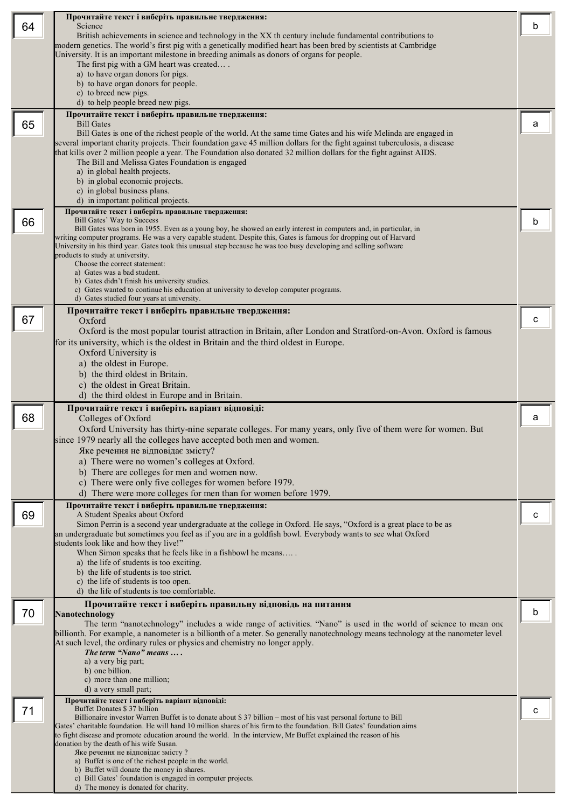|    | Прочитайте текст і виберіть правильне твердження:                                                                                                                                                                                                        |   |
|----|----------------------------------------------------------------------------------------------------------------------------------------------------------------------------------------------------------------------------------------------------------|---|
| 64 | Science<br>British achievements in science and technology in the XX th century include fundamental contributions to                                                                                                                                      | b |
|    | modern genetics. The world's first pig with a genetically modified heart has been bred by scientists at Cambridge                                                                                                                                        |   |
|    | University. It is an important milestone in breeding animals as donors of organs for people.<br>The first pig with a GM heart was created                                                                                                                |   |
|    | a) to have organ donors for pigs.                                                                                                                                                                                                                        |   |
|    | b) to have organ donors for people.                                                                                                                                                                                                                      |   |
|    | c) to breed new pigs.<br>d) to help people breed new pigs.                                                                                                                                                                                               |   |
|    | Прочитайте текст і виберіть правильне твердження:                                                                                                                                                                                                        |   |
| 65 | <b>Bill Gates</b>                                                                                                                                                                                                                                        | a |
|    | Bill Gates is one of the richest people of the world. At the same time Gates and his wife Melinda are engaged in<br>several important charity projects. Their foundation gave 45 million dollars for the fight against tuberculosis, a disease           |   |
|    | that kills over 2 million people a year. The Foundation also donated 32 million dollars for the fight against AIDS.                                                                                                                                      |   |
|    | The Bill and Melissa Gates Foundation is engaged<br>a) in global health projects.                                                                                                                                                                        |   |
|    | b) in global economic projects.                                                                                                                                                                                                                          |   |
|    | c) in global business plans.                                                                                                                                                                                                                             |   |
|    | d) in important political projects.<br>Прочитайте текст і виберіть правильне твердження:                                                                                                                                                                 |   |
| 66 | <b>Bill Gates' Way to Success</b>                                                                                                                                                                                                                        | b |
|    | Bill Gates was born in 1955. Even as a young boy, he showed an early interest in computers and, in particular, in<br>writing computer programs. He was a very capable student. Despite this, Gates is famous for dropping out of Harvard                 |   |
|    | University in his third year. Gates took this unusual step because he was too busy developing and selling software                                                                                                                                       |   |
|    | products to study at university.<br>Choose the correct statement:                                                                                                                                                                                        |   |
|    | a) Gates was a bad student.<br>b) Gates didn't finish his university studies.                                                                                                                                                                            |   |
|    | c) Gates wanted to continue his education at university to develop computer programs.                                                                                                                                                                    |   |
|    | d) Gates studied four years at university.                                                                                                                                                                                                               |   |
| 67 | Прочитайте текст і виберіть правильне твердження:<br>Oxford                                                                                                                                                                                              | с |
|    | Oxford is the most popular tourist attraction in Britain, after London and Stratford-on-Avon. Oxford is famous                                                                                                                                           |   |
|    | for its university, which is the oldest in Britain and the third oldest in Europe.                                                                                                                                                                       |   |
|    | Oxford University is                                                                                                                                                                                                                                     |   |
|    | a) the oldest in Europe.<br>b) the third oldest in Britain.                                                                                                                                                                                              |   |
|    | c) the oldest in Great Britain.                                                                                                                                                                                                                          |   |
|    | d) the third oldest in Europe and in Britain.                                                                                                                                                                                                            |   |
|    | Прочитайте текст і виберіть варіант відповіді:                                                                                                                                                                                                           |   |
|    |                                                                                                                                                                                                                                                          |   |
| 68 | Colleges of Oxford                                                                                                                                                                                                                                       | a |
|    | Oxford University has thirty-nine separate colleges. For many years, only five of them were for women. But<br>since 1979 nearly all the colleges have accepted both men and women.                                                                       |   |
|    | Яке речення не відповідає змісту?                                                                                                                                                                                                                        |   |
|    | a) There were no women's colleges at Oxford.                                                                                                                                                                                                             |   |
|    | b) There are colleges for men and women now.                                                                                                                                                                                                             |   |
|    | c) There were only five colleges for women before 1979.<br>d) There were more colleges for men than for women before 1979.                                                                                                                               |   |
|    | Прочитайте текст і виберіть правильне твердження:                                                                                                                                                                                                        |   |
| 69 | A Student Speaks about Oxford<br>Simon Perrin is a second year undergraduate at the college in Oxford. He says, "Oxford is a great place to be as                                                                                                        | с |
|    | an undergraduate but sometimes you feel as if you are in a goldfish bowl. Everybody wants to see what Oxford                                                                                                                                             |   |
|    | students look like and how they live!"                                                                                                                                                                                                                   |   |
|    | When Simon speaks that he feels like in a fishbowl he means<br>a) the life of students is too exciting.                                                                                                                                                  |   |
|    | b) the life of students is too strict.                                                                                                                                                                                                                   |   |
|    | c) the life of students is too open.<br>d) the life of students is too comfortable.                                                                                                                                                                      |   |
|    | Прочитайте текст і виберіть правильну відповідь на питання                                                                                                                                                                                               |   |
| 70 | Nanotechnology                                                                                                                                                                                                                                           | b |
|    | The term "nanotechnology" includes a wide range of activities. "Nano" is used in the world of science to mean one<br>billionth. For example, a nanometer is a billionth of a meter. So generally nanotechnology means technology at the nanometer level. |   |
|    | At such level, the ordinary rules or physics and chemistry no longer apply.                                                                                                                                                                              |   |
|    | The term "Nano" means<br>a) a very big part;                                                                                                                                                                                                             |   |
|    | b) one billion.                                                                                                                                                                                                                                          |   |
|    | c) more than one million;<br>d) a very small part;                                                                                                                                                                                                       |   |
|    | Прочитайте текст і виберіть варіант відповіді:                                                                                                                                                                                                           |   |
| 71 | Buffet Donates \$ 37 billion<br>Billionaire investor Warren Buffet is to donate about \$37 billion – most of his vast personal fortune to Bill                                                                                                           | с |
|    | Gates' charitable foundation. He will hand 10 million shares of his firm to the foundation. Bill Gates' foundation aims                                                                                                                                  |   |
|    | to fight disease and promote education around the world. In the interview, Mr Buffet explained the reason of his<br>donation by the death of his wife Susan.                                                                                             |   |
|    | Яке речення не відповідає змісту?                                                                                                                                                                                                                        |   |
|    | a) Buffet is one of the richest people in the world.<br>b) Buffet will donate the money in shares.                                                                                                                                                       |   |
|    | c) Bill Gates' foundation is engaged in computer projects.<br>d) The money is donated for charity.                                                                                                                                                       |   |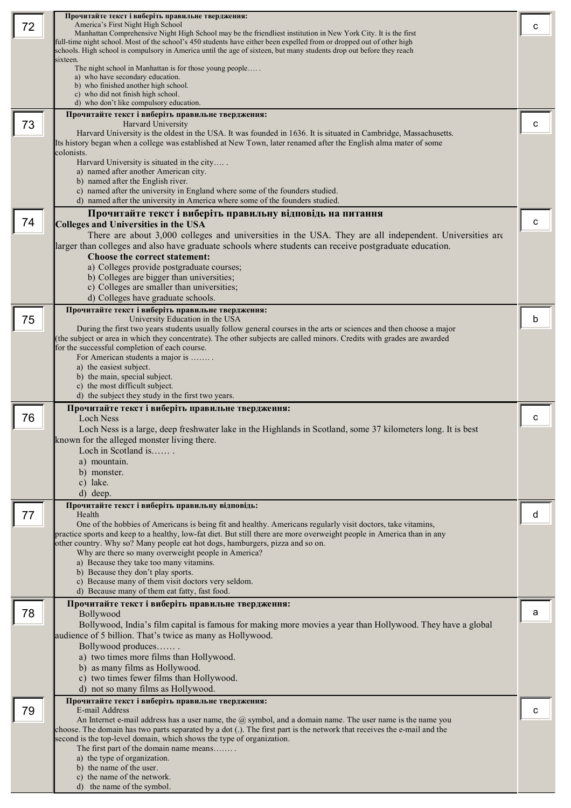|    | Прочитайте текст і виберіть правильне твердження:                                                                                                                                                                                             |   |
|----|-----------------------------------------------------------------------------------------------------------------------------------------------------------------------------------------------------------------------------------------------|---|
| 72 | America's First Night High School                                                                                                                                                                                                             | С |
|    | Manhattan Comprehensive Night High School may be the friendliest institution in New York City. It is the first                                                                                                                                |   |
|    | full-time night school. Most of the school's 450 students have either been expelled from or dropped out of other high<br>schools. High school is compulsory in America until the age of sixteen, but many students drop out before they reach |   |
|    | sixteen.                                                                                                                                                                                                                                      |   |
|    | The night school in Manhattan is for those young people                                                                                                                                                                                       |   |
|    | a) who have secondary education.                                                                                                                                                                                                              |   |
|    | b) who finished another high school.                                                                                                                                                                                                          |   |
|    | c) who did not finish high school.<br>d) who don't like compulsory education.                                                                                                                                                                 |   |
|    | Прочитайте текст і виберіть правильне твердження:                                                                                                                                                                                             |   |
| 73 | Harvard University                                                                                                                                                                                                                            | c |
|    | Harvard University is the oldest in the USA. It was founded in 1636. It is situated in Cambridge, Massachusetts.                                                                                                                              |   |
|    | Its history began when a college was established at New Town, later renamed after the English alma mater of some                                                                                                                              |   |
|    | colonists.                                                                                                                                                                                                                                    |   |
|    | Harvard University is situated in the city<br>a) named after another American city.                                                                                                                                                           |   |
|    | b) named after the English river.                                                                                                                                                                                                             |   |
|    | c) named after the university in England where some of the founders studied.                                                                                                                                                                  |   |
|    | d) named after the university in America where some of the founders studied.                                                                                                                                                                  |   |
|    | Прочитайте текст і виберіть правильну відповідь на питання                                                                                                                                                                                    |   |
| 74 | <b>Colleges and Universities in the USA</b>                                                                                                                                                                                                   | c |
|    | There are about 3,000 colleges and universities in the USA. They are all independent. Universities are                                                                                                                                        |   |
|    | larger than colleges and also have graduate schools where students can receive postgraduate education.                                                                                                                                        |   |
|    | Choose the correct statement:                                                                                                                                                                                                                 |   |
|    | a) Colleges provide postgraduate courses;                                                                                                                                                                                                     |   |
|    | b) Colleges are bigger than universities;                                                                                                                                                                                                     |   |
|    | c) Colleges are smaller than universities;                                                                                                                                                                                                    |   |
|    | d) Colleges have graduate schools.                                                                                                                                                                                                            |   |
|    | Прочитайте текст і виберіть правильне твердження:                                                                                                                                                                                             |   |
| 75 | University Education in the USA<br>During the first two years students usually follow general courses in the arts or sciences and then choose a major                                                                                         | b |
|    | (the subject or area in which they concentrate). The other subjects are called minors. Credits with grades are awarded                                                                                                                        |   |
|    | for the successful completion of each course.                                                                                                                                                                                                 |   |
|    | For American students a major is                                                                                                                                                                                                              |   |
|    | a) the easiest subject.                                                                                                                                                                                                                       |   |
|    | b) the main, special subject.                                                                                                                                                                                                                 |   |
|    | c) the most difficult subject.<br>d) the subject they study in the first two years.                                                                                                                                                           |   |
|    | Прочитайте текст і виберіть правильне твердження:                                                                                                                                                                                             |   |
| 76 | Loch Ness                                                                                                                                                                                                                                     | C |
|    | Loch Ness is a large, deep freshwater lake in the Highlands in Scotland, some 37 kilometers long. It is best                                                                                                                                  |   |
|    | known for the alleged monster living there.                                                                                                                                                                                                   |   |
|    | Loch in Scotland is                                                                                                                                                                                                                           |   |
|    | a) mountain.                                                                                                                                                                                                                                  |   |
|    | b) monster.                                                                                                                                                                                                                                   |   |
|    | c) lake.                                                                                                                                                                                                                                      |   |
|    | d) deep.                                                                                                                                                                                                                                      |   |
|    | Прочитайте текст і виберіть правильну відповідь:                                                                                                                                                                                              |   |
| 77 | Health                                                                                                                                                                                                                                        | d |
|    | One of the hobbies of Americans is being fit and healthy. Americans regularly visit doctors, take vitamins,<br>practice sports and keep to a healthy, low-fat diet. But still there are more overweight people in America than in any         |   |
|    | other country. Why so? Many people eat hot dogs, hamburgers, pizza and so on.                                                                                                                                                                 |   |
|    | Why are there so many overweight people in America?                                                                                                                                                                                           |   |
|    | a) Because they take too many vitamins.                                                                                                                                                                                                       |   |
|    | b) Because they don't play sports.                                                                                                                                                                                                            |   |
|    | c) Because many of them visit doctors very seldom.<br>d) Because many of them eat fatty, fast food.                                                                                                                                           |   |
|    |                                                                                                                                                                                                                                               |   |
| 78 | Прочитайте текст і виберіть правильне твердження:<br>Bollywood                                                                                                                                                                                | a |
|    | Bollywood, India's film capital is famous for making more movies a year than Hollywood. They have a global                                                                                                                                    |   |
|    | audience of 5 billion. That's twice as many as Hollywood.                                                                                                                                                                                     |   |
|    | Bollywood produces                                                                                                                                                                                                                            |   |
|    | a) two times more films than Hollywood.                                                                                                                                                                                                       |   |
|    | b) as many films as Hollywood.                                                                                                                                                                                                                |   |
|    | c) two times fewer films than Hollywood.                                                                                                                                                                                                      |   |
|    |                                                                                                                                                                                                                                               |   |
|    | d) not so many films as Hollywood.                                                                                                                                                                                                            |   |
|    | Прочитайте текст і виберіть правильне твердження:                                                                                                                                                                                             |   |
| 79 | E-mail Address                                                                                                                                                                                                                                | C |
|    | An Internet e-mail address has a user name, the $@$ symbol, and a domain name. The user name is the name you                                                                                                                                  |   |
|    | choose. The domain has two parts separated by a dot (.). The first part is the network that receives the e-mail and the                                                                                                                       |   |
|    | second is the top-level domain, which shows the type of organization.<br>The first part of the domain name means                                                                                                                              |   |
|    | a) the type of organization.                                                                                                                                                                                                                  |   |
|    | b) the name of the user.                                                                                                                                                                                                                      |   |
|    | c) the name of the network.<br>d) the name of the symbol.                                                                                                                                                                                     |   |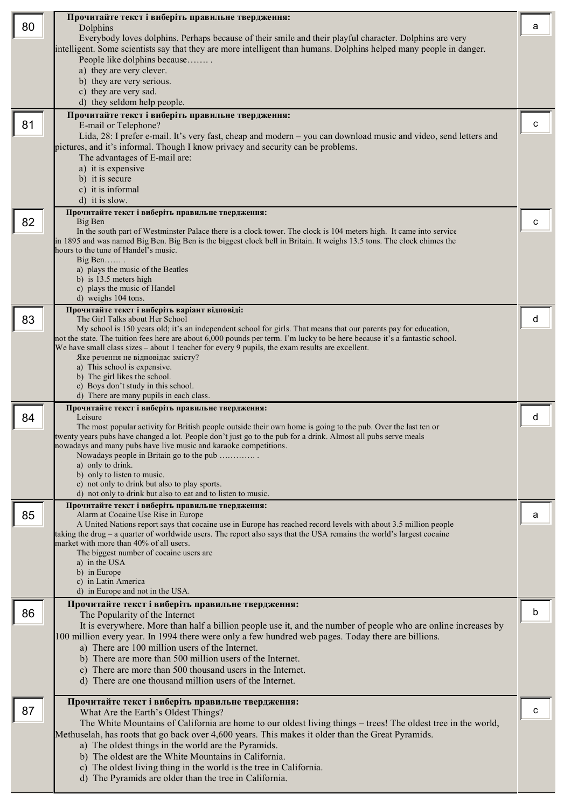| Everybody loves dolphins. Perhaps because of their smile and their playful character. Dolphins are very<br>intelligent. Some scientists say that they are more intelligent than humans. Dolphins helped many people in danger.<br>People like dolphins because<br>a) they are very clever.<br>b) they are very serious.<br>c) they are very sad.<br>d) they seldom help people.<br>Прочитайте текст і виберіть правильне твердження:<br>81<br>с<br>E-mail or Telephone?<br>Lida, 28: I prefer e-mail. It's very fast, cheap and modern – you can download music and video, send letters and<br>pictures, and it's informal. Though I know privacy and security can be problems.<br>The advantages of E-mail are:<br>a) it is expensive<br>b) it is secure<br>c) it is informal<br>d) it is slow.<br>Прочитайте текст і виберіть правильне твердження:<br>82<br>Big Ben<br>с<br>In the south part of Westminster Palace there is a clock tower. The clock is 104 meters high. It came into service<br>in 1895 and was named Big Ben. Big Ben is the biggest clock bell in Britain. It weighs 13.5 tons. The clock chimes the<br>hours to the tune of Handel's music.<br>Big Ben<br>a) plays the music of the Beatles<br>b) is 13.5 meters high<br>c) plays the music of Handel<br>d) weighs 104 tons.<br>Прочитайте текст і виберіть варіант відповіді:<br>83<br>The Girl Talks about Her School<br>d<br>My school is 150 years old; it's an independent school for girls. That means that our parents pay for education,<br>not the state. The tuition fees here are about 6,000 pounds per term. I'm lucky to be here because it's a fantastic school.<br>We have small class sizes – about 1 teacher for every 9 pupils, the exam results are excellent.<br>Яке речення не відповідає змісту?<br>a) This school is expensive.<br>b) The girl likes the school.<br>c) Boys don't study in this school.<br>d) There are many pupils in each class.<br>Прочитайте текст і виберіть правильне твердження:<br>Leisure<br>84<br>d<br>The most popular activity for British people outside their own home is going to the pub. Over the last ten or<br>twenty years pubs have changed a lot. People don't just go to the pub for a drink. Almost all pubs serve meals<br>nowadays and many pubs have live music and karaoke competitions.<br>Nowadays people in Britain go to the pub<br>a) only to drink.<br>b) only to listen to music.<br>c) not only to drink but also to play sports.<br>d) not only to drink but also to eat and to listen to music.<br>Прочитайте текст і виберіть правильне твердження:<br>85<br>Alarm at Cocaine Use Rise in Europe<br>a<br>A United Nations report says that cocaine use in Europe has reached record levels with about 3.5 million people<br>taking the drug – a quarter of worldwide users. The report also says that the USA remains the world's largest cocaine<br>market with more than 40% of all users.<br>The biggest number of cocaine users are<br>a) in the USA<br>b) in Europe<br>c) in Latin America<br>d) in Europe and not in the USA.<br>Прочитайте текст і виберіть правильне твердження:<br>86<br>b<br>The Popularity of the Internet<br>It is everywhere. More than half a billion people use it, and the number of people who are online increases by<br>100 million every year. In 1994 there were only a few hundred web pages. Today there are billions.<br>a) There are 100 million users of the Internet.<br>b) There are more than 500 million users of the Internet.<br>c) There are more than 500 thousand users in the Internet.<br>d) There are one thousand million users of the Internet.<br>Прочитайте текст і виберіть правильне твердження:<br>87<br>C<br>What Are the Earth's Oldest Things?<br>The White Mountains of California are home to our oldest living things – trees! The oldest tree in the world,<br>Methuselah, has roots that go back over 4,600 years. This makes it older than the Great Pyramids.<br>a) The oldest things in the world are the Pyramids.<br>b) The oldest are the White Mountains in California.<br>c) The oldest living thing in the world is the tree in California.<br>d) The Pyramids are older than the tree in California. |    | Прочитайте текст і виберіть правильне твердження: |   |
|--------------------------------------------------------------------------------------------------------------------------------------------------------------------------------------------------------------------------------------------------------------------------------------------------------------------------------------------------------------------------------------------------------------------------------------------------------------------------------------------------------------------------------------------------------------------------------------------------------------------------------------------------------------------------------------------------------------------------------------------------------------------------------------------------------------------------------------------------------------------------------------------------------------------------------------------------------------------------------------------------------------------------------------------------------------------------------------------------------------------------------------------------------------------------------------------------------------------------------------------------------------------------------------------------------------------------------------------------------------------------------------------------------------------------------------------------------------------------------------------------------------------------------------------------------------------------------------------------------------------------------------------------------------------------------------------------------------------------------------------------------------------------------------------------------------------------------------------------------------------------------------------------------------------------------------------------------------------------------------------------------------------------------------------------------------------------------------------------------------------------------------------------------------------------------------------------------------------------------------------------------------------------------------------------------------------------------------------------------------------------------------------------------------------------------------------------------------------------------------------------------------------------------------------------------------------------------------------------------------------------------------------------------------------------------------------------------------------------------------------------------------------------------------------------------------------------------------------------------------------------------------------------------------------------------------------------------------------------------------------------------------------------------------------------------------------------------------------------------------------------------------------------------------------------------------------------------------------------------------------------------------------------------------------------------------------------------------------------------------------------------------------------------------------------------------------------------------------------------------------------------------------------------------------------------------------------------------------------------------------------------------------------------------------------------------------------------------------------------------------------------------------------------------------------------------------------------------------------------------------------------------------------------------------------------------------------------------------------------------------------------------------------------------------------------------------------------------------------------------------------------------------------------------------------------------------------------------------------------------------|----|---------------------------------------------------|---|
|                                                                                                                                                                                                                                                                                                                                                                                                                                                                                                                                                                                                                                                                                                                                                                                                                                                                                                                                                                                                                                                                                                                                                                                                                                                                                                                                                                                                                                                                                                                                                                                                                                                                                                                                                                                                                                                                                                                                                                                                                                                                                                                                                                                                                                                                                                                                                                                                                                                                                                                                                                                                                                                                                                                                                                                                                                                                                                                                                                                                                                                                                                                                                                                                                                                                                                                                                                                                                                                                                                                                                                                                                                                                                                                                                                                                                                                                                                                                                                                                                                                                                                                                                                                                                                            | 80 | Dolphins                                          | a |
|                                                                                                                                                                                                                                                                                                                                                                                                                                                                                                                                                                                                                                                                                                                                                                                                                                                                                                                                                                                                                                                                                                                                                                                                                                                                                                                                                                                                                                                                                                                                                                                                                                                                                                                                                                                                                                                                                                                                                                                                                                                                                                                                                                                                                                                                                                                                                                                                                                                                                                                                                                                                                                                                                                                                                                                                                                                                                                                                                                                                                                                                                                                                                                                                                                                                                                                                                                                                                                                                                                                                                                                                                                                                                                                                                                                                                                                                                                                                                                                                                                                                                                                                                                                                                                            |    |                                                   |   |
|                                                                                                                                                                                                                                                                                                                                                                                                                                                                                                                                                                                                                                                                                                                                                                                                                                                                                                                                                                                                                                                                                                                                                                                                                                                                                                                                                                                                                                                                                                                                                                                                                                                                                                                                                                                                                                                                                                                                                                                                                                                                                                                                                                                                                                                                                                                                                                                                                                                                                                                                                                                                                                                                                                                                                                                                                                                                                                                                                                                                                                                                                                                                                                                                                                                                                                                                                                                                                                                                                                                                                                                                                                                                                                                                                                                                                                                                                                                                                                                                                                                                                                                                                                                                                                            |    |                                                   |   |
|                                                                                                                                                                                                                                                                                                                                                                                                                                                                                                                                                                                                                                                                                                                                                                                                                                                                                                                                                                                                                                                                                                                                                                                                                                                                                                                                                                                                                                                                                                                                                                                                                                                                                                                                                                                                                                                                                                                                                                                                                                                                                                                                                                                                                                                                                                                                                                                                                                                                                                                                                                                                                                                                                                                                                                                                                                                                                                                                                                                                                                                                                                                                                                                                                                                                                                                                                                                                                                                                                                                                                                                                                                                                                                                                                                                                                                                                                                                                                                                                                                                                                                                                                                                                                                            |    |                                                   |   |
|                                                                                                                                                                                                                                                                                                                                                                                                                                                                                                                                                                                                                                                                                                                                                                                                                                                                                                                                                                                                                                                                                                                                                                                                                                                                                                                                                                                                                                                                                                                                                                                                                                                                                                                                                                                                                                                                                                                                                                                                                                                                                                                                                                                                                                                                                                                                                                                                                                                                                                                                                                                                                                                                                                                                                                                                                                                                                                                                                                                                                                                                                                                                                                                                                                                                                                                                                                                                                                                                                                                                                                                                                                                                                                                                                                                                                                                                                                                                                                                                                                                                                                                                                                                                                                            |    |                                                   |   |
|                                                                                                                                                                                                                                                                                                                                                                                                                                                                                                                                                                                                                                                                                                                                                                                                                                                                                                                                                                                                                                                                                                                                                                                                                                                                                                                                                                                                                                                                                                                                                                                                                                                                                                                                                                                                                                                                                                                                                                                                                                                                                                                                                                                                                                                                                                                                                                                                                                                                                                                                                                                                                                                                                                                                                                                                                                                                                                                                                                                                                                                                                                                                                                                                                                                                                                                                                                                                                                                                                                                                                                                                                                                                                                                                                                                                                                                                                                                                                                                                                                                                                                                                                                                                                                            |    |                                                   |   |
|                                                                                                                                                                                                                                                                                                                                                                                                                                                                                                                                                                                                                                                                                                                                                                                                                                                                                                                                                                                                                                                                                                                                                                                                                                                                                                                                                                                                                                                                                                                                                                                                                                                                                                                                                                                                                                                                                                                                                                                                                                                                                                                                                                                                                                                                                                                                                                                                                                                                                                                                                                                                                                                                                                                                                                                                                                                                                                                                                                                                                                                                                                                                                                                                                                                                                                                                                                                                                                                                                                                                                                                                                                                                                                                                                                                                                                                                                                                                                                                                                                                                                                                                                                                                                                            |    |                                                   |   |
|                                                                                                                                                                                                                                                                                                                                                                                                                                                                                                                                                                                                                                                                                                                                                                                                                                                                                                                                                                                                                                                                                                                                                                                                                                                                                                                                                                                                                                                                                                                                                                                                                                                                                                                                                                                                                                                                                                                                                                                                                                                                                                                                                                                                                                                                                                                                                                                                                                                                                                                                                                                                                                                                                                                                                                                                                                                                                                                                                                                                                                                                                                                                                                                                                                                                                                                                                                                                                                                                                                                                                                                                                                                                                                                                                                                                                                                                                                                                                                                                                                                                                                                                                                                                                                            |    |                                                   |   |
|                                                                                                                                                                                                                                                                                                                                                                                                                                                                                                                                                                                                                                                                                                                                                                                                                                                                                                                                                                                                                                                                                                                                                                                                                                                                                                                                                                                                                                                                                                                                                                                                                                                                                                                                                                                                                                                                                                                                                                                                                                                                                                                                                                                                                                                                                                                                                                                                                                                                                                                                                                                                                                                                                                                                                                                                                                                                                                                                                                                                                                                                                                                                                                                                                                                                                                                                                                                                                                                                                                                                                                                                                                                                                                                                                                                                                                                                                                                                                                                                                                                                                                                                                                                                                                            |    |                                                   |   |
|                                                                                                                                                                                                                                                                                                                                                                                                                                                                                                                                                                                                                                                                                                                                                                                                                                                                                                                                                                                                                                                                                                                                                                                                                                                                                                                                                                                                                                                                                                                                                                                                                                                                                                                                                                                                                                                                                                                                                                                                                                                                                                                                                                                                                                                                                                                                                                                                                                                                                                                                                                                                                                                                                                                                                                                                                                                                                                                                                                                                                                                                                                                                                                                                                                                                                                                                                                                                                                                                                                                                                                                                                                                                                                                                                                                                                                                                                                                                                                                                                                                                                                                                                                                                                                            |    |                                                   |   |
|                                                                                                                                                                                                                                                                                                                                                                                                                                                                                                                                                                                                                                                                                                                                                                                                                                                                                                                                                                                                                                                                                                                                                                                                                                                                                                                                                                                                                                                                                                                                                                                                                                                                                                                                                                                                                                                                                                                                                                                                                                                                                                                                                                                                                                                                                                                                                                                                                                                                                                                                                                                                                                                                                                                                                                                                                                                                                                                                                                                                                                                                                                                                                                                                                                                                                                                                                                                                                                                                                                                                                                                                                                                                                                                                                                                                                                                                                                                                                                                                                                                                                                                                                                                                                                            |    |                                                   |   |
|                                                                                                                                                                                                                                                                                                                                                                                                                                                                                                                                                                                                                                                                                                                                                                                                                                                                                                                                                                                                                                                                                                                                                                                                                                                                                                                                                                                                                                                                                                                                                                                                                                                                                                                                                                                                                                                                                                                                                                                                                                                                                                                                                                                                                                                                                                                                                                                                                                                                                                                                                                                                                                                                                                                                                                                                                                                                                                                                                                                                                                                                                                                                                                                                                                                                                                                                                                                                                                                                                                                                                                                                                                                                                                                                                                                                                                                                                                                                                                                                                                                                                                                                                                                                                                            |    |                                                   |   |
|                                                                                                                                                                                                                                                                                                                                                                                                                                                                                                                                                                                                                                                                                                                                                                                                                                                                                                                                                                                                                                                                                                                                                                                                                                                                                                                                                                                                                                                                                                                                                                                                                                                                                                                                                                                                                                                                                                                                                                                                                                                                                                                                                                                                                                                                                                                                                                                                                                                                                                                                                                                                                                                                                                                                                                                                                                                                                                                                                                                                                                                                                                                                                                                                                                                                                                                                                                                                                                                                                                                                                                                                                                                                                                                                                                                                                                                                                                                                                                                                                                                                                                                                                                                                                                            |    |                                                   |   |
|                                                                                                                                                                                                                                                                                                                                                                                                                                                                                                                                                                                                                                                                                                                                                                                                                                                                                                                                                                                                                                                                                                                                                                                                                                                                                                                                                                                                                                                                                                                                                                                                                                                                                                                                                                                                                                                                                                                                                                                                                                                                                                                                                                                                                                                                                                                                                                                                                                                                                                                                                                                                                                                                                                                                                                                                                                                                                                                                                                                                                                                                                                                                                                                                                                                                                                                                                                                                                                                                                                                                                                                                                                                                                                                                                                                                                                                                                                                                                                                                                                                                                                                                                                                                                                            |    |                                                   |   |
|                                                                                                                                                                                                                                                                                                                                                                                                                                                                                                                                                                                                                                                                                                                                                                                                                                                                                                                                                                                                                                                                                                                                                                                                                                                                                                                                                                                                                                                                                                                                                                                                                                                                                                                                                                                                                                                                                                                                                                                                                                                                                                                                                                                                                                                                                                                                                                                                                                                                                                                                                                                                                                                                                                                                                                                                                                                                                                                                                                                                                                                                                                                                                                                                                                                                                                                                                                                                                                                                                                                                                                                                                                                                                                                                                                                                                                                                                                                                                                                                                                                                                                                                                                                                                                            |    |                                                   |   |
|                                                                                                                                                                                                                                                                                                                                                                                                                                                                                                                                                                                                                                                                                                                                                                                                                                                                                                                                                                                                                                                                                                                                                                                                                                                                                                                                                                                                                                                                                                                                                                                                                                                                                                                                                                                                                                                                                                                                                                                                                                                                                                                                                                                                                                                                                                                                                                                                                                                                                                                                                                                                                                                                                                                                                                                                                                                                                                                                                                                                                                                                                                                                                                                                                                                                                                                                                                                                                                                                                                                                                                                                                                                                                                                                                                                                                                                                                                                                                                                                                                                                                                                                                                                                                                            |    |                                                   |   |
|                                                                                                                                                                                                                                                                                                                                                                                                                                                                                                                                                                                                                                                                                                                                                                                                                                                                                                                                                                                                                                                                                                                                                                                                                                                                                                                                                                                                                                                                                                                                                                                                                                                                                                                                                                                                                                                                                                                                                                                                                                                                                                                                                                                                                                                                                                                                                                                                                                                                                                                                                                                                                                                                                                                                                                                                                                                                                                                                                                                                                                                                                                                                                                                                                                                                                                                                                                                                                                                                                                                                                                                                                                                                                                                                                                                                                                                                                                                                                                                                                                                                                                                                                                                                                                            |    |                                                   |   |
|                                                                                                                                                                                                                                                                                                                                                                                                                                                                                                                                                                                                                                                                                                                                                                                                                                                                                                                                                                                                                                                                                                                                                                                                                                                                                                                                                                                                                                                                                                                                                                                                                                                                                                                                                                                                                                                                                                                                                                                                                                                                                                                                                                                                                                                                                                                                                                                                                                                                                                                                                                                                                                                                                                                                                                                                                                                                                                                                                                                                                                                                                                                                                                                                                                                                                                                                                                                                                                                                                                                                                                                                                                                                                                                                                                                                                                                                                                                                                                                                                                                                                                                                                                                                                                            |    |                                                   |   |
|                                                                                                                                                                                                                                                                                                                                                                                                                                                                                                                                                                                                                                                                                                                                                                                                                                                                                                                                                                                                                                                                                                                                                                                                                                                                                                                                                                                                                                                                                                                                                                                                                                                                                                                                                                                                                                                                                                                                                                                                                                                                                                                                                                                                                                                                                                                                                                                                                                                                                                                                                                                                                                                                                                                                                                                                                                                                                                                                                                                                                                                                                                                                                                                                                                                                                                                                                                                                                                                                                                                                                                                                                                                                                                                                                                                                                                                                                                                                                                                                                                                                                                                                                                                                                                            |    |                                                   |   |
|                                                                                                                                                                                                                                                                                                                                                                                                                                                                                                                                                                                                                                                                                                                                                                                                                                                                                                                                                                                                                                                                                                                                                                                                                                                                                                                                                                                                                                                                                                                                                                                                                                                                                                                                                                                                                                                                                                                                                                                                                                                                                                                                                                                                                                                                                                                                                                                                                                                                                                                                                                                                                                                                                                                                                                                                                                                                                                                                                                                                                                                                                                                                                                                                                                                                                                                                                                                                                                                                                                                                                                                                                                                                                                                                                                                                                                                                                                                                                                                                                                                                                                                                                                                                                                            |    |                                                   |   |
|                                                                                                                                                                                                                                                                                                                                                                                                                                                                                                                                                                                                                                                                                                                                                                                                                                                                                                                                                                                                                                                                                                                                                                                                                                                                                                                                                                                                                                                                                                                                                                                                                                                                                                                                                                                                                                                                                                                                                                                                                                                                                                                                                                                                                                                                                                                                                                                                                                                                                                                                                                                                                                                                                                                                                                                                                                                                                                                                                                                                                                                                                                                                                                                                                                                                                                                                                                                                                                                                                                                                                                                                                                                                                                                                                                                                                                                                                                                                                                                                                                                                                                                                                                                                                                            |    |                                                   |   |
|                                                                                                                                                                                                                                                                                                                                                                                                                                                                                                                                                                                                                                                                                                                                                                                                                                                                                                                                                                                                                                                                                                                                                                                                                                                                                                                                                                                                                                                                                                                                                                                                                                                                                                                                                                                                                                                                                                                                                                                                                                                                                                                                                                                                                                                                                                                                                                                                                                                                                                                                                                                                                                                                                                                                                                                                                                                                                                                                                                                                                                                                                                                                                                                                                                                                                                                                                                                                                                                                                                                                                                                                                                                                                                                                                                                                                                                                                                                                                                                                                                                                                                                                                                                                                                            |    |                                                   |   |
|                                                                                                                                                                                                                                                                                                                                                                                                                                                                                                                                                                                                                                                                                                                                                                                                                                                                                                                                                                                                                                                                                                                                                                                                                                                                                                                                                                                                                                                                                                                                                                                                                                                                                                                                                                                                                                                                                                                                                                                                                                                                                                                                                                                                                                                                                                                                                                                                                                                                                                                                                                                                                                                                                                                                                                                                                                                                                                                                                                                                                                                                                                                                                                                                                                                                                                                                                                                                                                                                                                                                                                                                                                                                                                                                                                                                                                                                                                                                                                                                                                                                                                                                                                                                                                            |    |                                                   |   |
|                                                                                                                                                                                                                                                                                                                                                                                                                                                                                                                                                                                                                                                                                                                                                                                                                                                                                                                                                                                                                                                                                                                                                                                                                                                                                                                                                                                                                                                                                                                                                                                                                                                                                                                                                                                                                                                                                                                                                                                                                                                                                                                                                                                                                                                                                                                                                                                                                                                                                                                                                                                                                                                                                                                                                                                                                                                                                                                                                                                                                                                                                                                                                                                                                                                                                                                                                                                                                                                                                                                                                                                                                                                                                                                                                                                                                                                                                                                                                                                                                                                                                                                                                                                                                                            |    |                                                   |   |
|                                                                                                                                                                                                                                                                                                                                                                                                                                                                                                                                                                                                                                                                                                                                                                                                                                                                                                                                                                                                                                                                                                                                                                                                                                                                                                                                                                                                                                                                                                                                                                                                                                                                                                                                                                                                                                                                                                                                                                                                                                                                                                                                                                                                                                                                                                                                                                                                                                                                                                                                                                                                                                                                                                                                                                                                                                                                                                                                                                                                                                                                                                                                                                                                                                                                                                                                                                                                                                                                                                                                                                                                                                                                                                                                                                                                                                                                                                                                                                                                                                                                                                                                                                                                                                            |    |                                                   |   |
|                                                                                                                                                                                                                                                                                                                                                                                                                                                                                                                                                                                                                                                                                                                                                                                                                                                                                                                                                                                                                                                                                                                                                                                                                                                                                                                                                                                                                                                                                                                                                                                                                                                                                                                                                                                                                                                                                                                                                                                                                                                                                                                                                                                                                                                                                                                                                                                                                                                                                                                                                                                                                                                                                                                                                                                                                                                                                                                                                                                                                                                                                                                                                                                                                                                                                                                                                                                                                                                                                                                                                                                                                                                                                                                                                                                                                                                                                                                                                                                                                                                                                                                                                                                                                                            |    |                                                   |   |
|                                                                                                                                                                                                                                                                                                                                                                                                                                                                                                                                                                                                                                                                                                                                                                                                                                                                                                                                                                                                                                                                                                                                                                                                                                                                                                                                                                                                                                                                                                                                                                                                                                                                                                                                                                                                                                                                                                                                                                                                                                                                                                                                                                                                                                                                                                                                                                                                                                                                                                                                                                                                                                                                                                                                                                                                                                                                                                                                                                                                                                                                                                                                                                                                                                                                                                                                                                                                                                                                                                                                                                                                                                                                                                                                                                                                                                                                                                                                                                                                                                                                                                                                                                                                                                            |    |                                                   |   |
|                                                                                                                                                                                                                                                                                                                                                                                                                                                                                                                                                                                                                                                                                                                                                                                                                                                                                                                                                                                                                                                                                                                                                                                                                                                                                                                                                                                                                                                                                                                                                                                                                                                                                                                                                                                                                                                                                                                                                                                                                                                                                                                                                                                                                                                                                                                                                                                                                                                                                                                                                                                                                                                                                                                                                                                                                                                                                                                                                                                                                                                                                                                                                                                                                                                                                                                                                                                                                                                                                                                                                                                                                                                                                                                                                                                                                                                                                                                                                                                                                                                                                                                                                                                                                                            |    |                                                   |   |
|                                                                                                                                                                                                                                                                                                                                                                                                                                                                                                                                                                                                                                                                                                                                                                                                                                                                                                                                                                                                                                                                                                                                                                                                                                                                                                                                                                                                                                                                                                                                                                                                                                                                                                                                                                                                                                                                                                                                                                                                                                                                                                                                                                                                                                                                                                                                                                                                                                                                                                                                                                                                                                                                                                                                                                                                                                                                                                                                                                                                                                                                                                                                                                                                                                                                                                                                                                                                                                                                                                                                                                                                                                                                                                                                                                                                                                                                                                                                                                                                                                                                                                                                                                                                                                            |    |                                                   |   |
|                                                                                                                                                                                                                                                                                                                                                                                                                                                                                                                                                                                                                                                                                                                                                                                                                                                                                                                                                                                                                                                                                                                                                                                                                                                                                                                                                                                                                                                                                                                                                                                                                                                                                                                                                                                                                                                                                                                                                                                                                                                                                                                                                                                                                                                                                                                                                                                                                                                                                                                                                                                                                                                                                                                                                                                                                                                                                                                                                                                                                                                                                                                                                                                                                                                                                                                                                                                                                                                                                                                                                                                                                                                                                                                                                                                                                                                                                                                                                                                                                                                                                                                                                                                                                                            |    |                                                   |   |
|                                                                                                                                                                                                                                                                                                                                                                                                                                                                                                                                                                                                                                                                                                                                                                                                                                                                                                                                                                                                                                                                                                                                                                                                                                                                                                                                                                                                                                                                                                                                                                                                                                                                                                                                                                                                                                                                                                                                                                                                                                                                                                                                                                                                                                                                                                                                                                                                                                                                                                                                                                                                                                                                                                                                                                                                                                                                                                                                                                                                                                                                                                                                                                                                                                                                                                                                                                                                                                                                                                                                                                                                                                                                                                                                                                                                                                                                                                                                                                                                                                                                                                                                                                                                                                            |    |                                                   |   |
|                                                                                                                                                                                                                                                                                                                                                                                                                                                                                                                                                                                                                                                                                                                                                                                                                                                                                                                                                                                                                                                                                                                                                                                                                                                                                                                                                                                                                                                                                                                                                                                                                                                                                                                                                                                                                                                                                                                                                                                                                                                                                                                                                                                                                                                                                                                                                                                                                                                                                                                                                                                                                                                                                                                                                                                                                                                                                                                                                                                                                                                                                                                                                                                                                                                                                                                                                                                                                                                                                                                                                                                                                                                                                                                                                                                                                                                                                                                                                                                                                                                                                                                                                                                                                                            |    |                                                   |   |
|                                                                                                                                                                                                                                                                                                                                                                                                                                                                                                                                                                                                                                                                                                                                                                                                                                                                                                                                                                                                                                                                                                                                                                                                                                                                                                                                                                                                                                                                                                                                                                                                                                                                                                                                                                                                                                                                                                                                                                                                                                                                                                                                                                                                                                                                                                                                                                                                                                                                                                                                                                                                                                                                                                                                                                                                                                                                                                                                                                                                                                                                                                                                                                                                                                                                                                                                                                                                                                                                                                                                                                                                                                                                                                                                                                                                                                                                                                                                                                                                                                                                                                                                                                                                                                            |    |                                                   |   |
|                                                                                                                                                                                                                                                                                                                                                                                                                                                                                                                                                                                                                                                                                                                                                                                                                                                                                                                                                                                                                                                                                                                                                                                                                                                                                                                                                                                                                                                                                                                                                                                                                                                                                                                                                                                                                                                                                                                                                                                                                                                                                                                                                                                                                                                                                                                                                                                                                                                                                                                                                                                                                                                                                                                                                                                                                                                                                                                                                                                                                                                                                                                                                                                                                                                                                                                                                                                                                                                                                                                                                                                                                                                                                                                                                                                                                                                                                                                                                                                                                                                                                                                                                                                                                                            |    |                                                   |   |
|                                                                                                                                                                                                                                                                                                                                                                                                                                                                                                                                                                                                                                                                                                                                                                                                                                                                                                                                                                                                                                                                                                                                                                                                                                                                                                                                                                                                                                                                                                                                                                                                                                                                                                                                                                                                                                                                                                                                                                                                                                                                                                                                                                                                                                                                                                                                                                                                                                                                                                                                                                                                                                                                                                                                                                                                                                                                                                                                                                                                                                                                                                                                                                                                                                                                                                                                                                                                                                                                                                                                                                                                                                                                                                                                                                                                                                                                                                                                                                                                                                                                                                                                                                                                                                            |    |                                                   |   |
|                                                                                                                                                                                                                                                                                                                                                                                                                                                                                                                                                                                                                                                                                                                                                                                                                                                                                                                                                                                                                                                                                                                                                                                                                                                                                                                                                                                                                                                                                                                                                                                                                                                                                                                                                                                                                                                                                                                                                                                                                                                                                                                                                                                                                                                                                                                                                                                                                                                                                                                                                                                                                                                                                                                                                                                                                                                                                                                                                                                                                                                                                                                                                                                                                                                                                                                                                                                                                                                                                                                                                                                                                                                                                                                                                                                                                                                                                                                                                                                                                                                                                                                                                                                                                                            |    |                                                   |   |
|                                                                                                                                                                                                                                                                                                                                                                                                                                                                                                                                                                                                                                                                                                                                                                                                                                                                                                                                                                                                                                                                                                                                                                                                                                                                                                                                                                                                                                                                                                                                                                                                                                                                                                                                                                                                                                                                                                                                                                                                                                                                                                                                                                                                                                                                                                                                                                                                                                                                                                                                                                                                                                                                                                                                                                                                                                                                                                                                                                                                                                                                                                                                                                                                                                                                                                                                                                                                                                                                                                                                                                                                                                                                                                                                                                                                                                                                                                                                                                                                                                                                                                                                                                                                                                            |    |                                                   |   |
|                                                                                                                                                                                                                                                                                                                                                                                                                                                                                                                                                                                                                                                                                                                                                                                                                                                                                                                                                                                                                                                                                                                                                                                                                                                                                                                                                                                                                                                                                                                                                                                                                                                                                                                                                                                                                                                                                                                                                                                                                                                                                                                                                                                                                                                                                                                                                                                                                                                                                                                                                                                                                                                                                                                                                                                                                                                                                                                                                                                                                                                                                                                                                                                                                                                                                                                                                                                                                                                                                                                                                                                                                                                                                                                                                                                                                                                                                                                                                                                                                                                                                                                                                                                                                                            |    |                                                   |   |
|                                                                                                                                                                                                                                                                                                                                                                                                                                                                                                                                                                                                                                                                                                                                                                                                                                                                                                                                                                                                                                                                                                                                                                                                                                                                                                                                                                                                                                                                                                                                                                                                                                                                                                                                                                                                                                                                                                                                                                                                                                                                                                                                                                                                                                                                                                                                                                                                                                                                                                                                                                                                                                                                                                                                                                                                                                                                                                                                                                                                                                                                                                                                                                                                                                                                                                                                                                                                                                                                                                                                                                                                                                                                                                                                                                                                                                                                                                                                                                                                                                                                                                                                                                                                                                            |    |                                                   |   |
|                                                                                                                                                                                                                                                                                                                                                                                                                                                                                                                                                                                                                                                                                                                                                                                                                                                                                                                                                                                                                                                                                                                                                                                                                                                                                                                                                                                                                                                                                                                                                                                                                                                                                                                                                                                                                                                                                                                                                                                                                                                                                                                                                                                                                                                                                                                                                                                                                                                                                                                                                                                                                                                                                                                                                                                                                                                                                                                                                                                                                                                                                                                                                                                                                                                                                                                                                                                                                                                                                                                                                                                                                                                                                                                                                                                                                                                                                                                                                                                                                                                                                                                                                                                                                                            |    |                                                   |   |
|                                                                                                                                                                                                                                                                                                                                                                                                                                                                                                                                                                                                                                                                                                                                                                                                                                                                                                                                                                                                                                                                                                                                                                                                                                                                                                                                                                                                                                                                                                                                                                                                                                                                                                                                                                                                                                                                                                                                                                                                                                                                                                                                                                                                                                                                                                                                                                                                                                                                                                                                                                                                                                                                                                                                                                                                                                                                                                                                                                                                                                                                                                                                                                                                                                                                                                                                                                                                                                                                                                                                                                                                                                                                                                                                                                                                                                                                                                                                                                                                                                                                                                                                                                                                                                            |    |                                                   |   |
|                                                                                                                                                                                                                                                                                                                                                                                                                                                                                                                                                                                                                                                                                                                                                                                                                                                                                                                                                                                                                                                                                                                                                                                                                                                                                                                                                                                                                                                                                                                                                                                                                                                                                                                                                                                                                                                                                                                                                                                                                                                                                                                                                                                                                                                                                                                                                                                                                                                                                                                                                                                                                                                                                                                                                                                                                                                                                                                                                                                                                                                                                                                                                                                                                                                                                                                                                                                                                                                                                                                                                                                                                                                                                                                                                                                                                                                                                                                                                                                                                                                                                                                                                                                                                                            |    |                                                   |   |
|                                                                                                                                                                                                                                                                                                                                                                                                                                                                                                                                                                                                                                                                                                                                                                                                                                                                                                                                                                                                                                                                                                                                                                                                                                                                                                                                                                                                                                                                                                                                                                                                                                                                                                                                                                                                                                                                                                                                                                                                                                                                                                                                                                                                                                                                                                                                                                                                                                                                                                                                                                                                                                                                                                                                                                                                                                                                                                                                                                                                                                                                                                                                                                                                                                                                                                                                                                                                                                                                                                                                                                                                                                                                                                                                                                                                                                                                                                                                                                                                                                                                                                                                                                                                                                            |    |                                                   |   |
|                                                                                                                                                                                                                                                                                                                                                                                                                                                                                                                                                                                                                                                                                                                                                                                                                                                                                                                                                                                                                                                                                                                                                                                                                                                                                                                                                                                                                                                                                                                                                                                                                                                                                                                                                                                                                                                                                                                                                                                                                                                                                                                                                                                                                                                                                                                                                                                                                                                                                                                                                                                                                                                                                                                                                                                                                                                                                                                                                                                                                                                                                                                                                                                                                                                                                                                                                                                                                                                                                                                                                                                                                                                                                                                                                                                                                                                                                                                                                                                                                                                                                                                                                                                                                                            |    |                                                   |   |
|                                                                                                                                                                                                                                                                                                                                                                                                                                                                                                                                                                                                                                                                                                                                                                                                                                                                                                                                                                                                                                                                                                                                                                                                                                                                                                                                                                                                                                                                                                                                                                                                                                                                                                                                                                                                                                                                                                                                                                                                                                                                                                                                                                                                                                                                                                                                                                                                                                                                                                                                                                                                                                                                                                                                                                                                                                                                                                                                                                                                                                                                                                                                                                                                                                                                                                                                                                                                                                                                                                                                                                                                                                                                                                                                                                                                                                                                                                                                                                                                                                                                                                                                                                                                                                            |    |                                                   |   |
|                                                                                                                                                                                                                                                                                                                                                                                                                                                                                                                                                                                                                                                                                                                                                                                                                                                                                                                                                                                                                                                                                                                                                                                                                                                                                                                                                                                                                                                                                                                                                                                                                                                                                                                                                                                                                                                                                                                                                                                                                                                                                                                                                                                                                                                                                                                                                                                                                                                                                                                                                                                                                                                                                                                                                                                                                                                                                                                                                                                                                                                                                                                                                                                                                                                                                                                                                                                                                                                                                                                                                                                                                                                                                                                                                                                                                                                                                                                                                                                                                                                                                                                                                                                                                                            |    |                                                   |   |
|                                                                                                                                                                                                                                                                                                                                                                                                                                                                                                                                                                                                                                                                                                                                                                                                                                                                                                                                                                                                                                                                                                                                                                                                                                                                                                                                                                                                                                                                                                                                                                                                                                                                                                                                                                                                                                                                                                                                                                                                                                                                                                                                                                                                                                                                                                                                                                                                                                                                                                                                                                                                                                                                                                                                                                                                                                                                                                                                                                                                                                                                                                                                                                                                                                                                                                                                                                                                                                                                                                                                                                                                                                                                                                                                                                                                                                                                                                                                                                                                                                                                                                                                                                                                                                            |    |                                                   |   |
|                                                                                                                                                                                                                                                                                                                                                                                                                                                                                                                                                                                                                                                                                                                                                                                                                                                                                                                                                                                                                                                                                                                                                                                                                                                                                                                                                                                                                                                                                                                                                                                                                                                                                                                                                                                                                                                                                                                                                                                                                                                                                                                                                                                                                                                                                                                                                                                                                                                                                                                                                                                                                                                                                                                                                                                                                                                                                                                                                                                                                                                                                                                                                                                                                                                                                                                                                                                                                                                                                                                                                                                                                                                                                                                                                                                                                                                                                                                                                                                                                                                                                                                                                                                                                                            |    |                                                   |   |
|                                                                                                                                                                                                                                                                                                                                                                                                                                                                                                                                                                                                                                                                                                                                                                                                                                                                                                                                                                                                                                                                                                                                                                                                                                                                                                                                                                                                                                                                                                                                                                                                                                                                                                                                                                                                                                                                                                                                                                                                                                                                                                                                                                                                                                                                                                                                                                                                                                                                                                                                                                                                                                                                                                                                                                                                                                                                                                                                                                                                                                                                                                                                                                                                                                                                                                                                                                                                                                                                                                                                                                                                                                                                                                                                                                                                                                                                                                                                                                                                                                                                                                                                                                                                                                            |    |                                                   |   |
|                                                                                                                                                                                                                                                                                                                                                                                                                                                                                                                                                                                                                                                                                                                                                                                                                                                                                                                                                                                                                                                                                                                                                                                                                                                                                                                                                                                                                                                                                                                                                                                                                                                                                                                                                                                                                                                                                                                                                                                                                                                                                                                                                                                                                                                                                                                                                                                                                                                                                                                                                                                                                                                                                                                                                                                                                                                                                                                                                                                                                                                                                                                                                                                                                                                                                                                                                                                                                                                                                                                                                                                                                                                                                                                                                                                                                                                                                                                                                                                                                                                                                                                                                                                                                                            |    |                                                   |   |
|                                                                                                                                                                                                                                                                                                                                                                                                                                                                                                                                                                                                                                                                                                                                                                                                                                                                                                                                                                                                                                                                                                                                                                                                                                                                                                                                                                                                                                                                                                                                                                                                                                                                                                                                                                                                                                                                                                                                                                                                                                                                                                                                                                                                                                                                                                                                                                                                                                                                                                                                                                                                                                                                                                                                                                                                                                                                                                                                                                                                                                                                                                                                                                                                                                                                                                                                                                                                                                                                                                                                                                                                                                                                                                                                                                                                                                                                                                                                                                                                                                                                                                                                                                                                                                            |    |                                                   |   |
|                                                                                                                                                                                                                                                                                                                                                                                                                                                                                                                                                                                                                                                                                                                                                                                                                                                                                                                                                                                                                                                                                                                                                                                                                                                                                                                                                                                                                                                                                                                                                                                                                                                                                                                                                                                                                                                                                                                                                                                                                                                                                                                                                                                                                                                                                                                                                                                                                                                                                                                                                                                                                                                                                                                                                                                                                                                                                                                                                                                                                                                                                                                                                                                                                                                                                                                                                                                                                                                                                                                                                                                                                                                                                                                                                                                                                                                                                                                                                                                                                                                                                                                                                                                                                                            |    |                                                   |   |
|                                                                                                                                                                                                                                                                                                                                                                                                                                                                                                                                                                                                                                                                                                                                                                                                                                                                                                                                                                                                                                                                                                                                                                                                                                                                                                                                                                                                                                                                                                                                                                                                                                                                                                                                                                                                                                                                                                                                                                                                                                                                                                                                                                                                                                                                                                                                                                                                                                                                                                                                                                                                                                                                                                                                                                                                                                                                                                                                                                                                                                                                                                                                                                                                                                                                                                                                                                                                                                                                                                                                                                                                                                                                                                                                                                                                                                                                                                                                                                                                                                                                                                                                                                                                                                            |    |                                                   |   |
|                                                                                                                                                                                                                                                                                                                                                                                                                                                                                                                                                                                                                                                                                                                                                                                                                                                                                                                                                                                                                                                                                                                                                                                                                                                                                                                                                                                                                                                                                                                                                                                                                                                                                                                                                                                                                                                                                                                                                                                                                                                                                                                                                                                                                                                                                                                                                                                                                                                                                                                                                                                                                                                                                                                                                                                                                                                                                                                                                                                                                                                                                                                                                                                                                                                                                                                                                                                                                                                                                                                                                                                                                                                                                                                                                                                                                                                                                                                                                                                                                                                                                                                                                                                                                                            |    |                                                   |   |
|                                                                                                                                                                                                                                                                                                                                                                                                                                                                                                                                                                                                                                                                                                                                                                                                                                                                                                                                                                                                                                                                                                                                                                                                                                                                                                                                                                                                                                                                                                                                                                                                                                                                                                                                                                                                                                                                                                                                                                                                                                                                                                                                                                                                                                                                                                                                                                                                                                                                                                                                                                                                                                                                                                                                                                                                                                                                                                                                                                                                                                                                                                                                                                                                                                                                                                                                                                                                                                                                                                                                                                                                                                                                                                                                                                                                                                                                                                                                                                                                                                                                                                                                                                                                                                            |    |                                                   |   |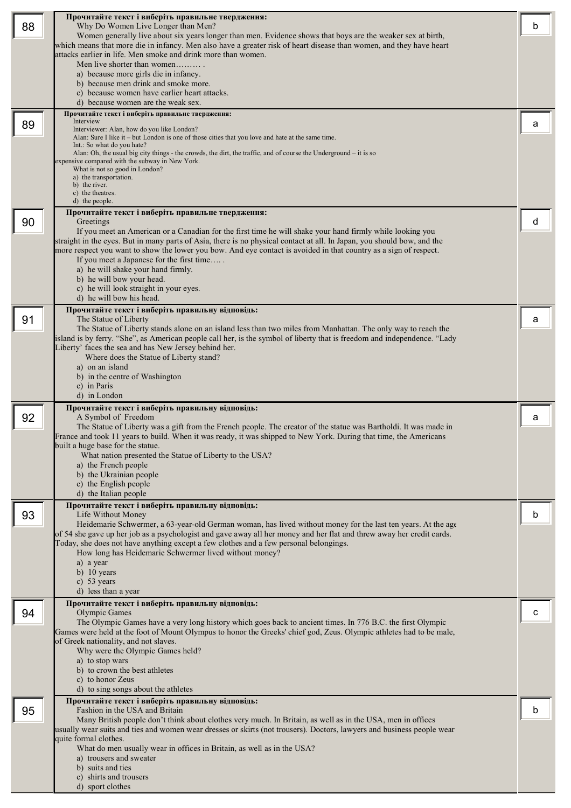|    | Прочитайте текст і виберіть правильне твердження:                                                                                                                                                                                 |   |
|----|-----------------------------------------------------------------------------------------------------------------------------------------------------------------------------------------------------------------------------------|---|
| 88 | Why Do Women Live Longer than Men?                                                                                                                                                                                                | b |
|    | Women generally live about six years longer than men. Evidence shows that boys are the weaker sex at birth,                                                                                                                       |   |
|    | which means that more die in infancy. Men also have a greater risk of heart disease than women, and they have heart                                                                                                               |   |
|    | attacks earlier in life. Men smoke and drink more than women.                                                                                                                                                                     |   |
|    | Men live shorter than women                                                                                                                                                                                                       |   |
|    | a) because more girls die in infancy.                                                                                                                                                                                             |   |
|    | b) because men drink and smoke more.                                                                                                                                                                                              |   |
|    | c) because women have earlier heart attacks.                                                                                                                                                                                      |   |
|    | d) because women are the weak sex.                                                                                                                                                                                                |   |
|    | Прочитайте текст і виберіть правильне твердження:                                                                                                                                                                                 |   |
| 89 | Interview<br>Interviewer: Alan, how do you like London?                                                                                                                                                                           | а |
|    | Alan: Sure I like it – but London is one of those cities that you love and hate at the same time.                                                                                                                                 |   |
|    | Int.: So what do you hate?                                                                                                                                                                                                        |   |
|    | Alan: Oh, the usual big city things - the crowds, the dirt, the traffic, and of course the Underground – it is so                                                                                                                 |   |
|    | expensive compared with the subway in New York.<br>What is not so good in London?                                                                                                                                                 |   |
|    | a) the transportation.                                                                                                                                                                                                            |   |
|    | b) the river.                                                                                                                                                                                                                     |   |
|    | c) the theatres.<br>d) the people.                                                                                                                                                                                                |   |
|    |                                                                                                                                                                                                                                   |   |
| 90 | Прочитайте текст і виберіть правильне твердження:<br>Greetings                                                                                                                                                                    | d |
|    | If you meet an American or a Canadian for the first time he will shake your hand firmly while looking you                                                                                                                         |   |
|    | straight in the eyes. But in many parts of Asia, there is no physical contact at all. In Japan, you should bow, and the                                                                                                           |   |
|    | more respect you want to show the lower you bow. And eye contact is avoided in that country as a sign of respect.                                                                                                                 |   |
|    | If you meet a Japanese for the first time                                                                                                                                                                                         |   |
|    | a) he will shake your hand firmly.                                                                                                                                                                                                |   |
|    | b) he will bow your head.                                                                                                                                                                                                         |   |
|    | c) he will look straight in your eyes.                                                                                                                                                                                            |   |
|    | d) he will bow his head.                                                                                                                                                                                                          |   |
|    | Прочитайте текст і виберіть правильну відповідь:                                                                                                                                                                                  |   |
| 91 | The Statue of Liberty                                                                                                                                                                                                             | a |
|    | The Statue of Liberty stands alone on an island less than two miles from Manhattan. The only way to reach the                                                                                                                     |   |
|    | island is by ferry. "She", as American people call her, is the symbol of liberty that is freedom and independence. "Lady                                                                                                          |   |
|    | Liberty' faces the sea and has New Jersey behind her.                                                                                                                                                                             |   |
|    | Where does the Statue of Liberty stand?                                                                                                                                                                                           |   |
|    | a) on an island                                                                                                                                                                                                                   |   |
|    | b) in the centre of Washington                                                                                                                                                                                                    |   |
|    | c) in Paris                                                                                                                                                                                                                       |   |
|    | d) in London                                                                                                                                                                                                                      |   |
|    | Прочитайте текст і виберіть правильну відповідь:                                                                                                                                                                                  |   |
| 92 | A Symbol of Freedom                                                                                                                                                                                                               |   |
|    |                                                                                                                                                                                                                                   | a |
|    | The Statue of Liberty was a gift from the French people. The creator of the statue was Bartholdi. It was made in                                                                                                                  |   |
|    | France and took 11 years to build. When it was ready, it was shipped to New York. During that time, the Americans                                                                                                                 |   |
|    | built a huge base for the statue.                                                                                                                                                                                                 |   |
|    | What nation presented the Statue of Liberty to the USA?                                                                                                                                                                           |   |
|    | a) the French people                                                                                                                                                                                                              |   |
|    | b) the Ukrainian people                                                                                                                                                                                                           |   |
|    | c) the English people                                                                                                                                                                                                             |   |
|    | d) the Italian people                                                                                                                                                                                                             |   |
|    | Прочитайте текст і виберіть правильну відповідь:                                                                                                                                                                                  |   |
| 93 | Life Without Money                                                                                                                                                                                                                | b |
|    | Heidemarie Schwermer, a 63-year-old German woman, has lived without money for the last ten years. At the age                                                                                                                      |   |
|    | of 54 she gave up her job as a psychologist and gave away all her money and her flat and threw away her credit cards.                                                                                                             |   |
|    | Today, she does not have anything except a few clothes and a few personal belongings.                                                                                                                                             |   |
|    | How long has Heidemarie Schwermer lived without money?                                                                                                                                                                            |   |
|    | a) a year                                                                                                                                                                                                                         |   |
|    | b) $10$ years<br>c) $53$ years                                                                                                                                                                                                    |   |
|    | d) less than a year                                                                                                                                                                                                               |   |
|    |                                                                                                                                                                                                                                   |   |
|    | Прочитайте текст і виберіть правильну відповідь:                                                                                                                                                                                  | с |
| 94 | Olympic Games                                                                                                                                                                                                                     |   |
|    | The Olympic Games have a very long history which goes back to ancient times. In 776 B.C. the first Olympic<br>Games were held at the foot of Mount Olympus to honor the Greeks' chief god, Zeus. Olympic athletes had to be male, |   |
|    | of Greek nationality, and not slaves.                                                                                                                                                                                             |   |
|    | Why were the Olympic Games held?                                                                                                                                                                                                  |   |
|    | a) to stop wars                                                                                                                                                                                                                   |   |
|    | b) to crown the best athletes                                                                                                                                                                                                     |   |
|    | c) to honor Zeus                                                                                                                                                                                                                  |   |
|    | d) to sing songs about the athletes                                                                                                                                                                                               |   |
|    | Прочитайте текст і виберіть правильну відповідь:                                                                                                                                                                                  |   |
| 95 | Fashion in the USA and Britain                                                                                                                                                                                                    | b |
|    | Many British people don't think about clothes very much. In Britain, as well as in the USA, men in offices                                                                                                                        |   |
|    | usually wear suits and ties and women wear dresses or skirts (not trousers). Doctors, lawyers and business people wear                                                                                                            |   |
|    | quite formal clothes.                                                                                                                                                                                                             |   |
|    | What do men usually wear in offices in Britain, as well as in the USA?                                                                                                                                                            |   |
|    | a) trousers and sweater                                                                                                                                                                                                           |   |
|    | b) suits and ties                                                                                                                                                                                                                 |   |
|    | c) shirts and trousers<br>d) sport clothes                                                                                                                                                                                        |   |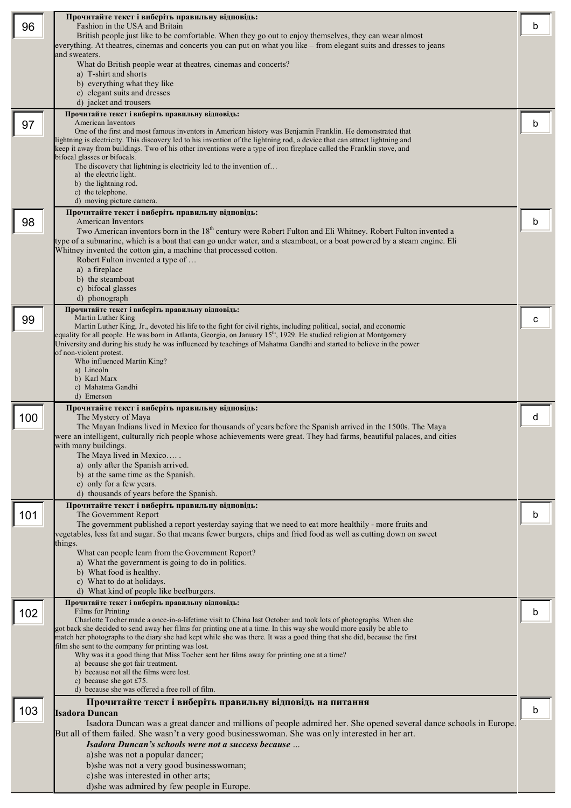|     | Прочитайте текст і виберіть правильну відповідь:                                                                                                                                                                                         |   |
|-----|------------------------------------------------------------------------------------------------------------------------------------------------------------------------------------------------------------------------------------------|---|
| 96  | Fashion in the USA and Britain                                                                                                                                                                                                           | b |
|     | British people just like to be comfortable. When they go out to enjoy themselves, they can wear almost<br>everything. At theatres, cinemas and concerts you can put on what you like – from elegant suits and dresses to jeans           |   |
|     | and sweaters.                                                                                                                                                                                                                            |   |
|     | What do British people wear at theatres, cinemas and concerts?                                                                                                                                                                           |   |
|     | a) T-shirt and shorts                                                                                                                                                                                                                    |   |
|     | b) everything what they like<br>c) elegant suits and dresses                                                                                                                                                                             |   |
|     | d) jacket and trousers                                                                                                                                                                                                                   |   |
|     | Прочитайте текст і виберіть правильну відповідь:                                                                                                                                                                                         |   |
| 97  | <b>American Inventors</b>                                                                                                                                                                                                                | b |
|     | One of the first and most famous inventors in American history was Benjamin Franklin. He demonstrated that<br>ightning is electricity. This discovery led to his invention of the lightning rod, a device that can attract lightning and |   |
|     | keep it away from buildings. Two of his other inventions were a type of iron fireplace called the Franklin stove, and                                                                                                                    |   |
|     | bifocal glasses or bifocals.                                                                                                                                                                                                             |   |
|     | The discovery that lightning is electricity led to the invention of<br>a) the electric light.                                                                                                                                            |   |
|     | b) the lightning rod.                                                                                                                                                                                                                    |   |
|     | c) the telephone.                                                                                                                                                                                                                        |   |
|     | d) moving picture camera.<br>Прочитайте текст і виберіть правильну відповідь:                                                                                                                                                            |   |
| 98  | <b>American Inventors</b>                                                                                                                                                                                                                | b |
|     | Two American inventors born in the 18 <sup>th</sup> century were Robert Fulton and Eli Whitney. Robert Fulton invented a                                                                                                                 |   |
|     | type of a submarine, which is a boat that can go under water, and a steamboat, or a boat powered by a steam engine. Eli                                                                                                                  |   |
|     | Whitney invented the cotton gin, a machine that processed cotton.                                                                                                                                                                        |   |
|     | Robert Fulton invented a type of<br>a) a fireplace                                                                                                                                                                                       |   |
|     | b) the steamboat                                                                                                                                                                                                                         |   |
|     | c) bifocal glasses                                                                                                                                                                                                                       |   |
|     | d) phonograph                                                                                                                                                                                                                            |   |
| 99  | Прочитайте текст і виберіть правильну відповідь:<br>Martin Luther King                                                                                                                                                                   | с |
|     | Martin Luther King, Jr., devoted his life to the fight for civil rights, including political, social, and economic                                                                                                                       |   |
|     | equality for all people. He was born in Atlanta, Georgia, on January 15 <sup>th</sup> , 1929. He studied religion at Montgomery                                                                                                          |   |
|     | University and during his study he was influenced by teachings of Mahatma Gandhi and started to believe in the power<br>of non-violent protest.                                                                                          |   |
|     | Who influenced Martin King?                                                                                                                                                                                                              |   |
|     | a) Lincoln<br>b) Karl Marx                                                                                                                                                                                                               |   |
|     | c) Mahatma Gandhi                                                                                                                                                                                                                        |   |
|     | d) Emerson                                                                                                                                                                                                                               |   |
|     | Прочитайте текст і виберіть правильну відповідь:                                                                                                                                                                                         |   |
| 100 | The Mystery of Maya<br>The Mayan Indians lived in Mexico for thousands of years before the Spanish arrived in the 1500s. The Maya                                                                                                        | d |
|     | were an intelligent, culturally rich people whose achievements were great. They had farms, beautiful palaces, and cities                                                                                                                 |   |
|     | with many buildings.                                                                                                                                                                                                                     |   |
|     | The Maya lived in Mexico                                                                                                                                                                                                                 |   |
|     | a) only after the Spanish arrived.<br>b) at the same time as the Spanish.                                                                                                                                                                |   |
|     | c) only for a few years.                                                                                                                                                                                                                 |   |
|     | d) thousands of years before the Spanish.                                                                                                                                                                                                |   |
|     | Прочитайте текст і виберіть правильну відповідь:                                                                                                                                                                                         |   |
| 101 | The Government Report<br>The government published a report yesterday saying that we need to eat more healthily - more fruits and                                                                                                         | b |
|     | vegetables, less fat and sugar. So that means fewer burgers, chips and fried food as well as cutting down on sweet                                                                                                                       |   |
|     | things.                                                                                                                                                                                                                                  |   |
|     | What can people learn from the Government Report?                                                                                                                                                                                        |   |
|     | a) What the government is going to do in politics.<br>b) What food is healthy.                                                                                                                                                           |   |
|     | c) What to do at holidays.                                                                                                                                                                                                               |   |
|     | d) What kind of people like beefburgers.                                                                                                                                                                                                 |   |
|     | Прочитайте текст і виберіть правильну відповідь:                                                                                                                                                                                         |   |
| 102 | Films for Printing<br>Charlotte Tocher made a once-in-a-lifetime visit to China last October and took lots of photographs. When she                                                                                                      | b |
|     | got back she decided to send away her films for printing one at a time. In this way she would more easily be able to                                                                                                                     |   |
|     | match her photographs to the diary she had kept while she was there. It was a good thing that she did, because the first                                                                                                                 |   |
|     | film she sent to the company for printing was lost.<br>Why was it a good thing that Miss Tocher sent her films away for printing one at a time?                                                                                          |   |
|     | a) because she got fair treatment.                                                                                                                                                                                                       |   |
|     | b) because not all the films were lost.<br>c) because she got $£75$ .                                                                                                                                                                    |   |
|     | d) because she was offered a free roll of film.                                                                                                                                                                                          |   |
|     | Прочитайте текст і виберіть правильну відповідь на питання                                                                                                                                                                               |   |
| 103 | Isadora Duncan                                                                                                                                                                                                                           | b |
|     | Isadora Duncan was a great dancer and millions of people admired her. She opened several dance schools in Europe.                                                                                                                        |   |
|     | But all of them failed. She wasn't a very good businesswoman. She was only interested in her art.                                                                                                                                        |   |
|     | Isadora Duncan's schools were not a success because<br>a) she was not a popular dancer;                                                                                                                                                  |   |
|     | b)she was not a very good businesswoman;                                                                                                                                                                                                 |   |
|     | c)she was interested in other arts;                                                                                                                                                                                                      |   |
|     | d)she was admired by few people in Europe.                                                                                                                                                                                               |   |
|     |                                                                                                                                                                                                                                          |   |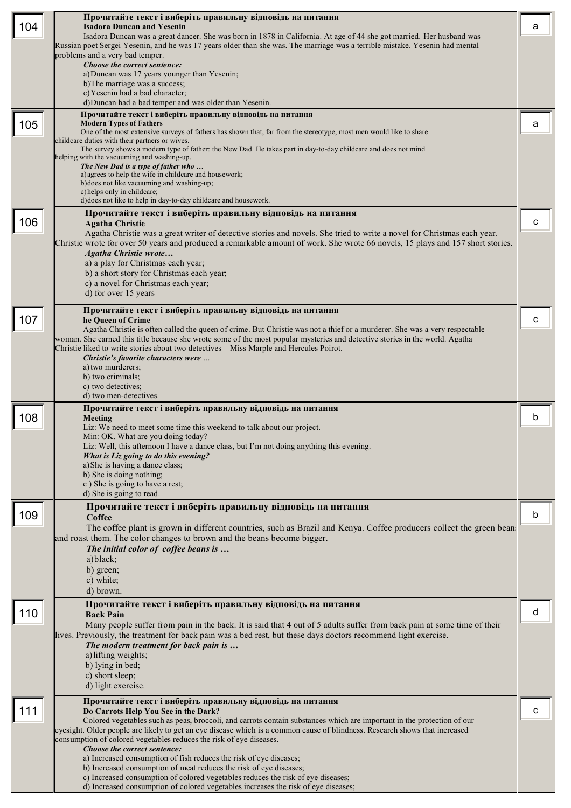|     | Прочитайте текст і виберіть правильну відповідь на питання                                                                                                                                                                                            |   |
|-----|-------------------------------------------------------------------------------------------------------------------------------------------------------------------------------------------------------------------------------------------------------|---|
| 104 | <b>Isadora Duncan and Yesenin</b><br>Isadora Duncan was a great dancer. She was born in 1878 in California. At age of 44 she got married. Her husband was                                                                                             | a |
|     | Russian poet Sergei Yesenin, and he was 17 years older than she was. The marriage was a terrible mistake. Yesenin had mental                                                                                                                          |   |
|     | problems and a very bad temper.<br>Choose the correct sentence:                                                                                                                                                                                       |   |
|     | a) Duncan was 17 years younger than Yesenin;                                                                                                                                                                                                          |   |
|     | b) The marriage was a success;<br>c) Yesenin had a bad character;                                                                                                                                                                                     |   |
|     | d)Duncan had a bad temper and was older than Yesenin.                                                                                                                                                                                                 |   |
|     | Прочитайте текст і виберіть правильну відповідь на питання                                                                                                                                                                                            |   |
| 105 | <b>Modern Types of Fathers</b><br>One of the most extensive surveys of fathers has shown that, far from the stereotype, most men would like to share                                                                                                  | а |
|     | childcare duties with their partners or wives.                                                                                                                                                                                                        |   |
|     | The survey shows a modern type of father: the New Dad. He takes part in day-to-day childcare and does not mind<br>nelping with the vacuuming and washing-up.                                                                                          |   |
|     | The New Dad is a type of father who<br>a) agrees to help the wife in childcare and housework;                                                                                                                                                         |   |
|     | b) does not like vacuuming and washing-up;                                                                                                                                                                                                            |   |
|     | c) helps only in childcare;<br>d) does not like to help in day-to-day childcare and housework.                                                                                                                                                        |   |
|     | Прочитайте текст і виберіть правильну відповідь на питання                                                                                                                                                                                            |   |
| 106 | <b>Agatha Christie</b>                                                                                                                                                                                                                                | c |
|     | Agatha Christie was a great writer of detective stories and novels. She tried to write a novel for Christmas each year.                                                                                                                               |   |
|     | Christie wrote for over 50 years and produced a remarkable amount of work. She wrote 66 novels, 15 plays and 157 short stories.<br><b>Agatha Christie wrote</b>                                                                                       |   |
|     | a) a play for Christmas each year;                                                                                                                                                                                                                    |   |
|     | b) a short story for Christmas each year;                                                                                                                                                                                                             |   |
|     | c) a novel for Christmas each year;<br>d) for over 15 years                                                                                                                                                                                           |   |
|     |                                                                                                                                                                                                                                                       |   |
| 107 | Прочитайте текст і виберіть правильну відповідь на питання<br>he Queen of Crime                                                                                                                                                                       | C |
|     | Agatha Christie is often called the queen of crime. But Christie was not a thief or a murderer. She was a very respectable                                                                                                                            |   |
|     | woman. She earned this title because she wrote some of the most popular mysteries and detective stories in the world. Agatha<br>Christie liked to write stories about two detectives – Miss Marple and Hercules Poirot.                               |   |
|     | Christie's favorite characters were                                                                                                                                                                                                                   |   |
|     | a) two murderers;                                                                                                                                                                                                                                     |   |
|     | b) two criminals;<br>c) two detectives:                                                                                                                                                                                                               |   |
|     | d) two men-detectives.                                                                                                                                                                                                                                |   |
|     |                                                                                                                                                                                                                                                       |   |
|     | Прочитайте текст і виберіть правильну відповідь на питання                                                                                                                                                                                            |   |
| 108 | Meeting<br>Liz: We need to meet some time this weekend to talk about our project.                                                                                                                                                                     | b |
|     | Min: OK. What are you doing today?                                                                                                                                                                                                                    |   |
|     | Liz: Well, this afternoon I have a dance class, but I'm not doing anything this evening.                                                                                                                                                              |   |
|     | What is Liz going to do this evening?<br>a) She is having a dance class;                                                                                                                                                                              |   |
|     | b) She is doing nothing;                                                                                                                                                                                                                              |   |
|     | c) She is going to have a rest;<br>d) She is going to read.                                                                                                                                                                                           |   |
|     | Прочитайте текст і виберіть правильну відповідь на питання                                                                                                                                                                                            |   |
| 109 | <b>Coffee</b>                                                                                                                                                                                                                                         | b |
|     | The coffee plant is grown in different countries, such as Brazil and Kenya. Coffee producers collect the green bean:                                                                                                                                  |   |
|     | and roast them. The color changes to brown and the beans become bigger.<br>The initial color of coffee beans is                                                                                                                                       |   |
|     | a) black;                                                                                                                                                                                                                                             |   |
|     | b) green;<br>c) white;                                                                                                                                                                                                                                |   |
|     | d) brown.                                                                                                                                                                                                                                             |   |
|     | Прочитайте текст і виберіть правильну відповідь на питання                                                                                                                                                                                            |   |
| 110 | <b>Back Pain</b>                                                                                                                                                                                                                                      | d |
|     | Many people suffer from pain in the back. It is said that 4 out of 5 adults suffer from back pain at some time of their<br>lives. Previously, the treatment for back pain was a bed rest, but these days doctors recommend light exercise.            |   |
|     | The modern treatment for back pain is                                                                                                                                                                                                                 |   |
|     | a) lifting weights;                                                                                                                                                                                                                                   |   |
|     | b) lying in bed;<br>c) short sleep;                                                                                                                                                                                                                   |   |
|     | d) light exercise.                                                                                                                                                                                                                                    |   |
|     | Прочитайте текст і виберіть правильну відповідь на питання                                                                                                                                                                                            |   |
| 111 | Do Carrots Help You See in the Dark?                                                                                                                                                                                                                  | C |
|     | Colored vegetables such as peas, broccoli, and carrots contain substances which are important in the protection of our<br>eyesight. Older people are likely to get an eye disease which is a common cause of blindness. Research shows that increased |   |
|     | consumption of colored vegetables reduces the risk of eye diseases.                                                                                                                                                                                   |   |
|     | Choose the correct sentence:<br>a) Increased consumption of fish reduces the risk of eye diseases;                                                                                                                                                    |   |
|     | b) Increased consumption of meat reduces the risk of eye diseases;                                                                                                                                                                                    |   |
|     | c) Increased consumption of colored vegetables reduces the risk of eye diseases;<br>d) Increased consumption of colored vegetables increases the risk of eye diseases;                                                                                |   |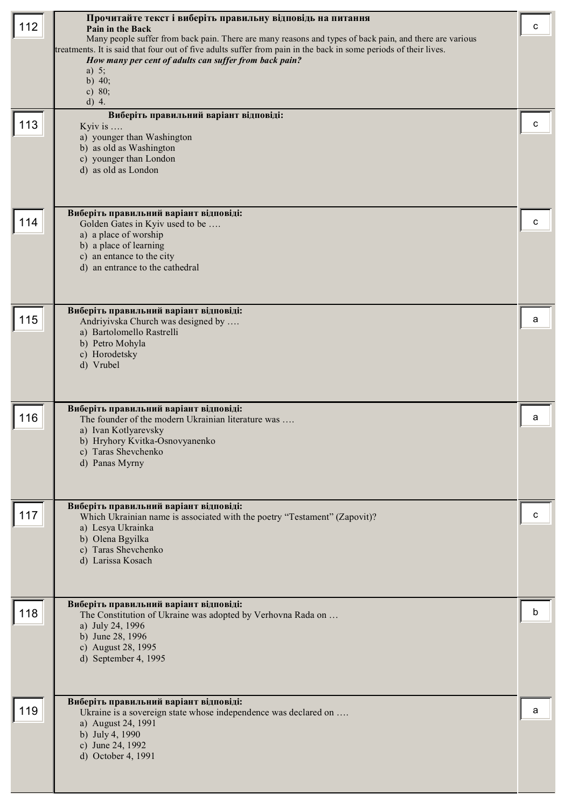| 112<br>113 | Прочитайте текст і виберіть правильну відповідь на питання<br>Pain in the Back<br>Many people suffer from back pain. There are many reasons and types of back pain, and there are various<br>treatments. It is said that four out of five adults suffer from pain in the back in some periods of their lives.<br>How many per cent of adults can suffer from back pain?<br>a) $5$ ;<br>b) $40;$<br>c) $80;$<br>$d)$ 4.<br>Виберіть правильний варіант відповіді:<br>Kyiv is $\ldots$<br>a) younger than Washington<br>b) as old as Washington<br>c) younger than London<br>d) as old as London | c<br>с |
|------------|------------------------------------------------------------------------------------------------------------------------------------------------------------------------------------------------------------------------------------------------------------------------------------------------------------------------------------------------------------------------------------------------------------------------------------------------------------------------------------------------------------------------------------------------------------------------------------------------|--------|
| 114        | Виберіть правильний варіант відповіді:<br>Golden Gates in Kyiv used to be<br>a) a place of worship<br>b) a place of learning<br>c) an entance to the city<br>d) an entrance to the cathedral                                                                                                                                                                                                                                                                                                                                                                                                   | c      |
| 115        | Виберіть правильний варіант відповіді:<br>Andriyivska Church was designed by<br>a) Bartolomello Rastrelli<br>b) Petro Mohyla<br>c) Horodetsky<br>d) Vrubel                                                                                                                                                                                                                                                                                                                                                                                                                                     | a      |
| 116        | Виберіть правильний варіант відповіді:<br>The founder of the modern Ukrainian literature was<br>a) Ivan Kotlyarevsky<br>b) Hryhory Kvitka-Osnovyanenko<br>c) Taras Shevchenko<br>d) Panas Myrny                                                                                                                                                                                                                                                                                                                                                                                                | a      |
| 117        | Виберіть правильний варіант відповіді:<br>Which Ukrainian name is associated with the poetry "Testament" (Zapovit)?<br>a) Lesya Ukrainka<br>b) Olena Bgyilka<br>c) Taras Shevchenko<br>d) Larissa Kosach                                                                                                                                                                                                                                                                                                                                                                                       | с      |
| 118        | Виберіть правильний варіант відповіді:<br>The Constitution of Ukraine was adopted by Verhovna Rada on<br>a) July 24, 1996<br>b) June 28, 1996<br>c) August 28, 1995<br>d) September 4, 1995                                                                                                                                                                                                                                                                                                                                                                                                    | b      |
| 119        | Виберіть правильний варіант відповіді:<br>Ukraine is a sovereign state whose independence was declared on<br>a) August 24, 1991<br>b) July 4, 1990<br>c) June 24, 1992<br>d) October 4, 1991                                                                                                                                                                                                                                                                                                                                                                                                   | a      |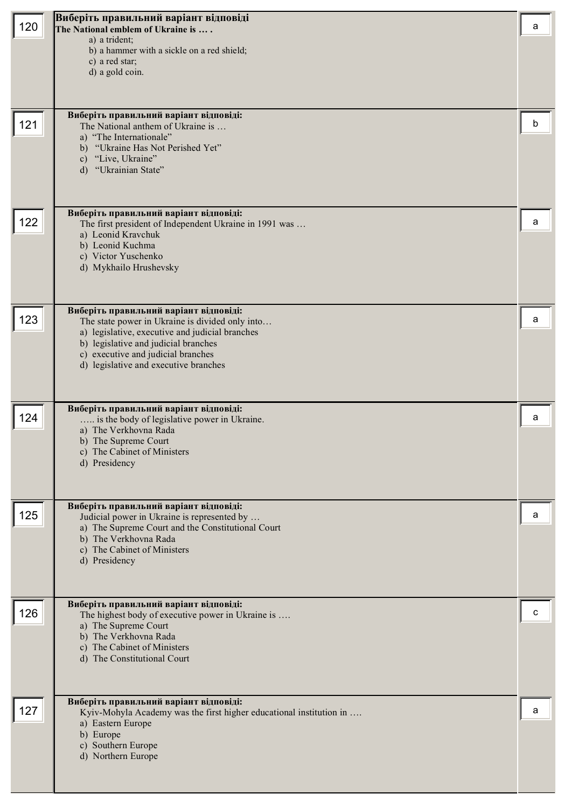| 120 | Виберіть правильний варіант відповіді<br>The National emblem of Ukraine is<br>a) a trident;<br>b) a hammer with a sickle on a red shield;<br>c) a red star;<br>d) a gold coin.                                                                                      | a |
|-----|---------------------------------------------------------------------------------------------------------------------------------------------------------------------------------------------------------------------------------------------------------------------|---|
| 121 | Виберіть правильний варіант відповіді:<br>The National anthem of Ukraine is<br>a) "The Internationale"<br>"Ukraine Has Not Perished Yet"<br>b)<br>"Live, Ukraine"<br>$\mathbf{c})$<br>d) "Ukrainian State"                                                          | b |
| 122 | Виберіть правильний варіант відповіді:<br>The first president of Independent Ukraine in 1991 was<br>a) Leonid Kravchuk<br>b) Leonid Kuchma<br>c) Victor Yuschenko<br>d) Mykhailo Hrushevsky                                                                         | a |
| 123 | Виберіть правильний варіант відповіді:<br>The state power in Ukraine is divided only into<br>a) legislative, executive and judicial branches<br>b) legislative and judicial branches<br>c) executive and judicial branches<br>d) legislative and executive branches | a |
| 124 | Виберіть правильний варіант відповіді:<br>is the body of legislative power in Ukraine.<br>a) The Verkhovna Rada<br>b) The Supreme Court<br>c) The Cabinet of Ministers<br>d) Presidency                                                                             | a |
| 125 | Виберіть правильний варіант відповіді:<br>Judicial power in Ukraine is represented by<br>a) The Supreme Court and the Constitutional Court<br>b) The Verkhovna Rada<br>c) The Cabinet of Ministers<br>d) Presidency                                                 | a |
| 126 | Виберіть правильний варіант відповіді:<br>The highest body of executive power in Ukraine is<br>a) The Supreme Court<br>b) The Verkhovna Rada<br>c) The Cabinet of Ministers<br>d) The Constitutional Court                                                          | c |
| 127 | Виберіть правильний варіант відповіді:<br>Kyiv-Mohyla Academy was the first higher educational institution in<br>a) Eastern Europe<br>b) Europe<br>c) Southern Europe<br>d) Northern Europe                                                                         | a |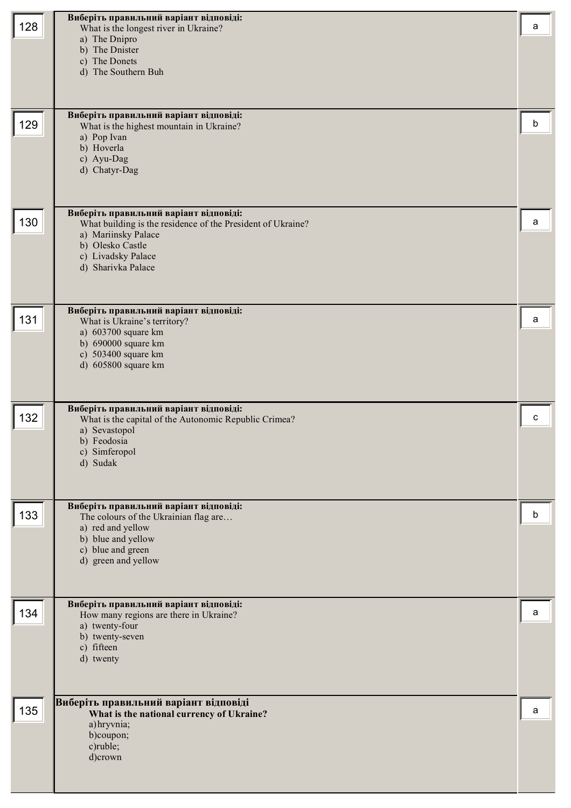| 128 | Виберіть правильний варіант відповіді:<br>What is the longest river in Ukraine?<br>a) The Dnipro<br>b) The Dnister<br>c) The Donets<br>d) The Southern Buh<br>Виберіть правильний варіант відповіді: | a |
|-----|------------------------------------------------------------------------------------------------------------------------------------------------------------------------------------------------------|---|
| 129 | What is the highest mountain in Ukraine?<br>a) Pop Ivan<br>b) Hoverla<br>c) Ayu-Dag<br>d) Chatyr-Dag                                                                                                 | b |
| 130 | Виберіть правильний варіант відповіді:<br>What building is the residence of the President of Ukraine?<br>a) Mariinsky Palace<br>b) Olesko Castle<br>c) Livadsky Palace<br>d) Sharivka Palace         | a |
| 131 | Виберіть правильний варіант відповіді:<br>What is Ukraine's territory?<br>a) 603700 square km<br>b) 690000 square km<br>c) 503400 square km<br>d) 605800 square km                                   | а |
| 132 | Виберіть правильний варіант відповіді:<br>What is the capital of the Autonomic Republic Crimea?<br>a) Sevastopol<br>b) Feodosia<br>c) Simferopol<br>d) Sudak                                         | c |
| 133 | Виберіть правильний варіант відповіді:<br>The colours of the Ukrainian flag are<br>a) red and yellow<br>b) blue and yellow<br>c) blue and green<br>d) green and yellow                               | b |
| 134 | Виберіть правильний варіант відповіді:<br>How many regions are there in Ukraine?<br>a) twenty-four<br>b) twenty-seven<br>c) fifteen<br>d) twenty                                                     | a |
| 135 | Виберіть правильний варіант відповіді<br>What is the national currency of Ukraine?<br>a) hryvnia;<br>b)coupon;<br>c)ruble;<br>d)crown                                                                | a |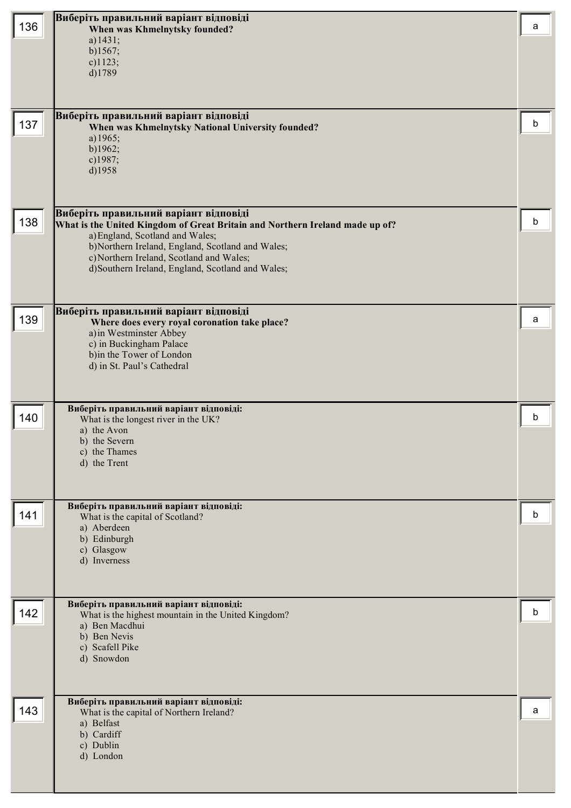| 136 | Виберіть правильний варіант відповіді<br>When was Khmelnytsky founded?<br>a) $1431;$<br>$b)$ 1567;<br>$c)$ 1123;                                                                                                                                                                                             | a |
|-----|--------------------------------------------------------------------------------------------------------------------------------------------------------------------------------------------------------------------------------------------------------------------------------------------------------------|---|
|     | d)1789<br>Виберіть правильний варіант відповіді                                                                                                                                                                                                                                                              |   |
| 137 | When was Khmelnytsky National University founded?<br>a) $1965$ ;<br>$b)$ 1962;<br>$c)$ 1987;<br>$d$ )1958                                                                                                                                                                                                    | b |
| 138 | Виберіть правильний варіант відповіді<br>What is the United Kingdom of Great Britain and Northern Ireland made up of?<br>a) England, Scotland and Wales;<br>b)Northern Ireland, England, Scotland and Wales;<br>c) Northern Ireland, Scotland and Wales;<br>d)Southern Ireland, England, Scotland and Wales; | b |
| 139 | Виберіть правильний варіант відповіді<br>Where does every royal coronation take place?<br>a) in Westminster Abbey<br>c) in Buckingham Palace<br>b) in the Tower of London<br>d) in St. Paul's Cathedral                                                                                                      | a |
| 140 | Виберіть правильний варіант відповіді:<br>What is the longest river in the UK?<br>a) the Avon<br>b) the Severn<br>c) the Thames<br>d) the Trent                                                                                                                                                              | b |
| 141 | Виберіть правильний варіант відповіді:<br>What is the capital of Scotland?<br>a) Aberdeen<br>b) Edinburgh<br>c) Glasgow<br>d) Inverness                                                                                                                                                                      | b |
| 142 | Виберіть правильний варіант відповіді:<br>What is the highest mountain in the United Kingdom?<br>a) Ben Macdhui<br>b) Ben Nevis<br>c) Scafell Pike<br>d) Snowdon                                                                                                                                             | b |
| 143 | Виберіть правильний варіант відповіді:<br>What is the capital of Northern Ireland?<br>a) Belfast<br>b) Cardiff<br>c) Dublin<br>d) London                                                                                                                                                                     | a |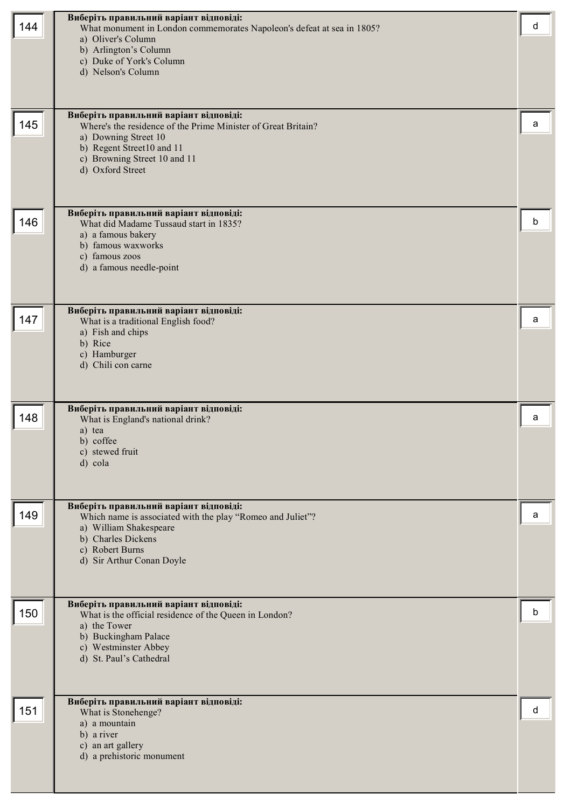| 144 | Виберіть правильний варіант відповіді:<br>What monument in London commemorates Napoleon's defeat at sea in 1805?<br>a) Oliver's Column<br>b) Arlington's Column<br>c) Duke of York's Column<br>d) Nelson's Column | d |
|-----|-------------------------------------------------------------------------------------------------------------------------------------------------------------------------------------------------------------------|---|
| 145 | Виберіть правильний варіант відповіді:<br>Where's the residence of the Prime Minister of Great Britain?<br>a) Downing Street 10<br>b) Regent Street10 and 11<br>c) Browning Street 10 and 11<br>d) Oxford Street  | a |
| 146 | Виберіть правильний варіант відповіді:<br>What did Madame Tussaud start in 1835?<br>a) a famous bakery<br>b) famous waxworks<br>c) famous zoos<br>d) a famous needle-point                                        | b |
| 147 | Виберіть правильний варіант відповіді:<br>What is a traditional English food?<br>a) Fish and chips<br>b) Rice<br>c) Hamburger<br>d) Chili con carne                                                               | a |
| 148 | Виберіть правильний варіант відповіді:<br>What is England's national drink?<br>a) tea<br>b) coffee<br>c) stewed fruit<br>d) cola                                                                                  | а |
| 149 | Виберіть правильний варіант відповіді:<br>Which name is associated with the play "Romeo and Juliet"?<br>a) William Shakespeare<br>b) Charles Dickens<br>c) Robert Burns<br>d) Sir Arthur Conan Doyle              | а |
| 150 | Виберіть правильний варіант відповіді:<br>What is the official residence of the Queen in London?<br>a) the Tower<br>b) Buckingham Palace<br>c) Westminster Abbey<br>d) St. Paul's Cathedral                       | b |
| 151 | Виберіть правильний варіант відповіді:<br>What is Stonehenge?<br>a) a mountain<br>b) a river<br>c) an art gallery<br>d) a prehistoric monument                                                                    | d |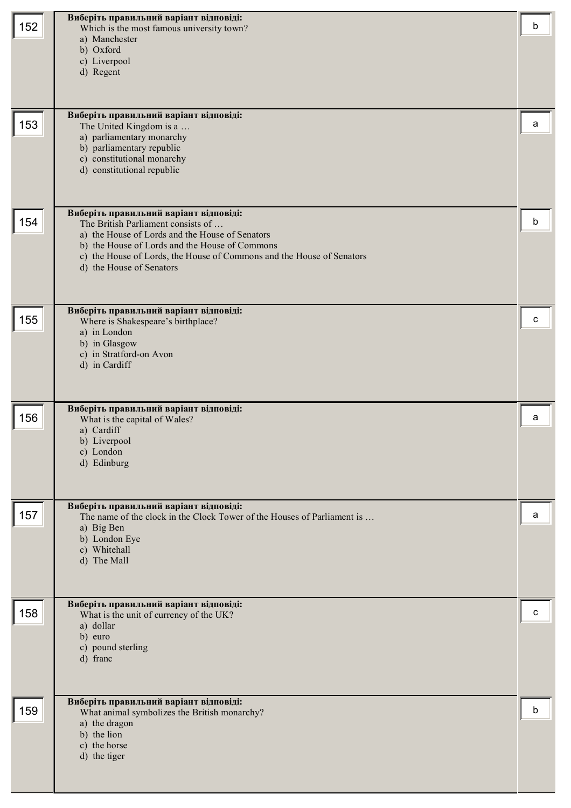| 152 | Виберіть правильний варіант відповіді:<br>Which is the most famous university town?<br>a) Manchester<br>b) Oxford<br>c) Liverpool<br>d) Regent                                                                                                                                         | b |
|-----|----------------------------------------------------------------------------------------------------------------------------------------------------------------------------------------------------------------------------------------------------------------------------------------|---|
| 153 | Виберіть правильний варіант відповіді:<br>The United Kingdom is a<br>a) parliamentary monarchy<br>b) parliamentary republic<br>c) constitutional monarchy<br>d) constitutional republic                                                                                                | a |
| 154 | Виберіть правильний варіант відповіді:<br>The British Parliament consists of<br>a) the House of Lords and the House of Senators<br>b) the House of Lords and the House of Commons<br>c) the House of Lords, the House of Commons and the House of Senators<br>d) the House of Senators | b |
| 155 | Виберіть правильний варіант відповіді:<br>Where is Shakespeare's birthplace?<br>a) in London<br>b) in Glasgow<br>c) in Stratford-on Avon<br>d) in Cardiff                                                                                                                              | c |
| 156 | Виберіть правильний варіант відповіді:<br>What is the capital of Wales?<br>a) Cardiff<br>b) Liverpool<br>c) London<br>d) Edinburg                                                                                                                                                      | a |
| 157 | Виберіть правильний варіант відповіді:<br>The name of the clock in the Clock Tower of the Houses of Parliament is<br>a) Big Ben<br>b) London Eye<br>c) Whitehall<br>d) The Mall                                                                                                        | a |
| 158 | Виберіть правильний варіант відповіді:<br>What is the unit of currency of the UK?<br>a) dollar<br>b) euro<br>c) pound sterling<br>d) franc                                                                                                                                             | c |
| 159 | Виберіть правильний варіант відповіді:<br>What animal symbolizes the British monarchy?<br>a) the dragon<br>b) the lion<br>c) the horse<br>d) the tiger                                                                                                                                 | b |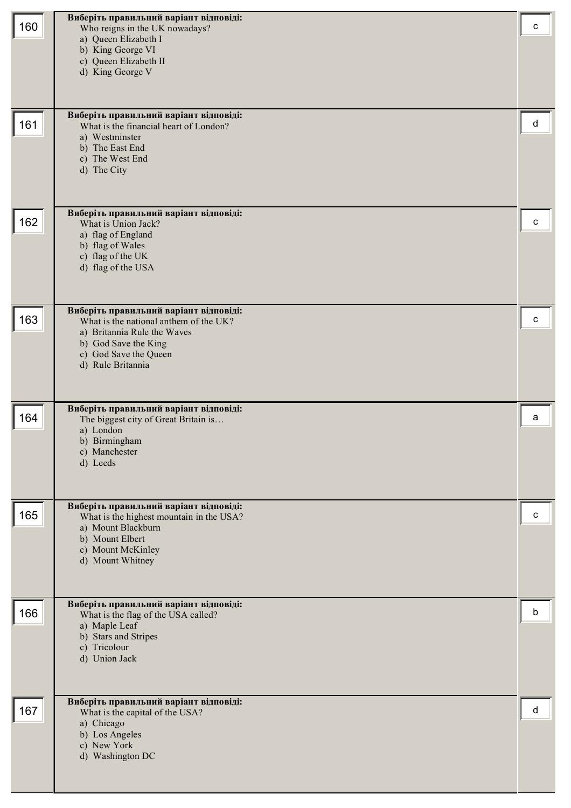| 160 | Виберіть правильний варіант відповіді:<br>Who reigns in the UK nowadays?<br>a) Queen Elizabeth I<br>b) King George VI<br>c) Queen Elizabeth II<br>d) King George V                    | с |
|-----|---------------------------------------------------------------------------------------------------------------------------------------------------------------------------------------|---|
| 161 | Виберіть правильний варіант відповіді:<br>What is the financial heart of London?<br>a) Westminster<br>b) The East End<br>c) The West End<br>d) The City                               | d |
| 162 | Виберіть правильний варіант відповіді:<br>What is Union Jack?<br>a) flag of England<br>b) flag of Wales<br>c) flag of the UK<br>d) flag of the USA                                    | с |
| 163 | Виберіть правильний варіант відповіді:<br>What is the national anthem of the UK?<br>a) Britannia Rule the Waves<br>b) God Save the King<br>c) God Save the Queen<br>d) Rule Britannia | с |
| 164 | Виберіть правильний варіант відповіді:<br>The biggest city of Great Britain is<br>a) London<br>b) Birmingham<br>c) Manchester<br>d) Leeds                                             | а |
| 165 | Виберіть правильний варіант відповіді:<br>What is the highest mountain in the USA?<br>a) Mount Blackburn<br>b) Mount Elbert<br>c) Mount McKinley<br>d) Mount Whitney                  | с |
| 166 | Виберіть правильний варіант відповіді:<br>What is the flag of the USA called?<br>a) Maple Leaf<br>b) Stars and Stripes<br>c) Tricolour<br>d) Union Jack                               | b |
| 167 | Виберіть правильний варіант відповіді:<br>What is the capital of the USA?<br>a) Chicago<br>b) Los Angeles<br>c) New York<br>d) Washington DC                                          | d |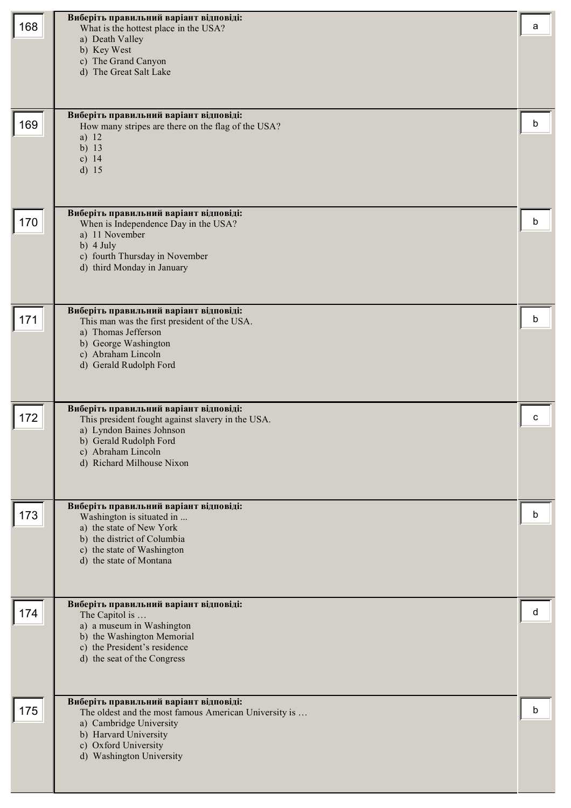| 168 | Виберіть правильний варіант відповіді:<br>What is the hottest place in the USA?<br>a) Death Valley<br>b) Key West<br>c) The Grand Canyon<br>d) The Great Salt Lake                                      | a |
|-----|---------------------------------------------------------------------------------------------------------------------------------------------------------------------------------------------------------|---|
| 169 | Виберіть правильний варіант відповіді:<br>How many stripes are there on the flag of the USA?<br>a) 12<br>b) $13$<br>c) $14$<br>$d)$ 15                                                                  | b |
| 170 | Виберіть правильний варіант відповіді:<br>When is Independence Day in the USA?<br>a) 11 November<br>b) $4$ July<br>c) fourth Thursday in November<br>d) third Monday in January                         | b |
| 171 | Виберіть правильний варіант відповіді:<br>This man was the first president of the USA.<br>a) Thomas Jefferson<br>b) George Washington<br>c) Abraham Lincoln<br>d) Gerald Rudolph Ford                   | b |
| 172 | Виберіть правильний варіант відповіді:<br>This president fought against slavery in the USA.<br>a) Lyndon Baines Johnson<br>b) Gerald Rudolph Ford<br>c) Abraham Lincoln<br>d) Richard Milhouse Nixon    | с |
| 173 | Виберіть правильний варіант відповіді:<br>Washington is situated in<br>a) the state of New York<br>b) the district of Columbia<br>c) the state of Washington<br>d) the state of Montana                 | b |
| 174 | Виберіть правильний варіант відповіді:<br>The Capitol is<br>a) a museum in Washington<br>b) the Washington Memorial<br>c) the President's residence<br>d) the seat of the Congress                      | d |
| 175 | Виберіть правильний варіант відповіді:<br>The oldest and the most famous American University is<br>a) Cambridge University<br>b) Harvard University<br>c) Oxford University<br>d) Washington University | b |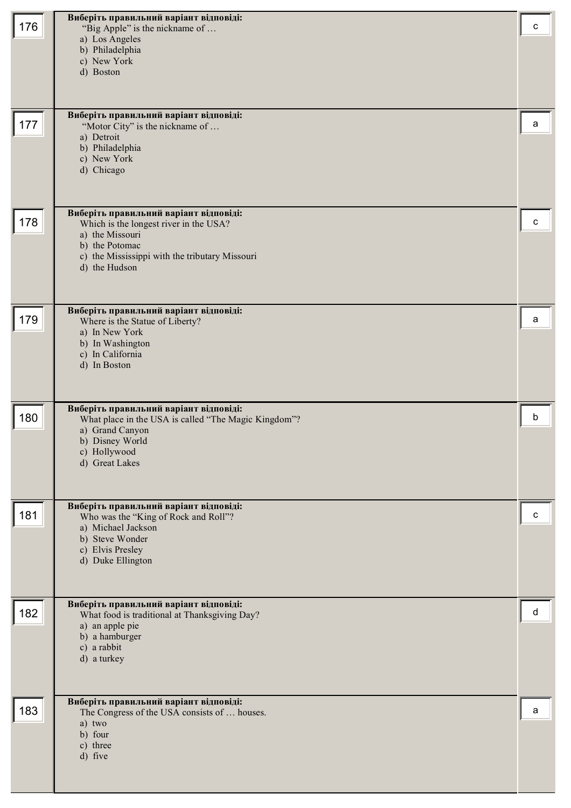| 176 | Виберіть правильний варіант відповіді:<br>"Big Apple" is the nickname of<br>a) Los Angeles<br>b) Philadelphia<br>c) New York<br>d) Boston                                                | c |
|-----|------------------------------------------------------------------------------------------------------------------------------------------------------------------------------------------|---|
| 177 | Виберіть правильний варіант відповіді:<br>"Motor City" is the nickname of<br>a) Detroit<br>b) Philadelphia<br>c) New York<br>d) Chicago                                                  | a |
| 178 | Виберіть правильний варіант відповіді:<br>Which is the longest river in the USA?<br>a) the Missouri<br>b) the Potomac<br>c) the Mississippi with the tributary Missouri<br>d) the Hudson | c |
| 179 | Виберіть правильний варіант відповіді:<br>Where is the Statue of Liberty?<br>a) In New York<br>b) In Washington<br>c) In California<br>d) In Boston                                      | a |
| 180 | Виберіть правильний варіант відповіді:<br>What place in the USA is called "The Magic Kingdom"?<br>a) Grand Canyon<br>b) Disney World<br>c) Hollywood<br>d) Great Lakes                   | b |
| 181 | Виберіть правильний варіант відповіді:<br>Who was the "King of Rock and Roll"?<br>a) Michael Jackson<br>b) Steve Wonder<br>c) Elvis Presley<br>d) Duke Ellington                         | c |
| 182 | Виберіть правильний варіант відповіді:<br>What food is traditional at Thanksgiving Day?<br>a) an apple pie<br>b) a hamburger<br>c) a rabbit<br>d) a turkey                               | d |
| 183 | Виберіть правильний варіант відповіді:<br>The Congress of the USA consists of  houses.<br>a) two<br>b) four<br>c) three<br>d) five                                                       | a |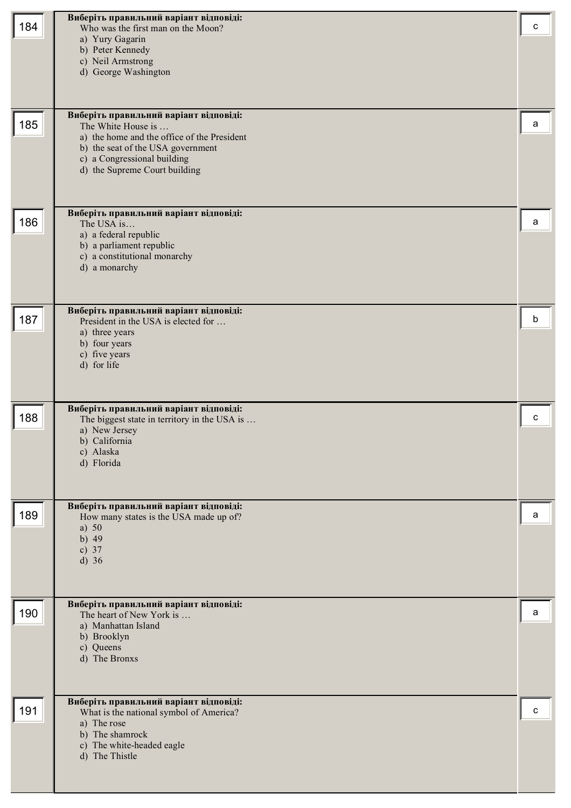| 184 | Виберіть правильний варіант відповіді:<br>Who was the first man on the Moon?<br>a) Yury Gagarin<br>b) Peter Kennedy<br>c) Neil Armstrong<br>d) George Washington                                                 | с |
|-----|------------------------------------------------------------------------------------------------------------------------------------------------------------------------------------------------------------------|---|
| 185 | Виберіть правильний варіант відповіді:<br>The White House is<br>a) the home and the office of the President<br>b) the seat of the USA government<br>c) a Congressional building<br>d) the Supreme Court building | a |
| 186 | Виберіть правильний варіант відповіді:<br>The USA is<br>a) a federal republic<br>b) a parliament republic<br>c) a constitutional monarchy<br>d) a monarchy                                                       | a |
| 187 | Виберіть правильний варіант відповіді:<br>President in the USA is elected for<br>a) three years<br>b) four years<br>c) five years<br>d) for life                                                                 | b |
| 188 | Виберіть правильний варіант відповіді:<br>The biggest state in territory in the USA is<br>a) New Jersey<br>b) California<br>c) Alaska<br>d) Florida                                                              | с |
| 189 | Виберіть правильний варіант відповіді:<br>How many states is the USA made up of?<br>a) $50$<br>b) $49$<br>c) $37$<br>$d)$ 36                                                                                     | a |
| 190 | Виберіть правильний варіант відповіді:<br>The heart of New York is<br>a) Manhattan Island<br>b) Brooklyn<br>c) Queens<br>d) The Bronxs                                                                           | a |
| 191 | Виберіть правильний варіант відповіді:<br>What is the national symbol of America?<br>a) The rose<br>b) The shamrock<br>c) The white-headed eagle<br>d) The Thistle                                               | c |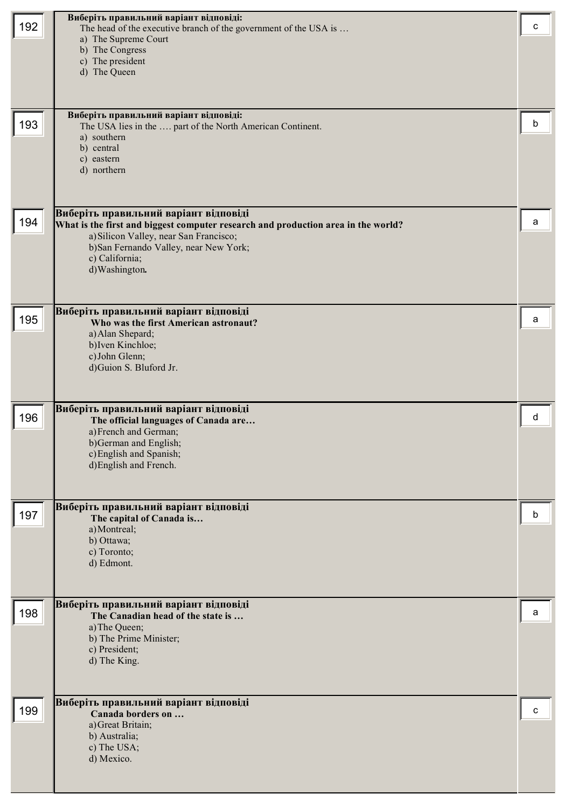| 192 | Виберіть правильний варіант відповіді:<br>The head of the executive branch of the government of the USA is<br>a) The Supreme Court<br>b) The Congress<br>c) The president<br>d) The Queen<br>Виберіть правильний варіант відповіді:               | c |
|-----|---------------------------------------------------------------------------------------------------------------------------------------------------------------------------------------------------------------------------------------------------|---|
| 193 | The USA lies in the  part of the North American Continent.<br>a) southern<br>b) central<br>c) eastern<br>d) northern                                                                                                                              | b |
| 194 | Виберіть правильний варіант відповіді<br>What is the first and biggest computer research and production area in the world?<br>a) Silicon Valley, near San Francisco;<br>b)San Fernando Valley, near New York;<br>c) California;<br>d) Washington. | a |
| 195 | Виберіть правильний варіант відповіді<br>Who was the first American astronaut?<br>a) Alan Shepard;<br>b) Iven Kinchloe;<br>c) John Glenn;<br>d)Guion S. Bluford Jr.                                                                               | a |
| 196 | Виберіть правильний варіант відповіді<br>The official languages of Canada are<br>a) French and German;<br>b)German and English;<br>c) English and Spanish;<br>d) English and French.                                                              | d |
| 197 | Виберіть правильний варіант відповіді<br>The capital of Canada is<br>a) Montreal;<br>b) Ottawa;<br>c) Toronto;<br>d) Edmont.                                                                                                                      | b |
| 198 | Виберіть правильний варіант відповіді<br>The Canadian head of the state is<br>a) The Queen;<br>b) The Prime Minister;<br>c) President;<br>d) The King.                                                                                            | a |
| 199 | Виберіть правильний варіант відповіді<br>Canada borders on<br>a) Great Britain;<br>b) Australia;<br>c) The USA;<br>d) Mexico.                                                                                                                     | c |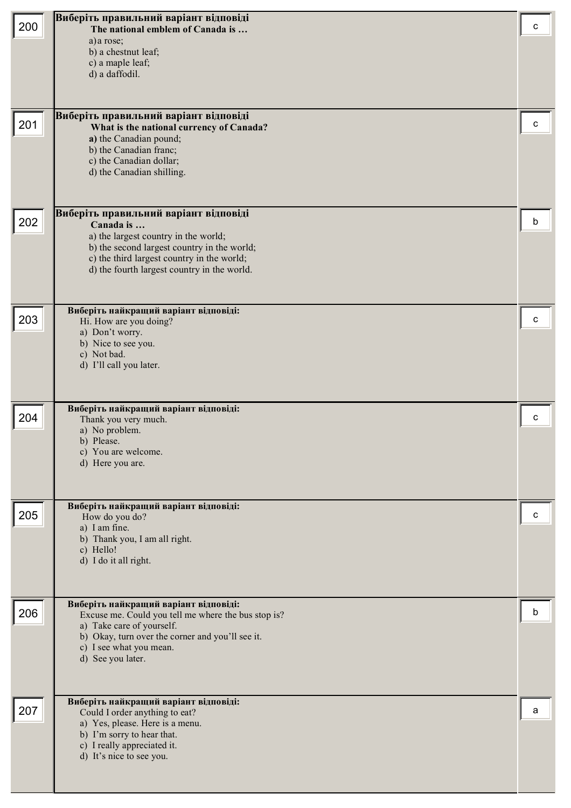| 200 | Виберіть правильний варіант відповіді<br>The national emblem of Canada is<br>a) a rose;<br>b) a chestnut leaf;<br>c) a maple leaf;                                                                                                     | с |
|-----|----------------------------------------------------------------------------------------------------------------------------------------------------------------------------------------------------------------------------------------|---|
|     | d) a daffodil.<br>Виберіть правильний варіант відповіді                                                                                                                                                                                |   |
| 201 | What is the national currency of Canada?<br>a) the Canadian pound;<br>b) the Canadian franc;<br>c) the Canadian dollar;<br>d) the Canadian shilling.                                                                                   |   |
| 202 | Виберіть правильний варіант відповіді<br>Canada is<br>a) the largest country in the world;<br>b) the second largest country in the world;<br>c) the third largest country in the world;<br>d) the fourth largest country in the world. | b |
| 203 | Виберіть найкращий варіант відповіді:<br>Hi. How are you doing?<br>a) Don't worry.<br>b) Nice to see you.<br>c) Not bad.<br>d) I'll call you later.                                                                                    | с |
| 204 | Виберіть найкращий варіант відповіді:<br>Thank you very much.<br>a) No problem.<br>b) Please.<br>c) You are welcome.<br>d) Here you are.                                                                                               | с |
| 205 | Виберіть найкращий варіант відповіді:<br>How do you do?<br>a) I am fine.<br>b) Thank you, I am all right.<br>c) Hello!<br>d) I do it all right.                                                                                        | с |
| 206 | Виберіть найкращий варіант відповіді:<br>Excuse me. Could you tell me where the bus stop is?<br>a) Take care of yourself.<br>b) Okay, turn over the corner and you'll see it.<br>c) I see what you mean.<br>d) See you later.          | b |
| 207 | Виберіть найкращий варіант відповіді:<br>Could I order anything to eat?<br>a) Yes, please. Here is a menu.<br>b) I'm sorry to hear that.<br>c) I really appreciated it.<br>d) It's nice to see you.                                    | а |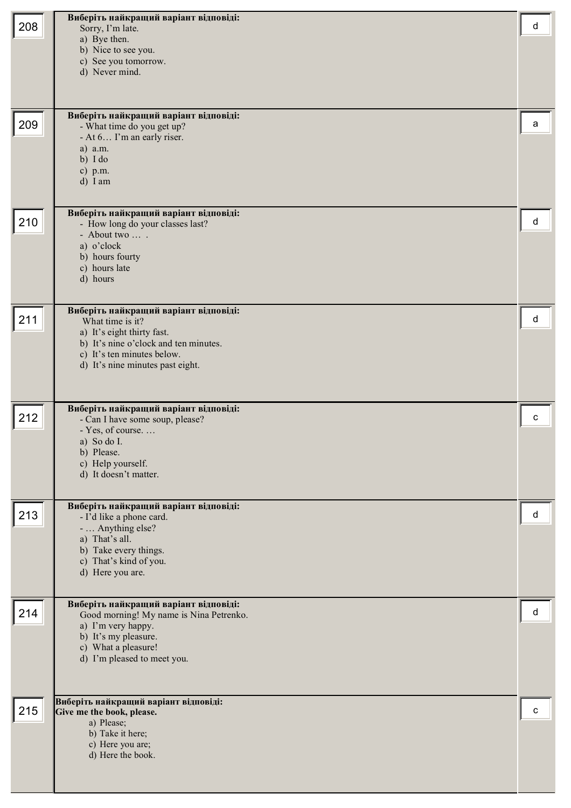| 208 | Виберіть найкращий варіант відповіді:<br>Sorry, I'm late.                        | d |
|-----|----------------------------------------------------------------------------------|---|
|     | a) Bye then.                                                                     |   |
|     | b) Nice to see you.<br>c) See you tomorrow.                                      |   |
|     | d) Never mind.                                                                   |   |
|     |                                                                                  |   |
|     |                                                                                  |   |
| 209 | Виберіть найкращий варіант відповіді:<br>- What time do you get up?              | a |
|     | - At 6 I'm an early riser.                                                       |   |
|     | a) a.m.<br>b) I do                                                               |   |
|     | c) p.m.                                                                          |   |
|     | d) I am                                                                          |   |
|     | Виберіть найкращий варіант відповіді:                                            |   |
| 210 | - How long do your classes last?                                                 | d |
|     | - About two<br>a) o'clock                                                        |   |
|     | b) hours fourty                                                                  |   |
|     | c) hours late<br>d) hours                                                        |   |
|     |                                                                                  |   |
| 211 | Виберіть найкращий варіант відповіді:                                            | d |
|     | What time is it?<br>a) It's eight thirty fast.                                   |   |
|     | b) It's nine o'clock and ten minutes.                                            |   |
|     | c) It's ten minutes below.<br>d) It's nine minutes past eight.                   |   |
|     |                                                                                  |   |
|     |                                                                                  |   |
| 212 | Виберіть найкращий варіант відповіді:<br>- Can I have some soup, please?         | C |
|     | - Yes, of course                                                                 |   |
|     | a) So do I.<br>b) Please.                                                        |   |
|     | c) Help yourself.                                                                |   |
|     | d) It doesn't matter.                                                            |   |
|     | Виберіть найкращий варіант відповіді:                                            |   |
| 213 | - I'd like a phone card.                                                         | d |
|     | -  Anything else?<br>a) That's all.                                              |   |
|     | b) Take every things.                                                            |   |
|     | c) That's kind of you.<br>d) Here you are.                                       |   |
|     |                                                                                  |   |
| 214 | Виберіть найкращий варіант відповіді:<br>Good morning! My name is Nina Petrenko. | d |
|     | a) I'm very happy.                                                               |   |
|     | b) It's my pleasure.<br>c) What a pleasure!                                      |   |
|     | d) I'm pleased to meet you.                                                      |   |
|     |                                                                                  |   |
|     |                                                                                  |   |
| 215 | Виберіть найкращий варіант відповіді:<br>Give me the book, please.               | с |
|     | a) Please;<br>b) Take it here;                                                   |   |
|     | c) Here you are;                                                                 |   |
|     | d) Here the book.                                                                |   |
|     |                                                                                  |   |
|     |                                                                                  |   |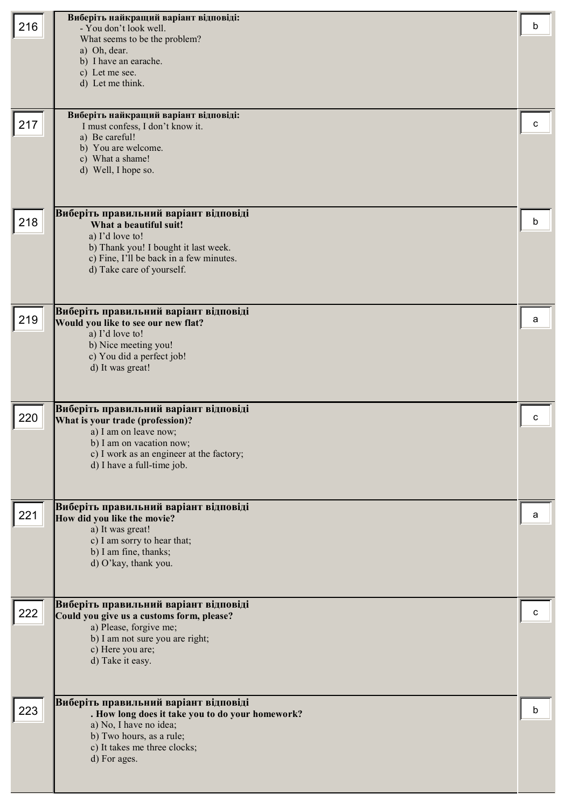| 216 | Виберіть найкращий варіант відповіді:<br>- You don't look well.<br>What seems to be the problem?<br>a) Oh, dear.<br>b) I have an earache.<br>c) Let me see.<br>d) Let me think.<br>Виберіть найкращий варіант відповіді: | b |
|-----|--------------------------------------------------------------------------------------------------------------------------------------------------------------------------------------------------------------------------|---|
| 217 | I must confess, I don't know it.<br>a) Be careful!<br>b) You are welcome.<br>c) What a shame!<br>d) Well, I hope so.                                                                                                     | c |
| 218 | Виберіть правильний варіант відповіді<br>What a beautiful suit!<br>a) I'd love to!<br>b) Thank you! I bought it last week.<br>c) Fine, I'll be back in a few minutes.<br>d) Take care of yourself.                       | b |
| 219 | Виберіть правильний варіант відповіді<br>Would you like to see our new flat?<br>a) I'd love to!<br>b) Nice meeting you!<br>c) You did a perfect job!<br>d) It was great!                                                 | а |
| 220 | Виберіть правильний варіант відповіді<br>What is your trade (profession)?<br>a) I am on leave now;<br>b) I am on vacation now;<br>c) I work as an engineer at the factory;<br>d) I have a full-time job.                 | c |
| 221 | Виберіть правильний варіант відповіді<br>How did you like the movie?<br>a) It was great!<br>c) I am sorry to hear that;<br>b) I am fine, thanks;<br>d) O'kay, thank you.                                                 | а |
| 222 | Виберіть правильний варіант відповіді<br>Could you give us a customs form, please?<br>a) Please, forgive me;<br>b) I am not sure you are right;<br>c) Here you are;<br>d) Take it easy.                                  | с |
| 223 | Виберіть правильний варіант відповіді<br>. How long does it take you to do your homework?<br>a) No, I have no idea;<br>b) Two hours, as a rule;<br>c) It takes me three clocks;<br>d) For ages.                          | b |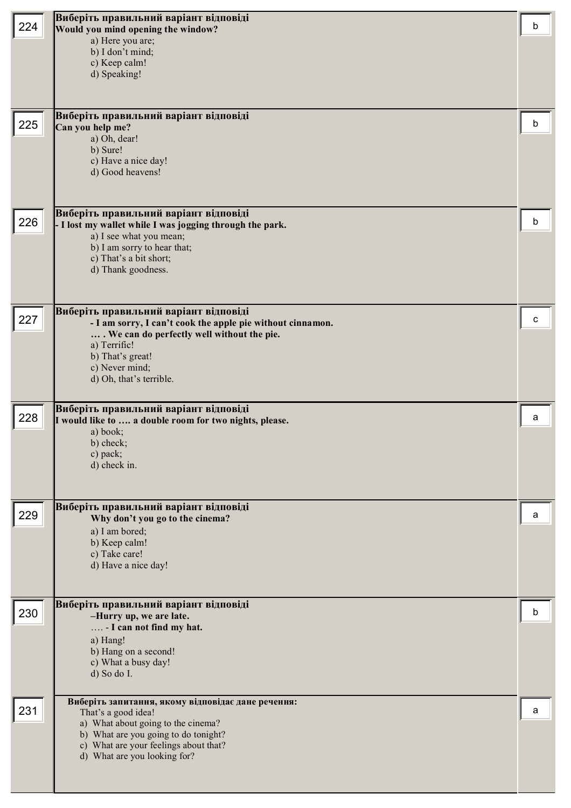|     | Виберіть правильний варіант відповіді                      |   |
|-----|------------------------------------------------------------|---|
| 224 | Would you mind opening the window?                         | b |
|     | a) Here you are;<br>b) I don't mind;                       |   |
|     | c) Keep calm!                                              |   |
|     | d) Speaking!                                               |   |
|     |                                                            |   |
|     |                                                            |   |
|     | Виберіть правильний варіант відповіді                      |   |
| 225 | Can you help me?                                           | b |
|     | a) Oh, dear!<br>b) Sure!                                   |   |
|     | c) Have a nice day!                                        |   |
|     | d) Good heavens!                                           |   |
|     |                                                            |   |
|     |                                                            |   |
|     | Виберіть правильний варіант відповіді                      |   |
| 226 | - I lost my wallet while I was jogging through the park.   | b |
|     | a) I see what you mean;<br>b) I am sorry to hear that;     |   |
|     | c) That's a bit short;                                     |   |
|     | d) Thank goodness.                                         |   |
|     |                                                            |   |
|     |                                                            |   |
|     | Виберіть правильний варіант відповіді                      |   |
| 227 | - I am sorry, I can't cook the apple pie without cinnamon. | с |
|     | We can do perfectly well without the pie.<br>a) Terrific!  |   |
|     | b) That's great!                                           |   |
|     | c) Never mind;                                             |   |
|     | d) Oh, that's terrible.                                    |   |
|     |                                                            |   |
|     |                                                            |   |
|     | Виберіть правильний варіант відповіді                      |   |
| 228 | I would like to  a double room for two nights, please.     | a |
|     | a) book;                                                   |   |
|     | b) check;<br>c) pack;                                      |   |
|     | d) check in.                                               |   |
|     |                                                            |   |
|     |                                                            |   |
|     | Виберіть правильний варіант відповіді                      |   |
| 229 | Why don't you go to the cinema?                            | a |
|     | a) I am bored;                                             |   |
|     | b) Keep calm!<br>c) Take care!                             |   |
|     | d) Have a nice day!                                        |   |
|     |                                                            |   |
|     |                                                            |   |
|     | Виберіть правильний варіант відповіді                      | b |
| 230 | -Hurry up, we are late.                                    |   |
|     | - I can not find my hat.                                   |   |
|     | a) Hang!<br>b) Hang on a second!                           |   |
|     | c) What a busy day!                                        |   |
|     | d) So do I.                                                |   |
|     |                                                            |   |
|     | Виберіть запитання, якому відповідає дане речення:         | a |
| 231 | That's a good idea!<br>a) What about going to the cinema?  |   |
|     | b) What are you going to do tonight?                       |   |
|     | c) What are your feelings about that?                      |   |
|     | d) What are you looking for?                               |   |
|     |                                                            |   |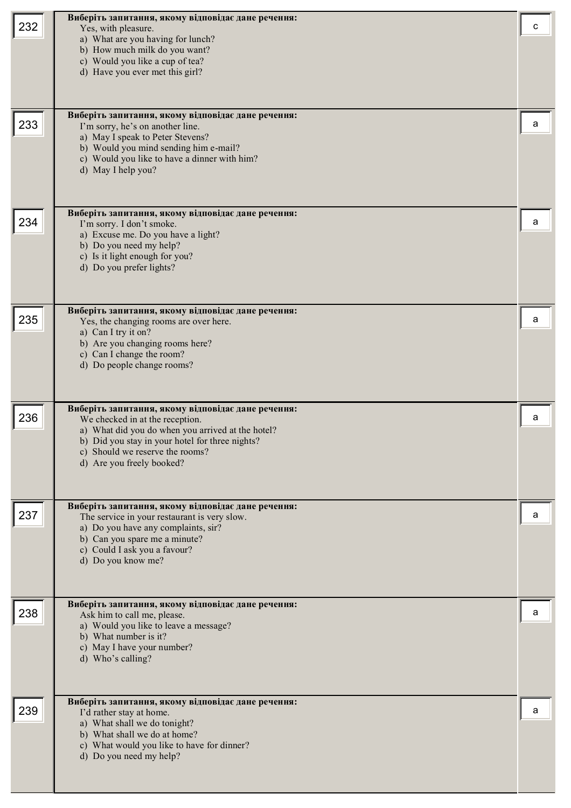| 232 | Виберіть запитання, якому відповідає дане речення:<br>Yes, with pleasure.<br>a) What are you having for lunch?<br>b) How much milk do you want?<br>c) Would you like a cup of tea?<br>d) Have you ever met this girl?                                         | с |
|-----|---------------------------------------------------------------------------------------------------------------------------------------------------------------------------------------------------------------------------------------------------------------|---|
| 233 | Виберіть запитання, якому відповідає дане речення:<br>I'm sorry, he's on another line.<br>a) May I speak to Peter Stevens?<br>b) Would you mind sending him e-mail?<br>c) Would you like to have a dinner with him?<br>d) May I help you?                     | a |
| 234 | Виберіть запитання, якому відповідає дане речення:<br>I'm sorry. I don't smoke.<br>a) Excuse me. Do you have a light?<br>b) Do you need my help?<br>c) Is it light enough for you?<br>d) Do you prefer lights?                                                | а |
| 235 | Виберіть запитання, якому відповідає дане речення:<br>Yes, the changing rooms are over here.<br>a) Can I try it on?<br>b) Are you changing rooms here?<br>c) Can I change the room?<br>d) Do people change rooms?                                             | а |
| 236 | Виберіть запитання, якому відповідає дане речення:<br>We checked in at the reception.<br>a) What did you do when you arrived at the hotel?<br>b) Did you stay in your hotel for three nights?<br>c) Should we reserve the rooms?<br>d) Are you freely booked? | а |
| 237 | Виберіть запитання, якому відповідає дане речення:<br>The service in your restaurant is very slow.<br>a) Do you have any complaints, sir?<br>b) Can you spare me a minute?<br>c) Could I ask you a favour?<br>d) Do you know me?                              | а |
| 238 | Виберіть запитання, якому відповідає дане речення:<br>Ask him to call me, please.<br>a) Would you like to leave a message?<br>b) What number is it?<br>c) May I have your number?<br>d) Who's calling?                                                        | а |
| 239 | Виберіть запитання, якому відповідає дане речення:<br>I'd rather stay at home.<br>a) What shall we do tonight?<br>b) What shall we do at home?<br>c) What would you like to have for dinner?<br>d) Do you need my help?                                       | а |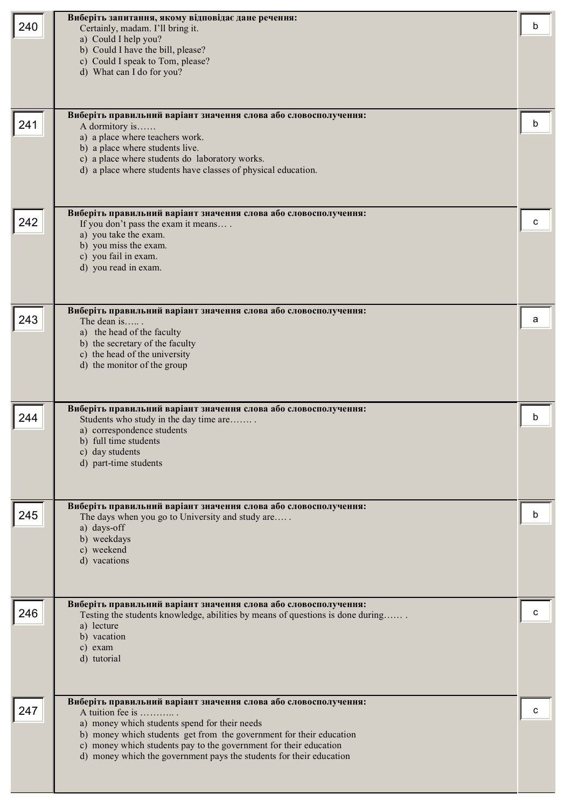| 240 | Виберіть запитання, якому відповідає дане речення:<br>Certainly, madam. I'll bring it.<br>a) Could I help you?<br>b) Could I have the bill, please?<br>c) Could I speak to Tom, please?<br>d) What can I do for you?                                                                                                                                    | h |
|-----|---------------------------------------------------------------------------------------------------------------------------------------------------------------------------------------------------------------------------------------------------------------------------------------------------------------------------------------------------------|---|
| 241 | Виберіть правильний варіант значення слова або словосполучення:<br>A dormitory is<br>a) a place where teachers work.<br>b) a place where students live.<br>c) a place where students do laboratory works.<br>d) a place where students have classes of physical education.                                                                              | b |
| 242 | Виберіть правильний варіант значення слова або словосполучення:<br>If you don't pass the exam it means<br>a) you take the exam.<br>b) you miss the exam.<br>c) you fail in exam.<br>d) you read in exam.                                                                                                                                                | с |
| 243 | Виберіть правильний варіант значення слова або словосполучення:<br>The dean is<br>a) the head of the faculty<br>b) the secretary of the faculty<br>c) the head of the university<br>d) the monitor of the group                                                                                                                                         | а |
| 244 | Виберіть правильний варіант значення слова або словосполучення:<br>Students who study in the day time are<br>a) correspondence students<br>b) full time students<br>c) day students<br>d) part-time students                                                                                                                                            | h |
| 245 | Виберіть правильний варіант значення слова або словосполучення:<br>The days when you go to University and study are<br>a) days-off<br>b) weekdays<br>c) weekend<br>d) vacations                                                                                                                                                                         | b |
| 246 | Виберіть правильний варіант значення слова або словосполучення:<br>Testing the students knowledge, abilities by means of questions is done during<br>a) lecture<br>b) vacation<br>c) exam<br>d) tutorial                                                                                                                                                |   |
| 247 | Виберіть правильний варіант значення слова або словосполучення:<br>A tuition fee is<br>a) money which students spend for their needs<br>b) money which students get from the government for their education<br>c) money which students pay to the government for their education<br>d) money which the government pays the students for their education |   |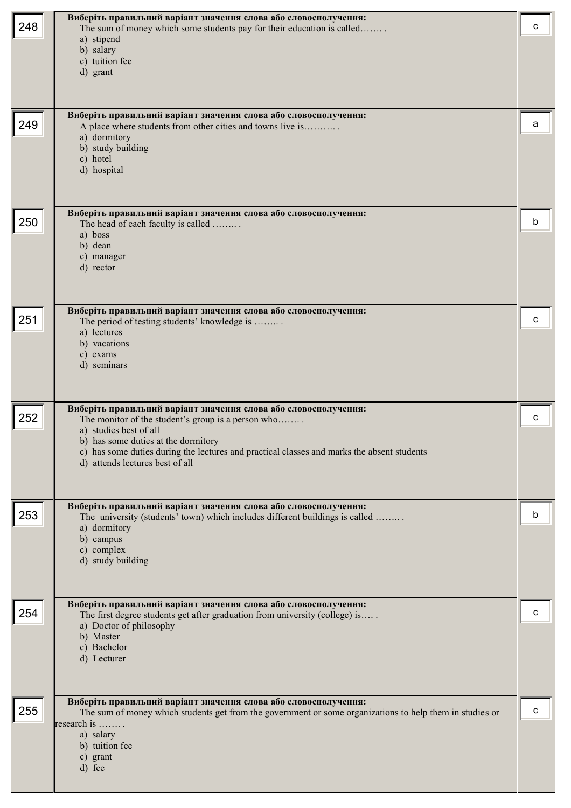| 248 | Виберіть правильний варіант значення слова або словосполучення:<br>The sum of money which some students pay for their education is called<br>a) stipend<br>b) salary<br>c) tuition fee<br>d) grant                                                                                                                      | с |
|-----|-------------------------------------------------------------------------------------------------------------------------------------------------------------------------------------------------------------------------------------------------------------------------------------------------------------------------|---|
| 249 | Виберіть правильний варіант значення слова або словосполучення:<br>A place where students from other cities and towns live is<br>a) dormitory<br>b) study building<br>c) hotel<br>d) hospital                                                                                                                           | a |
| 250 | Виберіть правильний варіант значення слова або словосполучення:<br>The head of each faculty is called<br>a) boss<br>b) dean<br>c) manager<br>d) rector                                                                                                                                                                  | b |
| 251 | Виберіть правильний варіант значення слова або словосполучення:<br>The period of testing students' knowledge is<br>a) lectures<br>b) vacations<br>c) exams<br>d) seminars                                                                                                                                               | с |
| 252 | Виберіть правильний варіант значення слова або словосполучення:<br>The monitor of the student's group is a person who<br>a) studies best of all<br>b) has some duties at the dormitory<br>c) has some duties during the lectures and practical classes and marks the absent students<br>d) attends lectures best of all | c |
| 253 | Виберіть правильний варіант значення слова або словосполучення:<br>The university (students' town) which includes different buildings is called<br>a) dormitory<br>b) campus<br>c) complex<br>d) study building                                                                                                         | b |
| 254 | Виберіть правильний варіант значення слова або словосполучення:<br>The first degree students get after graduation from university (college) is<br>a) Doctor of philosophy<br>b) Master<br>c) Bachelor<br>d) Lecturer                                                                                                    |   |
| 255 | Виберіть правильний варіант значення слова або словосполучення:<br>The sum of money which students get from the government or some organizations to help them in studies or<br>research is<br>a) salary<br>b) tuition fee<br>c) grant<br>d) fee                                                                         | c |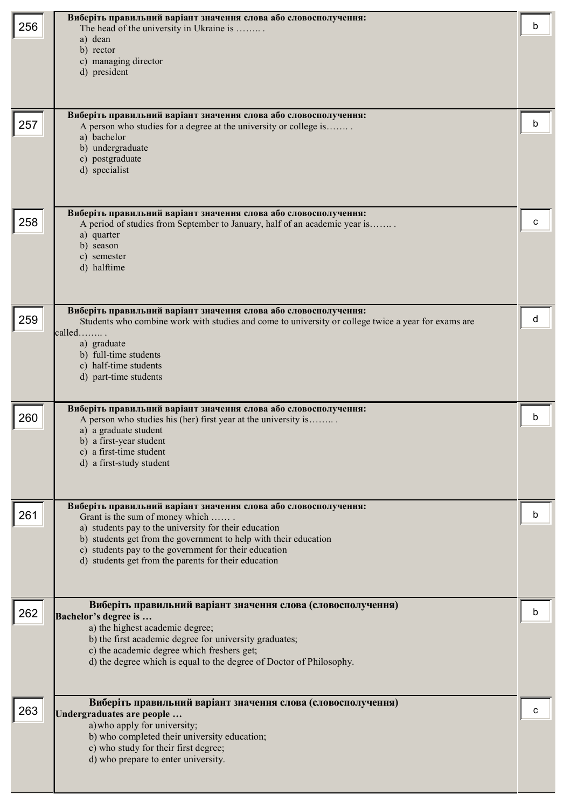|     | Виберіть правильний варіант значення слова або словосполучення:                                                                               |   |
|-----|-----------------------------------------------------------------------------------------------------------------------------------------------|---|
| 256 | The head of the university in Ukraine is                                                                                                      | b |
|     | a) dean<br>b) rector                                                                                                                          |   |
|     | c) managing director                                                                                                                          |   |
|     | d) president                                                                                                                                  |   |
|     |                                                                                                                                               |   |
|     |                                                                                                                                               |   |
|     | Виберіть правильний варіант значення слова або словосполучення:                                                                               |   |
| 257 | A person who studies for a degree at the university or college is<br>a) bachelor                                                              | b |
|     | b) undergraduate                                                                                                                              |   |
|     | c) postgraduate                                                                                                                               |   |
|     | d) specialist                                                                                                                                 |   |
|     |                                                                                                                                               |   |
|     |                                                                                                                                               |   |
| 258 | Виберіть правильний варіант значення слова або словосполучення:<br>A period of studies from September to January, half of an academic year is |   |
|     | a) quarter                                                                                                                                    |   |
|     | b) season                                                                                                                                     |   |
|     | c) semester<br>d) halftime                                                                                                                    |   |
|     |                                                                                                                                               |   |
|     |                                                                                                                                               |   |
|     | Виберіть правильний варіант значення слова або словосполучення:                                                                               |   |
| 259 | Students who combine work with studies and come to university or college twice a year for exams are                                           | d |
|     | called                                                                                                                                        |   |
|     | a) graduate<br>b) full-time students                                                                                                          |   |
|     | c) half-time students                                                                                                                         |   |
|     | d) part-time students                                                                                                                         |   |
|     |                                                                                                                                               |   |
| 260 | Виберіть правильний варіант значення слова або словосполучення:                                                                               |   |
|     | A person who studies his (her) first year at the university is<br>a) a graduate student                                                       |   |
|     | b) a first-year student                                                                                                                       |   |
|     | c) a first-time student                                                                                                                       |   |
|     | d) a first-study student                                                                                                                      |   |
|     |                                                                                                                                               |   |
|     | Виберіть правильний варіант значення слова або словосполучення:                                                                               |   |
| 261 | Grant is the sum of money which                                                                                                               | h |
|     | a) students pay to the university for their education                                                                                         |   |
|     | b) students get from the government to help with their education<br>c) students pay to the government for their education                     |   |
|     | d) students get from the parents for their education                                                                                          |   |
|     |                                                                                                                                               |   |
|     |                                                                                                                                               |   |
| 262 | Виберіть правильний варіант значення слова (словосполучення)                                                                                  | b |
|     | Bachelor's degree is<br>a) the highest academic degree;                                                                                       |   |
|     | b) the first academic degree for university graduates;                                                                                        |   |
|     | c) the academic degree which freshers get;                                                                                                    |   |
|     | d) the degree which is equal to the degree of Doctor of Philosophy.                                                                           |   |
|     |                                                                                                                                               |   |
|     |                                                                                                                                               |   |
| 263 | Виберіть правильний варіант значення слова (словосполучення)<br>Undergraduates are people                                                     |   |
|     | a) who apply for university;                                                                                                                  |   |
|     | b) who completed their university education;                                                                                                  |   |
|     | c) who study for their first degree;<br>d) who prepare to enter university.                                                                   |   |
|     |                                                                                                                                               |   |
|     |                                                                                                                                               |   |
|     |                                                                                                                                               |   |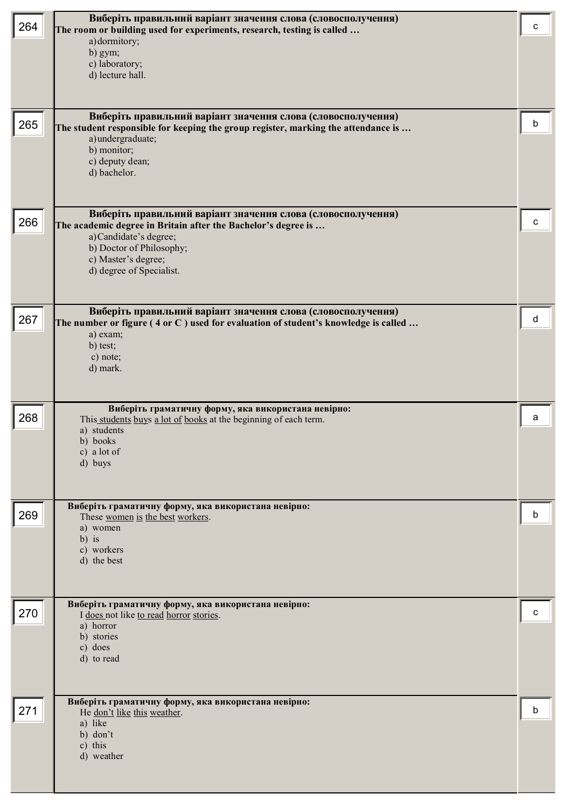| 264 | Виберіть правильний варіант значення слова (словосполучення)<br>The room or building used for experiments, research, testing is called<br>a) dormitory;<br>b) gym;<br>c) laboratory;<br>d) lecture hall.                               | с |
|-----|----------------------------------------------------------------------------------------------------------------------------------------------------------------------------------------------------------------------------------------|---|
| 265 | Виберіть правильний варіант значення слова (словосполучення)<br>The student responsible for keeping the group register, marking the attendance is<br>a) undergraduate;<br>b) monitor;<br>c) deputy dean;<br>d) bachelor.               | b |
| 266 | Виберіть правильний варіант значення слова (словосполучення)<br>The academic degree in Britain after the Bachelor's degree is<br>a) Candidate's degree;<br>b) Doctor of Philosophy;<br>c) Master's degree;<br>d) degree of Specialist. | c |
| 267 | Виберіть правильний варіант значення слова (словосполучення)<br>The number or figure (4 or C) used for evaluation of student's knowledge is called<br>a) exam;<br>b) test;<br>c) note;<br>d) mark.                                     | d |
| 268 | Виберіть граматичну форму, яка використана невірно:<br>This students buys a lot of books at the beginning of each term.<br>a) students<br>b) books<br>c) a lot of<br>d) buys                                                           | a |
| 269 | Виберіть граматичну форму, яка використана невірно:<br>These women is the best workers.<br>a) women<br>$b)$ is<br>c) workers<br>d) the best                                                                                            | b |
| 270 | Виберіть граматичну форму, яка використана невірно:<br>I does not like to read horror stories.<br>a) horror<br>b) stories<br>c) does<br>d) to read                                                                                     | с |
| 271 | Виберіть граматичну форму, яка використана невірно:<br>He don't like this weather.<br>a) like<br>b) don't<br>c) this<br>d) weather                                                                                                     | b |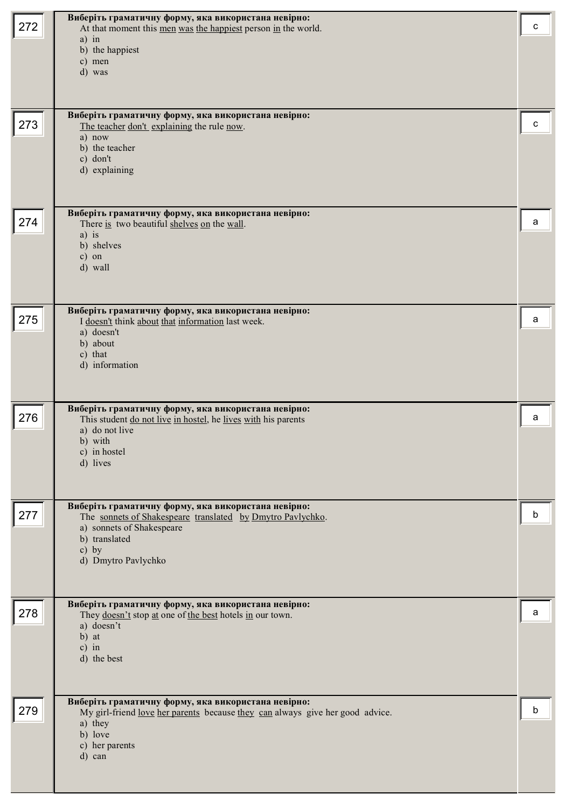| 272 | Виберіть граматичну форму, яка використана невірно:<br>At that moment this men was the happiest person in the world.<br>$a)$ in<br>b) the happiest<br>c) men<br>d) was                          | C |
|-----|-------------------------------------------------------------------------------------------------------------------------------------------------------------------------------------------------|---|
| 273 | Виберіть граматичну форму, яка використана невірно:<br>The teacher don't explaining the rule now.<br>a) now<br>b) the teacher<br>c) don't<br>d) explaining                                      | c |
| 274 | Виберіть граматичну форму, яка використана невірно:<br>There is two beautiful shelves on the wall.<br>$a)$ is<br>b) shelves<br>$c)$ on<br>d) wall                                               | a |
| 275 | Виберіть граматичну форму, яка використана невірно:<br>I doesn't think about that information last week.<br>a) doesn't<br>b) about<br>c) that<br>d) information                                 | а |
| 276 | Виберіть граматичну форму, яка використана невірно:<br>This student do not live in hostel, he lives with his parents<br>a) do not live<br>b) with<br>c) in hostel<br>d) lives                   | a |
| 277 | Виберіть граматичну форму, яка використана невірно:<br>The sonnets of Shakespeare translated by Dmytro Pavlychko.<br>a) sonnets of Shakespeare<br>b) translated<br>c) by<br>d) Dmytro Pavlychko | b |
| 278 | Виберіть граматичну форму, яка використана невірно:<br>They doesn't stop at one of the best hotels in our town.<br>a) doesn't<br>b) at<br>$c)$ in<br>d) the best                                | а |
| 279 | Виберіть граматичну форму, яка використана невірно:<br>My girl-friend <u>love her parents</u> because they can always give her good advice.<br>a) they<br>b) love<br>c) her parents<br>d) can   | b |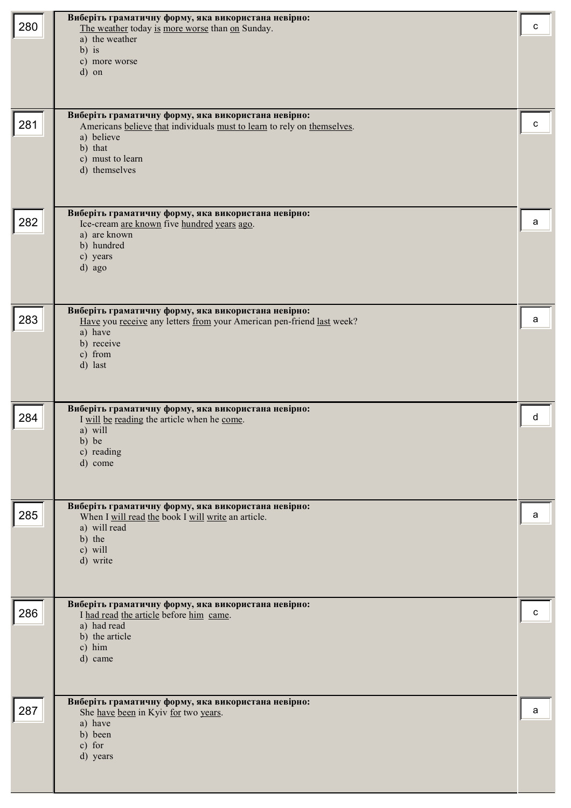| 280 | Виберіть граматичну форму, яка використана невірно:<br>The weather today is more worse than on Sunday.<br>a) the weather<br>$b)$ is<br>c) more worse<br>d) on                                | с |
|-----|----------------------------------------------------------------------------------------------------------------------------------------------------------------------------------------------|---|
| 281 | Виберіть граматичну форму, яка використана невірно:<br>Americans believe that individuals must to learn to rely on themselves.<br>a) believe<br>b) that<br>c) must to learn<br>d) themselves | с |
| 282 | Виберіть граматичну форму, яка використана невірно:<br>Ice-cream are known five hundred years ago.<br>a) are known<br>b) hundred<br>c) years<br>d) ago                                       | a |
| 283 | Виберіть граматичну форму, яка використана невірно:<br>Have you receive any letters from your American pen-friend last week?<br>a) have<br>b) receive<br>c) from<br>d) last                  | a |
| 284 | Виберіть граматичну форму, яка використана невірно:<br>I will be reading the article when he come.<br>a) will<br>b) be<br>c) reading<br>d) come                                              | d |
| 285 | Виберіть граматичну форму, яка використана невірно:<br>When I will read the book I will write an article.<br>a) will read<br>b) the<br>c) will<br>d) write                                   | a |
| 286 | Виберіть граматичну форму, яка використана невірно:<br>I had read the article before him came.<br>a) had read<br>b) the article<br>c) him<br>d) came                                         | с |
| 287 | Виберіть граматичну форму, яка використана невірно:<br>She have been in Kyiv for two years.<br>a) have<br>b) been<br>c) for<br>d) years                                                      | a |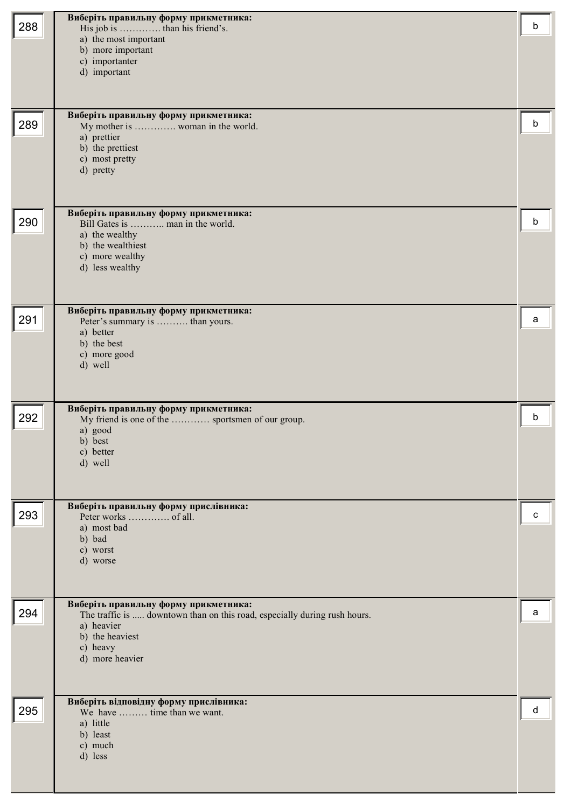| 288 | Виберіть правильну форму прикметника:<br>His job is  than his friend's.<br>a) the most important<br>b) more important<br>c) importanter<br>d) important                            | b |
|-----|------------------------------------------------------------------------------------------------------------------------------------------------------------------------------------|---|
| 289 | Виберіть правильну форму прикметника:<br>My mother is  woman in the world.<br>a) prettier<br>b) the prettiest<br>c) most pretty<br>d) pretty                                       | b |
| 290 | Виберіть правильну форму прикметника:<br>Bill Gates is  man in the world.<br>a) the wealthy<br>b) the wealthiest<br>c) more wealthy<br>d) less wealthy                             | b |
| 291 | Виберіть правильну форму прикметника:<br>Peter's summary is  than yours.<br>a) better<br>b) the best<br>c) more good<br>d) well                                                    | а |
| 292 | Виберіть правильну форму прикметника:<br>My friend is one of the  sportsmen of our group.<br>a) good<br>b) best<br>c) better<br>d) well                                            | b |
| 293 | Виберіть правильну форму прислівника:<br>a) most bad<br>b) bad<br>c) worst<br>d) worse                                                                                             | c |
| 294 | Виберіть правильну форму прикметника:<br>The traffic is  downtown than on this road, especially during rush hours.<br>a) heavier<br>b) the heaviest<br>c) heavy<br>d) more heavier | a |
| 295 | Виберіть відповідну форму прислівника:<br>We have  time than we want.<br>a) little<br>b) least<br>c) much<br>d) less                                                               | d |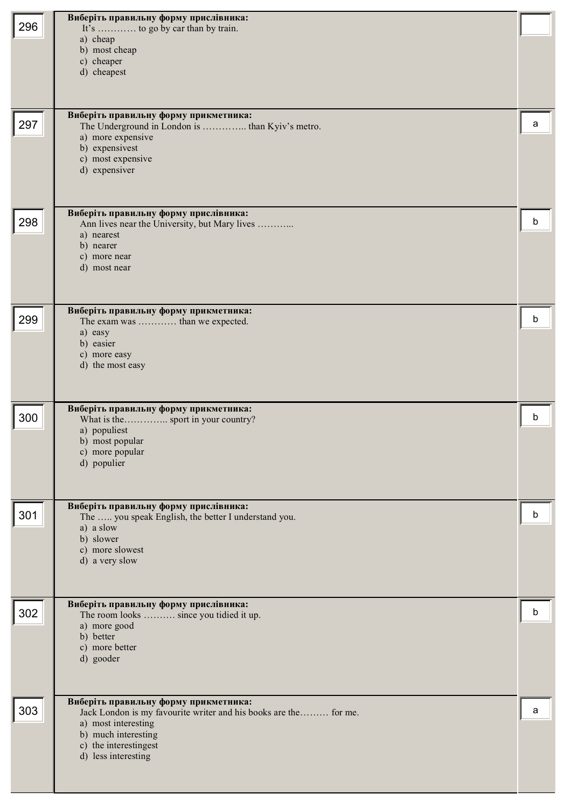| 296 | Виберіть правильну форму прислівника:<br>It's  to go by car than by train.<br>a) cheap<br>b) most cheap<br>c) cheaper<br>d) cheapest                                                                    |   |
|-----|---------------------------------------------------------------------------------------------------------------------------------------------------------------------------------------------------------|---|
| 297 | Виберіть правильну форму прикметника:<br>The Underground in London is  than Kyiv's metro.<br>a) more expensive<br>b) expensivest<br>c) most expensive<br>d) expensiver                                  | а |
| 298 | Виберіть правильну форму прислівника:<br>Ann lives near the University, but Mary lives<br>a) nearest<br>b) nearer<br>c) more near<br>d) most near                                                       | b |
| 299 | Виберіть правильну форму прикметника:<br>The exam was  than we expected.<br>a) easy<br>b) easier<br>c) more easy<br>d) the most easy                                                                    | b |
| 300 | Виберіть правильну форму прикметника:<br>What is the  sport in your country?<br>a) populiest<br>b) most popular<br>c) more popular<br>d) populier                                                       | b |
| 301 | Виберіть правильну форму прислівника:<br>The  you speak English, the better I understand you.<br>a) a slow<br>b) slower<br>c) more slowest<br>d) a very slow                                            | b |
| 302 | Виберіть правильну форму прислівника:<br>The room looks  since you tidied it up.<br>a) more good<br>b) better<br>c) more better<br>d) gooder                                                            | b |
| 303 | Виберіть правильну форму прикметника:<br>Jack London is my favourite writer and his books are the for me.<br>a) most interesting<br>b) much interesting<br>c) the interestingest<br>d) less interesting | a |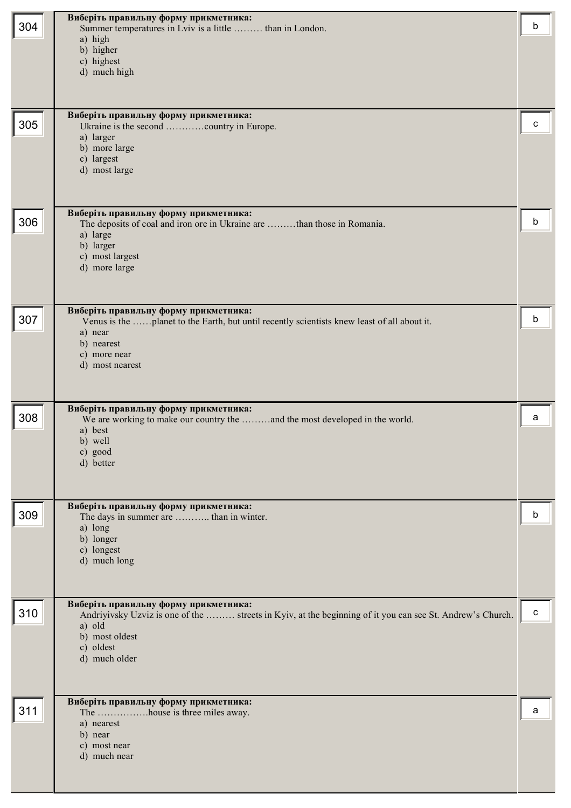| 304 | Виберіть правильну форму прикметника:<br>Summer temperatures in Lviv is a little  than in London.<br>a) high<br>b) higher<br>c) highest<br>d) much high                                                      | b           |
|-----|--------------------------------------------------------------------------------------------------------------------------------------------------------------------------------------------------------------|-------------|
| 305 | Виберіть правильну форму прикметника:<br>Ukraine is the second country in Europe.<br>a) larger<br>b) more large<br>c) largest<br>d) most large                                                               | c           |
| 306 | Виберіть правильну форму прикметника:<br>The deposits of coal and iron ore in Ukraine are than those in Romania.<br>a) large<br>b) larger<br>c) most largest<br>d) more large                                | b           |
| 307 | Виберіть правильну форму прикметника:<br>Venus is the planet to the Earth, but until recently scientists knew least of all about it.<br>a) near<br>b) nearest<br>c) more near<br>d) most nearest             | b           |
| 308 | Виберіть правильну форму прикметника:<br>We are working to make our country the and the most developed in the world.<br>a) best<br>b) well<br>c) good<br>d) better                                           | a           |
| 309 | Виберіть правильну форму прикметника:<br>The days in summer are  than in winter.<br>a) long<br>b) longer<br>c) longest<br>d) much long                                                                       | b           |
| 310 | Виберіть правильну форму прикметника:<br>Andriyivsky Uzviz is one of the  streets in Kyiv, at the beginning of it you can see St. Andrew's Church.<br>a) old<br>b) most oldest<br>c) oldest<br>d) much older | $\mathbf c$ |
| 311 | Виберіть правильну форму прикметника:<br>The house is three miles away.<br>a) nearest<br>b) near<br>c) most near<br>d) much near                                                                             | a           |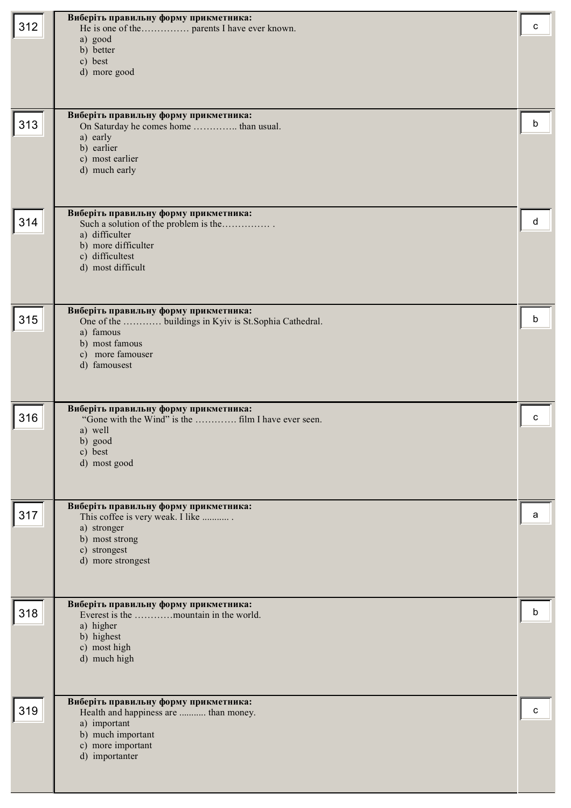|     | Виберіть правильну форму прикметника:                                          |   |
|-----|--------------------------------------------------------------------------------|---|
| 312 |                                                                                | c |
|     | a) good                                                                        |   |
|     | b) better<br>c) best                                                           |   |
|     | d) more good                                                                   |   |
|     |                                                                                |   |
|     |                                                                                |   |
|     | Виберіть правильну форму прикметника:                                          |   |
| 313 | On Saturday he comes home  than usual.                                         | b |
|     | a) early                                                                       |   |
|     | b) earlier                                                                     |   |
|     | c) most earlier<br>d) much early                                               |   |
|     |                                                                                |   |
|     |                                                                                |   |
|     |                                                                                |   |
| 314 | Виберіть правильну форму прикметника:<br>Such a solution of the problem is the | d |
|     | a) difficulter                                                                 |   |
|     | b) more difficulter                                                            |   |
|     | c) difficultest<br>d) most difficult                                           |   |
|     |                                                                                |   |
|     |                                                                                |   |
|     | Виберіть правильну форму прикметника:                                          |   |
| 315 | One of the  buildings in Kyiv is St.Sophia Cathedral.                          | b |
|     | a) famous                                                                      |   |
|     | b) most famous                                                                 |   |
|     | c) more famouser<br>d) famousest                                               |   |
|     |                                                                                |   |
|     |                                                                                |   |
|     | Виберіть правильну форму прикметника:                                          |   |
| 316 |                                                                                | C |
|     | a) well                                                                        |   |
|     | b) good                                                                        |   |
|     | c) best<br>d) most good                                                        |   |
|     |                                                                                |   |
|     |                                                                                |   |
|     | Виберіть правильну форму прикметника:                                          |   |
| 317 | This coffee is very weak. I like                                               | a |
|     | a) stronger                                                                    |   |
|     | b) most strong<br>c) strongest                                                 |   |
|     | d) more strongest                                                              |   |
|     |                                                                                |   |
|     |                                                                                |   |
|     | Виберіть правильну форму прикметника:                                          |   |
| 318 | Everest is the mountain in the world.                                          | b |
|     | a) higher<br>b) highest                                                        |   |
|     | c) most high                                                                   |   |
|     | d) much high                                                                   |   |
|     |                                                                                |   |
|     |                                                                                |   |
|     | Виберіть правильну форму прикметника:                                          |   |
| 319 | Health and happiness are  than money.                                          | C |
|     | a) important<br>b) much important                                              |   |
|     | c) more important                                                              |   |
|     | d) importanter                                                                 |   |
|     |                                                                                |   |
|     |                                                                                |   |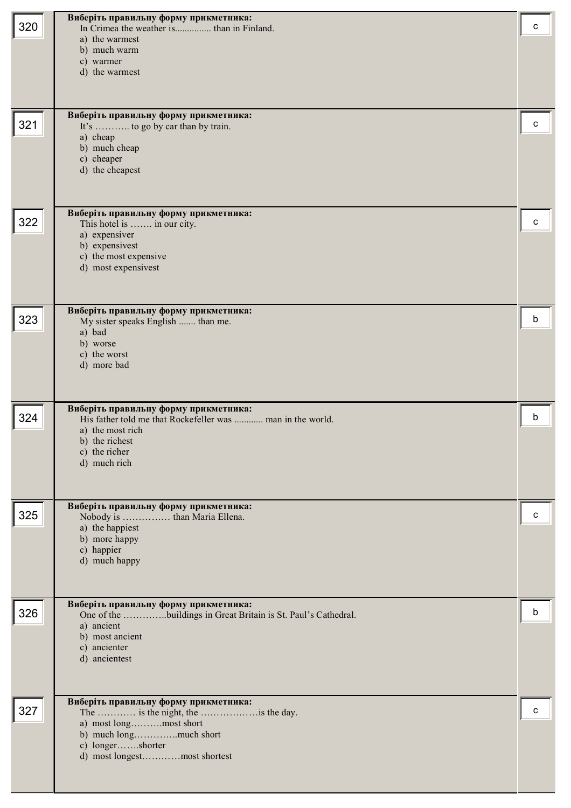| 320 | Виберіть правильну форму прикметника:<br>In Crimea the weather is than in Finland.<br>a) the warmest<br>b) much warm<br>c) warmer<br>d) the warmest                        | с |
|-----|----------------------------------------------------------------------------------------------------------------------------------------------------------------------------|---|
| 321 | Виберіть правильну форму прикметника:<br>It's  to go by car than by train.<br>a) cheap<br>b) much cheap<br>c) cheaper<br>d) the cheapest                                   | c |
| 322 | Виберіть правильну форму прикметника:<br>This hotel is  in our city.<br>a) expensiver<br>b) expensivest<br>c) the most expensive<br>d) most expensivest                    | c |
| 323 | Виберіть правильну форму прикметника:<br>My sister speaks English  than me.<br>a) bad<br>b) worse<br>c) the worst<br>d) more bad                                           | b |
| 324 | Виберіть правильну форму прикметника:<br>His father told me that Rockefeller was  man in the world.<br>a) the most rich<br>b) the richest<br>c) the richer<br>d) much rich | b |
| 325 | Виберіть правильну форму прикметника:<br>a) the happiest<br>b) more happy<br>c) happier<br>d) much happy                                                                   | с |
| 326 | Виберіть правильну форму прикметника:<br>One of the buildings in Great Britain is St. Paul's Cathedral.<br>a) ancient<br>b) most ancient<br>c) ancienter<br>d) ancientest  | b |
| 327 | Виберіть правильну форму прикметника:<br>a) most longmost short<br>b) much longmuch short<br>c) longershorter<br>d) most longestmost shortest                              | с |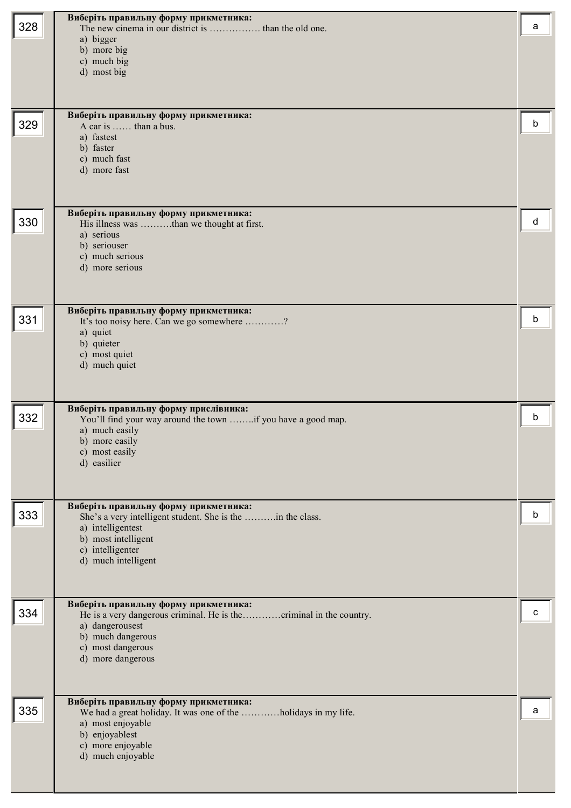| 328 | Виберіть правильну форму прикметника:<br>a) bigger<br>b) more big<br>c) much big<br>d) most big                                                                                            | a |
|-----|--------------------------------------------------------------------------------------------------------------------------------------------------------------------------------------------|---|
| 329 | Виберіть правильну форму прикметника:<br>A car is  than a bus.<br>a) fastest<br>b) faster<br>c) much fast<br>d) more fast                                                                  | b |
| 330 | Виберіть правильну форму прикметника:<br>His illness was than we thought at first.<br>a) serious<br>b) seriouser<br>c) much serious<br>d) more serious                                     | d |
| 331 | Виберіть правильну форму прикметника:<br>It's too noisy here. Can we go somewhere ?<br>a) quiet<br>b) quieter<br>c) most quiet<br>d) much quiet                                            | b |
| 332 | Виберіть правильну форму прислівника:<br>You'll find your way around the town if you have a good map.<br>a) much easily<br>b) more easily<br>c) most easily<br>d) easilier                 | b |
| 333 | Виберіть правильну форму прикметника:<br>She's a very intelligent student. She is the in the class.<br>a) intelligentest<br>b) most intelligent<br>c) intelligenter<br>d) much intelligent | b |
| 334 | Виберіть правильну форму прикметника:<br>a) dangerousest<br>b) much dangerous<br>c) most dangerous<br>d) more dangerous                                                                    | c |
| 335 | Виберіть правильну форму прикметника:<br>We had a great holiday. It was one of the holidays in my life.<br>a) most enjoyable<br>b) enjoyablest<br>c) more enjoyable<br>d) much enjoyable   | a |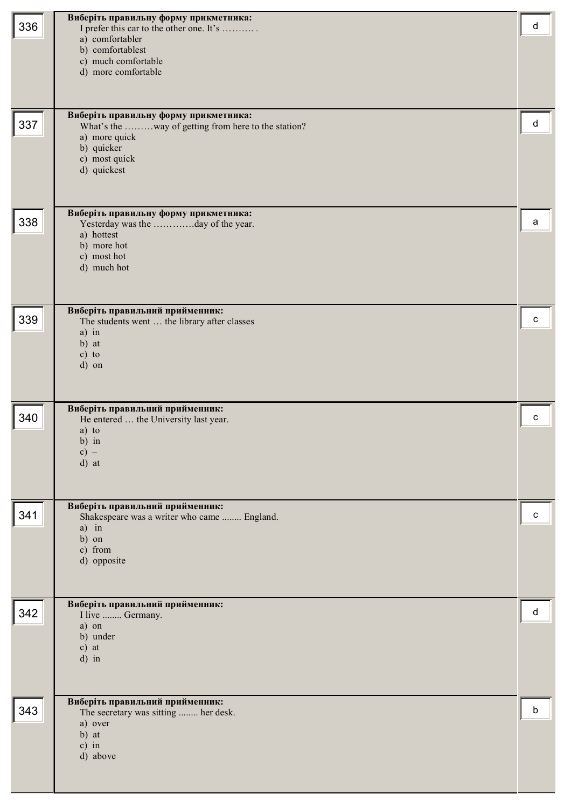| 336 | Виберіть правильну форму прикметника:<br>I prefer this car to the other one. It's<br>a) comfortabler<br>b) comfortablest<br>c) much comfortable<br>d) more comfortable | d |
|-----|------------------------------------------------------------------------------------------------------------------------------------------------------------------------|---|
| 337 | Виберіть правильну форму прикметника:<br>What's the way of getting from here to the station?<br>a) more quick<br>b) quicker<br>c) most quick<br>d) quickest            | d |
| 338 | Виберіть правильну форму прикметника:<br>Yesterday was the day of the year.<br>a) hottest<br>b) more hot<br>c) most hot<br>d) much hot                                 | a |
| 339 | Виберіть правильний прийменник:<br>The students went  the library after classes<br>a) in<br>b) at<br>$c)$ to<br>d) on                                                  | c |
| 340 | Виберіть правильний прийменник:<br>He entered  the University last year.<br>a) to<br>b) in<br>$c) -$<br>d) at                                                          | C |
| 341 | Виберіть правильний прийменник:<br>Shakespeare was a writer who came  England.<br>$a)$ in<br>b) on<br>c) from<br>d) opposite                                           | c |
| 342 | Виберіть правильний прийменник:<br>I live  Germany.<br>a) on<br>b) under<br>$c)$ at<br>$d)$ in                                                                         | d |
| 343 | Виберіть правильний прийменник:<br>The secretary was sitting  her desk.<br>a) over<br>b) at<br>$c)$ in<br>d) above                                                     | b |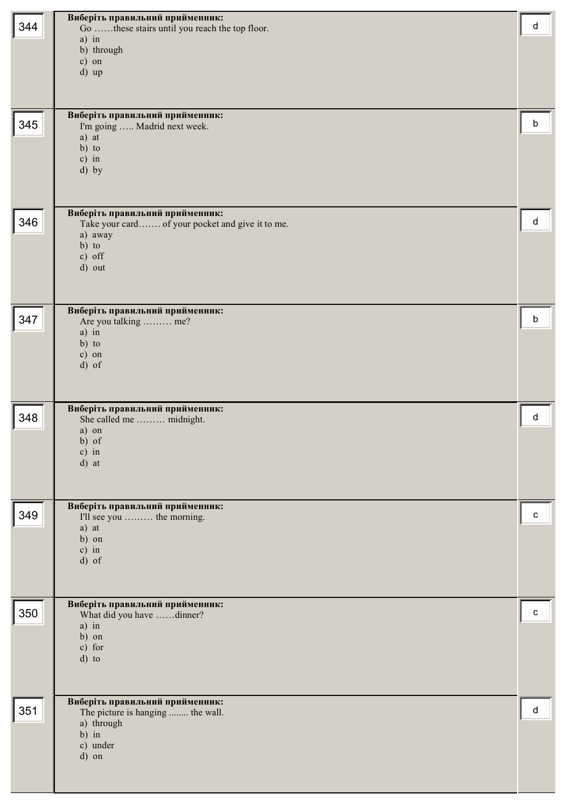|     | Виберіть правильний прийменник:                                      |   |
|-----|----------------------------------------------------------------------|---|
| 344 | Go these stairs until you reach the top floor.                       | d |
|     | $a)$ in                                                              |   |
|     | b) through                                                           |   |
|     | c) on                                                                |   |
|     | d) up                                                                |   |
|     |                                                                      |   |
|     |                                                                      |   |
|     |                                                                      |   |
|     | Виберіть правильний прийменник:                                      |   |
| 345 | I'm going  Madrid next week.                                         | b |
|     | a) at                                                                |   |
|     | $b)$ to                                                              |   |
|     | $c)$ in                                                              |   |
|     | d) by                                                                |   |
|     |                                                                      |   |
|     |                                                                      |   |
|     | Виберіть правильний прийменник:                                      |   |
| 346 | Take your card of your pocket and give it to me.                     | d |
|     | a) away                                                              |   |
|     | $b)$ to                                                              |   |
|     | c) off                                                               |   |
|     | d) out                                                               |   |
|     |                                                                      |   |
|     |                                                                      |   |
|     | Виберіть правильний прийменник:                                      |   |
| 347 | Are you talking  me?                                                 | b |
|     | a) in                                                                |   |
|     | $b)$ to                                                              |   |
|     | c) on                                                                |   |
|     | d) of                                                                |   |
|     |                                                                      |   |
|     |                                                                      |   |
|     | Виберіть правильний прийменник:                                      |   |
| 348 | She called me  midnight.                                             | d |
|     | a) on                                                                |   |
|     | $b)$ of                                                              |   |
|     | $c)$ in                                                              |   |
|     | d) at                                                                |   |
|     |                                                                      |   |
|     |                                                                      |   |
|     | Виберіть правильний прийменник:                                      |   |
| 349 | I'll see you  the morning.                                           | c |
|     | a) at                                                                |   |
|     | b) on                                                                |   |
|     | $c)$ in                                                              |   |
|     | $d)$ of                                                              |   |
|     |                                                                      |   |
|     |                                                                      |   |
|     | Виберіть правильний прийменник:                                      |   |
| 350 | What did you have dinner?                                            | c |
|     | $a)$ in                                                              |   |
|     |                                                                      |   |
|     | b) on                                                                |   |
|     | c) for                                                               |   |
|     | d) to                                                                |   |
|     |                                                                      |   |
|     |                                                                      |   |
|     |                                                                      |   |
| 351 | Виберіть правильний прийменник:<br>The picture is hanging  the wall. | d |
|     | a) through                                                           |   |
|     | $b)$ in                                                              |   |
|     | c) under                                                             |   |
|     | d) on                                                                |   |
|     |                                                                      |   |
|     |                                                                      |   |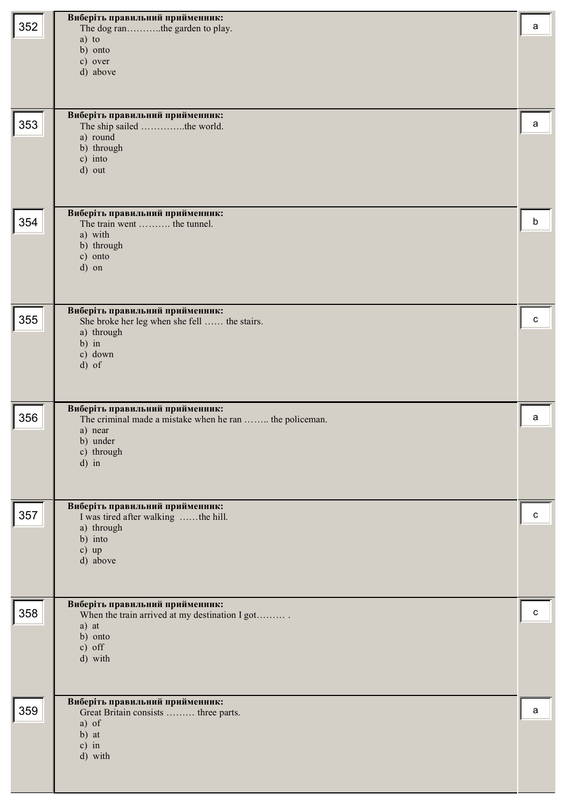| 352 | Виберіть правильний прийменник:<br>The dog ranthe garden to play.<br>a) to<br>b) onto<br>c) over<br>d) above                               | a |
|-----|--------------------------------------------------------------------------------------------------------------------------------------------|---|
| 353 | Виберіть правильний прийменник:<br>The ship sailed the world.<br>a) round<br>b) through<br>c) into<br>d) out                               | а |
| 354 | Виберіть правильний прийменник:<br>The train went  the tunnel.<br>a) with<br>b) through<br>c) onto<br>d) on                                | b |
| 355 | Виберіть правильний прийменник:<br>She broke her leg when she fell  the stairs.<br>a) through<br>$b)$ in<br>c) down<br>d) of               | с |
| 356 | Виберіть правильний прийменник:<br>The criminal made a mistake when he ran  the policeman.<br>a) near<br>b) under<br>c) through<br>$d)$ in | a |
| 357 | Виберіть правильний прийменник:<br>I was tired after walking the hill.<br>a) through<br>b) into<br>$c)$ up<br>d) above                     | с |
| 358 | Виберіть правильний прийменник:<br>When the train arrived at my destination I got<br>a) at<br>b) onto<br>$c)$ off<br>d) with               | c |
| 359 | Виберіть правильний прийменник:<br>Great Britain consists  three parts.<br>a) of<br>b) at<br>$c)$ in<br>d) with                            | a |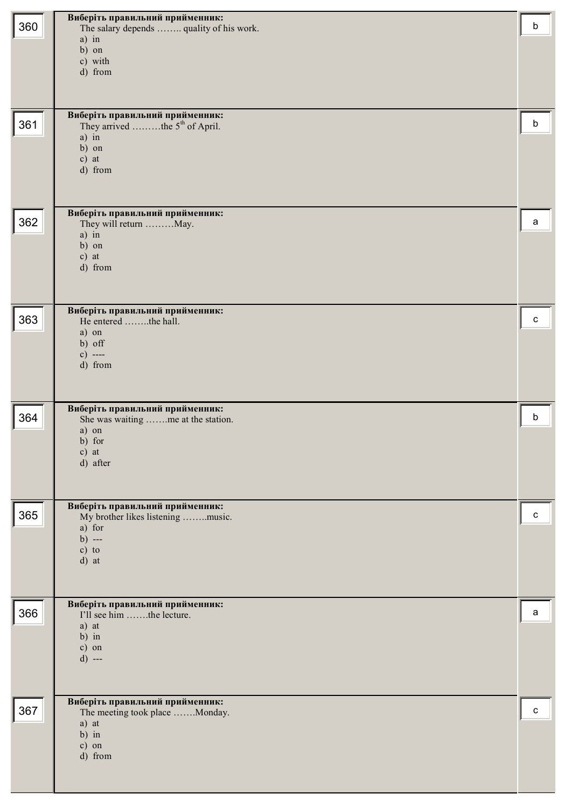| 360 | Виберіть правильний прийменник:<br>The salary depends  quality of his work.<br>$a)$ in<br>b) on<br>c) with<br>d) from<br>Виберіть правильний прийменник: | b |
|-----|----------------------------------------------------------------------------------------------------------------------------------------------------------|---|
| 361 | They arrived the 5 <sup>th</sup> of April.<br>$a)$ in<br>b) on<br>$c)$ at<br>d) from<br>Виберіть правильний прийменник:                                  | b |
| 362 | They will return May.<br>a) in<br>b) on<br>$c)$ at<br>d) from                                                                                            | a |
| 363 | Виберіть правильний прийменник:<br>He entered the hall.<br>a) on<br>b) off<br>c) $---$<br>d) from                                                        | с |
| 364 | Виберіть правильний прийменник:<br>She was waiting me at the station.<br>a) on<br>b) for<br>$c)$ at<br>d) after                                          | b |
| 365 | Виберіть правильний прийменник:<br>My brother likes listening music.<br>a) for<br>$b)$ ---<br>$c)$ to<br>d) at                                           | C |
| 366 | Виберіть правильний прийменник:<br>I'll see him the lecture.<br>a) at<br>$b)$ in<br>c) on<br>$d)$ ---                                                    | a |
| 367 | Виберіть правильний прийменник:<br>The meeting took place Monday.<br>a) at<br>$b)$ in<br>c) on<br>d) from                                                | C |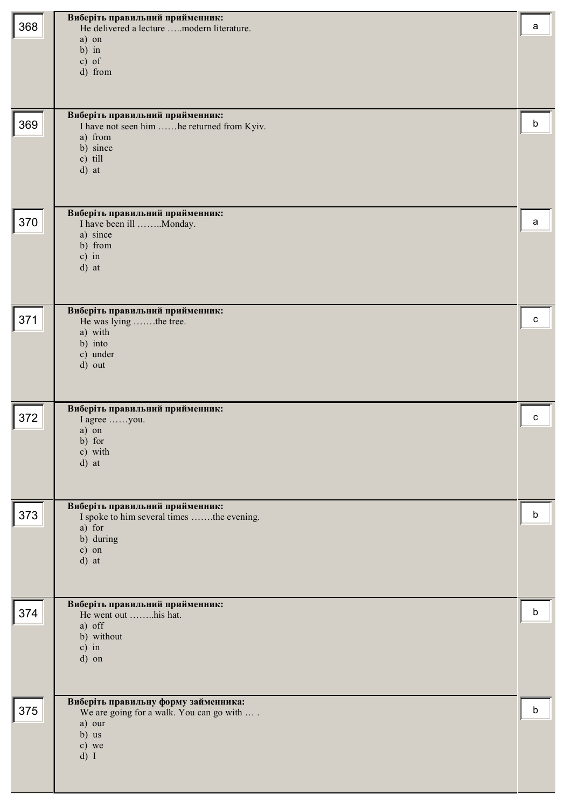| 368 | Виберіть правильний прийменник:<br>He delivered a lecture modern literature.     | a |
|-----|----------------------------------------------------------------------------------|---|
|     | a) on                                                                            |   |
|     | $b)$ in<br>$c)$ of                                                               |   |
|     | d) from                                                                          |   |
|     |                                                                                  |   |
| 369 | Виберіть правильний прийменник:<br>I have not seen him he returned from Kyiv.    | b |
|     | a) from                                                                          |   |
|     | b) since<br>c) till                                                              |   |
|     | d) at                                                                            |   |
|     |                                                                                  |   |
| 370 | Виберіть правильний прийменник:<br>I have been ill Monday.                       | a |
|     | a) since                                                                         |   |
|     | b) from<br>$c)$ in                                                               |   |
|     | d) at                                                                            |   |
|     |                                                                                  |   |
| 371 | Виберіть правильний прийменник:<br>He was lying the tree.                        | c |
|     | a) with                                                                          |   |
|     | b) into<br>c) under                                                              |   |
|     | d) out                                                                           |   |
|     |                                                                                  |   |
| 372 | Виберіть правильний прийменник:<br>I agree you.                                  | C |
|     | a) on                                                                            |   |
|     | b) for<br>c) with                                                                |   |
|     | d) at                                                                            |   |
|     |                                                                                  |   |
| 373 | Виберіть правильний прийменник:<br>I spoke to him several times the evening.     | b |
|     | a) for<br>b) during                                                              |   |
|     | c) on                                                                            |   |
|     | d) at                                                                            |   |
|     |                                                                                  |   |
| 374 | Виберіть правильний прийменник:<br>He went out his hat.                          | b |
|     | a) off<br>b) without                                                             |   |
|     | $c)$ in                                                                          |   |
|     | d) on                                                                            |   |
|     |                                                                                  |   |
| 375 | Виберіть правильну форму займенника:<br>We are going for a walk. You can go with | b |
|     | a) our                                                                           |   |
|     | b) us<br>c) we                                                                   |   |
|     | $d)$ I                                                                           |   |
|     |                                                                                  |   |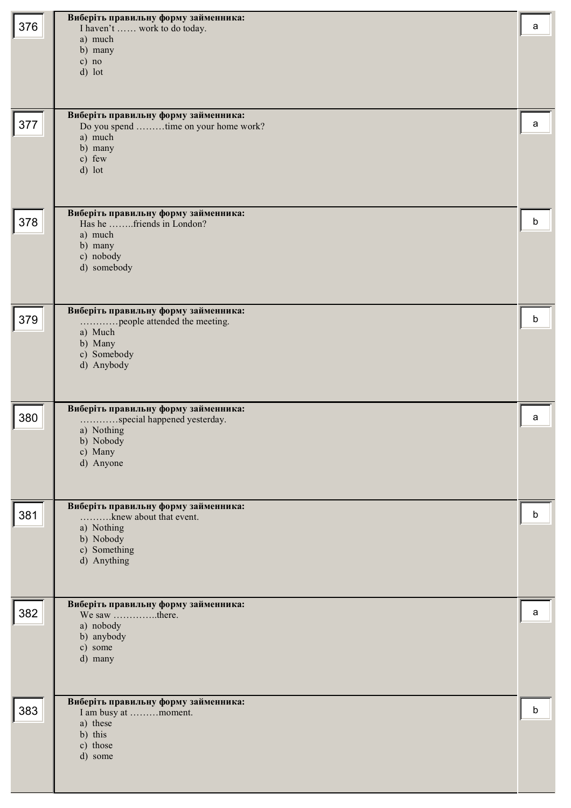| 376 | Виберіть правильну форму займенника:<br>I haven't  work to do today.<br>a) much<br>b) many<br>$c)$ no<br>d) lot          | a |
|-----|--------------------------------------------------------------------------------------------------------------------------|---|
| 377 | Виберіть правильну форму займенника:<br>Do you spend time on your home work?<br>a) much<br>b) many<br>c) few<br>d) lot   | а |
| 378 | Виберіть правильну форму займенника:<br>Has he friends in London?<br>a) much<br>b) many<br>c) nobody<br>d) somebody      | b |
| 379 | Виберіть правильну форму займенника:<br>people attended the meeting.<br>a) Much<br>b) Many<br>c) Somebody<br>d) Anybody  | b |
| 380 | Виберіть правильну форму займенника:<br>special happened yesterday.<br>a) Nothing<br>b) Nobody<br>c) Many<br>d) Anyone   | a |
| 381 | Виберіть правильну форму займенника:<br>knew about that event.<br>a) Nothing<br>b) Nobody<br>c) Something<br>d) Anything | b |
| 382 | Виберіть правильну форму займенника:<br>We saw there.<br>a) nobody<br>b) anybody<br>c) some<br>d) many                   | a |
| 383 | Виберіть правильну форму займенника:<br>I am busy at moment.<br>a) these<br>b) this<br>c) those<br>d) some               | b |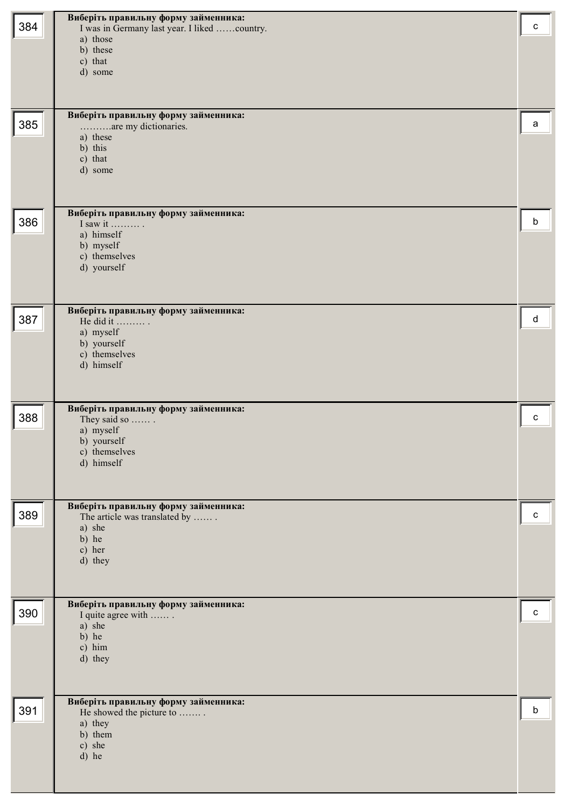| 384 | Виберіть правильну форму займенника:<br>I was in Germany last year. I liked country.<br>a) those<br>b) these<br>c) that<br>d) some<br>Виберіть правильну форму займенника: | C |
|-----|----------------------------------------------------------------------------------------------------------------------------------------------------------------------------|---|
| 385 | are my dictionaries.<br>a) these<br>b) this<br>c) that<br>d) some                                                                                                          | a |
| 386 | Виберіть правильну форму займенника:<br>I saw it $\dots$<br>a) himself<br>b) myself<br>c) themselves<br>d) yourself                                                        | b |
| 387 | Виберіть правильну форму займенника:<br>He did it<br>a) myself<br>b) yourself<br>c) themselves<br>d) himself                                                               | d |
| 388 | Виберіть правильну форму займенника:<br>They said so<br>a) myself<br>b) yourself<br>c) themselves<br>d) himself                                                            | c |
| 389 | Виберіть правильну форму займенника:<br>The article was translated by<br>a) she<br>b) he<br>c) her<br>d) they                                                              | c |
| 390 | Виберіть правильну форму займенника:<br>I quite agree with<br>a) she<br>b) he<br>c) him<br>d) they                                                                         | C |
| 391 | Виберіть правильну форму займенника:<br>He showed the picture to<br>a) they<br>b) them<br>c) she<br>d) he                                                                  | b |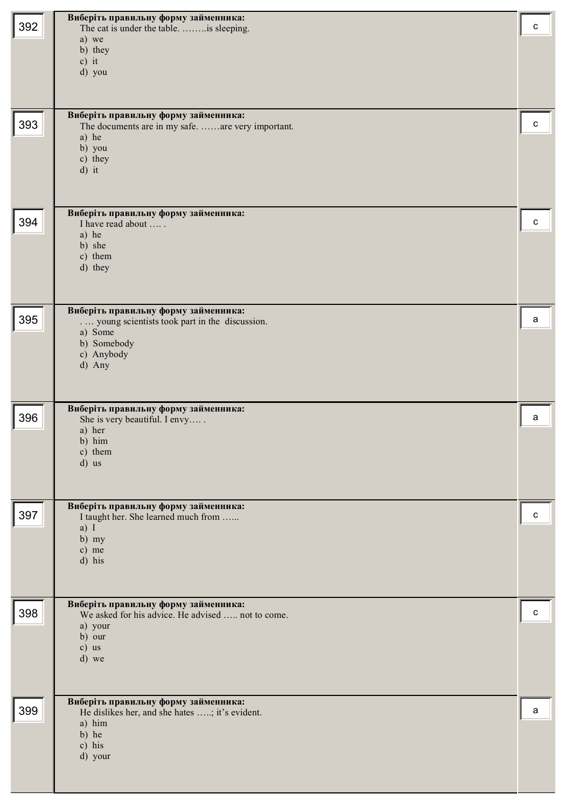| 392 | Виберіть правильну форму займенника:<br>The cat is under the table.   is sleeping.<br>a) we                                             | C |
|-----|-----------------------------------------------------------------------------------------------------------------------------------------|---|
|     | b) they<br>$c)$ it<br>d) you                                                                                                            |   |
| 393 | Виберіть правильну форму займенника:<br>The documents are in my safe. are very important.<br>a) he<br>b) you<br>c) they<br>$d)$ it      | C |
| 394 | Виберіть правильну форму займенника:<br>I have read about<br>a) he<br>b) she<br>c) them<br>d) they                                      | C |
| 395 | Виберіть правильну форму займенника:<br>young scientists took part in the discussion.<br>a) Some<br>b) Somebody<br>c) Anybody<br>d) Any | a |
| 396 | Виберіть правильну форму займенника:<br>She is very beautiful. I envy<br>a) her<br>b) him<br>c) them<br>d) us                           | a |
| 397 | Виберіть правильну форму займенника:<br>I taught her. She learned much from<br>a) I<br>$b)$ my<br>c) me<br>d) his                       | c |
| 398 | Виберіть правильну форму займенника:<br>We asked for his advice. He advised  not to come.<br>a) your<br>b) our<br>$c)$ us<br>d) we      | c |
| 399 | Виберіть правильну форму займенника:<br>He dislikes her, and she hates ; it's evident.<br>a) him<br>b) he<br>c) his<br>d) your          | a |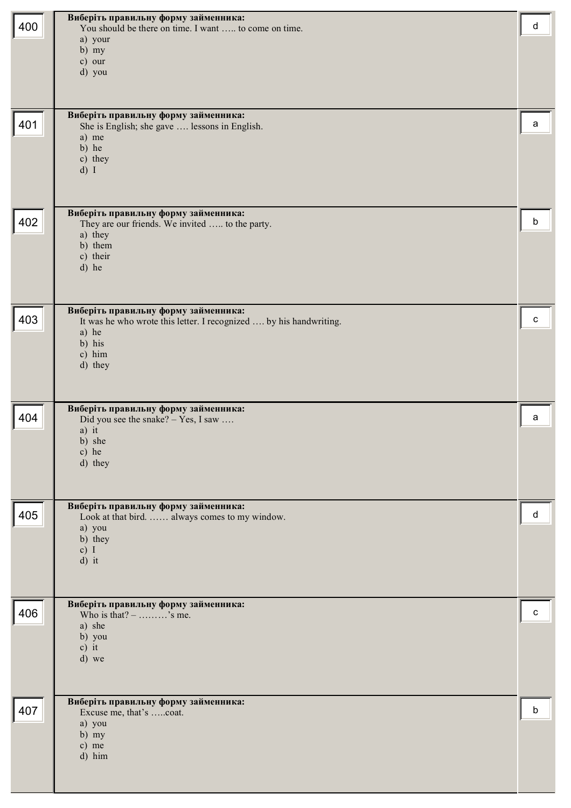| 400 | Виберіть правильну форму займенника:<br>You should be there on time. I want  to come on time.<br>a) your<br>b) my<br>c) our<br>d) you              | d |
|-----|----------------------------------------------------------------------------------------------------------------------------------------------------|---|
| 401 | Виберіть правильну форму займенника:<br>She is English; she gave  lessons in English.<br>a) me<br>b) he<br>c) they<br>$d)$ I                       | a |
| 402 | Виберіть правильну форму займенника:<br>They are our friends. We invited  to the party.<br>a) they<br>b) them<br>c) their<br>d) he                 | b |
| 403 | Виберіть правильну форму займенника:<br>It was he who wrote this letter. I recognized  by his handwriting.<br>a) he<br>b) his<br>c) him<br>d) they | c |
| 404 | Виберіть правильну форму займенника:<br>Did you see the snake? - Yes, I saw<br>a) it<br>b) she<br>c) he<br>d) they                                 | a |
| 405 | Виберіть правильну форму займенника:<br>Look at that bird.  always comes to my window.<br>a) you<br>b) they<br>c) I<br>d) it                       | d |
| 406 | Виберіть правильну форму займенника:<br>Who is that? $-$ 's me.<br>a) she<br>b) you<br>$c)$ it<br>d) we                                            | c |
| 407 | Виберіть правильну форму займенника:<br>Excuse me, that's coat.<br>a) you<br>$b)$ my<br>c) me<br>d) him                                            | b |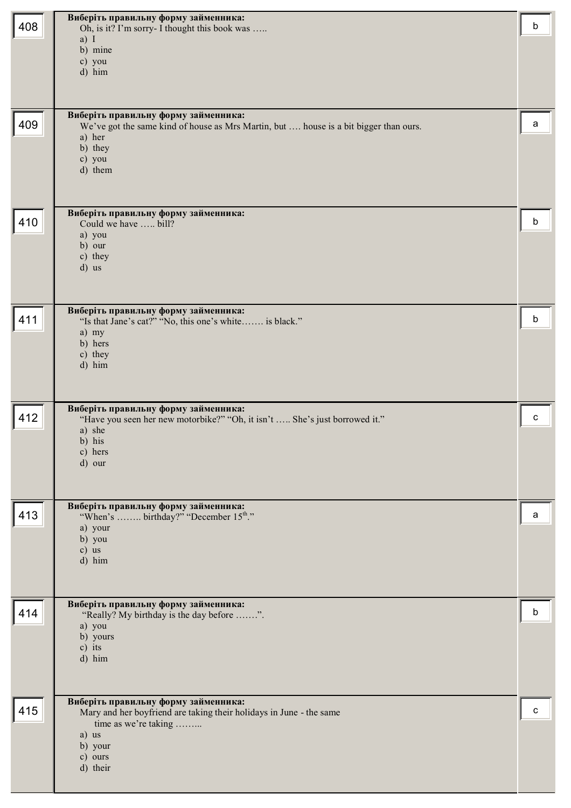|     | Виберіть правильну форму займенника:                                                      |   |
|-----|-------------------------------------------------------------------------------------------|---|
| 408 | Oh, is it? I'm sorry- I thought this book was                                             | b |
|     | a) I<br>b) mine                                                                           |   |
|     | c) you                                                                                    |   |
|     | d) him                                                                                    |   |
|     |                                                                                           |   |
|     | Виберіть правильну форму займенника:                                                      |   |
| 409 | We've got the same kind of house as Mrs Martin, but  house is a bit bigger than ours.     | a |
|     | a) her<br>b) they                                                                         |   |
|     | c) you                                                                                    |   |
|     | d) them                                                                                   |   |
|     |                                                                                           |   |
|     | Виберіть правильну форму займенника:                                                      |   |
| 410 | Could we have  bill?                                                                      | b |
|     | a) you<br>b) our                                                                          |   |
|     | c) they                                                                                   |   |
|     | d) us                                                                                     |   |
|     |                                                                                           |   |
|     | Виберіть правильну форму займенника:                                                      |   |
| 411 | "Is that Jane's cat?" "No, this one's white is black."<br>a) my                           | b |
|     | b) hers                                                                                   |   |
|     | c) they<br>d) him                                                                         |   |
|     |                                                                                           |   |
|     |                                                                                           |   |
| 412 | Виберіть правильну форму займенника:                                                      | C |
|     | "Have you seen her new motorbike?" "Oh, it isn't  She's just borrowed it."<br>a) she      |   |
|     | b) his                                                                                    |   |
|     | c) hers<br>d) our                                                                         |   |
|     |                                                                                           |   |
|     |                                                                                           |   |
| 413 | Виберіть правильну форму займенника:<br>"When's  birthday?" "December 15 <sup>th</sup> ." | a |
|     | a) your                                                                                   |   |
|     | b) you<br>$c)$ us                                                                         |   |
|     | d) him                                                                                    |   |
|     |                                                                                           |   |
|     | Виберіть правильну форму займенника:                                                      |   |
| 414 | "Really? My birthday is the day before ".                                                 | b |
|     | a) you<br>b) yours                                                                        |   |
|     | c) its                                                                                    |   |
|     | d) him                                                                                    |   |
|     |                                                                                           |   |
|     | Виберіть правильну форму займенника:                                                      |   |
| 415 | Mary and her boyfriend are taking their holidays in June - the same                       | C |
|     | time as we're taking<br>a) us                                                             |   |
|     | b) your                                                                                   |   |
|     | c) ours<br>d) their                                                                       |   |
|     |                                                                                           |   |
|     |                                                                                           |   |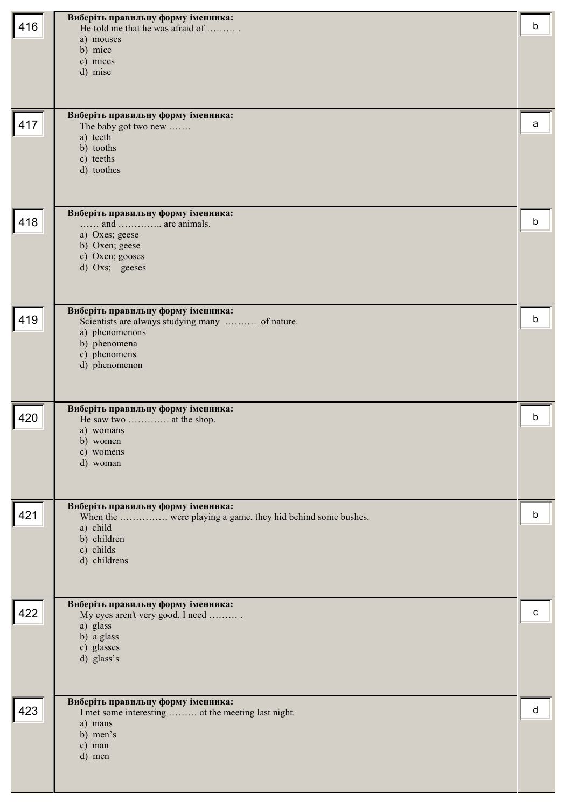| 416 | Виберіть правильну форму іменника:<br>He told me that he was afraid of<br>a) mouses<br>b) mice<br>c) mices<br>d) mise                                     | b |
|-----|-----------------------------------------------------------------------------------------------------------------------------------------------------------|---|
| 417 | Виберіть правильну форму іменника:<br>The baby got two new<br>a) teeth<br>b) tooths<br>c) teeths<br>d) toothes                                            | a |
| 418 | Виберіть правильну форму іменника:<br>and  are animals.<br>a) Oxes; geese<br>b) Oxen; geese<br>c) Oxen; gooses<br>d) Oxs; geeses                          | b |
| 419 | Виберіть правильну форму іменника:<br>Scientists are always studying many  of nature.<br>a) phenomenons<br>b) phenomena<br>c) phenomens<br>d) phenomenon  | b |
| 420 | Виберіть правильну форму іменника:<br>He saw two  at the shop.<br>a) womans<br>b) women<br>c) womens<br>d) woman                                          | b |
| 421 | Виберіть правильну форму іменника:<br>When the  were playing a game, they hid behind some bushes.<br>a) child<br>b) children<br>c) childs<br>d) childrens | b |
| 422 | Виберіть правильну форму іменника:<br>My eyes aren't very good. I need<br>a) glass<br>b) a glass<br>c) glasses<br>d) glass's                              | c |
| 423 | Виберіть правильну форму іменника:<br>I met some interesting  at the meeting last night.<br>a) mans<br>b) men's<br>c) man<br>d) men                       | d |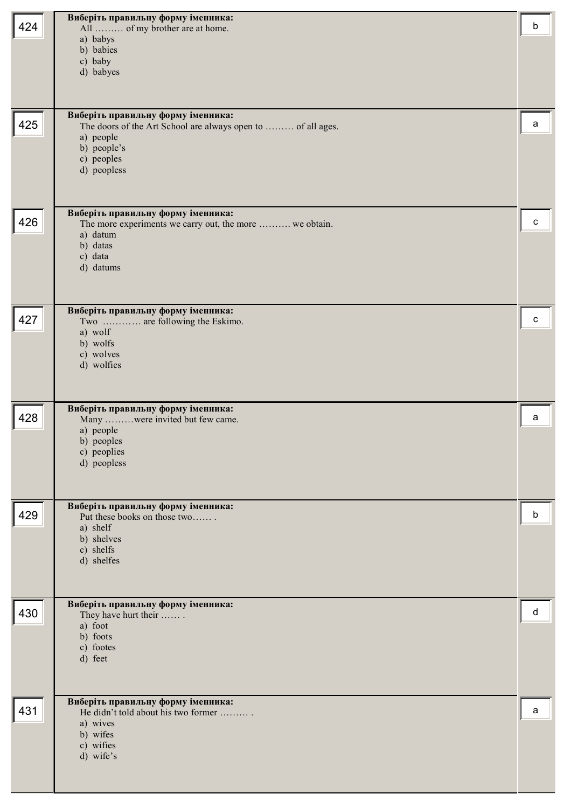|     | Виберіть правильну форму іменника:                                                            |   |
|-----|-----------------------------------------------------------------------------------------------|---|
| 424 | All  of my brother are at home.<br>a) babys                                                   | b |
|     | b) babies                                                                                     |   |
|     | c) baby                                                                                       |   |
|     | d) babyes                                                                                     |   |
|     |                                                                                               |   |
| 425 | Виберіть правильну форму іменника:                                                            | a |
|     | The doors of the Art School are always open to  of all ages.<br>a) people                     |   |
|     | b) people's                                                                                   |   |
|     | c) peoples<br>d) peopless                                                                     |   |
|     |                                                                                               |   |
|     |                                                                                               |   |
| 426 | Виберіть правильну форму іменника:<br>The more experiments we carry out, the more  we obtain. | C |
|     | a) datum                                                                                      |   |
|     | b) datas<br>c) data                                                                           |   |
|     | d) datums                                                                                     |   |
|     |                                                                                               |   |
|     |                                                                                               |   |
| 427 | Виберіть правильну форму іменника:<br>Two  are following the Eskimo.                          | с |
|     | a) wolf                                                                                       |   |
|     | b) wolfs<br>c) wolves                                                                         |   |
|     | d) wolfies                                                                                    |   |
|     |                                                                                               |   |
|     | Виберіть правильну форму іменника:                                                            |   |
| 428 | Many were invited but few came.                                                               | a |
|     | a) people<br>b) peoples                                                                       |   |
|     | c) peoplies                                                                                   |   |
|     | d) peopless                                                                                   |   |
|     |                                                                                               |   |
| 429 | Виберіть правильну форму іменника:                                                            | b |
|     | Put these books on those two<br>a) shelf                                                      |   |
|     | b) shelves                                                                                    |   |
|     | c) shelfs<br>d) shelfes                                                                       |   |
|     |                                                                                               |   |
|     |                                                                                               |   |
| 430 | Виберіть правильну форму іменника:<br>They have hurt their                                    | d |
|     | a) foot                                                                                       |   |
|     | b) foots<br>c) footes                                                                         |   |
|     | d) feet                                                                                       |   |
|     |                                                                                               |   |
|     | Виберіть правильну форму іменника:                                                            |   |
| 431 |                                                                                               | a |
|     | He didn't told about his two former                                                           |   |
|     | a) wives                                                                                      |   |
|     | b) wifes<br>c) wifies                                                                         |   |
|     | d) wife's                                                                                     |   |
|     |                                                                                               |   |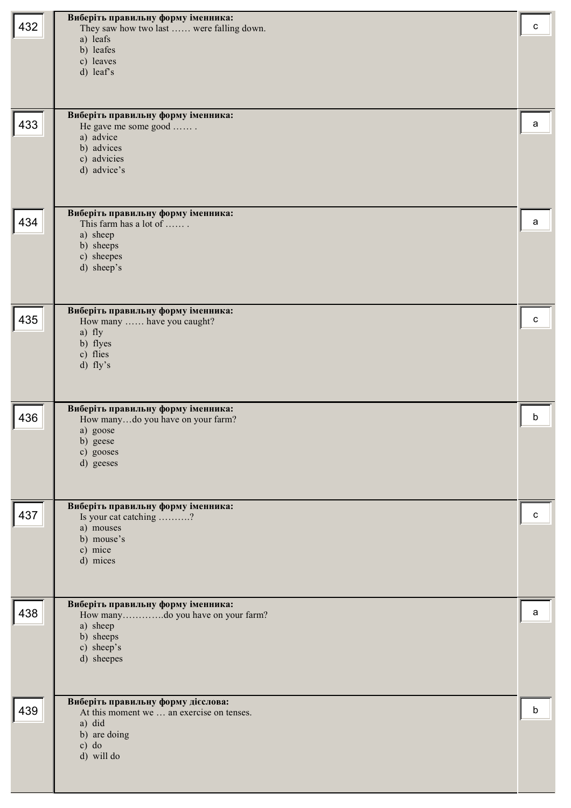| 432 | Виберіть правильну форму іменника:<br>They saw how two last  were falling down.<br>a) leafs<br>b) leafes<br>c) leaves<br>d) leaf's<br>Виберіть правильну форму іменника: | с |
|-----|--------------------------------------------------------------------------------------------------------------------------------------------------------------------------|---|
| 433 | He gave me some good<br>a) advice<br>b) advices<br>c) advicies<br>d) advice's                                                                                            | a |
| 434 | Виберіть правильну форму іменника:<br>This farm has a lot of<br>a) sheep<br>b) sheeps<br>c) sheepes<br>d) sheep's                                                        | a |
| 435 | Виберіть правильну форму іменника:<br>How many  have you caught?<br>a) fly<br>b) flyes<br>c) flies<br>d) fly's                                                           | с |
| 436 | Виберіть правильну форму іменника:<br>How manydo you have on your farm?<br>a) goose<br>b) geese<br>c) gooses<br>d) geeses                                                | b |
| 437 | Виберіть правильну форму іменника:<br>Is your cat catching ?<br>a) mouses<br>b) mouse's<br>c) mice<br>d) mices                                                           | с |
| 438 | Виберіть правильну форму іменника:<br>How manydo you have on your farm?<br>a) sheep<br>b) sheeps<br>c) sheep's<br>d) sheepes                                             | a |
| 439 | Виберіть правильну форму дієслова:<br>At this moment we  an exercise on tenses.<br>a) did<br>b) are doing<br>$c)$ do<br>d) will do                                       | b |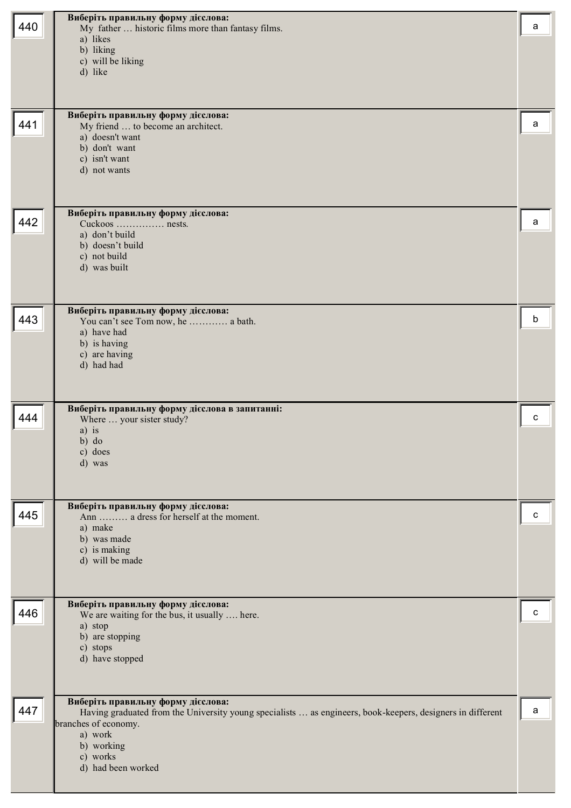| 440 | Виберіть правильну форму дієслова:<br>My father  historic films more than fantasy films.<br>a) likes<br>b) liking<br>c) will be liking<br>d) like                                                                                   | a |
|-----|-------------------------------------------------------------------------------------------------------------------------------------------------------------------------------------------------------------------------------------|---|
| 441 | Виберіть правильну форму дієслова:<br>My friend  to become an architect.<br>a) doesn't want<br>b) don't want<br>c) isn't want<br>d) not wants                                                                                       | a |
| 442 | Виберіть правильну форму дієслова:<br>Cuckoos  nests.<br>a) don't build<br>b) doesn't build<br>c) not build<br>d) was built                                                                                                         | a |
| 443 | Виберіть правильну форму дієслова:<br>You can't see Tom now, he  a bath.<br>a) have had<br>b) is having<br>c) are having<br>d) had had                                                                                              | b |
| 444 | Виберіть правильну форму дієслова в запитанні:<br>Where  your sister study?<br>a) is<br>b) do<br>c) does<br>d) was                                                                                                                  | c |
| 445 | Виберіть правильну форму дієслова:<br>Ann  a dress for herself at the moment.<br>a) make<br>b) was made<br>c) is making<br>d) will be made                                                                                          | c |
| 446 | Виберіть правильну форму дієслова:<br>We are waiting for the bus, it usually  here.<br>a) stop<br>b) are stopping<br>c) stops<br>d) have stopped                                                                                    | с |
| 447 | Виберіть правильну форму дієслова:<br>Having graduated from the University young specialists  as engineers, book-keepers, designers in different<br>branches of economy.<br>a) work<br>b) working<br>c) works<br>d) had been worked | a |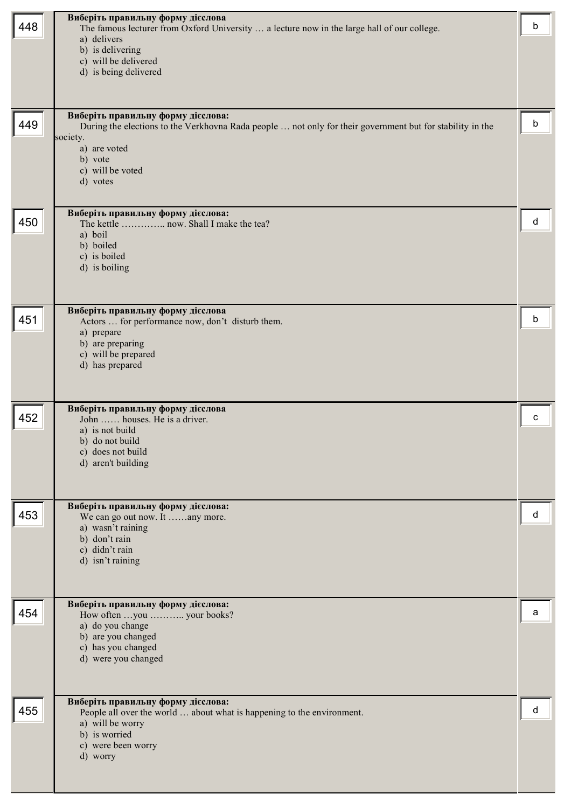| 448 | Виберіть правильну форму дієслова<br>The famous lecturer from Oxford University  a lecture now in the large hall of our college.<br>a) delivers<br>b) is delivering<br>c) will be delivered<br>d) is being delivered<br>Виберіть правильну форму дієслова: | b |
|-----|------------------------------------------------------------------------------------------------------------------------------------------------------------------------------------------------------------------------------------------------------------|---|
| 449 | During the elections to the Verkhovna Rada people  not only for their government but for stability in the<br>society.<br>a) are voted<br>b) vote<br>c) will be voted<br>d) votes                                                                           | b |
| 450 | Виберіть правильну форму дієслова:<br>The kettle  now. Shall I make the tea?<br>a) boil<br>b) boiled<br>c) is boiled<br>d) is boiling                                                                                                                      | d |
| 451 | Виберіть правильну форму дієслова<br>Actors  for performance now, don't disturb them.<br>a) prepare<br>b) are preparing<br>c) will be prepared<br>d) has prepared                                                                                          | b |
| 452 | Виберіть правильну форму дієслова<br>John  houses. He is a driver.<br>a) is not build<br>b) do not build<br>c) does not build<br>d) aren't building                                                                                                        | c |
| 453 | Виберіть правильну форму дієслова:<br>We can go out now. It any more.<br>a) wasn't raining<br>b) don't rain<br>c) didn't rain<br>d) isn't raining                                                                                                          | d |
| 454 | Виберіть правильну форму дієслова:<br>How often you  your books?<br>a) do you change<br>b) are you changed<br>c) has you changed<br>d) were you changed                                                                                                    | а |
| 455 | Виберіть правильну форму дієслова:<br>People all over the world  about what is happening to the environment.<br>a) will be worry<br>b) is worried<br>c) were been worry<br>d) worry                                                                        | d |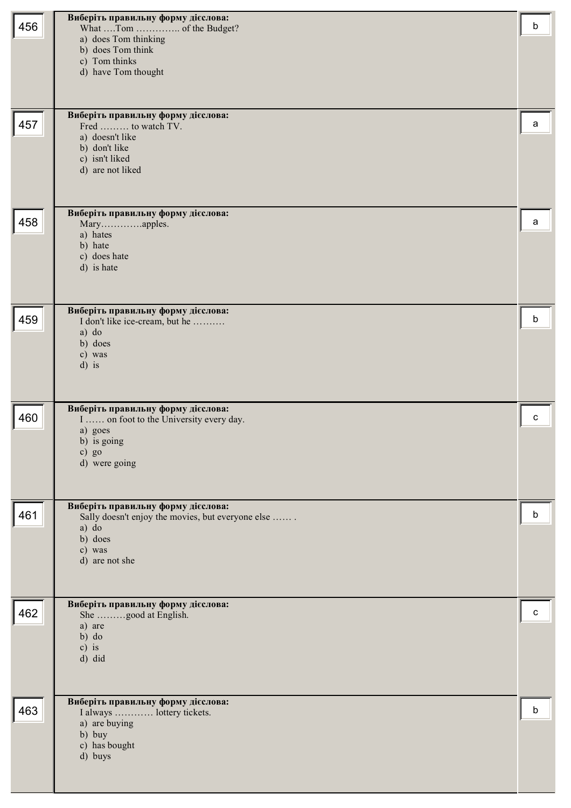| 456 | Виберіть правильну форму дієслова:<br>a) does Tom thinking<br>b) does Tom think<br>c) Tom thinks<br>d) have Tom thought                 | b |
|-----|-----------------------------------------------------------------------------------------------------------------------------------------|---|
| 457 | Виберіть правильну форму дієслова:<br>Fred  to watch TV.<br>a) doesn't like<br>b) don't like<br>c) isn't liked<br>d) are not liked      | a |
| 458 | Виберіть правильну форму дієслова:<br>Maryapples.<br>a) hates<br>b) hate<br>c) does hate<br>d) is hate                                  | a |
| 459 | Виберіть правильну форму дієслова:<br>I don't like ice-cream, but he<br>$a)$ do<br>b) does<br>c) was<br>$d)$ is                         | b |
| 460 | Виберіть правильну форму дієслова:<br>I  on foot to the University every day.<br>a) goes<br>b) is going<br>c) $go$<br>d) were going     | C |
| 461 | Виберіть правильну форму дієслова:<br>Sally doesn't enjoy the movies, but everyone else<br>a) do<br>b) does<br>c) was<br>d) are not she | b |
| 462 | Виберіть правильну форму дієслова:<br>She good at English.<br>a) are<br>$b)$ do<br>$c)$ is<br>d) did                                    | C |
| 463 | Виберіть правильну форму дієслова:<br>I always  lottery tickets.<br>a) are buying<br>b) buy<br>c) has bought<br>d) buys                 | b |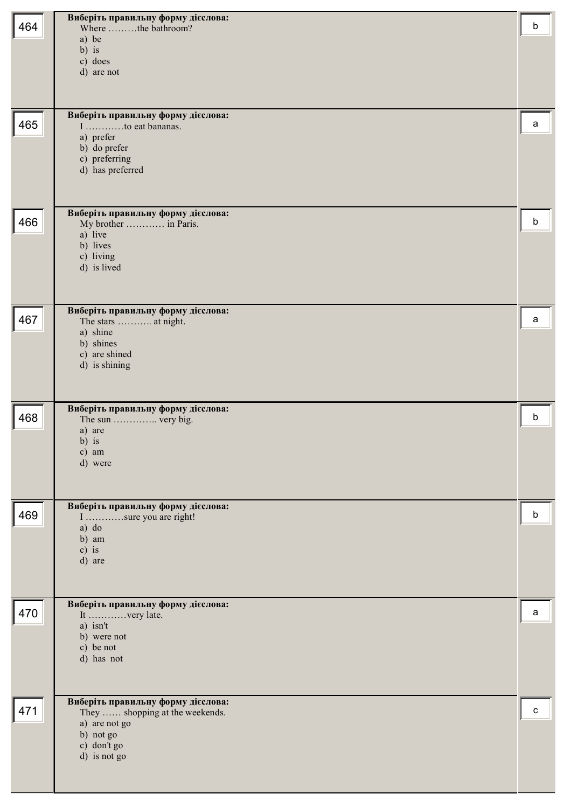| 464 | Виберіть правильну форму дієслова:<br>Where the bathroom?             | b |
|-----|-----------------------------------------------------------------------|---|
|     | a) be                                                                 |   |
|     | $b)$ is<br>c) does                                                    |   |
|     | d) are not                                                            |   |
|     |                                                                       |   |
| 465 | Виберіть правильну форму дієслова:<br>I to eat bananas.               | a |
|     | a) prefer                                                             |   |
|     | b) do prefer<br>c) preferring                                         |   |
|     | d) has preferred                                                      |   |
|     |                                                                       |   |
| 466 | Виберіть правильну форму дієслова:<br>My brother  in Paris.           | b |
|     | a) live<br>b) lives                                                   |   |
|     | c) living                                                             |   |
|     | d) is lived                                                           |   |
|     |                                                                       |   |
| 467 | Виберіть правильну форму дієслова:<br>The stars  at night.            | a |
|     | a) shine<br>b) shines                                                 |   |
|     | c) are shined<br>d) is shining                                        |   |
|     |                                                                       |   |
|     |                                                                       |   |
| 468 | Виберіть правильну форму дієслова:<br>The sun  very big.              | b |
|     | a) are<br>$b)$ is                                                     |   |
|     | c) am<br>d) were                                                      |   |
|     |                                                                       |   |
|     | Виберіть правильну форму дієслова:                                    |   |
| 469 | I sure you are right!<br>$a)$ do                                      | b |
|     | b) am                                                                 |   |
|     | $c)$ is<br>d) are                                                     |   |
|     |                                                                       |   |
|     | Виберіть правильну форму дієслова:                                    |   |
| 470 | It very late.<br>a) isn't                                             | a |
|     | b) were not<br>c) be not                                              |   |
|     | d) has not                                                            |   |
|     |                                                                       |   |
| 471 | Виберіть правильну форму дієслова:<br>They  shopping at the weekends. | C |
|     | a) are not go                                                         |   |
|     | b) not go<br>c) don't go                                              |   |
|     | d) is not go                                                          |   |
|     |                                                                       |   |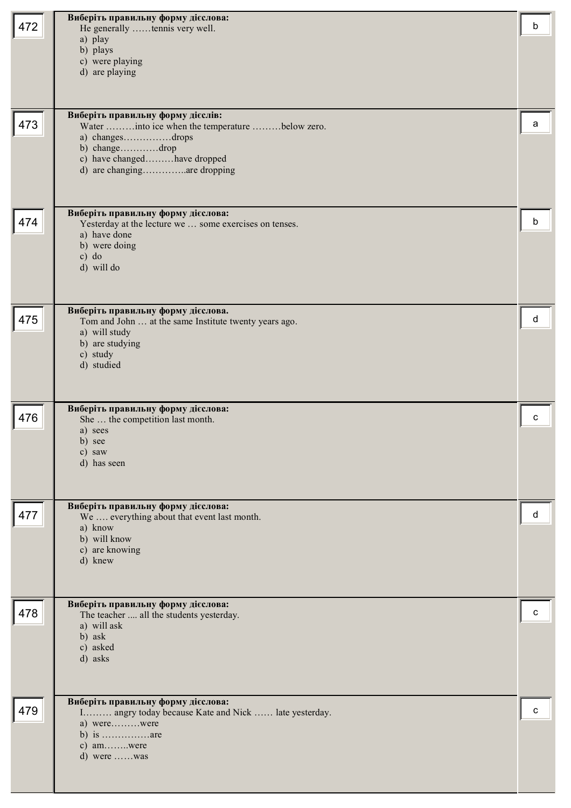| 472 | Виберіть правильну форму дієслова:<br>He generally tennis very well.                         | b |
|-----|----------------------------------------------------------------------------------------------|---|
|     | a) play<br>b) plays                                                                          |   |
|     | c) were playing                                                                              |   |
|     | d) are playing                                                                               |   |
|     |                                                                                              |   |
| 473 | Виберіть правильну форму дієслів:<br>Water into ice when the temperature below zero.         | а |
|     | a) changesdrops                                                                              |   |
|     | b) changedrop<br>c) have changedhave dropped                                                 |   |
|     | d) are changingare dropping                                                                  |   |
|     |                                                                                              |   |
| 474 | Виберіть правильну форму дієслова:<br>Yesterday at the lecture we  some exercises on tenses. | b |
|     | a) have done                                                                                 |   |
|     | b) were doing<br>$c)$ do                                                                     |   |
|     | d) will do                                                                                   |   |
|     |                                                                                              |   |
| 475 | Виберіть правильну форму дієслова.<br>Tom and John  at the same Institute twenty years ago.  | d |
|     | a) will study                                                                                |   |
|     | b) are studying<br>c) study                                                                  |   |
|     | d) studied                                                                                   |   |
|     |                                                                                              |   |
| 476 | Виберіть правильну форму дієслова:<br>She  the competition last month.                       | c |
|     |                                                                                              |   |
|     | a) sees                                                                                      |   |
|     | b) see<br>c) saw                                                                             |   |
|     | d) has seen                                                                                  |   |
|     |                                                                                              |   |
| 477 | Виберіть правильну форму дієслова:<br>We  everything about that event last month.            | d |
|     | a) know                                                                                      |   |
|     | b) will know<br>c) are knowing                                                               |   |
|     | d) knew                                                                                      |   |
|     |                                                                                              |   |
| 478 | Виберіть правильну форму дієслова:<br>The teacher  all the students yesterday.               | c |
|     | a) will ask                                                                                  |   |
|     | b) ask<br>c) asked                                                                           |   |
|     | d) asks                                                                                      |   |
|     |                                                                                              |   |
| 479 | Виберіть правильну форму дієслова:<br>I angry today because Kate and Nick  late yesterday.   | c |
|     | a) werewere<br>b) is $\dots \dots \dots \dots$ are                                           |   |
|     | c) amwere                                                                                    |   |
|     | d) were was                                                                                  |   |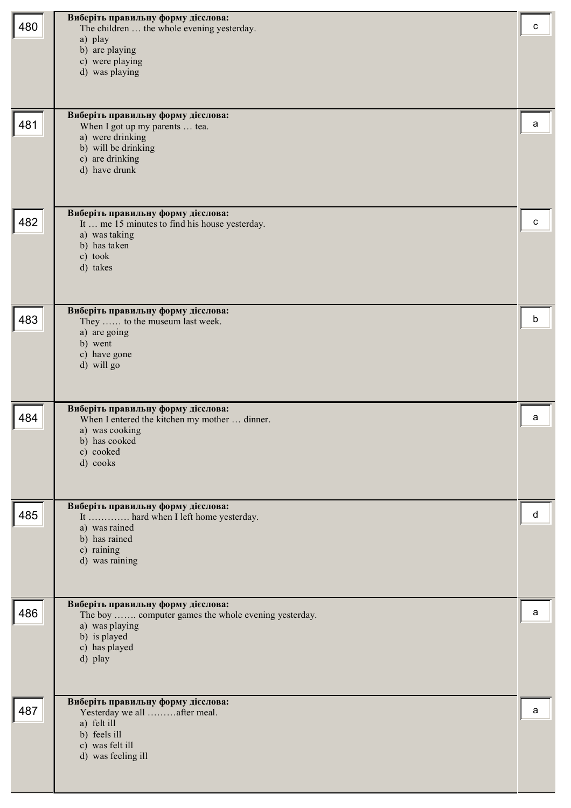| 480 | Виберіть правильну форму дієслова:<br>The children  the whole evening yesterday.<br>a) play<br>b) are playing<br>c) were playing<br>d) was playing<br>Виберіть правильну форму дієслова: | c |
|-----|------------------------------------------------------------------------------------------------------------------------------------------------------------------------------------------|---|
| 481 | When I got up my parents  tea.<br>a) were drinking<br>b) will be drinking<br>c) are drinking<br>d) have drunk                                                                            | a |
| 482 | Виберіть правильну форму дієслова:<br>It  me 15 minutes to find his house yesterday.<br>a) was taking<br>b) has taken<br>c) took<br>d) takes                                             | c |
| 483 | Виберіть правильну форму дієслова:<br>They  to the museum last week.<br>a) are going<br>b) went<br>c) have gone<br>d) will go                                                            | b |
| 484 | Виберіть правильну форму дієслова:<br>When I entered the kitchen my mother  dinner.<br>a) was cooking<br>b) has cooked<br>c) cooked<br>d) cooks                                          | a |
| 485 | Виберіть правильну форму дієслова:<br>It  hard when I left home yesterday.<br>a) was rained<br>b) has rained<br>c) raining<br>d) was raining                                             | d |
| 486 | Виберіть правильну форму дієслова:<br>The boy  computer games the whole evening yesterday.<br>a) was playing<br>b) is played<br>c) has played<br>d) play                                 | a |
| 487 | Виберіть правильну форму дієслова:<br>Yesterday we all after meal.<br>a) felt ill<br>b) feels ill<br>c) was felt ill<br>d) was feeling ill                                               | a |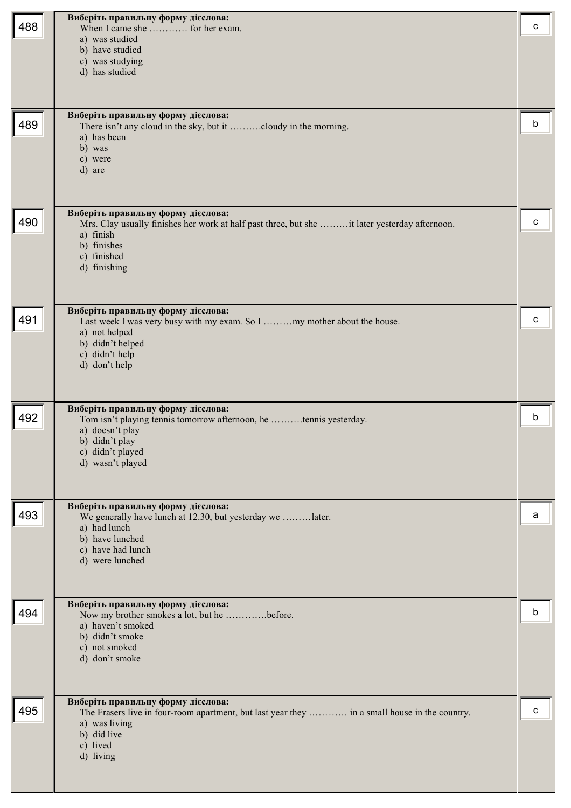| 488 | Виберіть правильну форму дієслова:<br>When I came she  for her exam.<br>a) was studied<br>b) have studied<br>c) was studying<br>d) has studied<br>Виберіть правильну форму дієслова:         | c |
|-----|----------------------------------------------------------------------------------------------------------------------------------------------------------------------------------------------|---|
| 489 | There isn't any cloud in the sky, but it cloudy in the morning.<br>a) has been<br>b) was<br>c) were<br>d) are<br>Виберіть правильну форму дієслова:                                          | b |
| 490 | Mrs. Clay usually finishes her work at half past three, but she it later yesterday afternoon.<br>a) finish<br>b) finishes<br>c) finished<br>d) finishing                                     | C |
| 491 | Виберіть правильну форму дієслова:<br>Last week I was very busy with my exam. So I my mother about the house.<br>a) not helped<br>b) didn't helped<br>c) didn't help<br>d) don't help        | с |
| 492 | Виберіть правильну форму дієслова:<br>Tom isn't playing tennis tomorrow afternoon, he tennis yesterday.<br>a) doesn't play<br>b) didn't play<br>c) didn't played<br>d) wasn't played         | b |
| 493 | Виберіть правильну форму дієслова:<br>We generally have lunch at 12.30, but yesterday we later.<br>a) had lunch<br>b) have lunched<br>c) have had lunch<br>d) were lunched                   | a |
| 494 | Виберіть правильну форму дієслова:<br>Now my brother smokes a lot, but he before.<br>a) haven't smoked<br>b) didn't smoke<br>c) not smoked<br>d) don't smoke                                 | b |
| 495 | Виберіть правильну форму дієслова:<br>The Frasers live in four-room apartment, but last year they  in a small house in the country.<br>a) was living<br>b) did live<br>c) lived<br>d) living | C |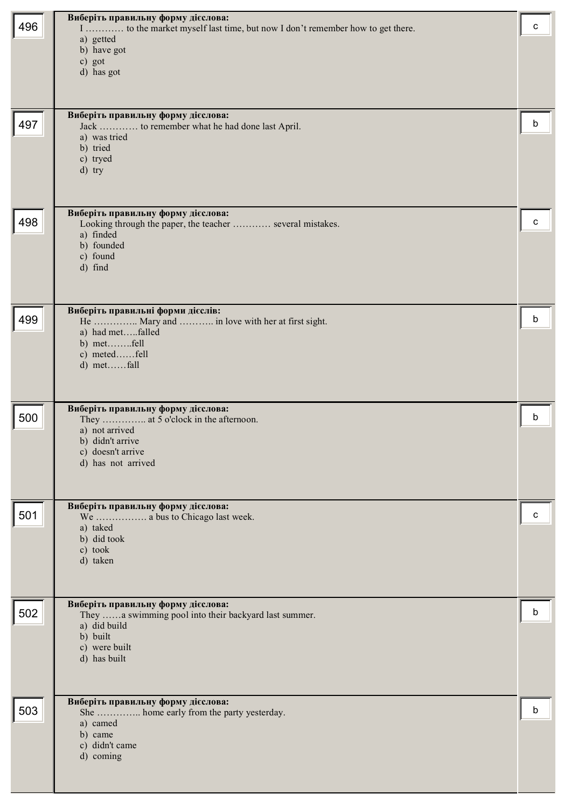|     | Виберіть правильну форму дієслова:                                                  |   |
|-----|-------------------------------------------------------------------------------------|---|
| 496 | I  to the market myself last time, but now I don't remember how to get there.       | c |
|     | a) getted<br>b) have got                                                            |   |
|     | c) got                                                                              |   |
|     | d) has got                                                                          |   |
|     |                                                                                     |   |
|     | Виберіть правильну форму дієслова:                                                  |   |
| 497 | Jack  to remember what he had done last April.<br>a) was tried                      | b |
|     | b) tried                                                                            |   |
|     | c) tryed                                                                            |   |
|     | d) try                                                                              |   |
|     |                                                                                     |   |
|     | Виберіть правильну форму дієслова:                                                  | c |
| 498 | Looking through the paper, the teacher  several mistakes.<br>a) finded              |   |
|     | b) founded                                                                          |   |
|     | c) found<br>d) find                                                                 |   |
|     |                                                                                     |   |
|     |                                                                                     |   |
| 499 | Виберіть правильні форми дієслів:<br>He  Mary and  in love with her at first sight. | b |
|     | a) had metfalled                                                                    |   |
|     | b) metfell<br>c) metedfell                                                          |   |
|     | d) metfall                                                                          |   |
|     |                                                                                     |   |
|     |                                                                                     |   |
| 500 | Виберіть правильну форму дієслова:<br>They  at 5 o'clock in the afternoon.          | b |
|     | a) not arrived                                                                      |   |
|     | b) didn't arrive<br>c) doesn't arrive                                               |   |
|     | d) has not arrived                                                                  |   |
|     |                                                                                     |   |
|     | Виберіть правильну форму дієслова:                                                  |   |
| 501 | We  a bus to Chicago last week.                                                     | c |
|     | a) taked<br>b) did took                                                             |   |
|     | c) took                                                                             |   |
|     | d) taken                                                                            |   |
|     |                                                                                     |   |
|     | Виберіть правильну форму дієслова:                                                  |   |
| 502 | They a swimming pool into their backyard last summer.<br>a) did build               | b |
|     | b) built                                                                            |   |
|     | c) were built                                                                       |   |
|     | d) has built                                                                        |   |
|     |                                                                                     |   |
| 503 | Виберіть правильну форму дієслова:                                                  | b |
|     | She  home early from the party yesterday.<br>a) camed                               |   |
|     | b) came                                                                             |   |
|     | c) didn't came<br>d) coming                                                         |   |
|     |                                                                                     |   |
|     |                                                                                     |   |
|     |                                                                                     |   |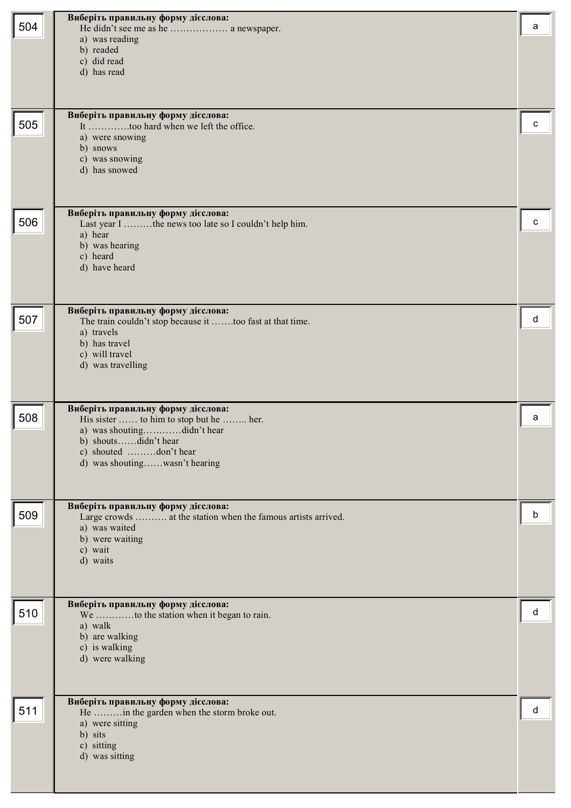|     | Виберіть правильну форму дієслова:                                                                  |   |
|-----|-----------------------------------------------------------------------------------------------------|---|
| 504 | He didn't see me as he  a newspaper.<br>a) was reading                                              | a |
|     | b) readed                                                                                           |   |
|     | c) did read<br>d) has read                                                                          |   |
|     |                                                                                                     |   |
|     |                                                                                                     |   |
|     | Виберіть правильну форму дієслова:                                                                  |   |
| 505 | It too hard when we left the office.<br>a) were snowing                                             | c |
|     | b) snows                                                                                            |   |
|     | c) was snowing<br>d) has snowed                                                                     |   |
|     |                                                                                                     |   |
|     |                                                                                                     |   |
|     | Виберіть правильну форму дієслова:                                                                  |   |
| 506 | Last year I the news too late so I couldn't help him.<br>a) hear                                    | C |
|     | b) was hearing                                                                                      |   |
|     | c) heard<br>d) have heard                                                                           |   |
|     |                                                                                                     |   |
|     |                                                                                                     |   |
|     | Виберіть правильну форму дієслова:                                                                  |   |
| 507 | The train couldn't stop because it too fast at that time.<br>a) travels                             | d |
|     | b) has travel                                                                                       |   |
|     | c) will travel<br>d) was travelling                                                                 |   |
|     |                                                                                                     |   |
|     |                                                                                                     |   |
| 508 | Виберіть правильну форму дієслова:                                                                  | a |
|     | His sister  to him to stop but he  her.<br>a) was shoutingdidn't hear                               |   |
|     | b) shoutsdidn't hear                                                                                |   |
|     | c) shouted don't hear<br>d) was shoutingwasn't hearing                                              |   |
|     |                                                                                                     |   |
|     |                                                                                                     |   |
| 509 | Виберіть правильну форму дієслова:<br>Large crowds  at the station when the famous artists arrived. | b |
|     | a) was waited                                                                                       |   |
|     | b) were waiting<br>c) wait                                                                          |   |
|     | d) waits                                                                                            |   |
|     |                                                                                                     |   |
|     |                                                                                                     |   |
| 510 | Виберіть правильну форму дієслова:<br>We to the station when it began to rain.                      | d |
|     | a) walk                                                                                             |   |
|     | b) are walking<br>c) is walking                                                                     |   |
|     | d) were walking                                                                                     |   |
|     |                                                                                                     |   |
|     |                                                                                                     |   |
| 511 | Виберіть правильну форму дієслова:<br>He in the garden when the storm broke out.                    | d |
|     | a) were sitting                                                                                     |   |
|     | b) sits<br>c) sitting                                                                               |   |
|     | d) was sitting                                                                                      |   |
|     |                                                                                                     |   |
|     |                                                                                                     |   |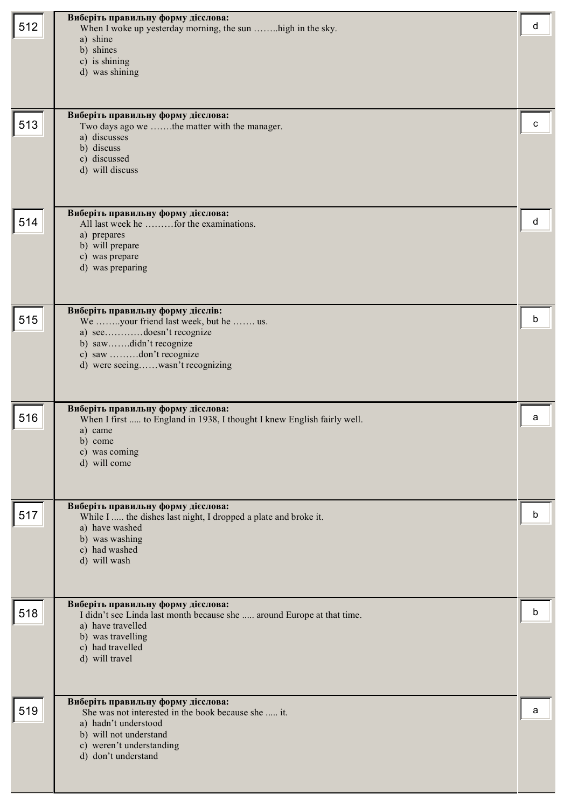| 512 | Виберіть правильну форму дієслова:<br>When I woke up yesterday morning, the sun high in the sky.<br>a) shine<br>b) shines<br>c) is shining<br>d) was shining                                   | d |
|-----|------------------------------------------------------------------------------------------------------------------------------------------------------------------------------------------------|---|
| 513 | Виберіть правильну форму дієслова:<br>Two days ago we the matter with the manager.<br>a) discusses<br>b) discuss<br>c) discussed<br>d) will discuss                                            | с |
| 514 | Виберіть правильну форму дієслова:<br>All last week he  for the examinations.<br>a) prepares<br>b) will prepare<br>c) was prepare<br>d) was preparing                                          | d |
| 515 | Виберіть правильну форму дієслів:<br>We your friend last week, but he  us.<br>a) seedoesn't recognize<br>b) sawdidn't recognize<br>c) saw don't recognize<br>d) were seeingwasn't recognizing  | b |
| 516 | Виберіть правильну форму дієслова:<br>When I first  to England in 1938, I thought I knew English fairly well.<br>a) came<br>b) come<br>c) was coming<br>d) will come                           | a |
| 517 | Виберіть правильну форму дієслова:<br>While I  the dishes last night, I dropped a plate and broke it.<br>a) have washed<br>b) was washing<br>c) had washed<br>d) will wash                     | b |
| 518 | Виберіть правильну форму дієслова:<br>I didn't see Linda last month because she  around Europe at that time.<br>a) have travelled<br>b) was travelling<br>c) had travelled<br>d) will travel   | b |
| 519 | Виберіть правильну форму дієслова:<br>She was not interested in the book because she  it.<br>a) hadn't understood<br>b) will not understand<br>c) weren't understanding<br>d) don't understand | a |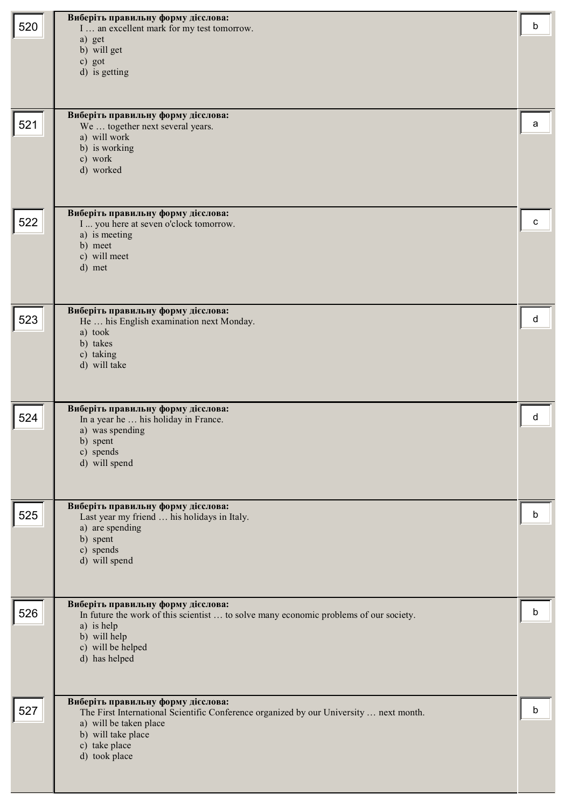| 520 | Виберіть правильну форму дієслова:<br>I  an excellent mark for my test tomorrow.                                             | b |
|-----|------------------------------------------------------------------------------------------------------------------------------|---|
|     | a) get<br>b) will get                                                                                                        |   |
|     | c) got<br>d) is getting                                                                                                      |   |
|     |                                                                                                                              |   |
|     | Виберіть правильну форму дієслова:                                                                                           |   |
| 521 | We  together next several years.<br>a) will work                                                                             | a |
|     | b) is working<br>c) work                                                                                                     |   |
|     | d) worked                                                                                                                    |   |
|     |                                                                                                                              |   |
| 522 | Виберіть правильну форму дієслова:<br>I  you here at seven o'clock tomorrow.<br>a) is meeting                                | c |
|     | b) meet<br>c) will meet                                                                                                      |   |
|     | d) met                                                                                                                       |   |
|     |                                                                                                                              |   |
| 523 | Виберіть правильну форму дієслова:<br>He  his English examination next Monday.                                               | d |
|     | a) took<br>b) takes                                                                                                          |   |
|     | c) taking<br>d) will take                                                                                                    |   |
|     |                                                                                                                              |   |
| 524 | Виберіть правильну форму дієслова:<br>In a year he  his holiday in France.                                                   | d |
|     | a) was spending<br>b) spent                                                                                                  |   |
|     | c) spends<br>d) will spend                                                                                                   |   |
|     |                                                                                                                              |   |
|     | Виберіть правильну форму дієслова:                                                                                           |   |
| 525 | Last year my friend  his holidays in Italy.<br>a) are spending                                                               | b |
|     | b) spent<br>c) spends                                                                                                        |   |
|     | d) will spend                                                                                                                |   |
|     | Виберіть правильну форму дієслова:                                                                                           |   |
| 526 | In future the work of this scientist  to solve many economic problems of our society.<br>a) is help                          | b |
|     | b) will help<br>c) will be helped                                                                                            |   |
|     | d) has helped                                                                                                                |   |
|     |                                                                                                                              |   |
| 527 | Виберіть правильну форму дієслова:<br>The First International Scientific Conference organized by our University  next month. | b |
|     | a) will be taken place<br>b) will take place                                                                                 |   |
|     | c) take place<br>d) took place                                                                                               |   |
|     |                                                                                                                              |   |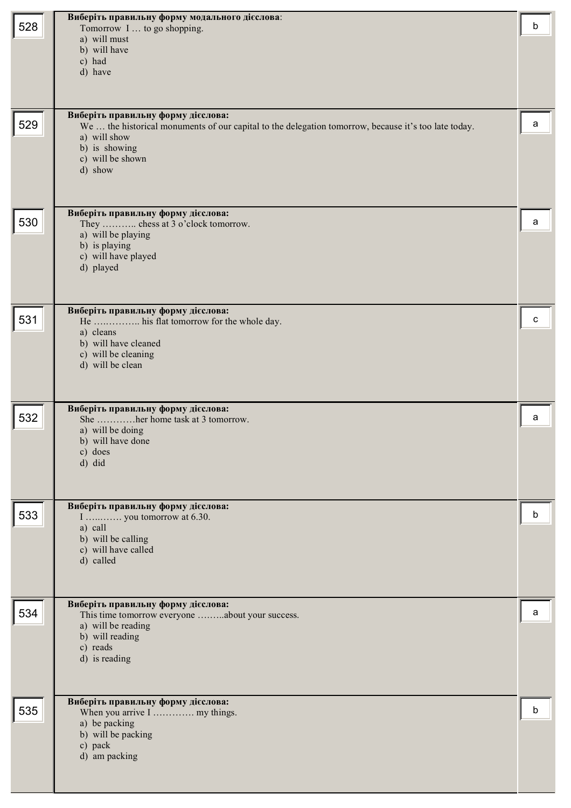| 528 | Виберіть правильну форму модального дієслова:<br>Tomorrow I  to go shopping.<br>a) will must<br>b) will have<br>c) had<br>d) have                                                                          | b |
|-----|------------------------------------------------------------------------------------------------------------------------------------------------------------------------------------------------------------|---|
| 529 | Виберіть правильну форму дієслова:<br>We  the historical monuments of our capital to the delegation tomorrow, because it's too late today.<br>a) will show<br>b) is showing<br>c) will be shown<br>d) show | a |
| 530 | Виберіть правильну форму дієслова:<br>They  chess at 3 o'clock tomorrow.<br>a) will be playing<br>b) is playing<br>c) will have played<br>d) played                                                        | a |
| 531 | Виберіть правильну форму дієслова:<br>He  his flat tomorrow for the whole day.<br>a) cleans<br>b) will have cleaned<br>c) will be cleaning<br>d) will be clean                                             | c |
| 532 | Виберіть правильну форму дієслова:<br>She her home task at 3 tomorrow.<br>a) will be doing<br>b) will have done<br>c) does<br>d) did                                                                       | a |
| 533 | Виберіть правильну форму дієслова:<br>I  you tomorrow at 6.30.<br>a) call<br>b) will be calling<br>c) will have called<br>d) called                                                                        | b |
| 534 | Виберіть правильну форму дієслова:<br>This time tomorrow everyone about your success.<br>a) will be reading<br>b) will reading<br>c) reads<br>d) is reading                                                | a |
| 535 | Виберіть правильну форму дієслова:<br>When you arrive I  my things.<br>a) be packing<br>b) will be packing<br>c) pack<br>d) am packing                                                                     | b |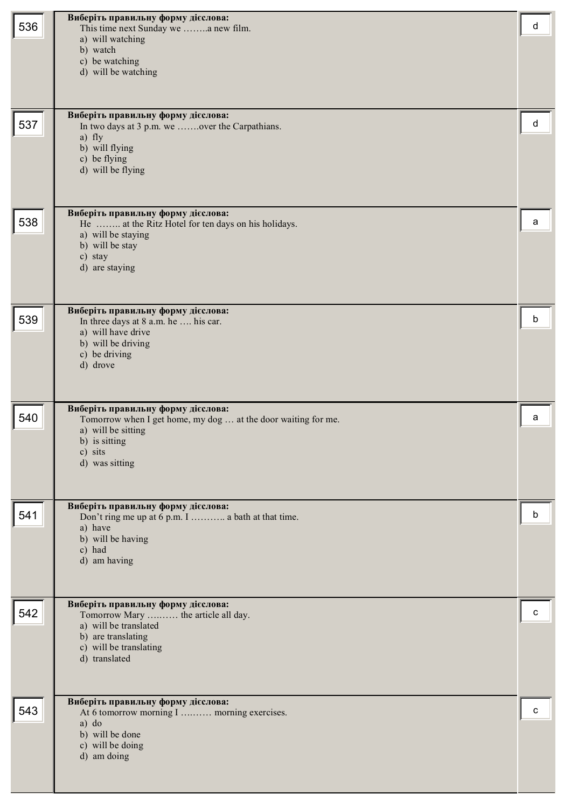| 536 | Виберіть правильну форму дієслова:<br>This time next Sunday we a new film.<br>a) will watching<br>b) watch<br>c) be watching<br>d) will be watching                     | d |
|-----|-------------------------------------------------------------------------------------------------------------------------------------------------------------------------|---|
| 537 | Виберіть правильну форму дієслова:<br>In two days at 3 p.m. we over the Carpathians.<br>a) fly<br>b) will flying<br>c) be flying<br>d) will be flying                   | d |
| 538 | Виберіть правильну форму дієслова:<br>He  at the Ritz Hotel for ten days on his holidays.<br>a) will be staying<br>b) will be stay<br>c) stay<br>d) are staying         | a |
| 539 | Виберіть правильну форму дієслова:<br>In three days at 8 a.m. he  his car.<br>a) will have drive<br>b) will be driving<br>c) be driving<br>d) drove                     | b |
| 540 | Виберіть правильну форму дієслова:<br>Tomorrow when I get home, my dog  at the door waiting for me.<br>a) will be sitting<br>b) is sitting<br>c) sits<br>d) was sitting | a |
| 541 | Виберіть правильну форму дієслова:<br>Don't ring me up at 6 p.m. I  a bath at that time.<br>a) have<br>b) will be having<br>c) had<br>d) am having                      | b |
| 542 | Виберіть правильну форму дієслова:<br>Tomorrow Mary  the article all day.<br>a) will be translated<br>b) are translating<br>c) will be translating<br>d) translated     | с |
| 543 | Виберіть правильну форму дієслова:<br>At 6 tomorrow morning I  morning exercises.<br>$a)$ do<br>b) will be done<br>c) will be doing<br>d) am doing                      | C |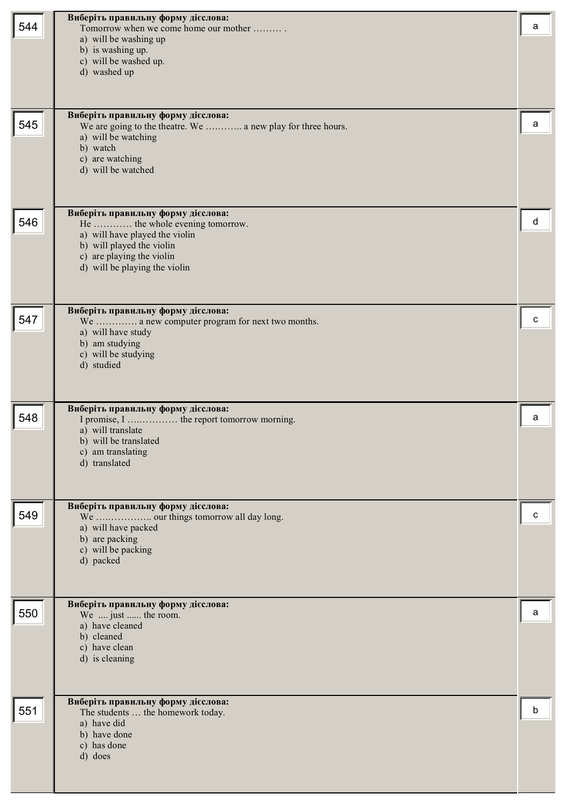| 544 | Виберіть правильну форму дієслова:<br>Tomorrow when we come home our mother<br>a) will be washing up<br>b) is washing up.<br>c) will be washed up.<br>d) washed up                                 | a |
|-----|----------------------------------------------------------------------------------------------------------------------------------------------------------------------------------------------------|---|
| 545 | Виберіть правильну форму дієслова:<br>We are going to the theatre. We  a new play for three hours.<br>a) will be watching<br>b) watch<br>c) are watching<br>d) will be watched                     | а |
| 546 | Виберіть правильну форму дієслова:<br>He  the whole evening tomorrow.<br>a) will have played the violin<br>b) will played the violin<br>c) are playing the violin<br>d) will be playing the violin | d |
| 547 | Виберіть правильну форму дієслова:<br>We  a new computer program for next two months.<br>a) will have study<br>b) am studying<br>c) will be studying<br>d) studied                                 | с |
| 548 | Виберіть правильну форму дієслова:<br>a) will translate<br>b) will be translated<br>c) am translating<br>d) translated                                                                             | a |
| 549 | Виберіть правильну форму дієслова:<br>We  our things tomorrow all day long.<br>a) will have packed<br>b) are packing<br>c) will be packing<br>d) packed                                            | c |
| 550 | Виберіть правильну форму дієслова:<br>We  just  the room.<br>a) have cleaned<br>b) cleaned<br>c) have clean<br>d) is cleaning                                                                      | a |
| 551 | Виберіть правильну форму дієслова:<br>The students  the homework today.<br>a) have did<br>b) have done<br>c) has done<br>d) does                                                                   | b |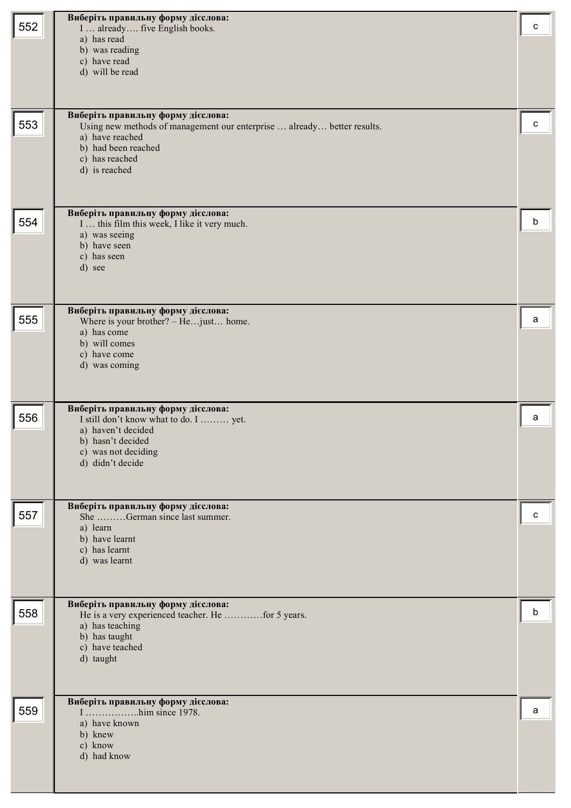|     | Виберіть правильну форму дієслова:                                                 |   |
|-----|------------------------------------------------------------------------------------|---|
| 552 | I  already  five English books.                                                    | c |
|     | a) has read                                                                        |   |
|     | b) was reading                                                                     |   |
|     | c) have read<br>d) will be read                                                    |   |
|     |                                                                                    |   |
|     |                                                                                    |   |
|     | Виберіть правильну форму дієслова:                                                 |   |
| 553 | Using new methods of management our enterprise  already better results.            | с |
|     | a) have reached                                                                    |   |
|     | b) had been reached                                                                |   |
|     | c) has reached                                                                     |   |
|     | d) is reached                                                                      |   |
|     |                                                                                    |   |
|     |                                                                                    |   |
| 554 | Виберіть правильну форму дієслова:<br>I  this film this week, I like it very much. | b |
|     | a) was seeing                                                                      |   |
|     | b) have seen                                                                       |   |
|     | c) has seen                                                                        |   |
|     | d) see                                                                             |   |
|     |                                                                                    |   |
|     | Виберіть правильну форму дієслова:                                                 |   |
| 555 | Where is your brother? - Hejust home.                                              | a |
|     | a) has come                                                                        |   |
|     | b) will comes                                                                      |   |
|     | c) have come<br>d) was coming                                                      |   |
|     |                                                                                    |   |
|     |                                                                                    |   |
|     | Виберіть правильну форму дієслова:                                                 |   |
| 556 | I still don't know what to do. I  yet.                                             | a |
|     | a) haven't decided                                                                 |   |
|     | b) hasn't decided<br>c) was not deciding                                           |   |
|     | d) didn't decide                                                                   |   |
|     |                                                                                    |   |
|     |                                                                                    |   |
|     | Виберіть правильну форму дієслова:                                                 |   |
| 557 | She German since last summer.                                                      | c |
|     | a) learn<br>b) have learnt                                                         |   |
|     | c) has learnt                                                                      |   |
|     | d) was learnt                                                                      |   |
|     |                                                                                    |   |
|     |                                                                                    |   |
| 558 | Виберіть правильну форму дієслова:                                                 | b |
|     | He is a very experienced teacher. He for 5 years.<br>a) has teaching               |   |
|     | b) has taught                                                                      |   |
|     | c) have teached                                                                    |   |
|     | d) taught                                                                          |   |
|     |                                                                                    |   |
|     |                                                                                    |   |
| 559 | Виберіть правильну форму дієслова:                                                 | a |
|     | a) have known                                                                      |   |
|     | b) knew                                                                            |   |
|     | c) know<br>d) had know                                                             |   |
|     |                                                                                    |   |
|     |                                                                                    |   |
|     |                                                                                    |   |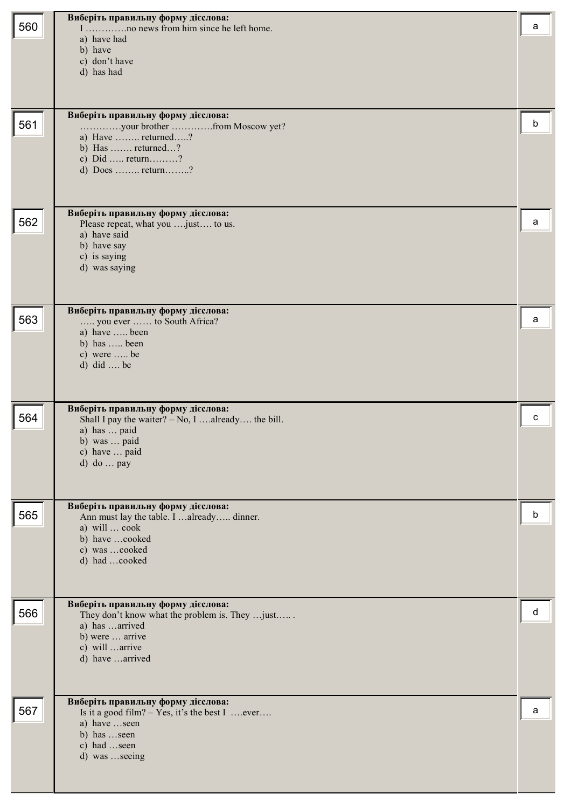|     | Виберіть правильну форму дієслова:                                                         |   |
|-----|--------------------------------------------------------------------------------------------|---|
| 560 | a) have had                                                                                | a |
|     | b) have                                                                                    |   |
|     | c) don't have                                                                              |   |
|     | d) has had                                                                                 |   |
|     |                                                                                            |   |
|     | Виберіть правильну форму дієслова:                                                         |   |
| 561 | your brother from Moscow yet?<br>a) Have  returned?                                        | b |
|     | b) Has  returned?                                                                          |   |
|     | c) Did  return?<br>d) Does  return?                                                        |   |
|     |                                                                                            |   |
|     |                                                                                            |   |
|     | Виберіть правильну форму дієслова:                                                         |   |
| 562 | Please repeat, what you  just to us.<br>a) have said                                       | a |
|     | b) have say                                                                                |   |
|     | c) is saying<br>d) was saying                                                              |   |
|     |                                                                                            |   |
|     |                                                                                            |   |
| 563 | Виберіть правильну форму дієслова:<br>you ever  to South Africa?                           | a |
|     | a) have  been                                                                              |   |
|     | b) has  been<br>c) were  be                                                                |   |
|     | d) did  be                                                                                 |   |
|     |                                                                                            |   |
|     |                                                                                            |   |
| 564 | Виберіть правильну форму дієслова:<br>Shall I pay the waiter? $-$ No, I  already the bill. | C |
|     | a) has  paid                                                                               |   |
|     | b) was  paid<br>c) have  paid                                                              |   |
|     | $d)$ do  pay                                                                               |   |
|     |                                                                                            |   |
|     | Виберіть правильну форму дієслова:                                                         |   |
| 565 | Ann must lay the table. I  already dinner.                                                 | b |
|     | a) will  cook<br>b) have cooked                                                            |   |
|     | c) was cooked                                                                              |   |
|     | d) had cooked                                                                              |   |
|     |                                                                                            |   |
|     | Виберіть правильну форму дієслова:                                                         |   |
| 566 | They don't know what the problem is. They  just                                            | d |
|     | a) has arrived<br>b) were  arrive                                                          |   |
|     | c) will arrive                                                                             |   |
|     | d) have arrived                                                                            |   |
|     |                                                                                            |   |
|     | Виберіть правильну форму дієслова:                                                         |   |
| 567 | Is it a good film? $-$ Yes, it's the best I  ever<br>a) have seen                          | a |
|     | b) has seen                                                                                |   |
|     | c) had seen                                                                                |   |
|     | d) was seeing                                                                              |   |
|     |                                                                                            |   |
|     |                                                                                            |   |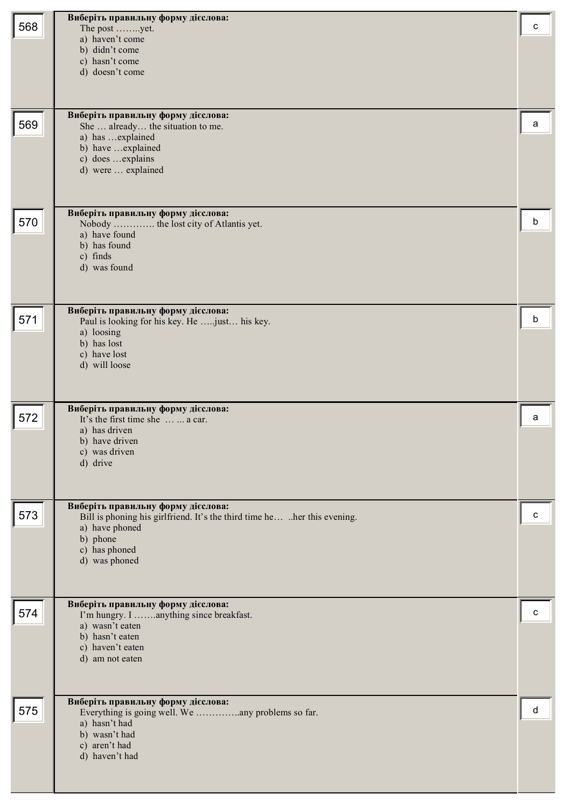| 568 | Виберіть правильну форму дієслова:<br>The post yet.<br>a) haven't come<br>b) didn't come<br>c) hasn't come<br>d) doesn't come                                                  | c |
|-----|--------------------------------------------------------------------------------------------------------------------------------------------------------------------------------|---|
| 569 | Виберіть правильну форму дієслова:<br>She  already the situation to me.<br>a) has  explained<br>b) have  explained<br>c) does  explains<br>d) were  explained                  | a |
| 570 | Виберіть правильну форму дієслова:<br>Nobody  the lost city of Atlantis yet.<br>a) have found<br>b) has found<br>c) finds<br>d) was found                                      | b |
| 571 | Виберіть правильну форму дієслова:<br>Paul is looking for his key. He  just his key.<br>a) loosing<br>b) has lost<br>c) have lost<br>d) will loose                             | b |
| 572 | Виберіть правильну форму дієслова:<br>It's the first time she   a car.<br>a) has driven<br>b) have driven<br>c) was driven<br>d) drive                                         | a |
| 573 | Виберіть правильну форму дієслова:<br>Bill is phoning his girlfriend. It's the third time he her this evening.<br>a) have phoned<br>b) phone<br>c) has phoned<br>d) was phoned | с |
| 574 | Виберіть правильну форму дієслова:<br>I'm hungry. I anything since breakfast.<br>a) wasn't eaten<br>b) hasn't eaten<br>c) haven't eaten<br>d) am not eaten                     | с |
| 575 | Виберіть правильну форму дієслова:<br>a) hasn't had<br>b) wasn't had<br>c) aren't had<br>d) haven't had                                                                        | d |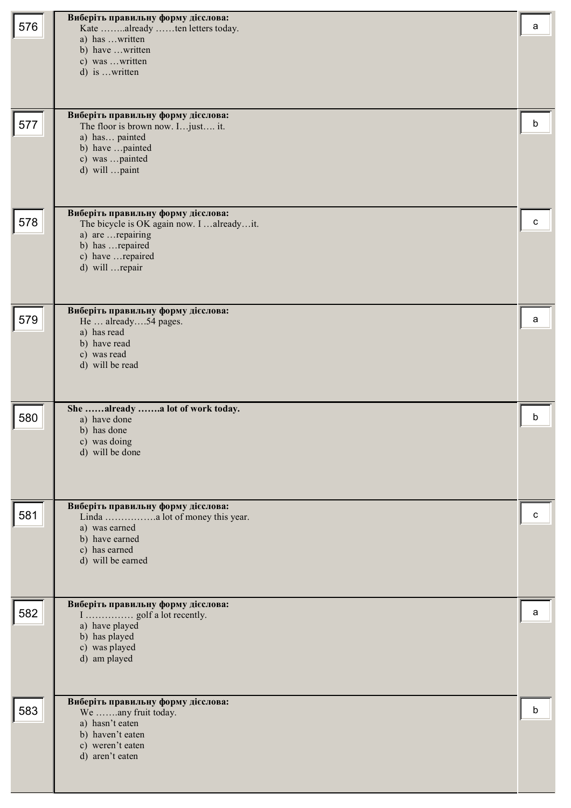| 576 | Виберіть правильну форму дієслова:<br>Kate already ten letters today.<br>a) has written                                                                           | a |
|-----|-------------------------------------------------------------------------------------------------------------------------------------------------------------------|---|
|     | b) have written<br>c) was written<br>d) is written                                                                                                                |   |
| 577 | Виберіть правильну форму дієслова:<br>The floor is brown now. I just it.<br>a) has painted<br>b) have painted<br>c) was painted<br>d) will paint                  | b |
| 578 | Виберіть правильну форму дієслова:<br>The bicycle is OK again now. I  already it.<br>a) are  repairing<br>b) has  repaired<br>c) have repaired<br>d) will  repair | c |
| 579 | Виберіть правильну форму дієслова:<br>He  already54 pages.<br>a) has read<br>b) have read<br>c) was read<br>d) will be read                                       | a |
| 580 | She already a lot of work today.<br>a) have done<br>b) has done<br>c) was doing<br>d) will be done                                                                | b |
| 581 | Виберіть правильну форму дієслова:<br>a) was earned<br>b) have earned<br>c) has earned<br>d) will be earned                                                       | c |
| 582 | Виберіть правильну форму дієслова:<br>a) have played<br>b) has played<br>c) was played<br>d) am played                                                            | а |
| 583 | Виберіть правильну форму дієслова:<br>We any fruit today.<br>a) hasn't eaten<br>b) haven't eaten<br>c) weren't eaten<br>d) aren't eaten                           | b |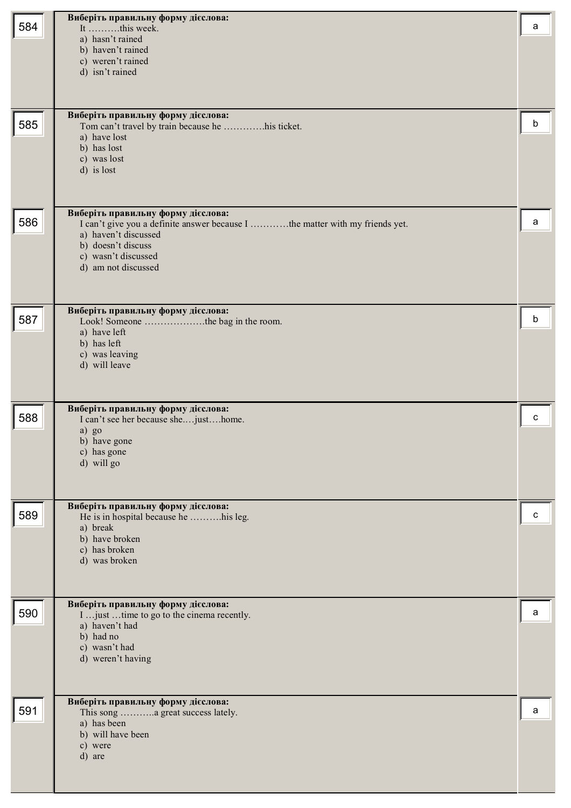| 584 | Виберіть правильну форму дієслова:<br>It this week.<br>a) hasn't rained<br>b) haven't rained<br>c) weren't rained<br>d) isn't rained<br>Виберіть правильну форму дієслова:                                     | a |
|-----|----------------------------------------------------------------------------------------------------------------------------------------------------------------------------------------------------------------|---|
| 585 | Tom can't travel by train because he his ticket.<br>a) have lost<br>b) has lost<br>c) was lost<br>d) is lost                                                                                                   | b |
| 586 | Виберіть правильну форму дієслова:<br>I can't give you a definite answer because I the matter with my friends yet.<br>a) haven't discussed<br>b) doesn't discuss<br>c) wasn't discussed<br>d) am not discussed | a |
| 587 | Виберіть правильну форму дієслова:<br>Look! Someone the bag in the room.<br>a) have left<br>b) has left<br>c) was leaving<br>d) will leave                                                                     | b |
| 588 | Виберіть правильну форму дієслова:<br>I can't see her because shejusthome.<br>a) go<br>b) have gone<br>c) has gone<br>d) will go                                                                               | c |
| 589 | Виберіть правильну форму дієслова:<br>He is in hospital because he his leg.<br>a) break<br>b) have broken<br>c) has broken<br>d) was broken                                                                    | c |
| 590 | Виберіть правильну форму дієслова:<br>I  just  time to go to the cinema recently.<br>a) haven't had<br>b) had no<br>c) wasn't had<br>d) weren't having                                                         | a |
| 591 | Виберіть правильну форму дієслова:<br>This song  a great success lately.<br>a) has been<br>b) will have been<br>c) were<br>d) are                                                                              | a |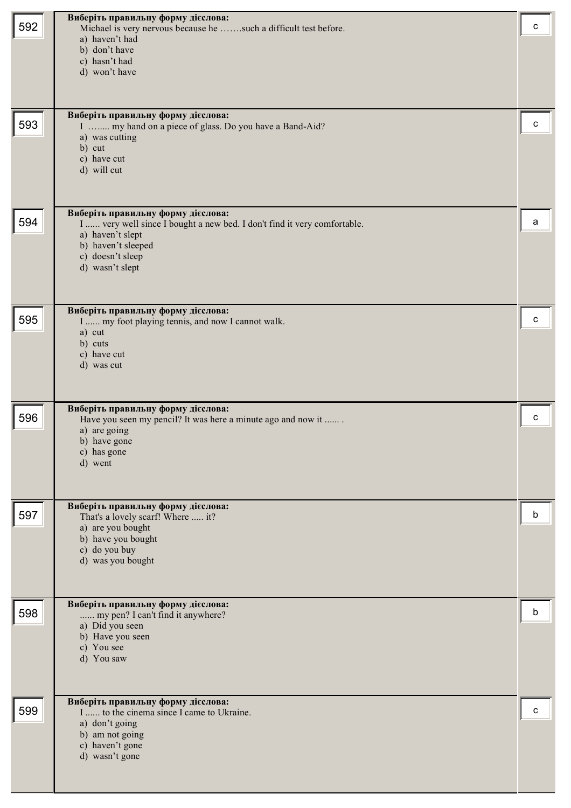| 592 | Виберіть правильну форму дієслова:<br>Michael is very nervous because he such a difficult test before.<br>a) haven't had<br>b) don't have<br>c) hasn't had<br>d) won't have                     | c |
|-----|-------------------------------------------------------------------------------------------------------------------------------------------------------------------------------------------------|---|
| 593 | Виберіть правильну форму дієслова:<br>I  my hand on a piece of glass. Do you have a Band-Aid?<br>a) was cutting<br>b) cut<br>c) have cut<br>d) will cut                                         | c |
| 594 | Виберіть правильну форму дієслова:<br>I  very well since I bought a new bed. I don't find it very comfortable.<br>a) haven't slept<br>b) haven't sleeped<br>c) doesn't sleep<br>d) wasn't slept | a |
| 595 | Виберіть правильну форму дієслова:<br>I  my foot playing tennis, and now I cannot walk.<br>a) cut<br>b) cuts<br>c) have cut<br>d) was cut                                                       | с |
| 596 | Виберіть правильну форму дієслова:<br>Have you seen my pencil? It was here a minute ago and now it<br>a) are going<br>b) have gone<br>c) has gone<br>d) went                                    | c |
| 597 | Виберіть правильну форму дієслова:<br>That's a lovely scarf! Where  it?<br>a) are you bought<br>b) have you bought<br>c) do you buy<br>d) was you bought                                        | b |
| 598 | Виберіть правильну форму дієслова:<br>my pen? I can't find it anywhere?<br>a) Did you seen<br>b) Have you seen<br>c) You see<br>d) You saw                                                      | b |
| 599 | Виберіть правильну форму дієслова:<br>I  to the cinema since I came to Ukraine.<br>a) don't going<br>b) am not going<br>c) haven't gone<br>d) wasn't gone                                       | c |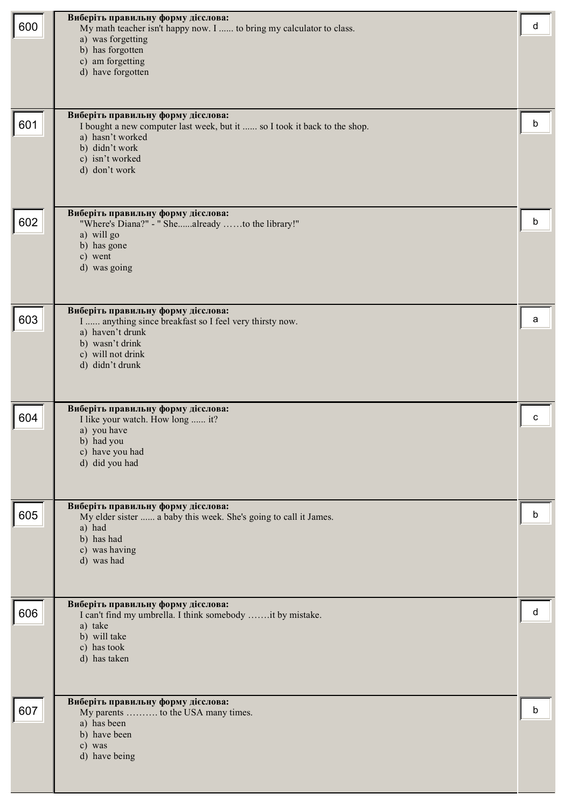| 600 | Виберіть правильну форму дієслова:<br>My math teacher isn't happy now. I  to bring my calculator to class.<br>a) was forgetting<br>b) has forgotten<br>c) am forgetting<br>d) have forgotten | d |
|-----|----------------------------------------------------------------------------------------------------------------------------------------------------------------------------------------------|---|
| 601 | Виберіть правильну форму дієслова:<br>I bought a new computer last week, but it  so I took it back to the shop.<br>a) hasn't worked<br>b) didn't work<br>c) isn't worked<br>d) don't work    | b |
| 602 | Виберіть правильну форму дієслова:<br>"Where's Diana?" - " Shealready to the library!"<br>a) will go<br>b) has gone<br>c) went<br>d) was going                                               | b |
| 603 | Виберіть правильну форму дієслова:<br>I  anything since breakfast so I feel very thirsty now.<br>a) haven't drunk<br>b) wasn't drink<br>c) will not drink<br>d) didn't drunk                 | а |
| 604 | Виберіть правильну форму дієслова:<br>I like your watch. How long  it?<br>a) you have<br>b) had you<br>c) have you had<br>d) did you had                                                     | с |
| 605 | Виберіть правильну форму дієслова:<br>My elder sister  a baby this week. She's going to call it James.<br>a) had<br>b) has had<br>c) was having<br>d) was had                                | b |
| 606 | Виберіть правильну форму дієслова:<br>I can't find my umbrella. I think somebody it by mistake.<br>a) take<br>b) will take<br>c) has took<br>d) has taken                                    | d |
| 607 | Виберіть правильну форму дієслова:<br>My parents  to the USA many times.<br>a) has been<br>b) have been<br>c) was<br>d) have being                                                           | b |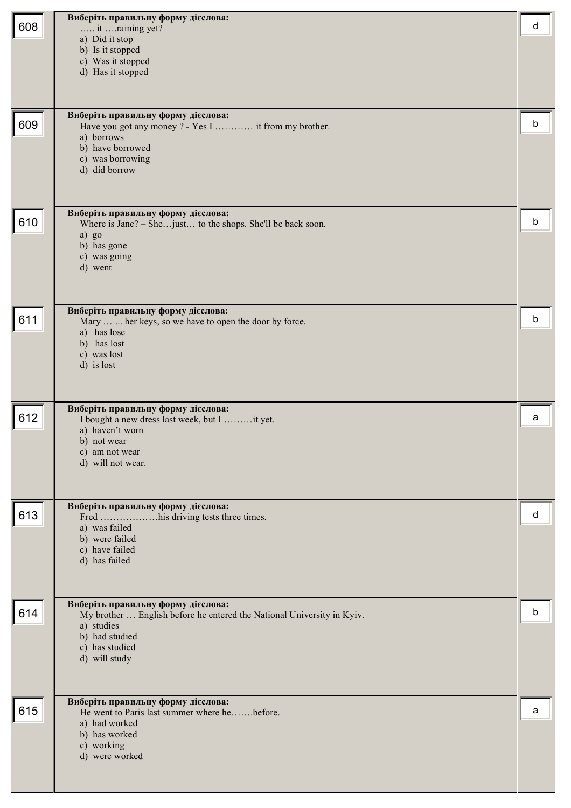| 608 | Виберіть правильну форму дієслова:<br>it raining yet?<br>a) Did it stop<br>b) Is it stopped<br>c) Was it stopped<br>d) Has it stopped                                           | d |
|-----|---------------------------------------------------------------------------------------------------------------------------------------------------------------------------------|---|
| 609 | Виберіть правильну форму дієслова:<br>Have you got any money ? - Yes I  it from my brother.<br>a) borrows<br>b) have borrowed<br>c) was borrowing<br>d) did borrow              | b |
| 610 | Виберіть правильну форму дієслова:<br>Where is Jane? - She just to the shops. She'll be back soon.<br>a) go<br>b) has gone<br>c) was going<br>d) went                           | b |
| 611 | Виберіть правильну форму дієслова:<br>Mary   her keys, so we have to open the door by force.<br>a) has lose<br>b) has lost<br>c) was lost<br>d) is lost                         | b |
| 612 | Виберіть правильну форму дієслова:<br>I bought a new dress last week, but I it yet.<br>a) haven't worn<br>b) not wear<br>c) am not wear<br>d) will not wear.                    | a |
| 613 | Виберіть правильну форму дієслова:<br>a) was failed<br>b) were failed<br>c) have failed<br>d) has failed                                                                        | d |
| 614 | Виберіть правильну форму дієслова:<br>My brother  English before he entered the National University in Kyiv.<br>a) studies<br>b) had studied<br>c) has studied<br>d) will study | b |
| 615 | Виберіть правильну форму дієслова:<br>He went to Paris last summer where hebefore.<br>a) had worked<br>b) has worked<br>c) working<br>d) were worked                            | a |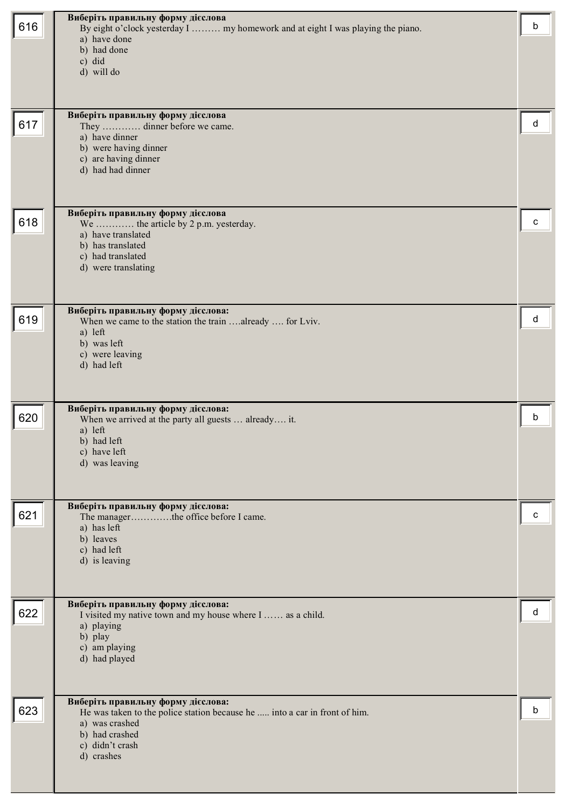| 616 | Виберіть правильну форму дієслова<br>By eight o'clock yesterday I  my homework and at eight I was playing the piano.<br>a) have done<br>b) had done<br>c) did<br>d) will do<br>Виберіть правильну форму дієслова | b |
|-----|------------------------------------------------------------------------------------------------------------------------------------------------------------------------------------------------------------------|---|
| 617 | They  dinner before we came.<br>a) have dinner<br>b) were having dinner<br>c) are having dinner<br>d) had had dinner                                                                                             | d |
| 618 | Виберіть правильну форму дієслова<br>We  the article by 2 p.m. yesterday.<br>a) have translated<br>b) has translated<br>c) had translated<br>d) were translating                                                 | c |
| 619 | Виберіть правильну форму дієслова:<br>When we came to the station the train already  for Lviv.<br>a) left<br>b) was left<br>c) were leaving<br>d) had left                                                       | d |
| 620 | Виберіть правильну форму дієслова:<br>When we arrived at the party all guests  already it.<br>a) left<br>b) had left<br>c) have left<br>d) was leaving                                                           | b |
| 621 | Виберіть правильну форму дієслова:<br>The managerthe office before I came.<br>a) has left<br>b) leaves<br>c) had left<br>d) is leaving                                                                           | c |
| 622 | Виберіть правильну форму дієслова:<br>I visited my native town and my house where I  as a child.<br>a) playing<br>b) play<br>c) am playing<br>d) had played                                                      | d |
| 623 | Виберіть правильну форму дієслова:<br>He was taken to the police station because he  into a car in front of him.<br>a) was crashed<br>b) had crashed<br>c) didn't crash<br>d) crashes                            | b |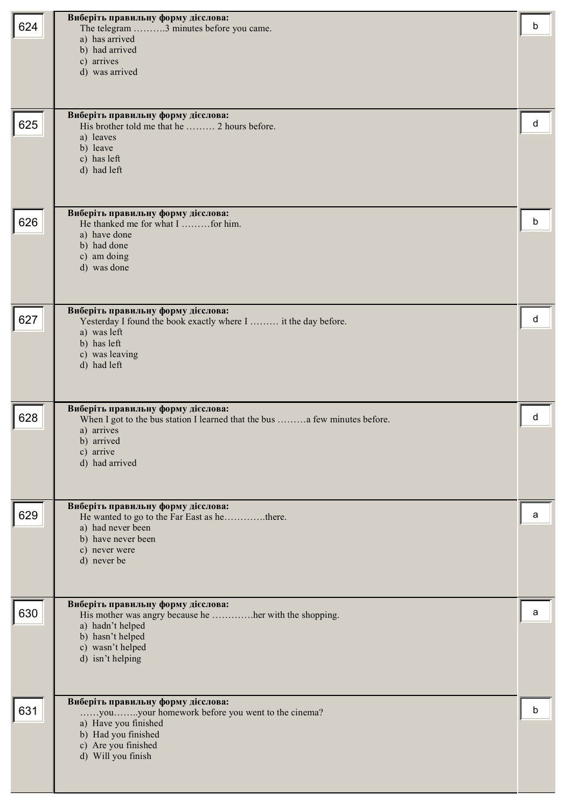|     | Виберіть правильну форму дієслова:                                                                   |   |
|-----|------------------------------------------------------------------------------------------------------|---|
| 624 | The telegram 3 minutes before you came.                                                              | b |
|     | a) has arrived                                                                                       |   |
|     | b) had arrived                                                                                       |   |
|     | c) arrives<br>d) was arrived                                                                         |   |
|     |                                                                                                      |   |
|     |                                                                                                      |   |
|     | Виберіть правильну форму дієслова:                                                                   |   |
| 625 | His brother told me that he  2 hours before.                                                         | d |
|     | a) leaves                                                                                            |   |
|     | b) leave<br>c) has left                                                                              |   |
|     | d) had left                                                                                          |   |
|     |                                                                                                      |   |
|     |                                                                                                      |   |
|     | Виберіть правильну форму дієслова:                                                                   |   |
| 626 | He thanked me for what I  for him.<br>a) have done                                                   | b |
|     | b) had done                                                                                          |   |
|     | c) am doing                                                                                          |   |
|     | d) was done                                                                                          |   |
|     |                                                                                                      |   |
|     |                                                                                                      |   |
| 627 | Виберіть правильну форму дієслова:<br>Yesterday I found the book exactly where I  it the day before. | d |
|     | a) was left                                                                                          |   |
|     | b) has left                                                                                          |   |
|     | c) was leaving                                                                                       |   |
|     | d) had left                                                                                          |   |
|     |                                                                                                      |   |
|     | Виберіть правильну форму дієслова:                                                                   |   |
| 628 | When I got to the bus station I learned that the bus  a few minutes before.                          | d |
|     | a) arrives                                                                                           |   |
|     | b) arrived<br>c) arrive                                                                              |   |
|     | d) had arrived                                                                                       |   |
|     |                                                                                                      |   |
|     |                                                                                                      |   |
| 629 | Виберіть правильну форму дієслова:<br>He wanted to go to the Far East as hethere.                    | a |
|     | a) had never been                                                                                    |   |
|     | b) have never been                                                                                   |   |
|     | c) never were                                                                                        |   |
|     | d) never be                                                                                          |   |
|     |                                                                                                      |   |
|     |                                                                                                      |   |
| 630 | Виберіть правильну форму дієслова:<br>His mother was angry because he her with the shopping.         | a |
|     | a) hadn't helped                                                                                     |   |
|     | b) hasn't helped                                                                                     |   |
|     | c) wasn't helped<br>d) isn't helping                                                                 |   |
|     |                                                                                                      |   |
|     |                                                                                                      |   |
|     | Виберіть правильну форму дієслова:                                                                   |   |
| 631 | youyour homework before you went to the cinema?                                                      | b |
|     | a) Have you finished                                                                                 |   |
|     | b) Had you finished<br>c) Are you finished                                                           |   |
|     | d) Will you finish                                                                                   |   |
|     |                                                                                                      |   |
|     |                                                                                                      |   |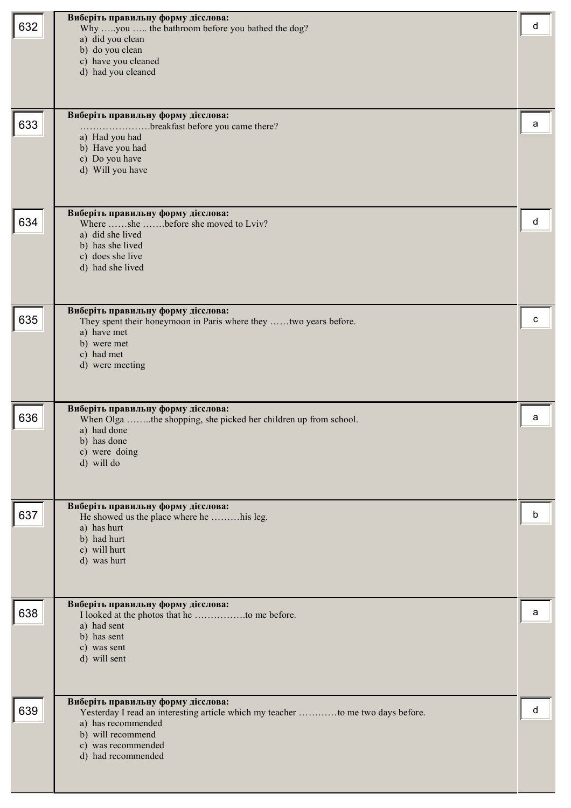| 632 | Виберіть правильну форму дієслова:<br>Why you  the bathroom before you bathed the dog?<br>a) did you clean<br>b) do you clean<br>c) have you cleaned<br>d) had you cleaned                                   | d |
|-----|--------------------------------------------------------------------------------------------------------------------------------------------------------------------------------------------------------------|---|
| 633 | Виберіть правильну форму дієслова:<br>breakfast before you came there?<br>.<br>a) Had you had<br>b) Have you had<br>c) Do you have<br>d) Will you have                                                       | a |
| 634 | Виберіть правильну форму дієслова:<br>Where she before she moved to Lviv?<br>a) did she lived<br>b) has she lived<br>c) does she live<br>d) had she lived                                                    | d |
| 635 | Виберіть правильну форму дієслова:<br>They spent their honeymoon in Paris where they two years before.<br>a) have met<br>b) were met<br>c) had met<br>d) were meeting                                        | с |
| 636 | Виберіть правильну форму дієслова:<br>When Olga the shopping, she picked her children up from school.<br>a) had done<br>b) has done<br>c) were doing<br>d) will do                                           | a |
| 637 | Виберіть правильну форму дієслова:<br>He showed us the place where he his leg.<br>a) has hurt<br>b) had hurt<br>c) will hurt<br>d) was hurt                                                                  | b |
| 638 | Виберіть правильну форму дієслова:<br>a) had sent<br>b) has sent<br>c) was sent<br>d) will sent                                                                                                              | a |
| 639 | Виберіть правильну форму дієслова:<br>Yesterday I read an interesting article which my teacher to me two days before.<br>a) has recommended<br>b) will recommend<br>c) was recommended<br>d) had recommended | d |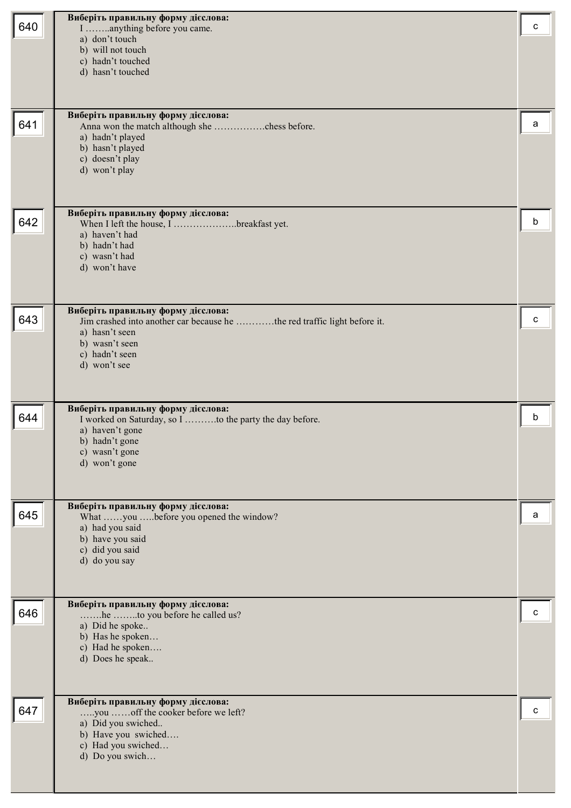|     | Виберіть правильну форму дієслова:                                                                             |   |
|-----|----------------------------------------------------------------------------------------------------------------|---|
| 640 | I anything before you came.<br>a) don't touch                                                                  | c |
|     | b) will not touch                                                                                              |   |
|     | c) hadn't touched                                                                                              |   |
|     | d) hasn't touched                                                                                              |   |
|     |                                                                                                                |   |
|     | Виберіть правильну форму дієслова:                                                                             |   |
| 641 | a) hadn't played                                                                                               | а |
|     | b) hasn't played                                                                                               |   |
|     | c) doesn't play                                                                                                |   |
|     | d) won't play                                                                                                  |   |
|     |                                                                                                                |   |
| 642 | Виберіть правильну форму дієслова:                                                                             | b |
|     | When I left the house, I breakfast yet.<br>a) haven't had                                                      |   |
|     | b) hadn't had                                                                                                  |   |
|     | c) wasn't had<br>d) won't have                                                                                 |   |
|     |                                                                                                                |   |
|     |                                                                                                                |   |
| 643 | Виберіть правильну форму дієслова:<br>Jim crashed into another car because he the red traffic light before it. | с |
|     | a) hasn't seen                                                                                                 |   |
|     | b) wasn't seen<br>c) hadn't seen                                                                               |   |
|     | d) won't see                                                                                                   |   |
|     |                                                                                                                |   |
|     |                                                                                                                |   |
| 644 | Виберіть правильну форму дієслова:<br>I worked on Saturday, so I to the party the day before.                  | b |
|     | a) haven't gone<br>b) hadn't gone                                                                              |   |
|     | c) wasn't gone                                                                                                 |   |
|     | d) won't gone                                                                                                  |   |
|     |                                                                                                                |   |
|     | Виберіть правильну форму дієслова:                                                                             |   |
| 645 | What you before you opened the window?<br>a) had you said                                                      | a |
|     | b) have you said                                                                                               |   |
|     | c) did you said<br>d) do you say                                                                               |   |
|     |                                                                                                                |   |
|     |                                                                                                                |   |
| 646 | Виберіть правильну форму дієслова:<br>he to you before he called us?                                           | с |
|     | a) Did he spoke                                                                                                |   |
|     | b) Has he spoken<br>c) Had he spoken                                                                           |   |
|     | d) Does he speak                                                                                               |   |
|     |                                                                                                                |   |
|     | Виберіть правильну форму дієслова:                                                                             |   |
| 647 | you off the cooker before we left?                                                                             | c |
|     | a) Did you swiched                                                                                             |   |
|     | b) Have you swiched<br>c) Had you swiched                                                                      |   |
|     | d) Do you swich                                                                                                |   |
|     |                                                                                                                |   |
|     |                                                                                                                |   |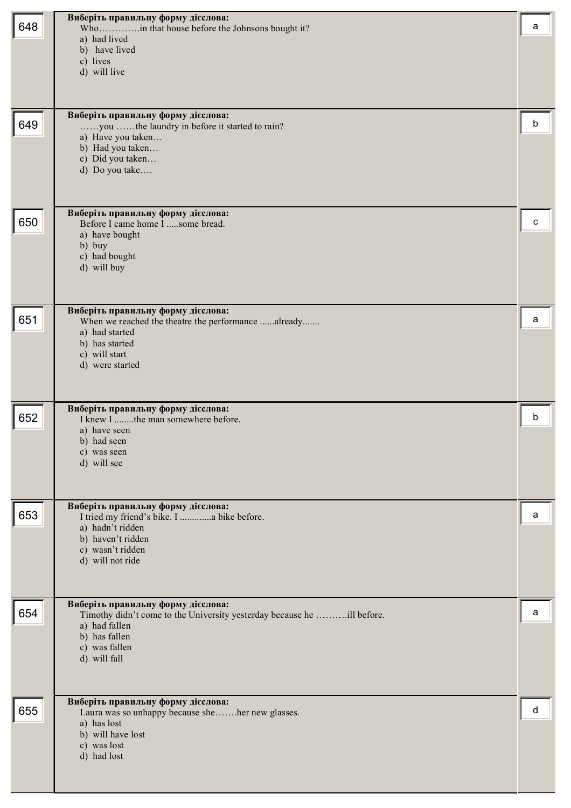|     | Виберіть правильну форму дієслова:                                                        |   |
|-----|-------------------------------------------------------------------------------------------|---|
| 648 | Whoin that house before the Johnsons bought it?                                           | a |
|     | a) had lived<br>b) have lived                                                             |   |
|     | c) lives                                                                                  |   |
|     | d) will live                                                                              |   |
|     |                                                                                           |   |
|     |                                                                                           |   |
| 649 | Виберіть правильну форму дієслова:                                                        | b |
|     | you the laundry in before it started to rain?<br>a) Have you taken                        |   |
|     | b) Had you taken                                                                          |   |
|     | c) Did you taken                                                                          |   |
|     | d) Do you take                                                                            |   |
|     |                                                                                           |   |
|     | Виберіть правильну форму дієслова:                                                        |   |
| 650 | Before I came home I some bread.                                                          | c |
|     | a) have bought<br>b) buy                                                                  |   |
|     | c) had bought                                                                             |   |
|     | d) will buy                                                                               |   |
|     |                                                                                           |   |
|     |                                                                                           |   |
| 651 | Виберіть правильну форму дієслова:<br>When we reached the theatre the performance already | a |
|     | a) had started                                                                            |   |
|     | b) has started<br>c) will start                                                           |   |
|     | d) were started                                                                           |   |
|     |                                                                                           |   |
|     |                                                                                           |   |
| 652 | Виберіть правильну форму дієслова:<br>I knew I the man somewhere before.                  | b |
|     | a) have seen                                                                              |   |
|     | b) had seen                                                                               |   |
|     | c) was seen<br>d) will see                                                                |   |
|     |                                                                                           |   |
|     |                                                                                           |   |
|     | Виберіть правильну форму дієслова:                                                        |   |
| 653 | I tried my friend's bike. I  a bike before.<br>a) hadn't ridden                           | a |
|     | b) haven't ridden                                                                         |   |
|     | c) wasn't ridden                                                                          |   |
|     | d) will not ride                                                                          |   |
|     |                                                                                           |   |
|     | Виберіть правильну форму дієслова:                                                        |   |
| 654 | Timothy didn't come to the University yesterday because he ill before.                    | a |
|     | a) had fallen<br>b) has fallen                                                            |   |
|     | c) was fallen                                                                             |   |
|     | d) will fall                                                                              |   |
|     |                                                                                           |   |
|     |                                                                                           |   |
| 655 | Виберіть правильну форму дієслова:<br>Laura was so unhappy because sheher new glasses.    | d |
|     | a) has lost                                                                               |   |
|     | b) will have lost<br>c) was lost                                                          |   |
|     | d) had lost                                                                               |   |
|     |                                                                                           |   |
|     |                                                                                           |   |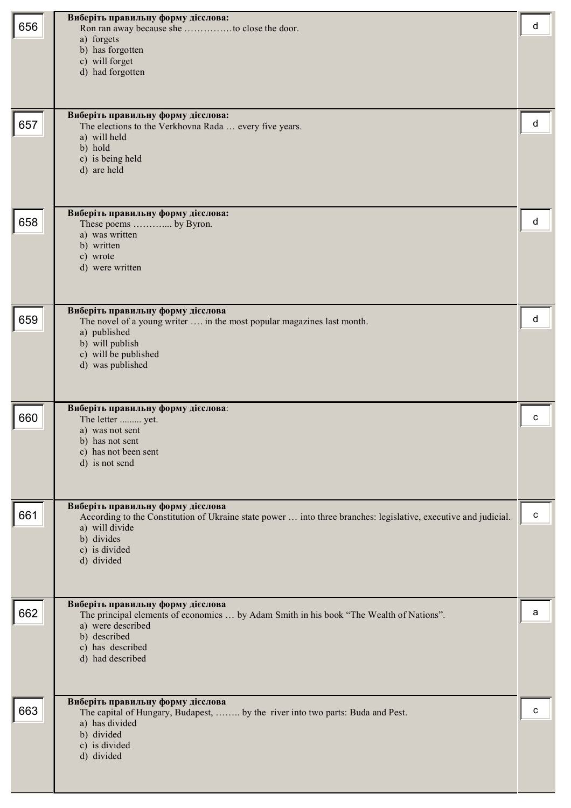| 656 | Виберіть правильну форму дієслова:<br>Ron ran away because she to close the door.<br>a) forgets<br>b) has forgotten<br>c) will forget<br>d) had forgotten                                                           | d         |
|-----|---------------------------------------------------------------------------------------------------------------------------------------------------------------------------------------------------------------------|-----------|
| 657 | Виберіть правильну форму дієслова:<br>The elections to the Verkhovna Rada  every five years.<br>a) will held<br>b) hold<br>c) is being held<br>d) are held                                                          | d         |
| 658 | Виберіть правильну форму дієслова:<br>These poems  by Byron.<br>a) was written<br>b) written<br>c) wrote<br>d) were written                                                                                         | d         |
| 659 | Виберіть правильну форму дієслова<br>The novel of a young writer  in the most popular magazines last month.<br>a) published<br>b) will publish<br>c) will be published<br>d) was published                          | d         |
| 660 | Виберіть правильну форму дієслова:<br>The letter  yet.<br>a) was not sent<br>b) has not sent<br>c) has not been sent<br>d) is not send                                                                              | с         |
| 661 | Виберіть правильну форму дієслова<br>According to the Constitution of Ukraine state power  into three branches: legislative, executive and judicial.<br>a) will divide<br>b) divides<br>c) is divided<br>d) divided | ${\bf c}$ |
| 662 | Виберіть правильну форму дієслова<br>The principal elements of economics  by Adam Smith in his book "The Wealth of Nations".<br>a) were described<br>b) described<br>c) has described<br>d) had described           | a         |
| 663 | Виберіть правильну форму дієслова<br>The capital of Hungary, Budapest,  by the river into two parts: Buda and Pest.<br>a) has divided<br>b) divided<br>c) is divided<br>d) divided                                  | C         |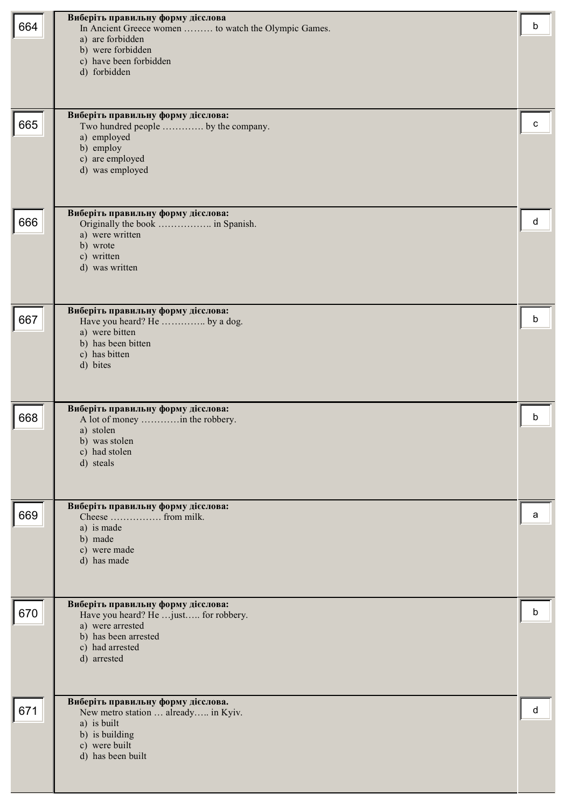| 664 | Виберіть правильну форму дієслова<br>In Ancient Greece women  to watch the Olympic Games.<br>a) are forbidden<br>b) were forbidden<br>c) have been forbidden<br>d) forbidden | b |
|-----|------------------------------------------------------------------------------------------------------------------------------------------------------------------------------|---|
| 665 | Виберіть правильну форму дієслова:<br>Two hundred people  by the company.<br>a) employed<br>b) employ<br>c) are employed<br>d) was employed                                  | c |
| 666 | Виберіть правильну форму дієслова:<br>a) were written<br>b) wrote<br>c) written<br>d) was written                                                                            | d |
| 667 | Виберіть правильну форму дієслова:<br>Have you heard? He  by a dog.<br>a) were bitten<br>b) has been bitten<br>c) has bitten<br>d) bites                                     | b |
| 668 | Виберіть правильну форму дієслова:<br>A lot of money  in the robbery.<br>a) stolen<br>b) was stolen<br>c) had stolen<br>d) steals                                            | b |
| 669 | Виберіть правильну форму дієслова:<br>Cheese  from milk.<br>a) is made<br>b) made<br>c) were made<br>d) has made                                                             | a |
| 670 | Виберіть правильну форму дієслова:<br>Have you heard? He just for robbery.<br>a) were arrested<br>b) has been arrested<br>c) had arrested<br>d) arrested                     | b |
| 671 | Виберіть правильну форму дієслова.<br>New metro station  already in Kyiv.<br>a) is built<br>b) is building<br>c) were built<br>d) has been built                             | d |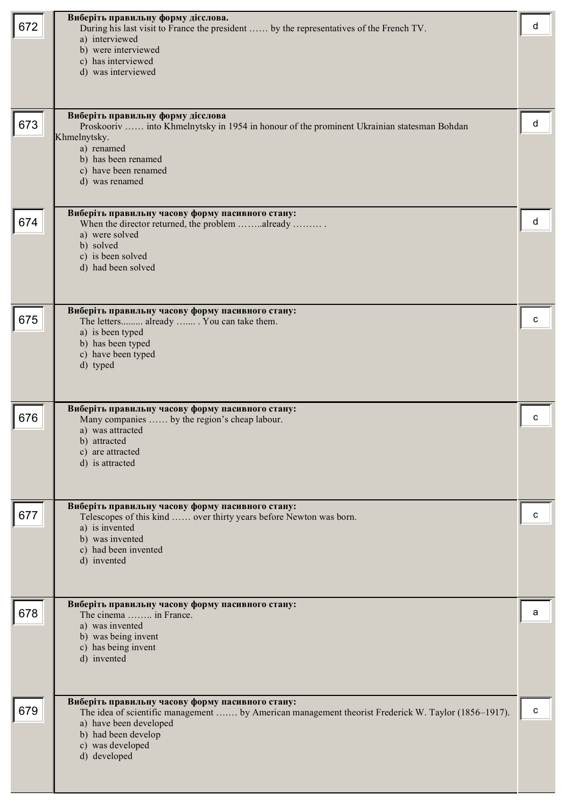|     | Виберіть правильну форму дієслова.                                                                  |   |
|-----|-----------------------------------------------------------------------------------------------------|---|
| 672 | During his last visit to France the president  by the representatives of the French TV.             | d |
|     | a) interviewed<br>b) were interviewed                                                               |   |
|     | c) has interviewed                                                                                  |   |
|     | d) was interviewed                                                                                  |   |
|     |                                                                                                     |   |
|     |                                                                                                     |   |
|     | Виберіть правильну форму дієслова                                                                   |   |
| 673 | Proskooriv  into Khmelnytsky in 1954 in honour of the prominent Ukrainian statesman Bohdan          | d |
|     | Khmelnytsky.<br>a) renamed                                                                          |   |
|     | b) has been renamed                                                                                 |   |
|     | c) have been renamed                                                                                |   |
|     | d) was renamed                                                                                      |   |
|     |                                                                                                     |   |
|     | Виберіть правильну часову форму пасивного стану:                                                    | d |
| 674 | When the director returned, the problem already<br>a) were solved                                   |   |
|     | b) solved                                                                                           |   |
|     | c) is been solved                                                                                   |   |
|     | d) had been solved                                                                                  |   |
|     |                                                                                                     |   |
|     |                                                                                                     |   |
| 675 | Виберіть правильну часову форму пасивного стану:<br>The letters already  You can take them.         | с |
|     | a) is been typed                                                                                    |   |
|     | b) has been typed                                                                                   |   |
|     | c) have been typed<br>d) typed                                                                      |   |
|     |                                                                                                     |   |
|     |                                                                                                     |   |
|     | Виберіть правильну часову форму пасивного стану:                                                    |   |
| 676 | Many companies  by the region's cheap labour.                                                       | с |
|     | a) was attracted<br>b) attracted                                                                    |   |
|     | c) are attracted                                                                                    |   |
|     | d) is attracted                                                                                     |   |
|     |                                                                                                     |   |
|     |                                                                                                     |   |
| 677 | Виберіть правильну часову форму пасивного стану:                                                    | c |
|     | Telescopes of this kind  over thirty years before Newton was born.<br>a) is invented                |   |
|     | b) was invented                                                                                     |   |
|     | c) had been invented                                                                                |   |
|     | d) invented                                                                                         |   |
|     |                                                                                                     |   |
|     |                                                                                                     |   |
| 678 | Виберіть правильну часову форму пасивного стану:<br>The cinema  in France.                          | a |
|     | a) was invented                                                                                     |   |
|     | b) was being invent                                                                                 |   |
|     | c) has being invent<br>d) invented                                                                  |   |
|     |                                                                                                     |   |
|     |                                                                                                     |   |
|     | Виберіть правильну часову форму пасивного стану:                                                    |   |
| 679 | The idea of scientific management  by American management theorist Frederick W. Taylor (1856–1917). | C |
|     | a) have been developed<br>b) had been develop                                                       |   |
|     | c) was developed                                                                                    |   |
|     | d) developed                                                                                        |   |
|     |                                                                                                     |   |
|     |                                                                                                     |   |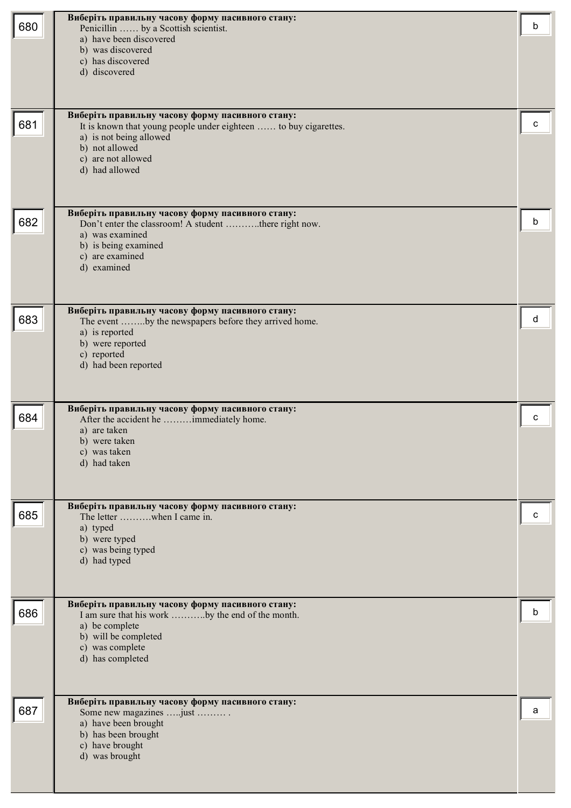| 680 | Виберіть правильну часову форму пасивного стану:<br>Penicillin  by a Scottish scientist.<br>a) have been discovered<br>b) was discovered<br>c) has discovered<br>d) discovered                            | b |
|-----|-----------------------------------------------------------------------------------------------------------------------------------------------------------------------------------------------------------|---|
| 681 | Виберіть правильну часову форму пасивного стану:<br>It is known that young people under eighteen  to buy cigarettes.<br>a) is not being allowed<br>b) not allowed<br>c) are not allowed<br>d) had allowed | с |
| 682 | Виберіть правильну часову форму пасивного стану:<br>Don't enter the classroom! A student there right now.<br>a) was examined<br>b) is being examined<br>c) are examined<br>d) examined                    | b |
| 683 | Виберіть правильну часову форму пасивного стану:<br>The event by the newspapers before they arrived home.<br>a) is reported<br>b) were reported<br>c) reported<br>d) had been reported                    | d |
| 684 | Виберіть правильну часову форму пасивного стану:<br>After the accident he immediately home.<br>a) are taken<br>b) were taken<br>c) was taken<br>d) had taken                                              | c |
| 685 | Виберіть правильну часову форму пасивного стану:<br>The letter when I came in.<br>a) typed<br>b) were typed<br>c) was being typed<br>d) had typed                                                         | c |
| 686 | Виберіть правильну часову форму пасивного стану:<br>I am sure that his work by the end of the month.<br>a) be complete<br>b) will be completed<br>c) was complete<br>d) has completed                     | b |
| 687 | Виберіть правильну часову форму пасивного стану:<br>Some new magazines  just<br>a) have been brought<br>b) has been brought<br>c) have brought<br>d) was brought                                          | a |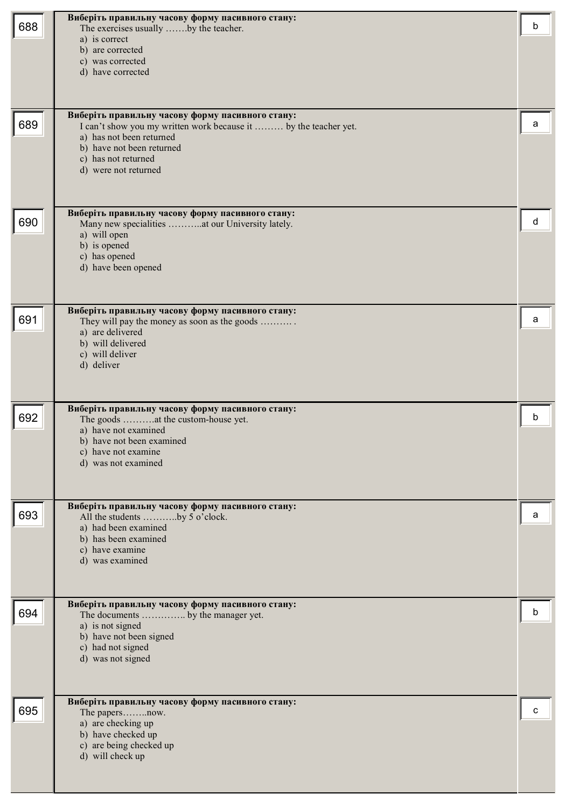| 688 | Виберіть правильну часову форму пасивного стану:<br>The exercises usually by the teacher.<br>a) is correct<br>b) are corrected<br>c) was corrected<br>d) have corrected                                                      | b |
|-----|------------------------------------------------------------------------------------------------------------------------------------------------------------------------------------------------------------------------------|---|
| 689 | Виберіть правильну часову форму пасивного стану:<br>I can't show you my written work because it  by the teacher yet.<br>a) has not been returned<br>b) have not been returned<br>c) has not returned<br>d) were not returned | а |
| 690 | Виберіть правильну часову форму пасивного стану:<br>Many new specialities at our University lately.<br>a) will open<br>b) is opened<br>c) has opened<br>d) have been opened                                                  | d |
| 691 | Виберіть правильну часову форму пасивного стану:<br>They will pay the money as soon as the goods<br>a) are delivered<br>b) will delivered<br>c) will deliver<br>d) deliver                                                   | a |
| 692 | Виберіть правильну часову форму пасивного стану:<br>The goods at the custom-house yet.<br>a) have not examined<br>b) have not been examined<br>c) have not examine<br>d) was not examined                                    | b |
| 693 | Виберіть правильну часову форму пасивного стану:<br>All the students by 5 o'clock.<br>a) had been examined<br>b) has been examined<br>c) have examine<br>d) was examined                                                     | a |
| 694 | Виберіть правильну часову форму пасивного стану:<br>The documents  by the manager yet.<br>a) is not signed<br>b) have not been signed<br>c) had not signed<br>d) was not signed                                              | b |
| 695 | Виберіть правильну часову форму пасивного стану:<br>The papersnow.<br>a) are checking up<br>b) have checked up<br>c) are being checked up<br>d) will check up                                                                | c |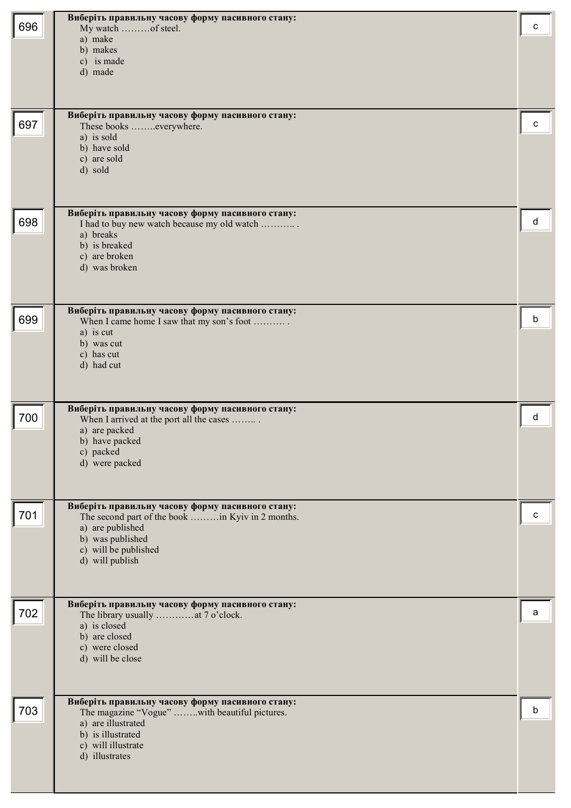| 696 | Виберіть правильну часову форму пасивного стану:<br>My watch of steel.<br>a) make<br>b) makes<br>c) is made<br>d) made                                                                  | c |
|-----|-----------------------------------------------------------------------------------------------------------------------------------------------------------------------------------------|---|
| 697 | Виберіть правильну часову форму пасивного стану:<br>These books everywhere.<br>a) is sold<br>b) have sold<br>c) are sold<br>d) sold                                                     | с |
| 698 | Виберіть правильну часову форму пасивного стану:<br>I had to buy new watch because my old watch<br>a) breaks<br>b) is breaked<br>c) are broken<br>d) was broken                         | d |
| 699 | Виберіть правильну часову форму пасивного стану:<br>When I came home I saw that my son's foot<br>a) is cut<br>b) was cut<br>c) has cut<br>d) had cut                                    | b |
| 700 | Виберіть правильну часову форму пасивного стану:<br>When I arrived at the port all the cases<br>a) are packed<br>b) have packed<br>c) packed<br>d) were packed                          | d |
| 701 | Виберіть правильну часову форму пасивного стану:<br>The second part of the book in Kyiv in 2 months.<br>a) are published<br>b) was published<br>c) will be published<br>d) will publish | c |
| 702 | Виберіть правильну часову форму пасивного стану:<br>The library usually at 7 o'clock.<br>a) is closed<br>b) are closed<br>c) were closed<br>d) will be close                            | a |
| 703 | Виберіть правильну часову форму пасивного стану:<br>The magazine "Vogue" with beautiful pictures.<br>a) are illustrated<br>b) is illustrated<br>c) will illustrate<br>d) illustrates    | b |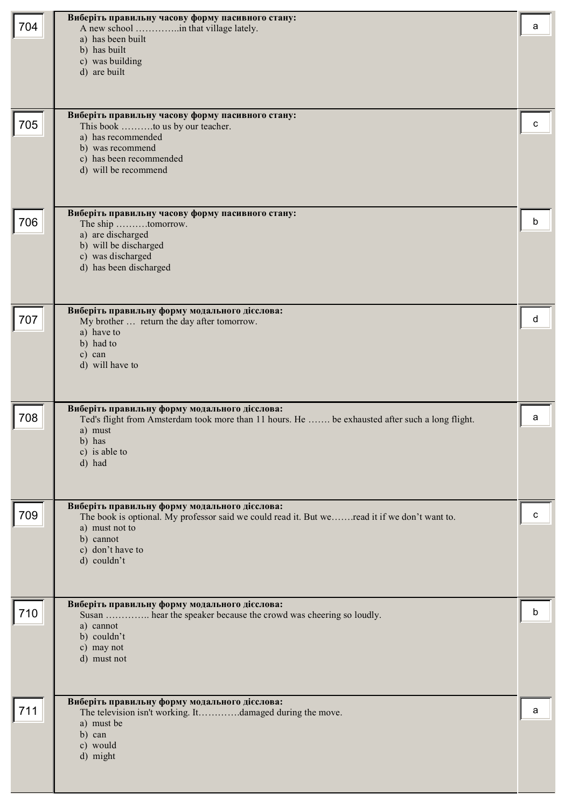| 704 | Виберіть правильну часову форму пасивного стану:<br>A new school in that village lately.<br>a) has been built<br>b) has built<br>c) was building<br>d) are built                                                 | a |
|-----|------------------------------------------------------------------------------------------------------------------------------------------------------------------------------------------------------------------|---|
| 705 | Виберіть правильну часову форму пасивного стану:<br>This book to us by our teacher.<br>a) has recommended<br>b) was recommend<br>c) has been recommended<br>d) will be recommend                                 | с |
| 706 | Виберіть правильну часову форму пасивного стану:<br>The ship tomorrow.<br>a) are discharged<br>b) will be discharged<br>c) was discharged<br>d) has been discharged                                              | b |
| 707 | Виберіть правильну форму модального дієслова:<br>My brother  return the day after tomorrow.<br>a) have to<br>b) had to<br>c) can<br>d) will have to                                                              | d |
| 708 | Виберіть правильну форму модального дієслова:<br>Ted's flight from Amsterdam took more than 11 hours. He  be exhausted after such a long flight.<br>a) must<br>b) has<br>c) is able to<br>d) had                 | a |
| 709 | Виберіть правильну форму модального дієслова:<br>The book is optional. My professor said we could read it. But we read it if we don't want to.<br>a) must not to<br>b) cannot<br>c) don't have to<br>d) couldn't | с |
| 710 | Виберіть правильну форму модального дієслова:<br>Susan  hear the speaker because the crowd was cheering so loudly.<br>a) cannot<br>b) couldn't<br>c) may not<br>d) must not                                      | b |
| 711 | Виберіть правильну форму модального дієслова:<br>The television isn't working. Itdamaged during the move.<br>a) must be<br>b) can<br>c) would<br>d) might                                                        | a |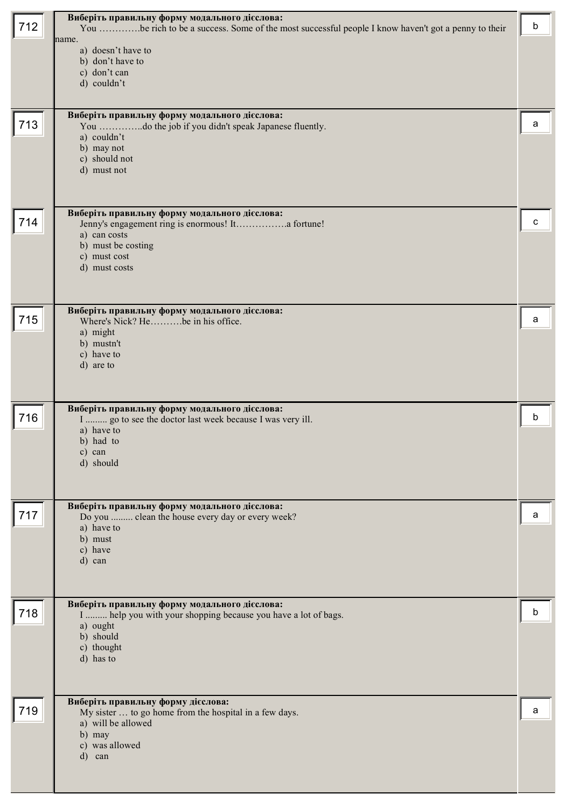| 712 | Виберіть правильну форму модального дієслова:<br>You be rich to be a success. Some of the most successful people I know haven't got a penny to their<br>name.              | b |
|-----|----------------------------------------------------------------------------------------------------------------------------------------------------------------------------|---|
|     | a) doesn't have to<br>b) don't have to<br>c) don't can<br>d) couldn't                                                                                                      |   |
| 713 | Виберіть правильну форму модального дієслова:<br>You do the job if you didn't speak Japanese fluently.<br>a) couldn't<br>b) may not<br>c) should not<br>d) must not        | a |
| 714 | Виберіть правильну форму модального дієслова:<br>Jenny's engagement ring is enormous! It a fortune!<br>a) can costs<br>b) must be costing<br>c) must cost<br>d) must costs | с |
| 715 | Виберіть правильну форму модального дієслова:<br>Where's Nick? Hebe in his office.<br>a) might<br>b) mustn't<br>c) have to<br>d) are to                                    | a |
| 716 | Виберіть правильну форму модального дієслова:<br>I  go to see the doctor last week because I was very ill.<br>a) have to<br>b) had to<br>c) can<br>d) should               | b |
| 717 | Виберіть правильну форму модального дієслова:<br>Do you  clean the house every day or every week?<br>a) have to<br>b) must<br>c) have<br>d) can                            | a |
| 718 | Виберіть правильну форму модального дієслова:<br>I  help you with your shopping because you have a lot of bags.<br>a) ought<br>b) should<br>c) thought<br>d) has to        | h |
| 719 | Виберіть правильну форму дієслова:<br>My sister  to go home from the hospital in a few days.<br>a) will be allowed<br>b) may<br>c) was allowed<br>d)<br>can                | a |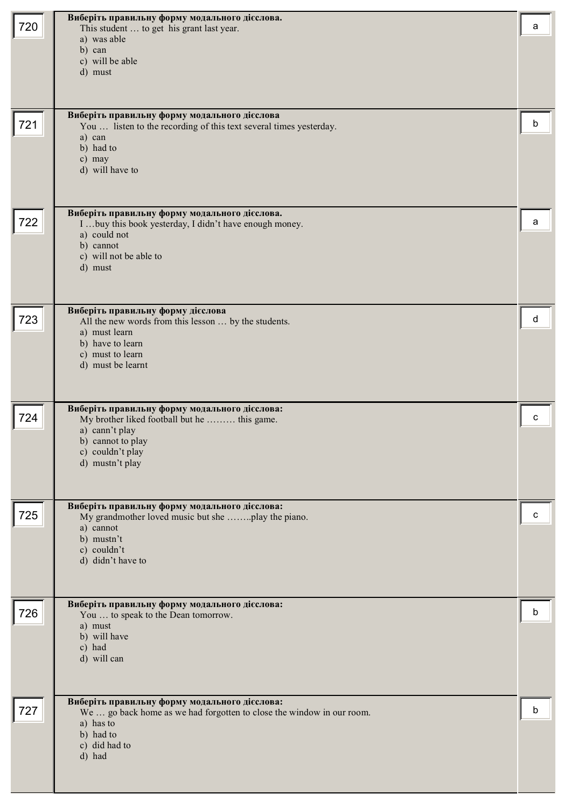| 720 | Виберіть правильну форму модального дієслова.<br>This student  to get his grant last year.<br>a) was able<br>b) can                                                         | a |
|-----|-----------------------------------------------------------------------------------------------------------------------------------------------------------------------------|---|
|     | c) will be able<br>d) must                                                                                                                                                  |   |
| 721 | Виберіть правильну форму модального дієслова<br>You  listen to the recording of this text several times yesterday.<br>a) can<br>b) had to<br>c) may<br>d) will have to      | b |
| 722 | Виберіть правильну форму модального дієслова.<br>I  buy this book yesterday, I didn't have enough money.<br>a) could not<br>b) cannot<br>c) will not be able to<br>d) must  | a |
| 723 | Виберіть правильну форму дієслова<br>All the new words from this lesson  by the students.<br>a) must learn<br>b) have to learn<br>c) must to learn<br>d) must be learnt     | d |
| 724 | Виберіть правильну форму модального дієслова:<br>My brother liked football but he  this game.<br>a) cann't play<br>b) cannot to play<br>c) couldn't play<br>d) mustn't play | C |
| 725 | Виберіть правильну форму модального дієслова:<br>My grandmother loved music but she play the piano.<br>a) cannot<br>b) mustn't<br>c) couldn't<br>d) didn't have to          | c |
| 726 | Виберіть правильну форму модального дієслова:<br>You  to speak to the Dean tomorrow.<br>a) must<br>b) will have<br>c) had<br>d) will can                                    | b |
| 727 | Виберіть правильну форму модального дієслова:<br>We  go back home as we had forgotten to close the window in our room.<br>a) has to<br>b) had to<br>c) did had to<br>d) had | b |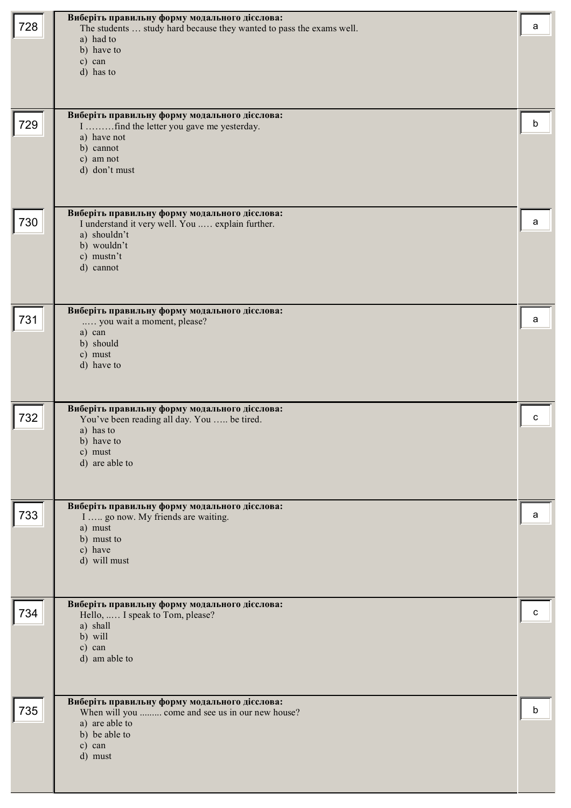| 728 | Виберіть правильну форму модального дієслова:<br>The students  study hard because they wanted to pass the exams well.<br>a) had to<br>b) have to<br>c) can<br>d) has to | a |
|-----|-------------------------------------------------------------------------------------------------------------------------------------------------------------------------|---|
| 729 | Виберіть правильну форму модального дієслова:<br>I find the letter you gave me yesterday.<br>a) have not<br>b) cannot<br>c) am not<br>d) don't must                     | b |
| 730 | Виберіть правильну форму модального дієслова:<br>I understand it very well. You  explain further.<br>a) shouldn't<br>b) wouldn't<br>c) mustn't<br>d) cannot             | a |
| 731 | Виберіть правильну форму модального дієслова:<br>you wait a moment, please?<br>a) can<br>b) should<br>c) must<br>d) have to                                             | a |
| 732 | Виберіть правильну форму модального дієслова:<br>You've been reading all day. You  be tired.<br>a) has to<br>b) have to<br>c) must<br>d) are able to                    | c |
| 733 | Виберіть правильну форму модального дієслова:<br>I   go now. My friends are waiting.<br>a) must<br>b) must to<br>c) have<br>d) will must                                | a |
| 734 | Виберіть правильну форму модального дієслова:<br>Hello,  I speak to Tom, please?<br>a) shall<br>b) will<br>c) can<br>d) am able to                                      | c |
| 735 | Виберіть правильну форму модального дієслова:<br>When will you  come and see us in our new house?<br>a) are able to<br>b) be able to<br>c) can<br>d) must               | b |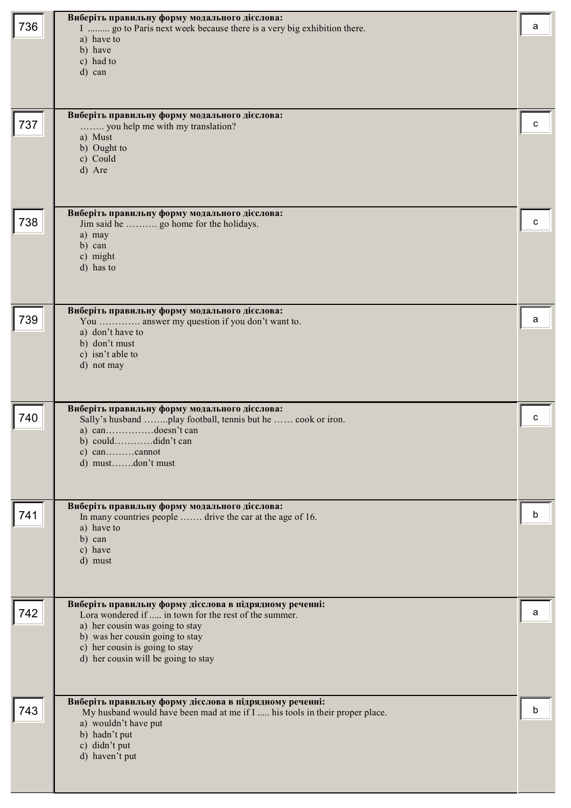| 736 | Виберіть правильну форму модального дієслова:<br>I  go to Paris next week because there is a very big exhibition there.<br>a) have to<br>b) have<br>c) had to<br>d) can                                                                                         | a |
|-----|-----------------------------------------------------------------------------------------------------------------------------------------------------------------------------------------------------------------------------------------------------------------|---|
| 737 | Виберіть правильну форму модального дієслова:<br>you help me with my translation?<br>a) Must<br>b) Ought to<br>c) Could<br>d) Are                                                                                                                               | c |
| 738 | Виберіть правильну форму модального дієслова:<br>Jim said he  go home for the holidays.<br>a) may<br>b) can<br>c) might<br>d) has to                                                                                                                            | c |
| 739 | Виберіть правильну форму модального дієслова:<br>You  answer my question if you don't want to.<br>a) don't have to<br>b) don't must<br>c) isn't able to<br>d) not may                                                                                           | a |
| 740 | Виберіть правильну форму модального дієслова:<br>Sally's husband play football, tennis but he  cook or iron.<br>a) candoesn't can<br>b) coulddidn't can<br>d) mustdon't must                                                                                    | c |
| 741 | Виберіть правильну форму модального дієслова:<br>In many countries people  drive the car at the age of 16.<br>a) have to<br>b) can<br>c) have<br>d) must                                                                                                        | b |
| 742 | Виберіть правильну форму дієслова в підрядному реченні:<br>Lora wondered if  in town for the rest of the summer.<br>a) her cousin was going to stay<br>b) was her cousin going to stay<br>c) her cousin is going to stay<br>d) her cousin will be going to stay | a |
| 743 | Виберіть правильну форму дієслова в підрядному реченні:<br>My husband would have been mad at me if I  his tools in their proper place.<br>a) wouldn't have put<br>b) hadn't put<br>c) didn't put<br>d) haven't put                                              | b |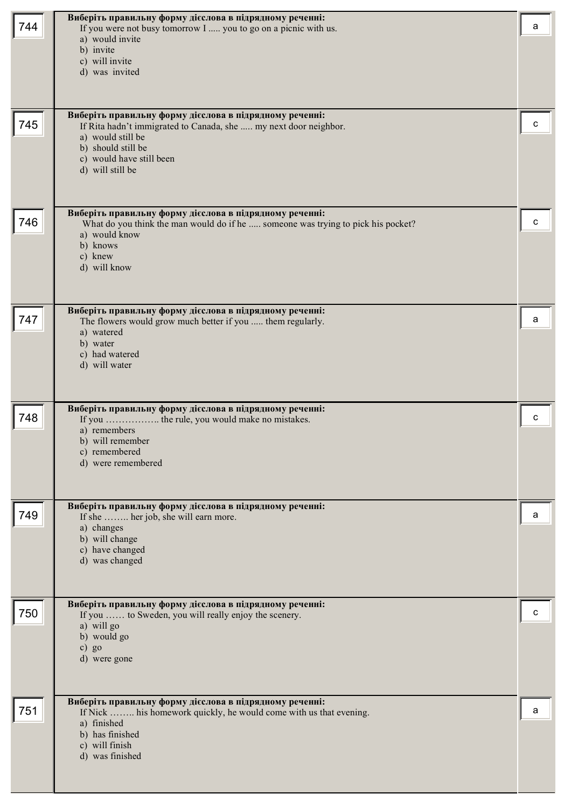| 744 | Виберіть правильну форму дієслова в підрядному реченні:<br>If you were not busy tomorrow I  you to go on a picnic with us.<br>a) would invite<br>b) invite<br>c) will invite<br>d) was invited<br>Виберіть правильну форму дієслова в підрядному реченні: | а |
|-----|-----------------------------------------------------------------------------------------------------------------------------------------------------------------------------------------------------------------------------------------------------------|---|
| 745 | If Rita hadn't immigrated to Canada, she  my next door neighbor.<br>a) would still be<br>b) should still be<br>c) would have still been<br>d) will still be                                                                                               | с |
| 746 | Виберіть правильну форму дієслова в підрядному реченні:<br>What do you think the man would do if he  someone was trying to pick his pocket?<br>a) would know<br>b) knows<br>c) knew<br>d) will know                                                       | C |
| 747 | Виберіть правильну форму дієслова в підрядному реченні:<br>The flowers would grow much better if you  them regularly.<br>a) watered<br>b) water<br>c) had watered<br>d) will water                                                                        | а |
| 748 | Виберіть правильну форму дієслова в підрядному реченні:<br>a) remembers<br>b) will remember<br>c) remembered<br>d) were remembered                                                                                                                        | C |
| 749 | Виберіть правильну форму дієслова в підрядному реченні:<br>If she  her job, she will earn more.<br>a) changes<br>b) will change<br>c) have changed<br>d) was changed                                                                                      | а |
| 750 | Виберіть правильну форму дієслова в підрядному реченні:<br>If you  to Sweden, you will really enjoy the scenery.<br>a) will go<br>b) would go<br>$c)$ go<br>d) were gone                                                                                  | с |
| 751 | Виберіть правильну форму дієслова в підрядному реченні:<br>If Nick  his homework quickly, he would come with us that evening.<br>a) finished<br>b) has finished<br>c) will finish<br>d) was finished                                                      | а |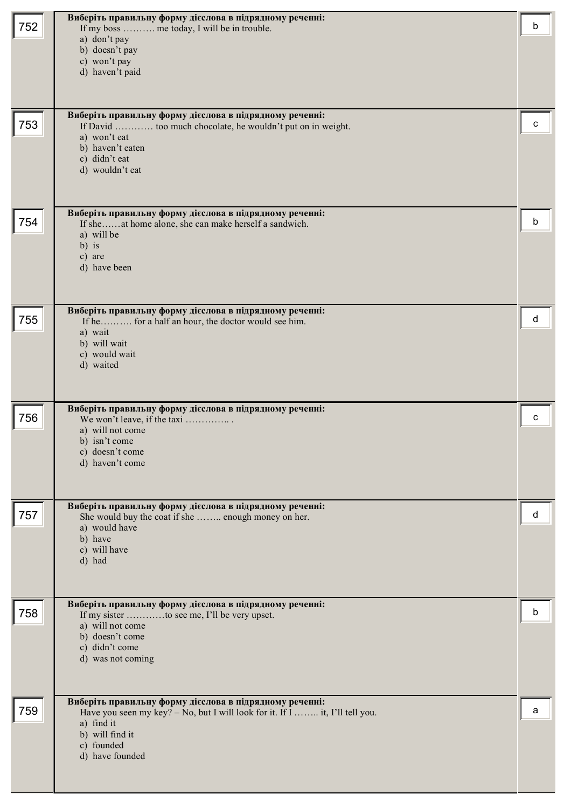| 752 | Виберіть правильну форму дієслова в підрядному реченні:<br>If my boss  me today, I will be in trouble.<br>a) don't pay<br>b) doesn't pay<br>c) won't pay<br>d) haven't paid                               | b |
|-----|-----------------------------------------------------------------------------------------------------------------------------------------------------------------------------------------------------------|---|
| 753 | Виберіть правильну форму дієслова в підрядному реченні:<br>If David  too much chocolate, he wouldn't put on in weight.<br>a) won't eat<br>b) haven't eaten<br>c) didn't eat<br>d) wouldn't eat            | с |
| 754 | Виберіть правильну форму дієслова в підрядному реченні:<br>If sheat home alone, she can make herself a sandwich.<br>a) will be<br>$b)$ is<br>c) are<br>d) have been                                       | b |
| 755 | Виберіть правильну форму дієслова в підрядному реченні:<br>If he for a half an hour, the doctor would see him.<br>a) wait<br>b) will wait<br>c) would wait<br>d) waited                                   | d |
| 756 | Виберіть правильну форму дієслова в підрядному реченні:<br>We won't leave, if the taxi<br>a) will not come<br>b) isn't come<br>c) doesn't come<br>d) haven't come                                         | C |
| 757 | Виберіть правильну форму дієслова в підрядному реченні:<br>She would buy the coat if she  enough money on her.<br>a) would have<br>b) have<br>c) will have<br>d) had                                      | d |
| 758 | Виберіть правильну форму дієслова в підрядному реченні:<br>If my sister to see me, I'll be very upset.<br>a) will not come<br>b) doesn't come<br>c) didn't come<br>d) was not coming                      | b |
| 759 | Виберіть правильну форму дієслова в підрядному реченні:<br>Have you seen my key? – No, but I will look for it. If I  it, I'll tell you.<br>a) find it<br>b) will find it<br>c) founded<br>d) have founded | a |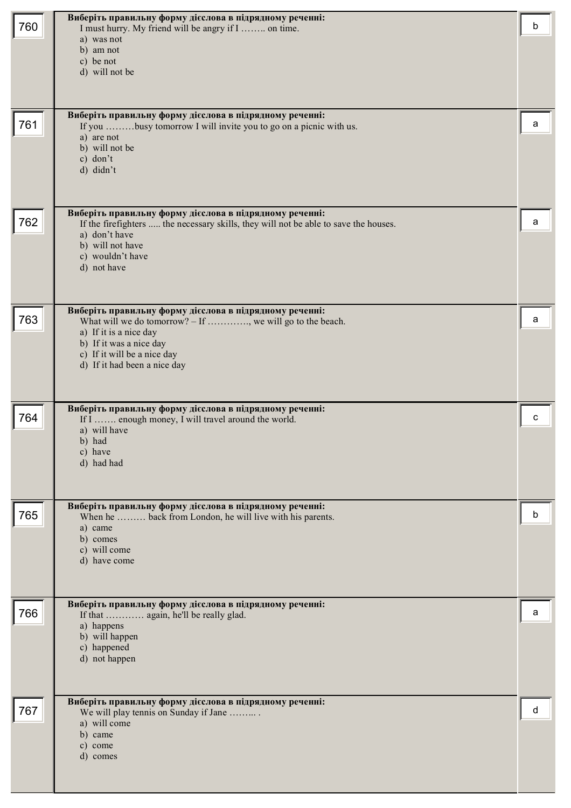| 760 | Виберіть правильну форму дієслова в підрядному реченні:<br>I must hurry. My friend will be angry if I  on time.                                 | b |
|-----|-------------------------------------------------------------------------------------------------------------------------------------------------|---|
|     | a) was not                                                                                                                                      |   |
|     | b) am not<br>c) be not                                                                                                                          |   |
|     | d) will not be                                                                                                                                  |   |
|     |                                                                                                                                                 |   |
| 761 | Виберіть правильну форму дієслова в підрядному реченні:<br>If you busy tomorrow I will invite you to go on a picnic with us.                    | а |
|     | a) are not                                                                                                                                      |   |
|     | b) will not be<br>c) don't                                                                                                                      |   |
|     | d) didn't                                                                                                                                       |   |
|     |                                                                                                                                                 |   |
| 762 | Виберіть правильну форму дієслова в підрядному реченні:<br>If the firefighters  the necessary skills, they will not be able to save the houses. | a |
|     | a) don't have                                                                                                                                   |   |
|     | b) will not have<br>c) wouldn't have                                                                                                            |   |
|     | d) not have                                                                                                                                     |   |
|     |                                                                                                                                                 |   |
| 763 | Виберіть правильну форму дієслова в підрядному реченні:<br>What will we do tomorrow? $-$ If , we will go to the beach.                          | a |
|     | a) If it is a nice day<br>b) If it was a nice day                                                                                               |   |
|     | c) If it will be a nice day                                                                                                                     |   |
|     | d) If it had been a nice day                                                                                                                    |   |
|     |                                                                                                                                                 |   |
| 764 | Виберіть правильну форму дієслова в підрядному реченні:<br>If I  enough money, I will travel around the world.                                  | с |
|     | a) will have<br>b) had                                                                                                                          |   |
|     | c) have<br>d) had had                                                                                                                           |   |
|     |                                                                                                                                                 |   |
|     | Виберіть правильну форму дієслова в підрядному реченні:                                                                                         |   |
| 765 | When he  back from London, he will live with his parents.                                                                                       | b |
|     | a) came<br>b) comes                                                                                                                             |   |
|     | c) will come<br>d) have come                                                                                                                    |   |
|     |                                                                                                                                                 |   |
|     | Виберіть правильну форму дієслова в підрядному реченні:                                                                                         |   |
| 766 | If that  again, he'll be really glad.<br>a) happens                                                                                             | а |
|     | b) will happen                                                                                                                                  |   |
|     | c) happened<br>d) not happen                                                                                                                    |   |
|     |                                                                                                                                                 |   |
| 767 | Виберіть правильну форму дієслова в підрядному реченні:                                                                                         | d |
|     | We will play tennis on Sunday if Jane<br>a) will come                                                                                           |   |
|     | b) came<br>c) come                                                                                                                              |   |
|     | d) comes                                                                                                                                        |   |
|     |                                                                                                                                                 |   |
|     |                                                                                                                                                 |   |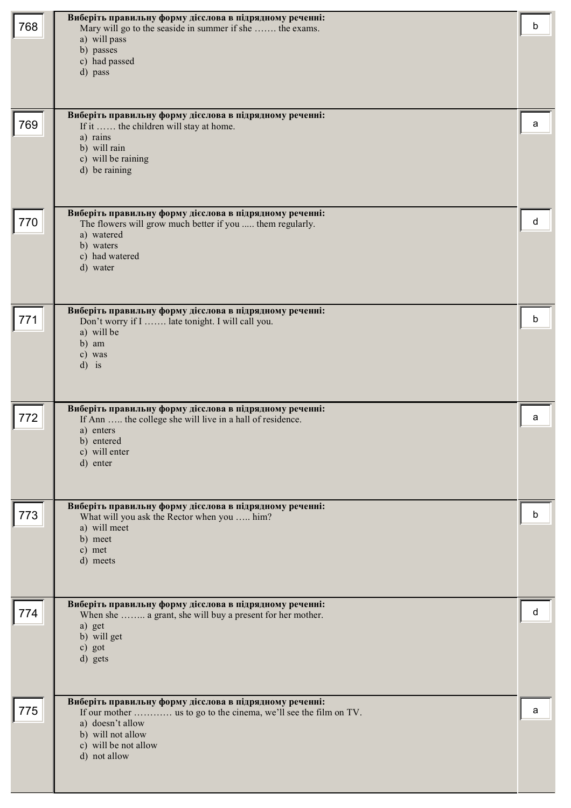| 768 | Виберіть правильну форму дієслова в підрядному реченні:<br>Mary will go to the seaside in summer if she  the exams.<br>a) will pass<br>b) passes<br>c) had passed<br>d) pass                                 | b |
|-----|--------------------------------------------------------------------------------------------------------------------------------------------------------------------------------------------------------------|---|
| 769 | Виберіть правильну форму дієслова в підрядному реченні:<br>If it  the children will stay at home.<br>a) rains<br>b) will rain<br>c) will be raining<br>d) be raining                                         | а |
| 770 | Виберіть правильну форму дієслова в підрядному реченні:<br>The flowers will grow much better if you  them regularly.<br>a) watered<br>b) waters<br>c) had watered<br>d) water                                | d |
| 771 | Виберіть правильну форму дієслова в підрядному реченні:<br>Don't worry if I  late tonight. I will call you.<br>a) will be<br>b) am<br>c) was<br>$d$ ) is                                                     | b |
| 772 | Виберіть правильну форму дієслова в підрядному реченні:<br>If Ann  the college she will live in a hall of residence.<br>a) enters<br>b) entered<br>c) will enter<br>d) enter                                 | a |
| 773 | Виберіть правильну форму дієслова в підрядному реченні:<br>What will you ask the Rector when you  him?<br>a) will meet<br>b) meet<br>c) met<br>d) meets                                                      | b |
| 774 | Виберіть правильну форму дієслова в підрядному реченні:<br>When she  a grant, she will buy a present for her mother.<br>a) get<br>b) will get<br>c) got<br>d) gets                                           | d |
| 775 | Виберіть правильну форму дієслова в підрядному реченні:<br>If our mother  us to go to the cinema, we'll see the film on TV.<br>a) doesn't allow<br>b) will not allow<br>c) will be not allow<br>d) not allow | a |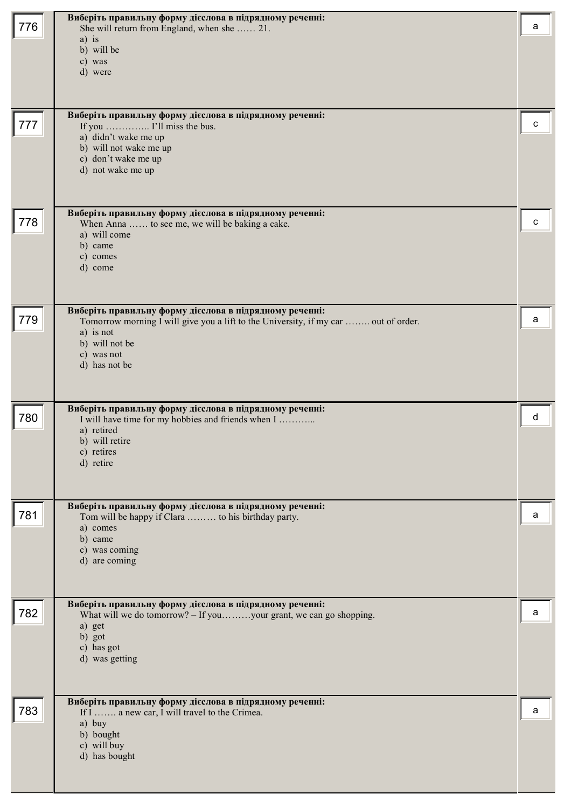| 776 | Виберіть правильну форму дієслова в підрядному реченні:<br>She will return from England, when she  21.<br>$a)$ is<br>b) will be<br>c) was<br>d) were                                                         | a |
|-----|--------------------------------------------------------------------------------------------------------------------------------------------------------------------------------------------------------------|---|
| 777 | Виберіть правильну форму дієслова в підрядному реченні:<br>If you  I'll miss the bus.<br>a) didn't wake me up<br>b) will not wake me up<br>c) don't wake me up<br>d) not wake me up                          | c |
| 778 | Виберіть правильну форму дієслова в підрядному реченні:<br>When Anna  to see me, we will be baking a cake.<br>a) will come<br>b) came<br>c) comes<br>d) come                                                 | c |
| 779 | Виберіть правильну форму дієслова в підрядному реченні:<br>Tomorrow morning I will give you a lift to the University, if my car  out of order.<br>a) is not<br>b) will not be<br>c) was not<br>d) has not be | a |
| 780 | Виберіть правильну форму дієслова в підрядному реченні:<br>I will have time for my hobbies and friends when I<br>a) retired<br>b) will retire<br>c) retires<br>d) retire                                     | d |
| 781 | Виберіть правильну форму дієслова в підрядному реченні:<br>Tom will be happy if Clara  to his birthday party.<br>a) comes<br>b) came<br>c) was coming<br>d) are coming                                       | a |
| 782 | Виберіть правильну форму дієслова в підрядному реченні:<br>What will we do tomorrow? - If youyour grant, we can go shopping.<br>a) get<br>b) got<br>c) has got<br>d) was getting                             | a |
| 783 | Виберіть правильну форму дієслова в підрядному реченні:<br>If I  a new car, I will travel to the Crimea.<br>a) buy<br>b) bought<br>c) will buy<br>d) has bought                                              | a |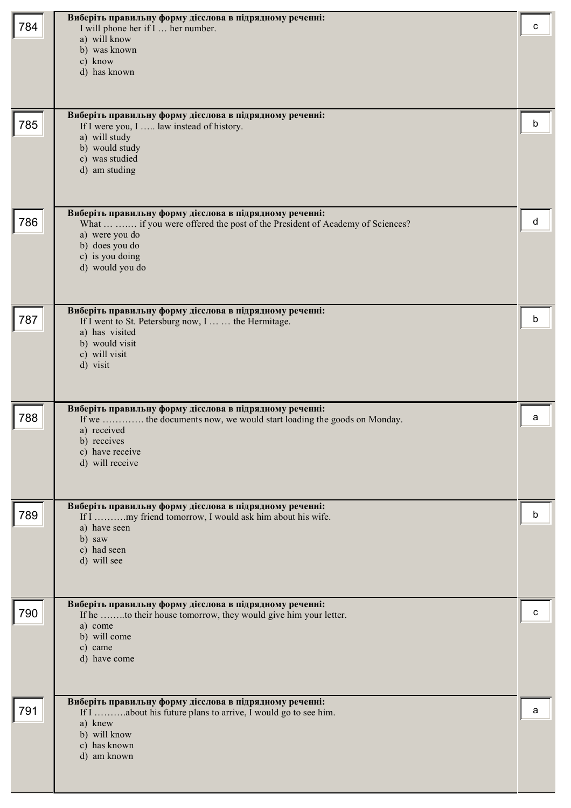| 784 | Виберіть правильну форму дієслова в підрядному реченні:                                                                                 | с |
|-----|-----------------------------------------------------------------------------------------------------------------------------------------|---|
|     | I will phone her if I  her number.<br>a) will know                                                                                      |   |
|     | b) was known<br>c) know                                                                                                                 |   |
|     | d) has known                                                                                                                            |   |
|     |                                                                                                                                         |   |
|     | Виберіть правильну форму дієслова в підрядному реченні:                                                                                 |   |
| 785 | If I were you, I  law instead of history.                                                                                               | b |
|     | a) will study<br>b) would study                                                                                                         |   |
|     | c) was studied                                                                                                                          |   |
|     | d) am studing                                                                                                                           |   |
|     |                                                                                                                                         |   |
| 786 | Виберіть правильну форму дієслова в підрядному реченні:<br>What   if you were offered the post of the President of Academy of Sciences? | d |
|     | a) were you do                                                                                                                          |   |
|     | b) does you do<br>c) is you doing                                                                                                       |   |
|     | d) would you do                                                                                                                         |   |
|     |                                                                                                                                         |   |
|     | Виберіть правильну форму дієслова в підрядному реченні:                                                                                 |   |
| 787 | If I went to St. Petersburg now, I   the Hermitage.<br>a) has visited                                                                   | b |
|     | b) would visit                                                                                                                          |   |
|     | c) will visit<br>d) visit                                                                                                               |   |
|     |                                                                                                                                         |   |
|     |                                                                                                                                         |   |
| 788 | Виберіть правильну форму дієслова в підрядному реченні:<br>If we  the documents now, we would start loading the goods on Monday.        | a |
|     | a) received<br>b) receives                                                                                                              |   |
|     | c) have receive                                                                                                                         |   |
|     | d) will receive                                                                                                                         |   |
|     |                                                                                                                                         |   |
| 789 | Виберіть правильну форму дієслова в підрядному реченні:<br>If I my friend tomorrow, I would ask him about his wife.                     | b |
|     | a) have seen                                                                                                                            |   |
|     | b) saw<br>c) had seen                                                                                                                   |   |
|     | d) will see                                                                                                                             |   |
|     |                                                                                                                                         |   |
|     | Виберіть правильну форму дієслова в підрядному реченні:                                                                                 |   |
| 790 | If he to their house tomorrow, they would give him your letter.<br>a) come                                                              | с |
|     | b) will come                                                                                                                            |   |
|     | c) came<br>d) have come                                                                                                                 |   |
|     |                                                                                                                                         |   |
|     | Виберіть правильну форму дієслова в підрядному реченні:                                                                                 |   |
| 791 | If I about his future plans to arrive, I would go to see him.                                                                           | а |
|     | a) knew<br>b) will know                                                                                                                 |   |
|     | c) has known                                                                                                                            |   |
|     | d) am known                                                                                                                             |   |
|     |                                                                                                                                         |   |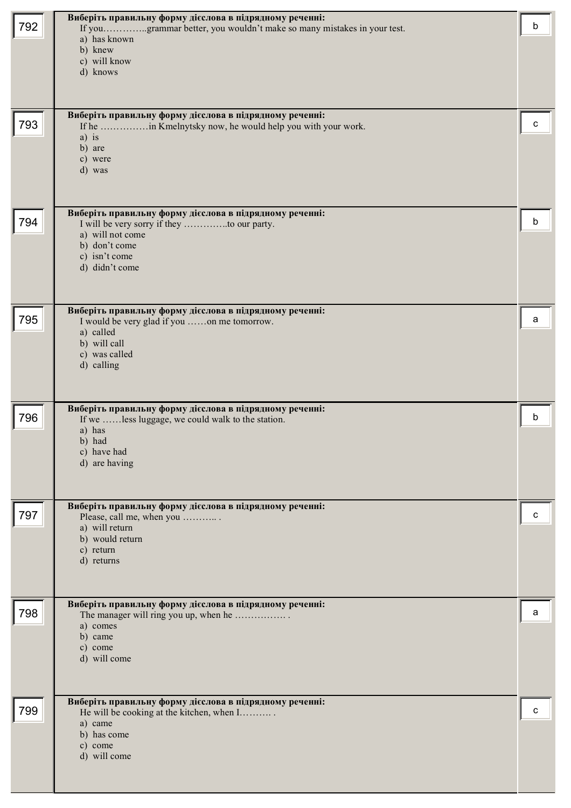| 792 | Виберіть правильну форму дієслова в підрядному реченні:<br>If yougrammar better, you wouldn't make so many mistakes in your test.<br>a) has known<br>b) knew<br>c) will know<br>d) knows | b |
|-----|------------------------------------------------------------------------------------------------------------------------------------------------------------------------------------------|---|
| 793 | Виберіть правильну форму дієслова в підрядному реченні:<br>If he in Kmelnytsky now, he would help you with your work.<br>$a)$ is<br>b) are<br>c) were<br>d) was                          | с |
| 794 | Виберіть правильну форму дієслова в підрядному реченні:<br>a) will not come<br>b) don't come<br>c) isn't come<br>d) didn't come                                                          | b |
| 795 | Виберіть правильну форму дієслова в підрядному реченні:<br>I would be very glad if you on me tomorrow.<br>a) called<br>b) will call<br>c) was called<br>d) calling                       | a |
| 796 | Виберіть правильну форму дієслова в підрядному реченні:<br>If we less luggage, we could walk to the station.<br>a) has<br>b) had<br>c) have had<br>d) are having                         | b |
| 797 | Виберіть правильну форму дієслова в підрядному реченні:<br>Please, call me, when you<br>a) will return<br>b) would return<br>c) return<br>d) returns                                     | с |
| 798 | Виберіть правильну форму дієслова в підрядному реченні:<br>The manager will ring you up, when he<br>a) comes<br>b) came<br>c) come<br>d) will come                                       | a |
| 799 | Виберіть правильну форму дієслова в підрядному реченні:<br>He will be cooking at the kitchen, when I<br>a) came<br>b) has come<br>c) come<br>d) will come                                | с |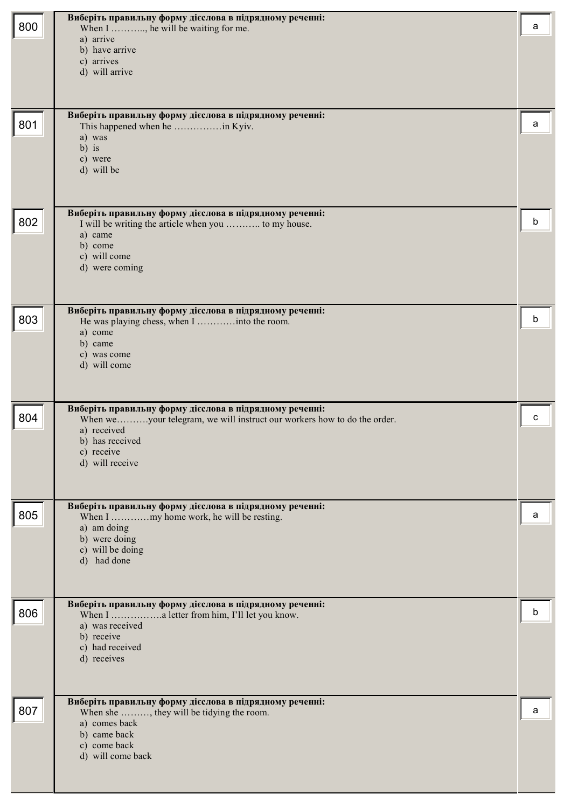| 800 | Виберіть правильну форму дієслова в підрядному реченні:<br>When I , he will be waiting for me.<br>a) arrive<br>b) have arrive<br>c) arrives<br>d) will arrive                                         | a |
|-----|-------------------------------------------------------------------------------------------------------------------------------------------------------------------------------------------------------|---|
| 801 | Виберіть правильну форму дієслова в підрядному реченні:<br>a) was<br>$b)$ is<br>c) were<br>d) will be                                                                                                 | a |
| 802 | Виберіть правильну форму дієслова в підрядному реченні:<br>I will be writing the article when you  to my house.<br>a) came<br>b) come<br>c) will come<br>d) were coming                               | b |
| 803 | Виберіть правильну форму дієслова в підрядному реченні:<br>a) come<br>b) came<br>c) was come<br>d) will come                                                                                          | b |
| 804 | Виберіть правильну форму дієслова в підрядному реченні:<br>When weyour telegram, we will instruct our workers how to do the order.<br>a) received<br>b) has received<br>c) receive<br>d) will receive | C |
| 805 | Виберіть правильну форму дієслова в підрядному реченні:<br>a) am doing<br>b) were doing<br>c) will be doing<br>d) had done                                                                            | a |
| 806 | Виберіть правильну форму дієслова в підрядному реченні:<br>a) was received<br>b) receive<br>c) had received<br>d) receives                                                                            | b |
| 807 | Виберіть правильну форму дієслова в підрядному реченні:<br>When she , they will be tidying the room.<br>a) comes back<br>b) came back<br>c) come back<br>d) will come back                            | a |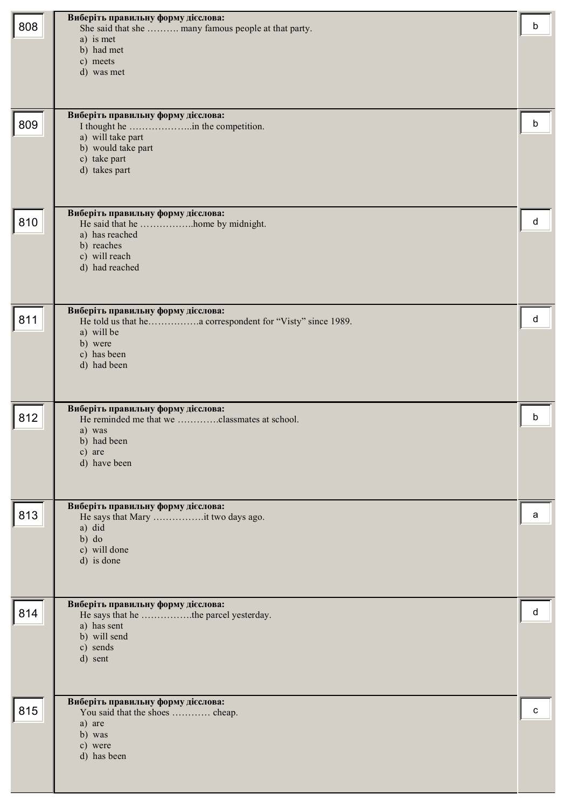| 808 | Виберіть правильну форму дієслова:<br>She said that she  many famous people at that party.<br>a) is met<br>b) had met<br>c) meets<br>d) was met | b |
|-----|-------------------------------------------------------------------------------------------------------------------------------------------------|---|
| 809 | Виберіть правильну форму дієслова:<br>a) will take part<br>b) would take part<br>c) take part<br>d) takes part                                  | b |
| 810 | Виберіть правильну форму дієслова:<br>He said that he home by midnight.<br>a) has reached<br>b) reaches<br>c) will reach<br>d) had reached      | d |
| 811 | Виберіть правильну форму дієслова:<br>a) will be<br>b) were<br>c) has been<br>d) had been                                                       | d |
| 812 | Виберіть правильну форму дієслова:<br>He reminded me that we classmates at school.<br>a) was<br>b) had been<br>c) are<br>d) have been           | b |
| 813 | Виберіть правильну форму дієслова:<br>He says that Mary it two days ago.<br>a) did<br>$b)$ do<br>c) will done<br>d) is done                     | a |
| 814 | Виберіть правильну форму дієслова:<br>He says that he the parcel yesterday.<br>a) has sent<br>b) will send<br>c) sends<br>d) sent               | d |
| 815 | Виберіть правильну форму дієслова:<br>You said that the shoes  cheap.<br>a) are<br>b) was<br>c) were<br>d) has been                             | c |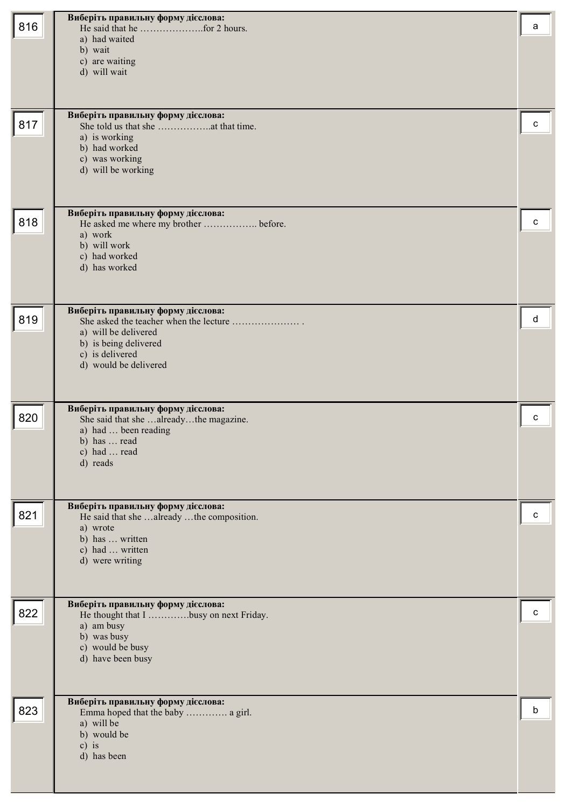| 816 | Виберіть правильну форму дієслова:<br>a) had waited<br>b) wait<br>c) are waiting<br>d) will wait<br>Виберіть правильну форму дієслова:                   | a |
|-----|----------------------------------------------------------------------------------------------------------------------------------------------------------|---|
| 817 | a) is working<br>b) had worked<br>c) was working<br>d) will be working                                                                                   | c |
| 818 | Виберіть правильну форму дієслова:<br>He asked me where my brother  before.<br>a) work<br>b) will work<br>c) had worked<br>d) has worked                 | c |
| 819 | Виберіть правильну форму дієслова:<br>a) will be delivered<br>b) is being delivered<br>c) is delivered<br>d) would be delivered                          | d |
| 820 | Виберіть правильну форму дієслова:<br>She said that she alreadythe magazine.<br>a) had  been reading<br>b) has $\ldots$ read<br>c) had  read<br>d) reads | C |
| 821 | Виберіть правильну форму дієслова:<br>He said that she already the composition.<br>a) wrote<br>b) has  written<br>c) had  written<br>d) were writing     | с |
| 822 | Виберіть правильну форму дієслова:<br>He thought that I busy on next Friday.<br>a) am busy<br>b) was busy<br>c) would be busy<br>d) have been busy       | с |
| 823 | Виберіть правильну форму дієслова:<br>Emma hoped that the baby  a girl.<br>a) will be<br>b) would be<br>$c)$ is<br>d) has been                           | b |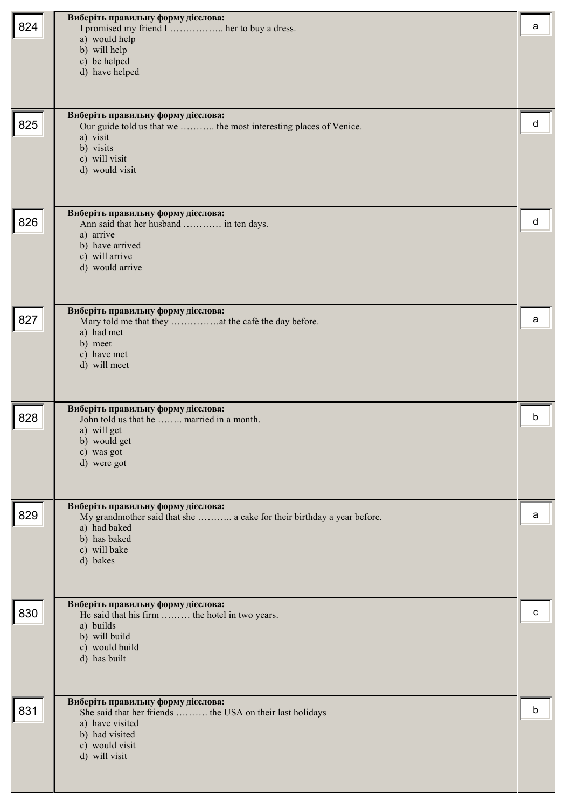| 824 | Виберіть правильну форму дієслова:<br>I promised my friend I  her to buy a dress.<br>a) would help<br>b) will help<br>c) be helped<br>d) have helped                     | a |
|-----|--------------------------------------------------------------------------------------------------------------------------------------------------------------------------|---|
| 825 | Виберіть правильну форму дієслова:<br>Our guide told us that we  the most interesting places of Venice.<br>a) visit<br>b) visits<br>c) will visit<br>d) would visit      | d |
| 826 | Виберіть правильну форму дієслова:<br>Ann said that her husband  in ten days.<br>a) arrive<br>b) have arrived<br>c) will arrive<br>d) would arrive                       | d |
| 827 | Виберіть правильну форму дієслова:<br>a) had met<br>b) meet<br>c) have met<br>d) will meet                                                                               | а |
| 828 | Виберіть правильну форму дієслова:<br>John told us that he  married in a month.<br>a) will get<br>b) would get<br>c) was got<br>d) were got                              | b |
| 829 | Виберіть правильну форму дієслова:<br>My grandmother said that she  a cake for their birthday a year before.<br>a) had baked<br>b) has baked<br>c) will bake<br>d) bakes | a |
| 830 | Виберіть правильну форму дієслова:<br>He said that his firm  the hotel in two years.<br>a) builds<br>b) will build<br>c) would build<br>d) has built                     | c |
| 831 | Виберіть правильну форму дієслова:<br>She said that her friends  the USA on their last holidays<br>a) have visited<br>b) had visited<br>c) would visit<br>d) will visit  | b |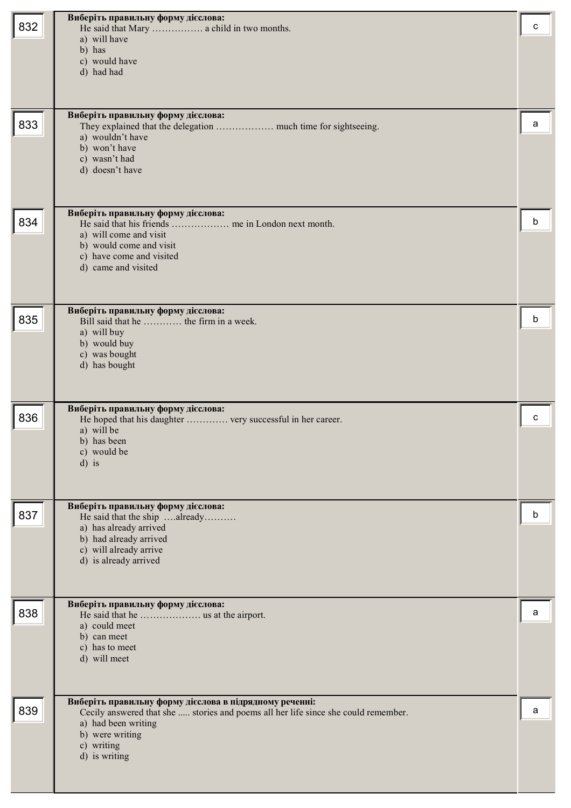|     | Виберіть правильну форму дієслова:                                                                                                            |   |
|-----|-----------------------------------------------------------------------------------------------------------------------------------------------|---|
| 832 | He said that Mary  a child in two months.                                                                                                     | с |
|     | a) will have                                                                                                                                  |   |
|     | b) has                                                                                                                                        |   |
|     | c) would have                                                                                                                                 |   |
|     | d) had had                                                                                                                                    |   |
|     |                                                                                                                                               |   |
|     |                                                                                                                                               |   |
|     |                                                                                                                                               |   |
| 833 | Виберіть правильну форму дієслова:                                                                                                            | a |
|     | a) wouldn't have                                                                                                                              |   |
|     | b) won't have                                                                                                                                 |   |
|     | c) wasn't had                                                                                                                                 |   |
|     | d) doesn't have                                                                                                                               |   |
|     |                                                                                                                                               |   |
|     |                                                                                                                                               |   |
|     |                                                                                                                                               |   |
| 834 | Виберіть правильну форму дієслова:                                                                                                            | b |
|     | a) will come and visit                                                                                                                        |   |
|     | b) would come and visit                                                                                                                       |   |
|     | c) have come and visited                                                                                                                      |   |
|     | d) came and visited                                                                                                                           |   |
|     |                                                                                                                                               |   |
|     |                                                                                                                                               |   |
|     |                                                                                                                                               |   |
| 835 | Виберіть правильну форму дієслова:<br>Bill said that he  the firm in a week.                                                                  | b |
|     | a) will buy                                                                                                                                   |   |
|     | b) would buy                                                                                                                                  |   |
|     | c) was bought                                                                                                                                 |   |
|     | d) has bought                                                                                                                                 |   |
|     |                                                                                                                                               |   |
|     |                                                                                                                                               |   |
|     | Виберіть правильну форму дієслова:                                                                                                            |   |
| 836 | He hoped that his daughter  very successful in her career.                                                                                    | C |
|     | a) will be                                                                                                                                    |   |
|     | b) has been                                                                                                                                   |   |
|     | c) would be                                                                                                                                   |   |
|     | $d$ ) is                                                                                                                                      |   |
|     |                                                                                                                                               |   |
|     |                                                                                                                                               |   |
|     | Виберіть правильну форму дієслова:                                                                                                            |   |
| 837 | He said that the ship already                                                                                                                 | b |
|     | a) has already arrived                                                                                                                        |   |
|     | b) had already arrived                                                                                                                        |   |
|     | c) will already arrive<br>d) is already arrived                                                                                               |   |
|     |                                                                                                                                               |   |
|     |                                                                                                                                               |   |
|     |                                                                                                                                               |   |
|     | Виберіть правильну форму дієслова:                                                                                                            |   |
| 838 |                                                                                                                                               | a |
|     | a) could meet<br>b) can meet                                                                                                                  |   |
|     | c) has to meet                                                                                                                                |   |
|     | d) will meet                                                                                                                                  |   |
|     |                                                                                                                                               |   |
|     |                                                                                                                                               |   |
|     |                                                                                                                                               |   |
| 839 | Виберіть правильну форму дієслова в підрядному реченні:<br>Cecily answered that she  stories and poems all her life since she could remember. | a |
|     | a) had been writing                                                                                                                           |   |
|     | b) were writing                                                                                                                               |   |
|     | c) writing                                                                                                                                    |   |
|     | d) is writing                                                                                                                                 |   |
|     |                                                                                                                                               |   |
|     |                                                                                                                                               |   |
|     |                                                                                                                                               |   |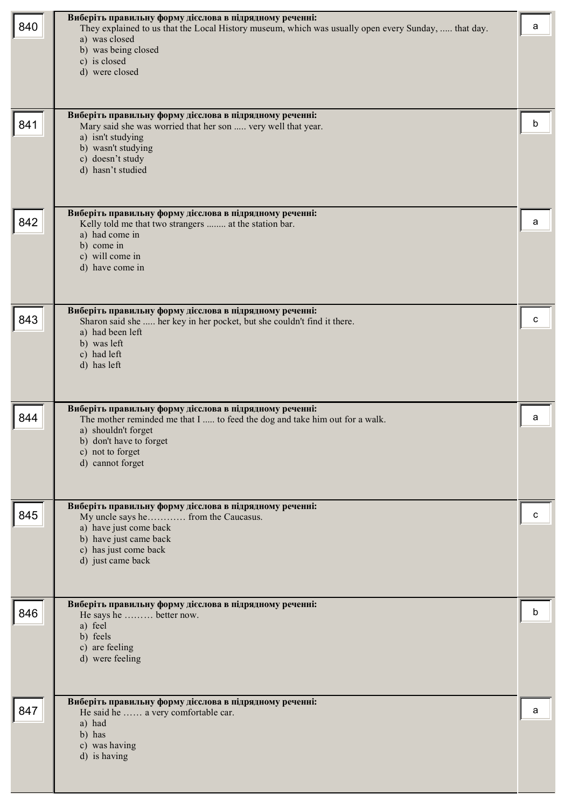| 840 | Виберіть правильну форму дієслова в підрядному реченні:<br>They explained to us that the Local History museum, which was usually open every Sunday,  that day.<br>a) was closed<br>b) was being closed<br>c) is closed<br>d) were closed | a |
|-----|------------------------------------------------------------------------------------------------------------------------------------------------------------------------------------------------------------------------------------------|---|
| 841 | Виберіть правильну форму дієслова в підрядному реченні:<br>Mary said she was worried that her son  very well that year.<br>a) isn't studying<br>b) wasn't studying<br>c) doesn't study<br>d) hasn't studied                              | h |
| 842 | Виберіть правильну форму дієслова в підрядному реченні:<br>Kelly told me that two strangers  at the station bar.<br>a) had come in<br>b) come in<br>c) will come in<br>d) have come in                                                   | а |
| 843 | Виберіть правильну форму дієслова в підрядному реченні:<br>Sharon said she  her key in her pocket, but she couldn't find it there.<br>a) had been left<br>b) was left<br>c) had left<br>d) has left                                      |   |
| 844 | Виберіть правильну форму дієслова в підрядному реченні:<br>The mother reminded me that I  to feed the dog and take him out for a walk.<br>a) shouldn't forget<br>b) don't have to forget<br>c) not to forget<br>d) cannot forget         | a |
| 845 | Виберіть правильну форму дієслова в підрядному реченні:<br>My uncle says he from the Caucasus.<br>a) have just come back<br>b) have just came back<br>c) has just come back<br>d) just came back                                         |   |
| 846 | Виберіть правильну форму дієслова в підрядному реченні:<br>He says he  better now.<br>a) feel<br>b) feels<br>c) are feeling<br>d) were feeling                                                                                           |   |
| 847 | Виберіть правильну форму дієслова в підрядному реченні:<br>He said he  a very comfortable car.<br>a) had<br>b) has<br>c) was having<br>d) is having                                                                                      | а |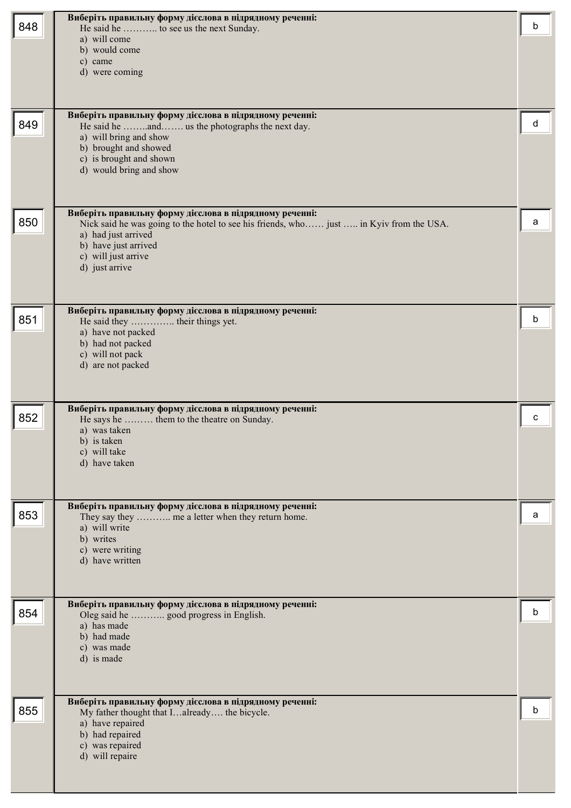| 848 | Виберіть правильну форму дієслова в підрядному реченні:<br>He said he  to see us the next Sunday.<br>a) will come<br>b) would come<br>c) came<br>d) were coming<br>Виберіть правильну форму дієслова в підрядному реченні:                 | b |
|-----|--------------------------------------------------------------------------------------------------------------------------------------------------------------------------------------------------------------------------------------------|---|
| 849 | He said he and us the photographs the next day.<br>a) will bring and show<br>b) brought and showed<br>c) is brought and shown<br>d) would bring and show                                                                                   | d |
| 850 | Виберіть правильну форму дієслова в підрядному реченні:<br>Nick said he was going to the hotel to see his friends, who just  in Kyiv from the USA.<br>a) had just arrived<br>b) have just arrived<br>c) will just arrive<br>d) just arrive | a |
| 851 | Виберіть правильну форму дієслова в підрядному реченні:<br>He said they  their things yet.<br>a) have not packed<br>b) had not packed<br>c) will not pack<br>d) are not packed                                                             | b |
| 852 | Виберіть правильну форму дієслова в підрядному реченні:<br>He says he  them to the theatre on Sunday.<br>a) was taken<br>b) is taken<br>c) will take<br>d) have taken                                                                      | c |
| 853 | Виберіть правильну форму дієслова в підрядному реченні:<br>They say they  me a letter when they return home.<br>a) will write<br>b) writes<br>c) were writing<br>d) have written                                                           | a |
| 854 | Виберіть правильну форму дієслова в підрядному реченні:<br>Oleg said he  good progress in English.<br>a) has made<br>b) had made<br>c) was made<br>d) is made                                                                              | b |
| 855 | Виберіть правильну форму дієслова в підрядному реченні:<br>My father thought that Ialready the bicycle.<br>a) have repaired<br>b) had repaired<br>c) was repaired<br>d) will repaire                                                       | b |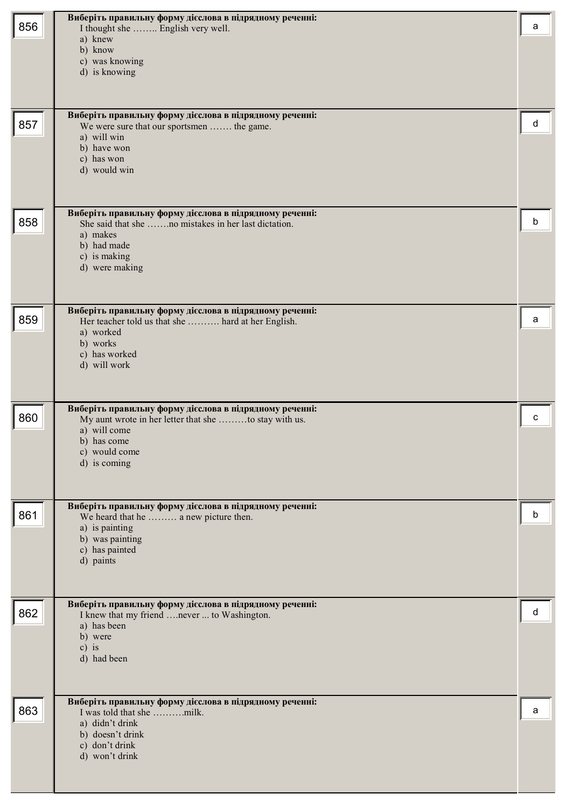| 856 | Виберіть правильну форму дієслова в підрядному реченні:<br>I thought she  English very well.<br>a) knew<br>b) know<br>c) was knowing<br>d) is knowing                            | a |
|-----|----------------------------------------------------------------------------------------------------------------------------------------------------------------------------------|---|
| 857 | Виберіть правильну форму дієслова в підрядному реченні:<br>We were sure that our sportsmen  the game.<br>a) will win<br>b) have won<br>c) has won<br>d) would win                | d |
| 858 | Виберіть правильну форму дієслова в підрядному реченні:<br>She said that she no mistakes in her last dictation.<br>a) makes<br>b) had made<br>c) is making<br>d) were making     | b |
| 859 | Виберіть правильну форму дієслова в підрядному реченні:<br>Her teacher told us that she  hard at her English.<br>a) worked<br>b) works<br>c) has worked<br>d) will work          | a |
| 860 | Виберіть правильну форму дієслова в підрядному реченні:<br>My aunt wrote in her letter that she to stay with us.<br>a) will come<br>b) has come<br>c) would come<br>d) is coming | c |
| 861 | Виберіть правильну форму дієслова в підрядному реченні:<br>We heard that he  a new picture then.<br>a) is painting<br>b) was painting<br>c) has painted<br>d) paints             | b |
| 862 | Виберіть правильну форму дієслова в підрядному реченні:<br>I knew that my friend  never  to Washington.<br>a) has been<br>b) were<br>$c)$ is<br>d) had been                      | d |
| 863 | Виберіть правильну форму дієслова в підрядному реченні:<br>a) didn't drink<br>b) doesn't drink<br>c) don't drink<br>d) won't drink                                               | a |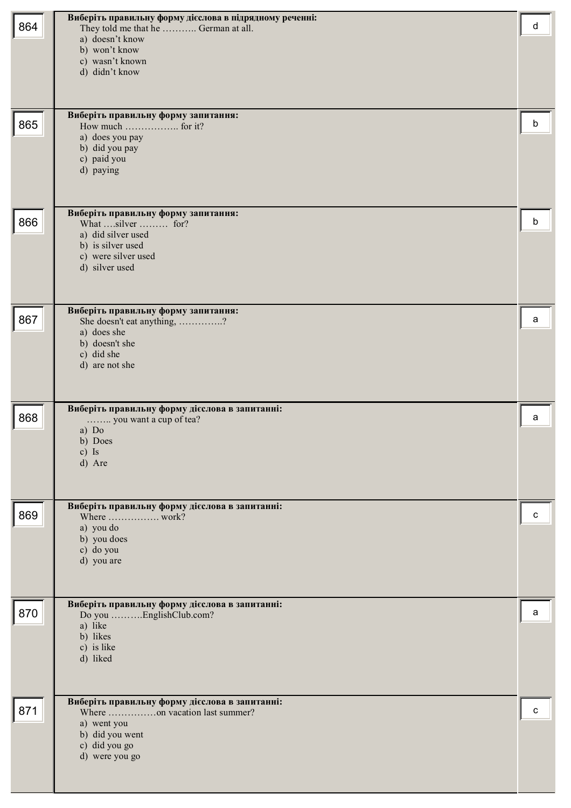| 864 | Виберіть правильну форму дієслова в підрядному реченні:<br>They told me that he  German at all.<br>a) doesn't know<br>b) won't know<br>c) wasn't known<br>d) didn't know | d |
|-----|--------------------------------------------------------------------------------------------------------------------------------------------------------------------------|---|
| 865 | Виберіть правильну форму запитання:<br>a) does you pay<br>b) did you pay<br>c) paid you<br>d) paying                                                                     | b |
| 866 | Виберіть правильну форму запитання:<br>What silver  for?<br>a) did silver used<br>b) is silver used<br>c) were silver used<br>d) silver used                             | b |
| 867 | Виберіть правильну форму запитання:<br>She doesn't eat anything, ?<br>a) does she<br>b) doesn't she<br>c) did she<br>d) are not she                                      | a |
| 868 | Виберіть правильну форму дієслова в запитанні:<br>you want a cup of tea?<br>a) $Do$<br>b) Does<br>c) Is<br>d) Are                                                        | a |
| 869 | Виберіть правильну форму дієслова в запитанні:<br>Where  work?<br>a) you do<br>b) you does<br>c) do you<br>d) you are                                                    | c |
| 870 | Виберіть правильну форму дієслова в запитанні:<br>Do you EnglishClub.com?<br>a) like<br>b) likes<br>c) is like<br>d) liked                                               | a |
| 871 | Виберіть правильну форму дієслова в запитанні:<br>Where on vacation last summer?<br>a) went you<br>b) did you went<br>c) did you go<br>d) were you go                    | c |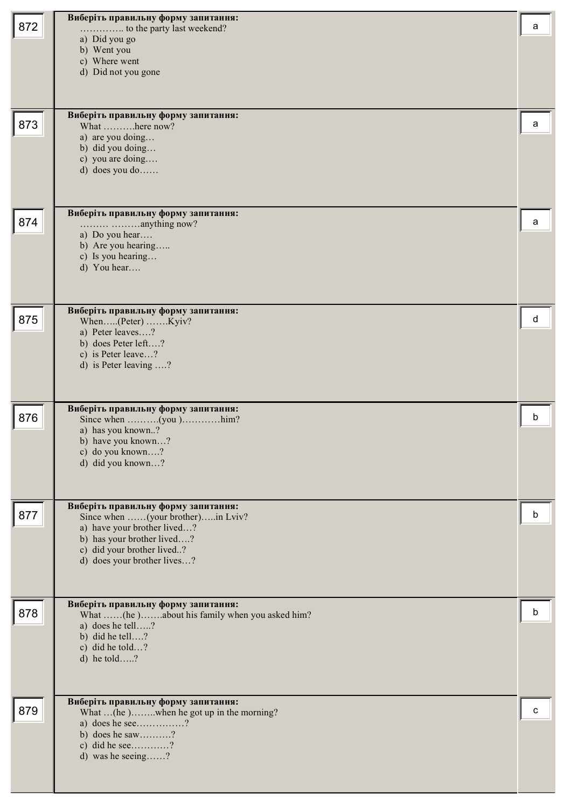| 872 | Виберіть правильну форму запитання:<br>a) Did you go<br>b) Went you<br>c) Where went<br>d) Did not you gone                                                                                        | a |
|-----|----------------------------------------------------------------------------------------------------------------------------------------------------------------------------------------------------|---|
| 873 | Виберіть правильну форму запитання:<br>What here now?<br>a) are you doing<br>b) did you doing<br>c) you are doing<br>d) does you do                                                                | а |
| 874 | Виберіть правильну форму запитання:<br>a) Do you hear<br>b) Are you hearing<br>c) Is you hearing<br>d) You hear                                                                                    | a |
| 875 | Виберіть правильну форму запитання:<br>When(Peter) Kyiv?<br>a) Peter leaves?<br>b) does Peter left?<br>c) is Peter leave?<br>d) is Peter leaving ?                                                 | d |
| 876 | Виберіть правильну форму запитання:<br>Since when (you )him?<br>a) has you known?<br>b) have you known?<br>c) do you known?<br>d) did you known?                                                   | b |
| 877 | Виберіть правильну форму запитання:<br>Since when (your brother)in Lviv?<br>a) have your brother lived?<br>b) has your brother lived?<br>c) did your brother lived?<br>d) does your brother lives? | b |
| 878 | Виберіть правильну форму запитання:<br>What (he)about his family when you asked him?<br>a) does he tell?<br>b) did he tell?<br>c) did he told?<br>d) he told?                                      | b |
| 879 | Виберіть правильну форму запитання:<br>What  (he)when he got up in the morning?<br>a) does he see?<br>b) does he saw?<br>c) did he see?<br>d) was he seeing?                                       | с |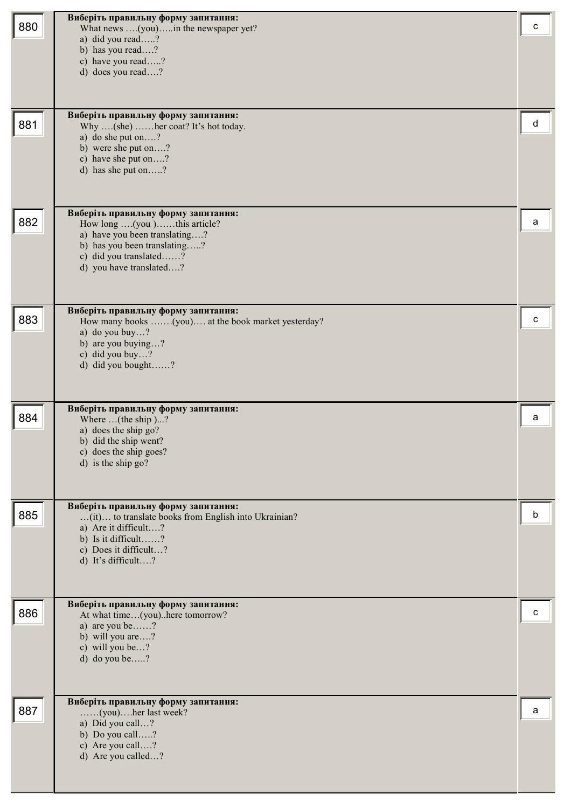| 880 | Виберіть правильну форму запитання:<br>What news (you)in the newspaper yet?<br>a) did you read?<br>b) has you read?<br>c) have you read?<br>d) does you read?                             | c |
|-----|-------------------------------------------------------------------------------------------------------------------------------------------------------------------------------------------|---|
| 881 | Виберіть правильну форму запитання:<br>Why (she)  her coat? It's hot today.<br>a) do she put on?<br>b) were she put on?<br>c) have she put on?<br>d) has she put on?                      | d |
| 882 | Виберіть правильну форму запитання:<br>How long (you )this article?<br>a) have you been translating?<br>b) has you been translating?<br>c) did you translated?<br>d) you have translated? | a |
| 883 | Виберіть правильну форму запитання:<br>How many books (you) at the book market yesterday?<br>a) do you buy?<br>b) are you buying?<br>c) did you buy?<br>d) did you bought?                | c |
| 884 | Виберіть правильну форму запитання:<br>Where $($ the ship $)?$<br>a) does the ship go?<br>b) did the ship went?<br>c) does the ship goes?<br>d) is the ship go?                           | a |
| 885 | Виберіть правильну форму запитання:<br>(it) to translate books from English into Ukrainian?<br>a) Are it difficult?<br>b) Is it difficult?<br>c) Does it difficult?<br>d) It's difficult? | b |
| 886 | Виберіть правильну форму запитання:<br>At what time(you)here tomorrow?<br>a) are you be?<br>b) will you are?<br>c) will you be?<br>d) do you be?                                          | c |
| 887 | Виберіть правильну форму запитання:<br>(you)her last week?<br>a) Did you call?<br>b) Do you call?<br>c) Are you call?<br>d) Are you called?                                               | a |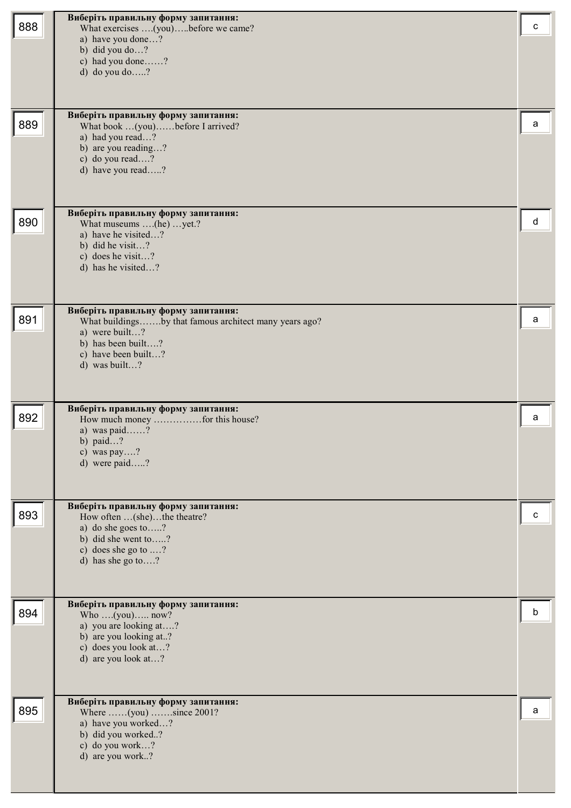| 888 | Виберіть правильну форму запитання:<br>What exercises (you)before we came?<br>a) have you done?<br>b) did you do?<br>c) had you done?<br>d) do you do ?                       | с |
|-----|-------------------------------------------------------------------------------------------------------------------------------------------------------------------------------|---|
| 889 | Виберіть правильну форму запитання:<br>What book (you)before I arrived?<br>a) had you read?<br>b) are you reading?<br>c) do you read?<br>d) have you read?                    | a |
| 890 | Виберіть правильну форму запитання:<br>What museums (he)  yet.?<br>a) have he visited?<br>b) did he visit?<br>c) does he visit?<br>d) has he visited?                         | d |
| 891 | Виберіть правильну форму запитання:<br>What buildingsby that famous architect many years ago?<br>a) were built?<br>b) has been built?<br>c) have been built?<br>d) was built? | a |
| 892 | Виберіть правильну форму запитання:<br>a) was paid?<br>b) paid?<br>c) was pay?<br>d) were paid?                                                                               | a |
| 893 | Виберіть правильну форму запитання:<br>How often  (she)the theatre?<br>a) do she goes to?<br>b) did she went to?<br>c) does she go to ?<br>d) has she go to?                  | с |
| 894 | Виберіть правильну форму запитання:<br>Who $(you)$ now?<br>a) you are looking at?<br>b) are you looking at?<br>c) does you look at?<br>d) are you look at?                    | b |
| 895 | Виберіть правильну форму запитання:<br>Where $\dots (you) \dots$ since 2001?<br>a) have you worked?<br>b) did you worked?<br>c) do you work?<br>d) are you work?              | a |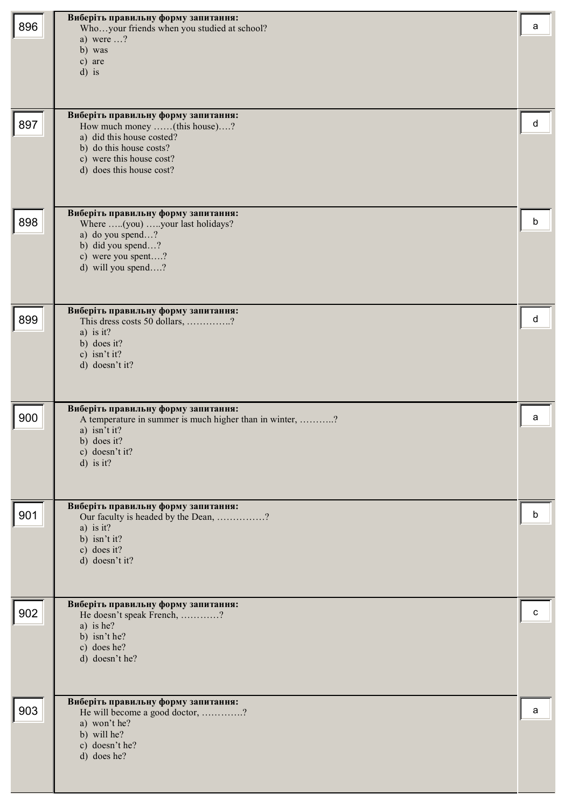| 896 | Виберіть правильну форму запитання:<br>Whoyour friends when you studied at school?<br>a) were $\ldots$ ?<br>b) was<br>c) are<br>$d$ ) is                                            | a |
|-----|-------------------------------------------------------------------------------------------------------------------------------------------------------------------------------------|---|
| 897 | Виберіть правильну форму запитання:<br>How much money (this house)?<br>a) did this house costed?<br>b) do this house costs?<br>c) were this house cost?<br>d) does this house cost? | d |
| 898 | Виберіть правильну форму запитання:<br>Where (you) your last holidays?<br>a) do you spend?<br>b) did you spend?<br>c) were you spent?<br>d) will you spend?                         | b |
| 899 | Виберіть правильну форму запитання:<br>This dress costs 50 dollars, ?<br>a) is it?<br>b) does it?<br>c) isn't it?<br>d) doesn't it?                                                 | d |
| 900 | Виберіть правильну форму запитання:<br>A temperature in summer is much higher than in winter, ?<br>a) isn't it?<br>b) does it?<br>c) doesn't it?<br>$d)$ is it?                     | a |
| 901 | Виберіть правильну форму запитання:<br>Our faculty is headed by the Dean, ?<br>a) is it?<br>b) isn't it?<br>c) does it?<br>d) doesn't it?                                           | b |
| 902 | Виберіть правильну форму запитання:<br>He doesn't speak French, ?<br>a) is he?<br>b) isn't he?<br>c) does he?<br>d) doesn't he?                                                     | c |
| 903 | Виберіть правильну форму запитання:<br>He will become a good doctor, ?<br>a) won't he?<br>b) will he?<br>c) doesn't he?<br>d) does he?                                              | a |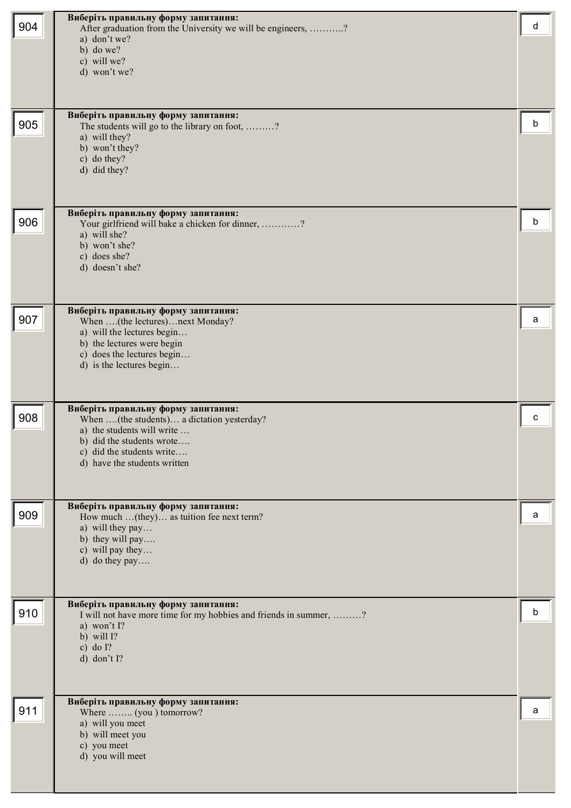| 904 | Виберіть правильну форму запитання:<br>After graduation from the University we will be engineers, ?<br>a) don't we?<br>b) do we?<br>c) will we?<br>d) won't we?<br>Виберіть правильну форму запитання:    | d |
|-----|-----------------------------------------------------------------------------------------------------------------------------------------------------------------------------------------------------------|---|
| 905 | The students will go to the library on foot, ?<br>a) will they?<br>b) won't they?<br>c) do they?<br>d) did they?                                                                                          | b |
| 906 | Виберіть правильну форму запитання:<br>Your girlfriend will bake a chicken for dinner, ?<br>a) will she?<br>b) won't she?<br>c) does she?<br>d) doesn't she?                                              | b |
| 907 | Виберіть правильну форму запитання:<br>When (the lectures)next Monday?<br>a) will the lectures begin<br>b) the lectures were begin<br>c) does the lectures begin<br>d) is the lectures begin              | a |
| 908 | Виберіть правильну форму запитання:<br>When (the students) a dictation yesterday?<br>a) the students will write<br>b) did the students wrote<br>c) did the students write<br>d) have the students written | c |
| 909 | Виберіть правильну форму запитання:<br>How much  (they) as tuition fee next term?<br>a) will they pay<br>b) they will pay<br>c) will pay they<br>d) do they pay                                           | a |
| 910 | Виберіть правильну форму запитання:<br>I will not have more time for my hobbies and friends in summer, ?<br>a) won't I?<br>b) will $\Gamma$ ?<br>c) do $I$ ?<br>d) don't $I$ ?                            | b |
| 911 | Виберіть правильну форму запитання:<br>Where  (you ) tomorrow?<br>a) will you meet<br>b) will meet you<br>c) you meet<br>d) you will meet                                                                 | a |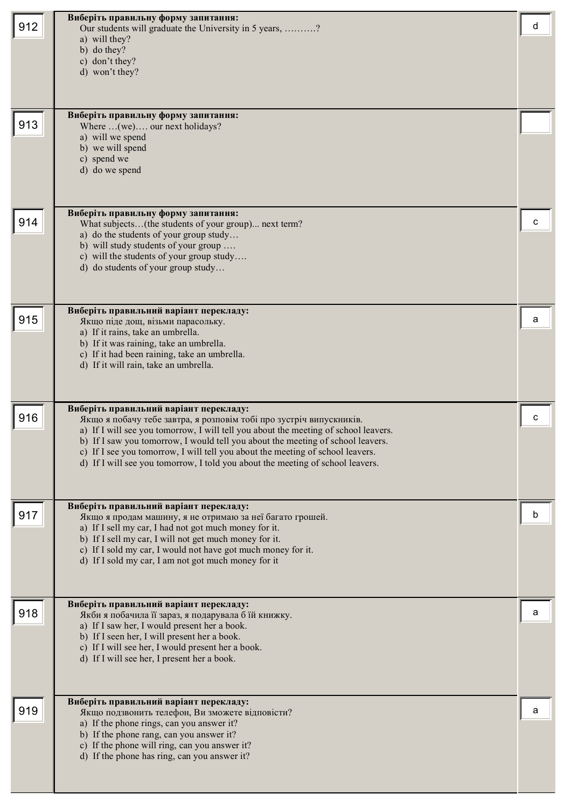| 912 | Виберіть правильну форму запитання:<br>Our students will graduate the University in 5 years, ?<br>a) will they?<br>b) do they?<br>c) don't they?<br>d) won't they?                                                                                                                                                                                                                                                                                          | d |
|-----|-------------------------------------------------------------------------------------------------------------------------------------------------------------------------------------------------------------------------------------------------------------------------------------------------------------------------------------------------------------------------------------------------------------------------------------------------------------|---|
| 913 | Виберіть правильну форму запитання:<br>Where  (we) our next holidays?<br>a) will we spend<br>b) we will spend<br>c) spend we<br>d) do we spend                                                                                                                                                                                                                                                                                                              |   |
| 914 | Виберіть правильну форму запитання:<br>What subjects(the students of your group) next term?<br>a) do the students of your group study<br>b) will study students of your group<br>c) will the students of your group study<br>d) do students of your group study                                                                                                                                                                                             | C |
| 915 | Виберіть правильний варіант перекладу:<br>Якщо піде дощ, візьми парасольку.<br>a) If it rains, take an umbrella.<br>b) If it was raining, take an umbrella.<br>c) If it had been raining, take an umbrella.<br>d) If it will rain, take an umbrella.                                                                                                                                                                                                        | a |
| 916 | Виберіть правильний варіант перекладу:<br>Якщо я побачу тебе завтра, я розповім тобі про зустріч випускників.<br>a) If I will see you tomorrow, I will tell you about the meeting of school leavers.<br>b) If I saw you tomorrow, I would tell you about the meeting of school leavers.<br>c) If I see you tomorrow, I will tell you about the meeting of school leavers.<br>d) If I will see you tomorrow, I told you about the meeting of school leavers. | с |
| 917 | Виберіть правильний варіант перекладу:<br>Якщо я продам машину, я не отримаю за неї багато грошей.<br>a) If I sell my car, I had not got much money for it.<br>b) If I sell my car, I will not get much money for it.<br>c) If I sold my car, I would not have got much money for it.<br>d) If I sold my car, I am not got much money for it                                                                                                                |   |
| 918 | Виберіть правильний варіант перекладу:<br>Якби я побачила її зараз, я подарувала б їй книжку.<br>a) If I saw her, I would present her a book.<br>b) If I seen her, I will present her a book.<br>c) If I will see her, I would present her a book.<br>d) If I will see her, I present her a book.                                                                                                                                                           | a |
| 919 | Виберіть правильний варіант перекладу:<br>Якщо подзвонить телефон, Ви зможете відповісти?<br>a) If the phone rings, can you answer it?<br>b) If the phone rang, can you answer it?<br>c) If the phone will ring, can you answer it?<br>d) If the phone has ring, can you answer it?                                                                                                                                                                         | а |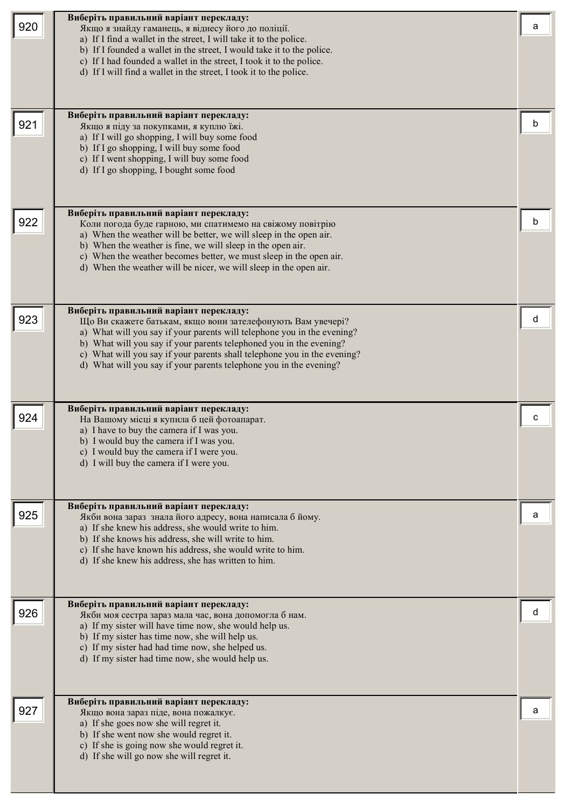| 920 | Виберіть правильний варіант перекладу:<br>Якщо я знайду гаманець, я віднесу його до поліції.<br>a) If I find a wallet in the street, I will take it to the police.<br>b) If I founded a wallet in the street, I would take it to the police.<br>c) If I had founded a wallet in the street, I took it to the police.<br>d) If I will find a wallet in the street, I took it to the police.<br>Виберіть правильний варіант перекладу: | a |
|-----|--------------------------------------------------------------------------------------------------------------------------------------------------------------------------------------------------------------------------------------------------------------------------------------------------------------------------------------------------------------------------------------------------------------------------------------|---|
| 921 | Якщо я піду за покупками, я куплю їжі.<br>a) If I will go shopping, I will buy some food<br>b) If I go shopping, I will buy some food<br>c) If I went shopping, I will buy some food<br>d) If I go shopping, I bought some food<br>Виберіть правильний варіант перекладу:                                                                                                                                                            | h |
| 922 | Коли погода буде гарною, ми спатимемо на свіжому повітрію<br>a) When the weather will be better, we will sleep in the open air.<br>b) When the weather is fine, we will sleep in the open air.<br>c) When the weather becomes better, we must sleep in the open air.<br>d) When the weather will be nicer, we will sleep in the open air.                                                                                            | b |
| 923 | Виберіть правильний варіант перекладу:<br>Що Ви скажете батькам, якщо вони зателефонують Вам увечері?<br>a) What will you say if your parents will telephone you in the evening?<br>b) What will you say if your parents telephoned you in the evening?<br>c) What will you say if your parents shall telephone you in the evening?<br>d) What will you say if your parents telephone you in the evening?                            | d |
| 924 | Виберіть правильний варіант перекладу:<br>На Вашому місці я купила б цей фотоапарат.<br>a) I have to buy the camera if I was you.<br>b) I would buy the camera if I was you.<br>c) I would buy the camera if I were you.<br>d) I will buy the camera if I were you.                                                                                                                                                                  | с |
| 925 | Виберіть правильний варіант перекладу:<br>Якби вона зараз знала його адресу, вона написала б йому.<br>a) If she knew his address, she would write to him.<br>b) If she knows his address, she will write to him.<br>c) If she have known his address, she would write to him.<br>d) If she knew his address, she has written to him.                                                                                                 | a |
| 926 | Виберіть правильний варіант перекладу:<br>Якби моя сестра зараз мала час, вона допомогла б нам.<br>a) If my sister will have time now, she would help us.<br>b) If my sister has time now, she will help us.<br>c) If my sister had had time now, she helped us.<br>d) If my sister had time now, she would help us.                                                                                                                 |   |
| 927 | Виберіть правильний варіант перекладу:<br>Якщо вона зараз піде, вона пожалкує.<br>a) If she goes now she will regret it.<br>b) If she went now she would regret it.<br>c) If she is going now she would regret it.<br>d) If she will go now she will regret it.                                                                                                                                                                      | a |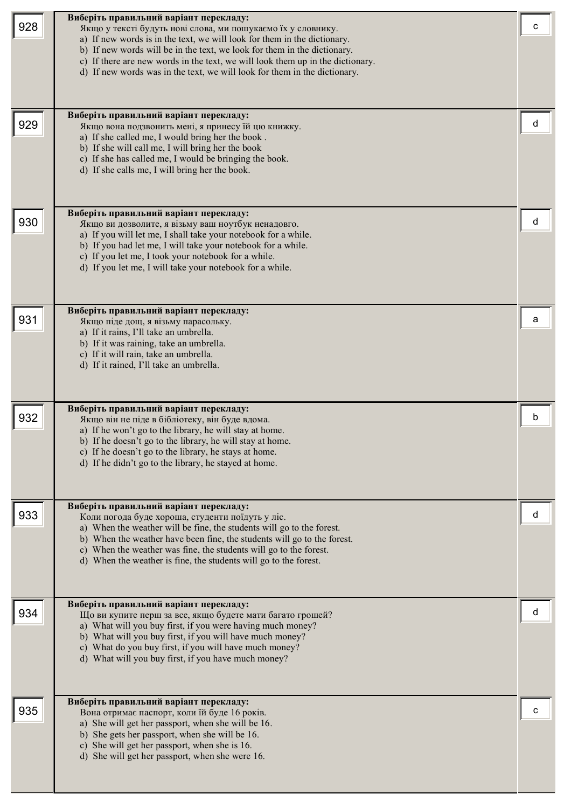| 928 | Виберіть правильний варіант перекладу:<br>Якщо у тексті будуть нові слова, ми пошукаємо їх у словнику.<br>a) If new words is in the text, we will look for them in the dictionary.<br>b) If new words will be in the text, we look for them in the dictionary.<br>c) If there are new words in the text, we will look them up in the dictionary.<br>d) If new words was in the text, we will look for them in the dictionary.<br>Виберіть правильний варіант перекладу: | c |
|-----|-------------------------------------------------------------------------------------------------------------------------------------------------------------------------------------------------------------------------------------------------------------------------------------------------------------------------------------------------------------------------------------------------------------------------------------------------------------------------|---|
| 929 | Якщо вона подзвонить мені, я принесу їй цю книжку.<br>a) If she called me, I would bring her the book.<br>b) If she will call me, I will bring her the book<br>c) If she has called me, I would be bringing the book.<br>d) If she calls me, I will bring her the book.<br>Виберіть правильний варіант перекладу:                                                                                                                                                       | d |
| 930 | Якщо ви дозволите, я візьму ваш ноутбук ненадовго.<br>a) If you will let me, I shall take your notebook for a while.<br>b) If you had let me, I will take your notebook for a while.<br>c) If you let me, I took your notebook for a while.<br>d) If you let me, I will take your notebook for a while.                                                                                                                                                                 | d |
| 931 | Виберіть правильний варіант перекладу:<br>Якщо піде дощ, я візьму парасольку.<br>a) If it rains, I'll take an umbrella.<br>b) If it was raining, take an umbrella.<br>c) If it will rain, take an umbrella.<br>d) If it rained, I'll take an umbrella.                                                                                                                                                                                                                  | а |
| 932 | Виберіть правильний варіант перекладу:<br>Якщо він не піде в бібліотеку, він буде вдома.<br>a) If he won't go to the library, he will stay at home.<br>b) If he doesn't go to the library, he will stay at home.<br>c) If he doesn't go to the library, he stays at home.<br>d) If he didn't go to the library, he stayed at home.                                                                                                                                      | b |
| 933 | Виберіть правильний варіант перекладу:<br>Коли погода буде хороша, студенти поїдуть у ліс.<br>a) When the weather will be fine, the students will go to the forest.<br>b) When the weather have been fine, the students will go to the forest.<br>c) When the weather was fine, the students will go to the forest.<br>d) When the weather is fine, the students will go to the forest.                                                                                 | d |
| 934 | Виберіть правильний варіант перекладу:<br>Що ви купите перш за все, якщо будете мати багато грошей?<br>a) What will you buy first, if you were having much money?<br>b) What will you buy first, if you will have much money?<br>c) What do you buy first, if you will have much money?<br>d) What will you buy first, if you have much money?                                                                                                                          | d |
| 935 | Виберіть правильний варіант перекладу:<br>Вона отримає паспорт, коли їй буде 16 років.<br>a) She will get her passport, when she will be 16.<br>b) She gets her passport, when she will be 16.<br>c) She will get her passport, when she is 16.<br>d) She will get her passport, when she were 16.                                                                                                                                                                      | с |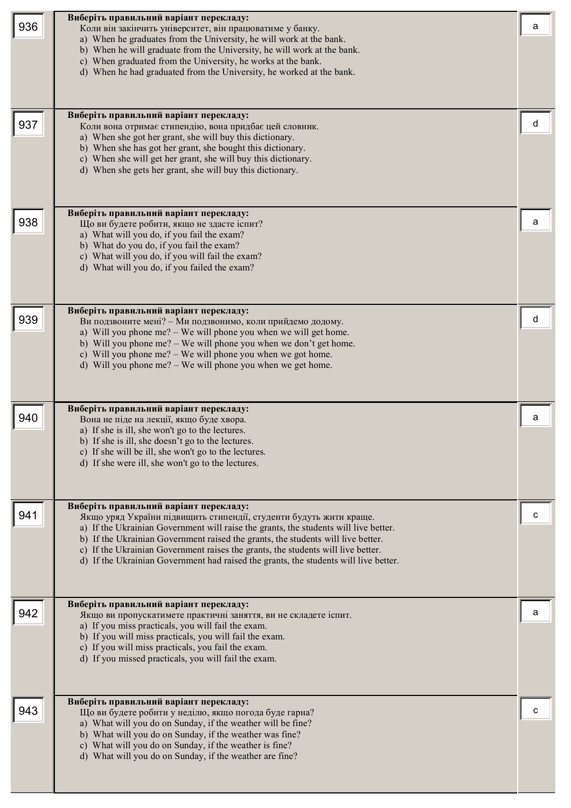| 936 | Виберіть правильний варіант перекладу:<br>Коли він закінчить університет, він працюватиме у банку.<br>a) When he graduates from the University, he will work at the bank.                                                                                                                                                                                                                                                                                            | а |
|-----|----------------------------------------------------------------------------------------------------------------------------------------------------------------------------------------------------------------------------------------------------------------------------------------------------------------------------------------------------------------------------------------------------------------------------------------------------------------------|---|
|     | b) When he will graduate from the University, he will work at the bank.<br>c) When graduated from the University, he works at the bank.<br>d) When he had graduated from the University, he worked at the bank.                                                                                                                                                                                                                                                      |   |
| 937 | Виберіть правильний варіант перекладу:<br>Коли вона отримає стипендію, вона придбає цей словник.<br>a) When she got her grant, she will buy this dictionary.<br>b) When she has got her grant, she bought this dictionary.<br>c) When she will get her grant, she will buy this dictionary.<br>d) When she gets her grant, she will buy this dictionary.                                                                                                             |   |
| 938 | Виберіть правильний варіант перекладу:<br>Що ви будете робити, якщо не здасте іспит?<br>a) What will you do, if you fail the exam?<br>b) What do you do, if you fail the exam?<br>c) What will you do, if you will fail the exam?<br>d) What will you do, if you failed the exam?                                                                                                                                                                                    | а |
| 939 | Виберіть правильний варіант перекладу:<br>Ви подзвоните мені? - Ми подзвонимо, коли прийдемо додому.<br>a) Will you phone me? – We will phone you when we will get home.<br>b) Will you phone me? – We will phone you when we don't get home.<br>c) Will you phone $me? - We will phone you when we got home.$<br>d) Will you phone $me? - We will phone you when we get home.$                                                                                      | d |
| 940 | Виберіть правильний варіант перекладу:<br>Вона не піде на лекції, якщо буде хвора.<br>a) If she is ill, she won't go to the lectures.<br>b) If she is ill, she doesn't go to the lectures.<br>c) If she will be ill, she won't go to the lectures.<br>d) If she were ill, she won't go to the lectures.                                                                                                                                                              | а |
| 941 | Виберіть правильний варіант перекладу:<br>Якщо уряд України підвищить стипендії, студенти будуть жити краще.<br>a) If the Ukrainian Government will raise the grants, the students will live better.<br>b) If the Ukrainian Government raised the grants, the students will live better.<br>c) If the Ukrainian Government raises the grants, the students will live better.<br>d) If the Ukrainian Government had raised the grants, the students will live better. | C |
| 942 | Виберіть правильний варіант перекладу:<br>Якщо ви пропускатимете практичні заняття, ви не складете іспит.<br>a) If you miss practicals, you will fail the exam.<br>b) If you will miss practicals, you will fail the exam.<br>c) If you will miss practicals, you fail the exam.<br>d) If you missed practicals, you will fail the exam.                                                                                                                             | а |
| 943 | Виберіть правильний варіант перекладу:<br>Що ви будете робити у неділю, якщо погода буде гарна?<br>a) What will you do on Sunday, if the weather will be fine?<br>b) What will you do on Sunday, if the weather was fine?<br>c) What will you do on Sunday, if the weather is fine?<br>d) What will you do on Sunday, if the weather are fine?                                                                                                                       | c |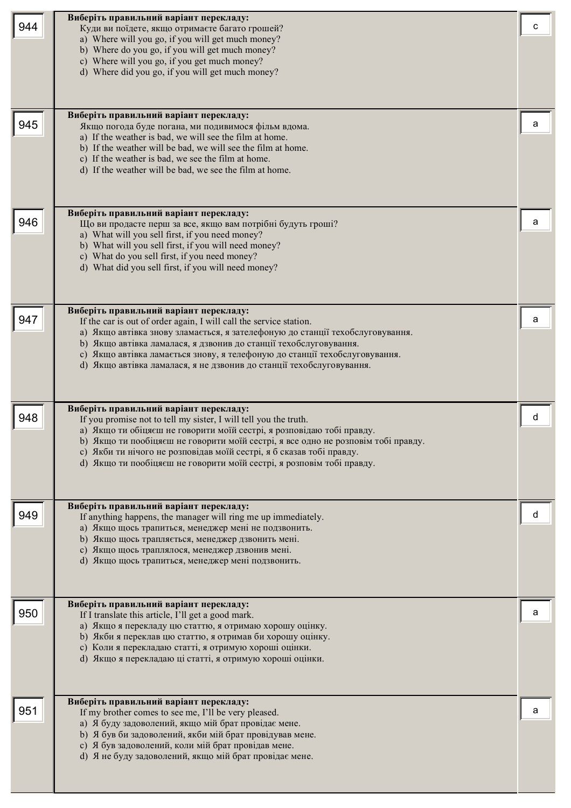|     | Виберіть правильний варіант перекладу:                                                                                                          |   |
|-----|-------------------------------------------------------------------------------------------------------------------------------------------------|---|
| 944 | Куди ви поїдете, якщо отримаєте багато грошей?                                                                                                  |   |
|     | a) Where will you go, if you will get much money?                                                                                               |   |
|     | b) Where do you go, if you will get much money?                                                                                                 |   |
|     | c) Where will you go, if you get much money?                                                                                                    |   |
|     | d) Where did you go, if you will get much money?                                                                                                |   |
|     |                                                                                                                                                 |   |
|     |                                                                                                                                                 |   |
|     | Виберіть правильний варіант перекладу:                                                                                                          |   |
| 945 | Якщо погода буде погана, ми подивимося фільм вдома.                                                                                             | a |
|     | a) If the weather is bad, we will see the film at home.                                                                                         |   |
|     | b) If the weather will be bad, we will see the film at home.                                                                                    |   |
|     | c) If the weather is bad, we see the film at home.                                                                                              |   |
|     | d) If the weather will be bad, we see the film at home.                                                                                         |   |
|     |                                                                                                                                                 |   |
|     |                                                                                                                                                 |   |
|     | Виберіть правильний варіант перекладу:                                                                                                          |   |
| 946 | Що ви продасте перш за все, якщо вам потрібні будуть гроші?                                                                                     | a |
|     | a) What will you sell first, if you need money?                                                                                                 |   |
|     | b) What will you sell first, if you will need money?                                                                                            |   |
|     | c) What do you sell first, if you need money?                                                                                                   |   |
|     | d) What did you sell first, if you will need money?                                                                                             |   |
|     |                                                                                                                                                 |   |
|     |                                                                                                                                                 |   |
|     | Виберіть правильний варіант перекладу:                                                                                                          |   |
| 947 | If the car is out of order again, I will call the service station.                                                                              | а |
|     | а) Якщо автівка знову зламається, я зателефоную до станції техобслуговування.                                                                   |   |
|     | b) Якщо автівка ламалася, я дзвонив до станції техобслуговування.<br>с) Якщо автівка ламається знову, я телефоную до станції техобслуговування. |   |
|     | d) Якщо автівка ламалася, я не дзвонив до станції техобслуговування.                                                                            |   |
|     |                                                                                                                                                 |   |
|     |                                                                                                                                                 |   |
|     |                                                                                                                                                 |   |
| 948 | Виберіть правильний варіант перекладу:<br>If you promise not to tell my sister, I will tell you the truth.                                      | d |
|     | а) Якщо ти обіцяєш не говорити моїй сестрі, я розповідаю тобі правду.                                                                           |   |
|     | b) Якщо ти пообіцяєш не говорити моїй сестрі, я все одно не розповім тобі правду.                                                               |   |
|     |                                                                                                                                                 |   |
|     | с) Якби ти нічого не розповідав моїй сестрі, я б сказав тобі правду.                                                                            |   |
|     | d) Якщо ти пообіцяєш не говорити моїй сестрі, я розповім тобі правду.                                                                           |   |
|     |                                                                                                                                                 |   |
|     |                                                                                                                                                 |   |
|     | Виберіть правильний варіант перекладу:                                                                                                          |   |
| 949 | If anything happens, the manager will ring me up immediately.                                                                                   |   |
|     | а) Якщо щось трапиться, менеджер мені не подзвонить.                                                                                            |   |
|     | b) Якщо щось трапляється, менеджер дзвонить мені.                                                                                               |   |
|     | с) Якщо щось траплялося, менеджер дзвонив мені.                                                                                                 |   |
|     | d) Якщо щось трапиться, менеджер мені подзвонить.                                                                                               |   |
|     |                                                                                                                                                 |   |
|     |                                                                                                                                                 |   |
|     | Виберіть правильний варіант перекладу:                                                                                                          |   |
| 950 | If I translate this article, I'll get a good mark.                                                                                              |   |
|     | а) Якщо я перекладу цю статтю, я отримаю хорошу оцінку.<br>b) Якби я переклав цю статтю, я отримав би хорошу оцінку.                            |   |
|     | с) Коли я перекладаю статті, я отримую хороші оцінки.                                                                                           |   |
|     | d) Якщо я перекладаю ці статті, я отримую хороші оцінки.                                                                                        |   |
|     |                                                                                                                                                 |   |
|     |                                                                                                                                                 |   |
|     | Виберіть правильний варіант перекладу:                                                                                                          |   |
| 951 | If my brother comes to see me, I'll be very pleased.                                                                                            |   |
|     | а) Я буду задоволений, якщо мій брат провідає мене.                                                                                             |   |
|     | b) Я був би задоволений, якби мій брат провідував мене.                                                                                         |   |
|     | с) Я був задоволений, коли мій брат провідав мене.                                                                                              |   |
|     | d) Я не буду задоволений, якщо мій брат провідає мене.                                                                                          |   |
|     |                                                                                                                                                 |   |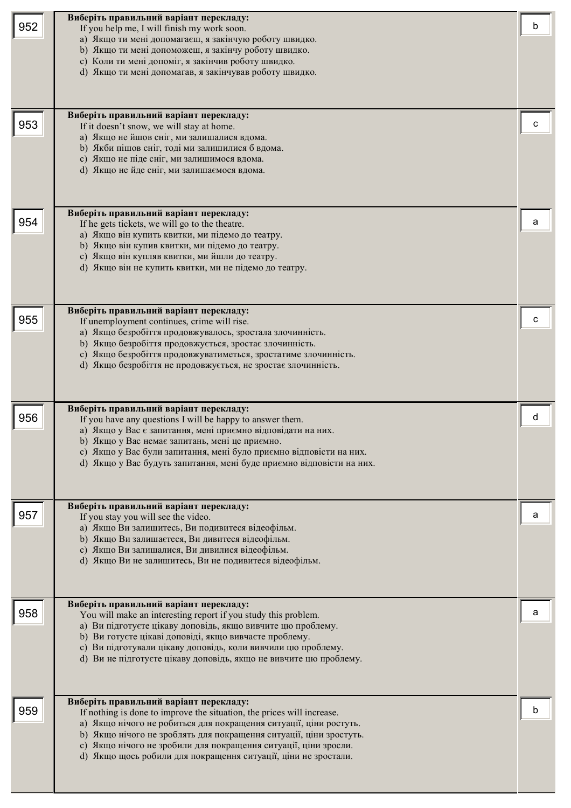| 952<br>953 | Виберіть правильний варіант перекладу:<br>If you help me, I will finish my work soon.<br>а) Якщо ти мені допомагаєш, я закінчую роботу швидко.<br>b) Якщо ти мені допоможеш, я закінчу роботу швидко.<br>с) Коли ти мені допоміг, я закінчив роботу швидко.<br>d) Якщо ти мені допомагав, я закінчував роботу швидко.<br>Виберіть правильний варіант перекладу:<br>If it doesn't snow, we will stay at home.<br>а) Якщо не йшов сніг, ми залишалися вдома.<br>b) Якби пішов сніг, тоді ми залишилися б вдома.<br>с) Якщо не піде сніг, ми залишимося вдома.<br>d) Якщо не йде сніг, ми залишаємося вдома. |   |
|------------|-----------------------------------------------------------------------------------------------------------------------------------------------------------------------------------------------------------------------------------------------------------------------------------------------------------------------------------------------------------------------------------------------------------------------------------------------------------------------------------------------------------------------------------------------------------------------------------------------------------|---|
| 954        | Виберіть правильний варіант перекладу:<br>If he gets tickets, we will go to the theatre.<br>а) Якщо він купить квитки, ми підемо до театру.<br>b) Якщо він купив квитки, ми підемо до театру.<br>с) Якщо він купляв квитки, ми йшли до театру.<br>d) Якщо він не купить квитки, ми не підемо до театру.                                                                                                                                                                                                                                                                                                   | а |
| 955        | Виберіть правильний варіант перекладу:<br>If unemployment continues, crime will rise.<br>а) Якщо безробіття продовжувалось, зростала злочинність.<br>b) Якщо безробіття продовжується, зростає злочинність.<br>с) Якщо безробіття продовжуватиметься, зростатиме злочинність.<br>d) Якщо безробіття не продовжується, не зростає злочинність.                                                                                                                                                                                                                                                             | с |
| 956        | Виберіть правильний варіант перекладу:<br>If you have any questions I will be happy to answer them.<br>а) Якщо у Вас є запитання, мені приємно відповідати на них.<br>b) Якщо у Вас немає запитань, мені це приємно.<br>с) Якщо у Вас були запитання, мені було приємно відповісти на них.<br>d) Якщо у Вас будуть запитання, мені буде приємно відповісти на них.                                                                                                                                                                                                                                        | d |
| 957        | Виберіть правильний варіант перекладу:<br>If you stay you will see the video.<br>а) Якщо Ви залишитесь, Ви подивитеся відеофільм.<br>b) Якщо Ви залишаєтеся, Ви дивитеся відеофільм.<br>с) Якщо Ви залишалися, Ви дивилися відеофільм.<br>d) Якщо Ви не залишитесь, Ви не подивитеся відеофільм.                                                                                                                                                                                                                                                                                                          | а |
| 958        | Виберіть правильний варіант перекладу:<br>You will make an interesting report if you study this problem.<br>а) Ви підготуєте цікаву доповідь, якщо вивчите цю проблему.<br>b) Ви готуєте цікаві доповіді, якщо вивчаєте проблему.<br>с) Ви підготували цікаву доповідь, коли вивчили цю проблему.<br>d) Ви не підготуєте цікаву доповідь, якщо не вивчите цю проблему.                                                                                                                                                                                                                                    | a |
| 959        | Виберіть правильний варіант перекладу:<br>If nothing is done to improve the situation, the prices will increase.<br>а) Якщо нічого не робиться для покращення ситуації, ціни ростуть.<br>b) Якщо нічого не зроблять для покращення ситуації, ціни зростуть.<br>с) Якщо нічого не зробили для покращення ситуації, ціни зросли.<br>d) Якщо щось робили для покращення ситуації, ціни не зростали.                                                                                                                                                                                                          |   |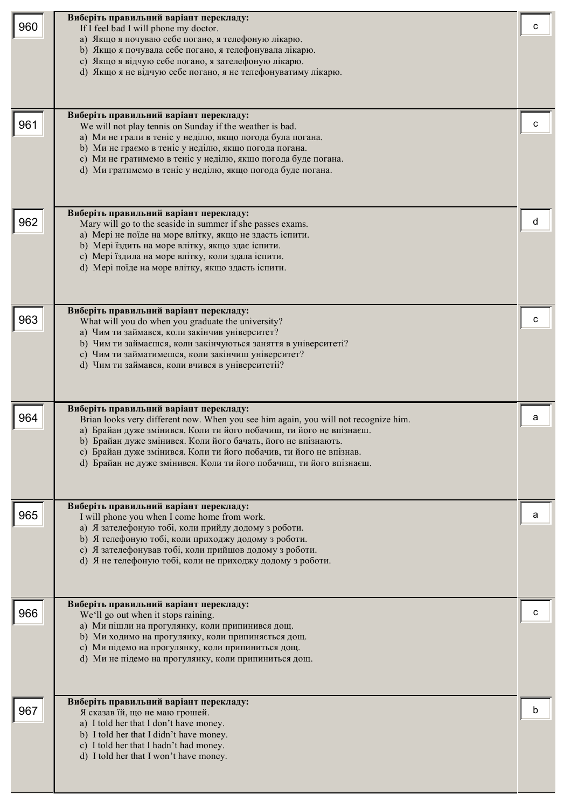| 960 | Виберіть правильний варіант перекладу:<br>If I feel bad I will phone my doctor.<br>а) Якщо я почуваю себе погано, я телефоную лікарю.<br>b) Якщо я почувала себе погано, я телефонувала лікарю.<br>с) Якщо я відчую себе погано, я зателефоную лікарю.<br>d) Якщо я не відчую себе погано, я не телефонуватиму лікарю.                                                                                             | с |
|-----|--------------------------------------------------------------------------------------------------------------------------------------------------------------------------------------------------------------------------------------------------------------------------------------------------------------------------------------------------------------------------------------------------------------------|---|
| 961 | Виберіть правильний варіант перекладу:<br>We will not play tennis on Sunday if the weather is bad.<br>а) Ми не грали в теніс у неділю, якщо погода була погана.<br>b) Ми не граємо в теніс у неділю, якщо погода погана.<br>с) Ми не гратимемо в теніс у неділю, якщо погода буде погана.<br>d) Ми гратимемо в теніс у неділю, якщо погода буде погана.                                                            | с |
| 962 | Виберіть правильний варіант перекладу:<br>Mary will go to the seaside in summer if she passes exams.<br>а) Мері не поїде на море влітку, якщо не здасть іспити.<br>b) Мері їздить на море влітку, якщо здає іспити.<br>с) Мері їздила на море влітку, коли здала іспити.<br>d) Мері поїде на море влітку, якщо здасть іспити.                                                                                      | d |
| 963 | Виберіть правильний варіант перекладу:<br>What will you do when you graduate the university?<br>а) Чим ти займався, коли закінчив університет?<br>b) Чим ти займаєшся, коли закінчуються заняття в університеті?<br>с) Чим ти займатимешся, коли закінчиш університет?<br>d) Чим ти займався, коли вчився в університетіі?                                                                                         |   |
| 964 | Виберіть правильний варіант перекладу:<br>Brian looks very different now. When you see him again, you will not recognize him.<br>а) Брайан дуже змінився. Коли ти його побачиш, ти його не впізнаєш.<br>b) Брайан дуже змінився. Коли його бачать, його не впізнають.<br>с) Брайан дуже змінився. Коли ти його побачив, ти його не впізнав.<br>d) Брайан не дуже змінився. Коли ти його побачиш, ти його впізнаєш. | a |
| 965 | Виберіть правильний варіант перекладу:<br>I will phone you when I come home from work.<br>а) Я зателефоную тобі, коли прийду додому з роботи.<br>b) Я телефоную тобі, коли приходжу додому з роботи.<br>с) Я зателефонував тобі, коли прийшов додому з роботи.<br>d) Я не телефоную тобі, коли не приходжу додому з роботи.                                                                                        | a |
| 966 | Виберіть правильний варіант перекладу:<br>We'll go out when it stops raining.<br>а) Ми пішли на прогулянку, коли припинився дощ.<br>b) Ми ходимо на прогулянку, коли припиняється дощ.<br>с) Ми підемо на прогулянку, коли припиниться дощ.<br>d) Ми не підемо на прогулянку, коли припиниться дощ.                                                                                                                |   |
| 967 | Виберіть правильний варіант перекладу:<br>Я сказав їй, що не маю грошей.<br>a) I told her that I don't have money.<br>b) I told her that I didn't have money.<br>c) I told her that I hadn't had money.<br>d) I told her that I won't have money.                                                                                                                                                                  | b |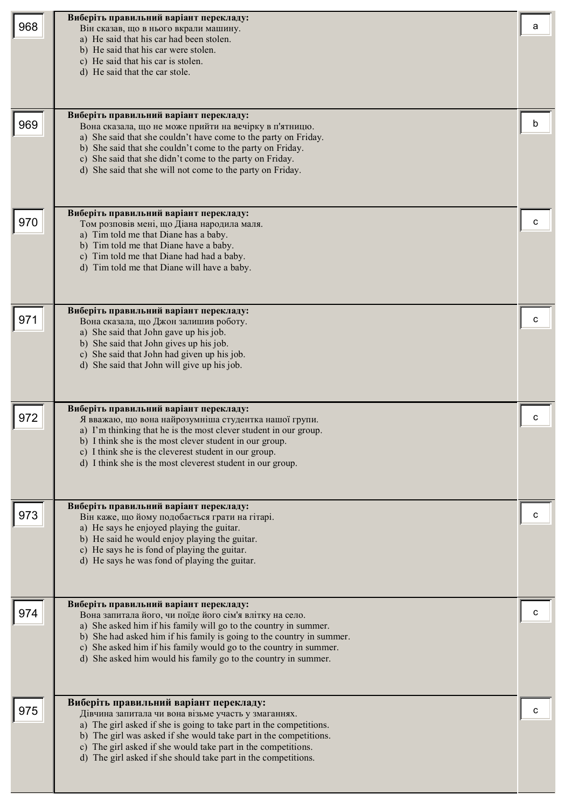|     | Виберіть правильний варіант перекладу:                                                                                              |   |
|-----|-------------------------------------------------------------------------------------------------------------------------------------|---|
| 968 | Він сказав, що в нього вкрали машину.                                                                                               | a |
|     | a) He said that his car had been stolen.                                                                                            |   |
|     | b) He said that his car were stolen.<br>c) He said that his car is stolen.                                                          |   |
|     | d) He said that the car stole.                                                                                                      |   |
|     |                                                                                                                                     |   |
|     |                                                                                                                                     |   |
|     | Виберіть правильний варіант перекладу:                                                                                              |   |
| 969 | Вона сказала, що не може прийти на вечірку в п'ятницю.                                                                              | b |
|     | a) She said that she couldn't have come to the party on Friday.                                                                     |   |
|     | b) She said that she couldn't come to the party on Friday.                                                                          |   |
|     | c) She said that she didn't come to the party on Friday.<br>d) She said that she will not come to the party on Friday.              |   |
|     |                                                                                                                                     |   |
|     |                                                                                                                                     |   |
|     | Виберіть правильний варіант перекладу:                                                                                              |   |
| 970 | Том розповів мені, що Діана народила маля.                                                                                          | с |
|     | a) Tim told me that Diane has a baby.                                                                                               |   |
|     | b) Tim told me that Diane have a baby.                                                                                              |   |
|     | c) Tim told me that Diane had had a baby.<br>d) Tim told me that Diane will have a baby.                                            |   |
|     |                                                                                                                                     |   |
|     |                                                                                                                                     |   |
|     | Виберіть правильний варіант перекладу:                                                                                              |   |
| 971 | Вона сказала, що Джон залишив роботу.                                                                                               |   |
|     | a) She said that John gave up his job.                                                                                              |   |
|     | b) She said that John gives up his job.<br>c) She said that John had given up his job.                                              |   |
|     | d) She said that John will give up his job.                                                                                         |   |
|     |                                                                                                                                     |   |
|     |                                                                                                                                     |   |
|     | Виберіть правильний варіант перекладу:                                                                                              |   |
| 972 | Я вважаю, що вона найрозумніша студентка нашої групи.                                                                               |   |
|     | a) I'm thinking that he is the most clever student in our group.<br>b) I think she is the most clever student in our group.         |   |
|     | c) I think she is the cleverest student in our group.                                                                               |   |
|     | d) I think she is the most cleverest student in our group.                                                                          |   |
|     |                                                                                                                                     |   |
|     |                                                                                                                                     |   |
| 973 | Виберіть правильний варіант перекладу:                                                                                              | C |
|     | Він каже, що йому подобається грати на гітарі.<br>a) He says he enjoyed playing the guitar.                                         |   |
|     | b) He said he would enjoy playing the guitar.                                                                                       |   |
|     | c) He says he is fond of playing the guitar.                                                                                        |   |
|     | d) He says he was fond of playing the guitar.                                                                                       |   |
|     |                                                                                                                                     |   |
|     |                                                                                                                                     |   |
| 974 | Виберіть правильний варіант перекладу:<br>Вона запитала його, чи поїде його сім'я влітку на село.                                   | с |
|     | a) She asked him if his family will go to the country in summer.                                                                    |   |
|     | b) She had asked him if his family is going to the country in summer.                                                               |   |
|     | c) She asked him if his family would go to the country in summer.<br>d) She asked him would his family go to the country in summer. |   |
|     |                                                                                                                                     |   |
|     |                                                                                                                                     |   |
|     |                                                                                                                                     |   |
| 975 | Виберіть правильний варіант перекладу:<br>Дівчина запитала чи вона візьме участь у змаганнях.                                       | с |
|     | a) The girl asked if she is going to take part in the competitions.                                                                 |   |
|     | b) The girl was asked if she would take part in the competitions.                                                                   |   |
|     | c) The girl asked if she would take part in the competitions.<br>d) The girl asked if she should take part in the competitions.     |   |
|     |                                                                                                                                     |   |
|     |                                                                                                                                     |   |
|     |                                                                                                                                     |   |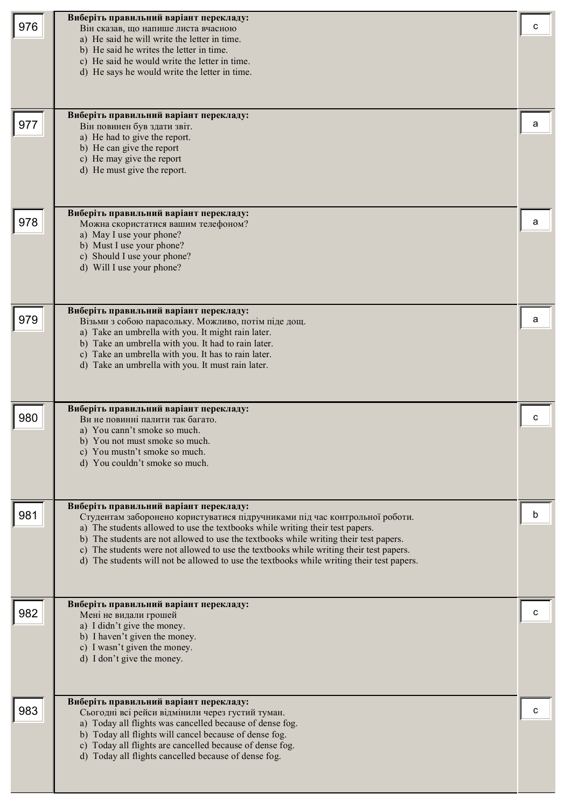| 976 | Виберіть правильний варіант перекладу:<br>Він сказав, що напише листа вчасною<br>a) He said he will write the letter in time.<br>b) He said he writes the letter in time.<br>c) He said he would write the letter in time.<br>d) He says he would write the letter in time.<br>Виберіть правильний варіант перекладу:                                                                                                                                                                  | с |
|-----|----------------------------------------------------------------------------------------------------------------------------------------------------------------------------------------------------------------------------------------------------------------------------------------------------------------------------------------------------------------------------------------------------------------------------------------------------------------------------------------|---|
| 977 | Він повинен був здати звіт.<br>a) He had to give the report.<br>b) He can give the report<br>c) He may give the report<br>d) He must give the report.                                                                                                                                                                                                                                                                                                                                  | a |
| 978 | Виберіть правильний варіант перекладу:<br>Можна скористатися вашим телефоном?<br>a) May I use your phone?<br>b) Must I use your phone?<br>c) Should I use your phone?<br>d) Will I use your phone?                                                                                                                                                                                                                                                                                     | а |
| 979 | Виберіть правильний варіант перекладу:<br>Візьми з собою парасольку. Можливо, потім піде дощ.<br>a) Take an umbrella with you. It might rain later.<br>b) Take an umbrella with you. It had to rain later.<br>c) Take an umbrella with you. It has to rain later.<br>d) Take an umbrella with you. It must rain later.                                                                                                                                                                 | а |
| 980 | Виберіть правильний варіант перекладу:<br>Ви не повинні палити так багато.<br>a) You cann't smoke so much.<br>b) You not must smoke so much.<br>c) You mustn't smoke so much.<br>d) You couldn't smoke so much.                                                                                                                                                                                                                                                                        |   |
| 981 | Виберіть правильний варіант перекладу:<br>Студентам заборонено користуватися підручниками під час контрольної роботи.<br>a) The students allowed to use the textbooks while writing their test papers.<br>b) The students are not allowed to use the textbooks while writing their test papers.<br>c) The students were not allowed to use the textbooks while writing their test papers.<br>d) The students will not be allowed to use the textbooks while writing their test papers. | b |
| 982 | Виберіть правильний варіант перекладу:<br>Мені не видали грошей<br>a) I didn't give the money.<br>b) I haven't given the money.<br>c) I wasn't given the money.<br>d) I don't give the money.                                                                                                                                                                                                                                                                                          |   |
| 983 | Виберіть правильний варіант перекладу:<br>Сьогодні всі рейси відмінили через густий туман.<br>a) Today all flights was cancelled because of dense fog.<br>b) Today all flights will cancel because of dense fog.<br>c) Today all flights are cancelled because of dense fog.<br>d) Today all flights cancelled because of dense fog.                                                                                                                                                   |   |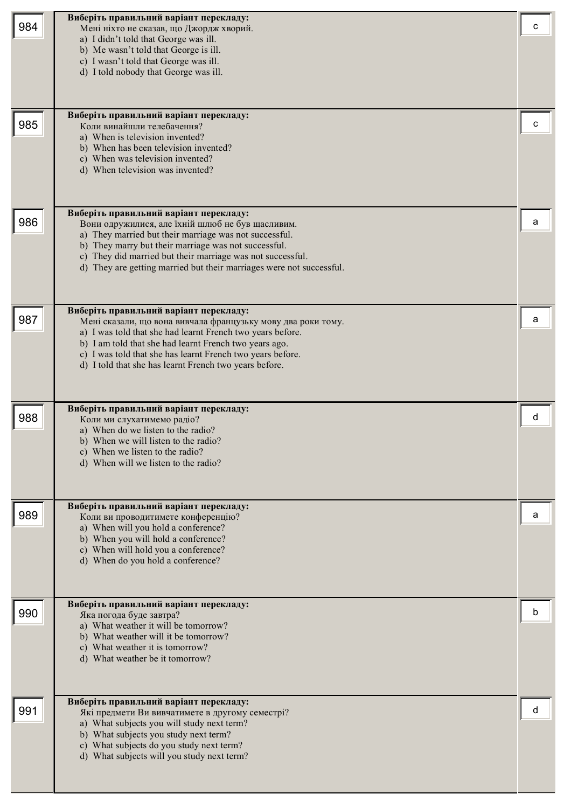| 984 | Виберіть правильний варіант перекладу:<br>Мені ніхто не сказав, що Джордж хворий.<br>a) I didn't told that George was ill.<br>b) Me wasn't told that George is ill.<br>c) I wasn't told that George was ill.<br>d) I told nobody that George was ill.                                                                                                  |   |
|-----|--------------------------------------------------------------------------------------------------------------------------------------------------------------------------------------------------------------------------------------------------------------------------------------------------------------------------------------------------------|---|
| 985 | Виберіть правильний варіант перекладу:<br>Коли винайшли телебачення?<br>a) When is television invented?<br>b) When has been television invented?<br>c) When was television invented?<br>d) When television was invented?                                                                                                                               |   |
| 986 | Виберіть правильний варіант перекладу:<br>Вони одружилися, але їхній шлюб не був щасливим.<br>a) They married but their marriage was not successful.<br>b) They marry but their marriage was not successful.<br>c) They did married but their marriage was not successful.<br>d) They are getting married but their marriages were not successful.     | а |
| 987 | Виберіть правильний варіант перекладу:<br>Мені сказали, що вона вивчала французьку мову два роки тому.<br>a) I was told that she had learnt French two years before.<br>b) I am told that she had learnt French two years ago.<br>c) I was told that she has learnt French two years before.<br>d) I told that she has learnt French two years before. | а |
| 988 | Виберіть правильний варіант перекладу:<br>Коли ми слухатимемо радіо?<br>a) When do we listen to the radio?<br>b) When we will listen to the radio?<br>c) When we listen to the radio?<br>d) When will we listen to the radio?                                                                                                                          | d |
| 989 | Виберіть правильний варіант перекладу:<br>Коли ви проводитимете конференцію?<br>a) When will you hold a conference?<br>b) When you will hold a conference?<br>c) When will hold you a conference?<br>d) When do you hold a conference?                                                                                                                 | а |
| 990 | Виберіть правильний варіант перекладу:<br>Яка погода буде завтра?<br>a) What weather it will be tomorrow?<br>b) What weather will it be tomorrow?<br>c) What weather it is tomorrow?<br>d) What weather be it tomorrow?                                                                                                                                | n |
| 991 | Виберіть правильний варіант перекладу:<br>Які предмети Ви вивчатимете в другому семестрі?<br>a) What subjects you will study next term?<br>b) What subjects you study next term?<br>c) What subjects do you study next term?<br>d) What subjects will you study next term?                                                                             | п |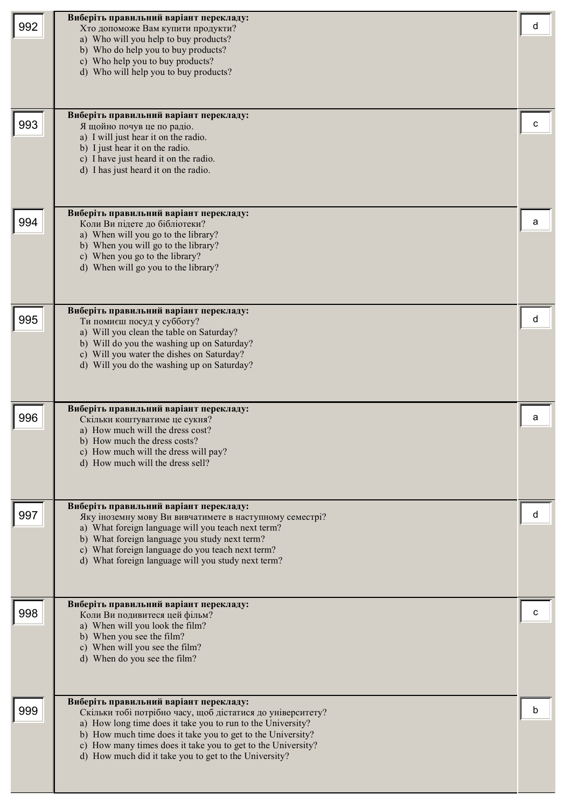| 992 | Виберіть правильний варіант перекладу:<br>Хто допоможе Вам купити продукти?<br>a) Who will you help to buy products?<br>b) Who do help you to buy products?<br>c) Who help you to buy products?<br>d) Who will help you to buy products?                                                                                                                    | а |
|-----|-------------------------------------------------------------------------------------------------------------------------------------------------------------------------------------------------------------------------------------------------------------------------------------------------------------------------------------------------------------|---|
| 993 | Виберіть правильний варіант перекладу:<br>Я щойно почув це по радіо.<br>a) I will just hear it on the radio.<br>b) I just hear it on the radio.<br>c) I have just heard it on the radio.<br>d) I has just heard it on the radio.                                                                                                                            |   |
| 994 | Виберіть правильний варіант перекладу:<br>Коли Ви підете до бібліотеки?<br>a) When will you go to the library?<br>b) When you will go to the library?<br>c) When you go to the library?<br>d) When will go you to the library?                                                                                                                              | а |
| 995 | Виберіть правильний варіант перекладу:<br>Ти помиєш посуд у субботу?<br>a) Will you clean the table on Saturday?<br>b) Will do you the washing up on Saturday?<br>c) Will you water the dishes on Saturday?<br>d) Will you do the washing up on Saturday?                                                                                                   | d |
| 996 | Виберіть правильний варіант перекладу:<br>Скільки коштуватиме це сукня?<br>a) How much will the dress cost?<br>b) How much the dress costs?<br>c) How much will the dress will pay?<br>d) How much will the dress sell?                                                                                                                                     | а |
| 997 | Виберіть правильний варіант перекладу:<br>Яку іноземну мову Ви вивчатимете в наступному семестрі?<br>a) What foreign language will you teach next term?<br>b) What foreign language you study next term?<br>c) What foreign language do you teach next term?<br>d) What foreign language will you study next term?                                          | а |
| 998 | Виберіть правильний варіант перекладу:<br>Коли Ви подивитеся цей фільм?<br>a) When will you look the film?<br>b) When you see the film?<br>c) When will you see the film?<br>d) When do you see the film?                                                                                                                                                   |   |
| 999 | Виберіть правильний варіант перекладу:<br>Скільки тобі потрібно часу, щоб дістатися до університету?<br>a) How long time does it take you to run to the University?<br>b) How much time does it take you to get to the University?<br>c) How many times does it take you to get to the University?<br>d) How much did it take you to get to the University? |   |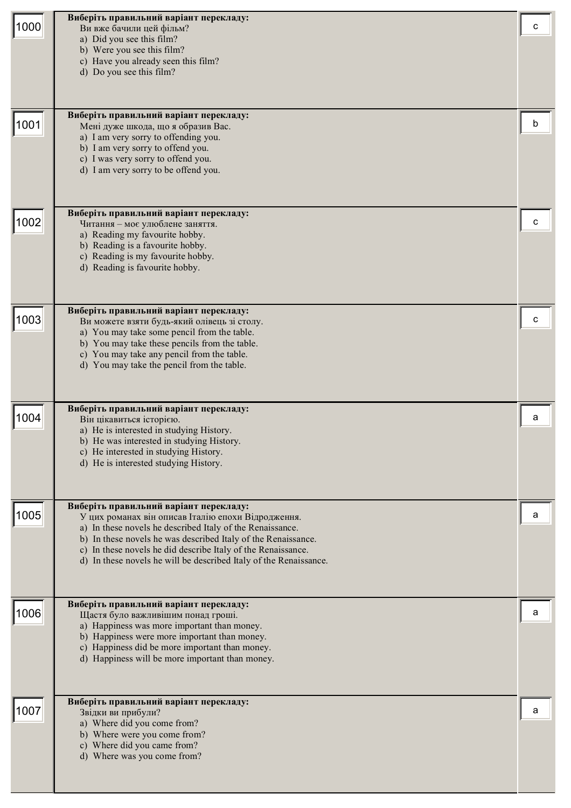|      | Виберіть правильний варіант перекладу:                                                                                            |   |
|------|-----------------------------------------------------------------------------------------------------------------------------------|---|
| 1000 | Ви вже бачили цей фільм?                                                                                                          | c |
|      | a) Did you see this film?                                                                                                         |   |
|      | b) Were you see this film?<br>c) Have you already seen this film?                                                                 |   |
|      | d) Do you see this film?                                                                                                          |   |
|      |                                                                                                                                   |   |
|      |                                                                                                                                   |   |
|      | Виберіть правильний варіант перекладу:                                                                                            |   |
| 1001 | Мені дуже шкода, що я образив Вас.                                                                                                | b |
|      | a) I am very sorry to offending you.                                                                                              |   |
|      | b) I am very sorry to offend you.<br>c) I was very sorry to offend you.                                                           |   |
|      | d) I am very sorry to be offend you.                                                                                              |   |
|      |                                                                                                                                   |   |
|      |                                                                                                                                   |   |
|      | Виберіть правильний варіант перекладу:                                                                                            |   |
| 1002 | Читання - моє улюблене заняття.                                                                                                   | C |
|      | a) Reading my favourite hobby.<br>b) Reading is a favourite hobby.                                                                |   |
|      | c) Reading is my favourite hobby.                                                                                                 |   |
|      | d) Reading is favourite hobby.                                                                                                    |   |
|      |                                                                                                                                   |   |
|      |                                                                                                                                   |   |
|      | Виберіть правильний варіант перекладу:                                                                                            |   |
| 1003 | Ви можете взяти будь-який олівець зі столу.<br>a) You may take some pencil from the table.                                        |   |
|      | b) You may take these pencils from the table.                                                                                     |   |
|      | c) You may take any pencil from the table.                                                                                        |   |
|      | d) You may take the pencil from the table.                                                                                        |   |
|      |                                                                                                                                   |   |
|      |                                                                                                                                   |   |
| 1004 | Виберіть правильний варіант перекладу:                                                                                            | a |
|      | Він цікавиться історією.<br>a) He is interested in studying History.                                                              |   |
|      | b) He was interested in studying History.                                                                                         |   |
|      | c) He interested in studying History.                                                                                             |   |
|      | d) He is interested studying History.                                                                                             |   |
|      |                                                                                                                                   |   |
|      |                                                                                                                                   |   |
| 1005 | Виберіть правильний варіант перекладу:<br>У цих романах він описав Італію епохи Відродження.                                      | a |
|      | a) In these novels he described Italy of the Renaissance.                                                                         |   |
|      | b) In these novels he was described Italy of the Renaissance.                                                                     |   |
|      | c) In these novels he did describe Italy of the Renaissance.<br>d) In these novels he will be described Italy of the Renaissance. |   |
|      |                                                                                                                                   |   |
|      |                                                                                                                                   |   |
|      | Виберіть правильний варіант перекладу:                                                                                            |   |
| 1006 | Щастя було важливішим понад гроші.                                                                                                | а |
|      | a) Happiness was more important than money.                                                                                       |   |
|      | b) Happiness were more important than money.<br>c) Happiness did be more important than money.                                    |   |
|      | d) Happiness will be more important than money.                                                                                   |   |
|      |                                                                                                                                   |   |
|      |                                                                                                                                   |   |
|      | Виберіть правильний варіант перекладу:                                                                                            |   |
| 1007 | Звідки ви прибули?                                                                                                                | a |
|      | a) Where did you come from?<br>b) Where were you come from?                                                                       |   |
|      | c) Where did you came from?                                                                                                       |   |
|      | d) Where was you come from?                                                                                                       |   |
|      |                                                                                                                                   |   |
|      |                                                                                                                                   |   |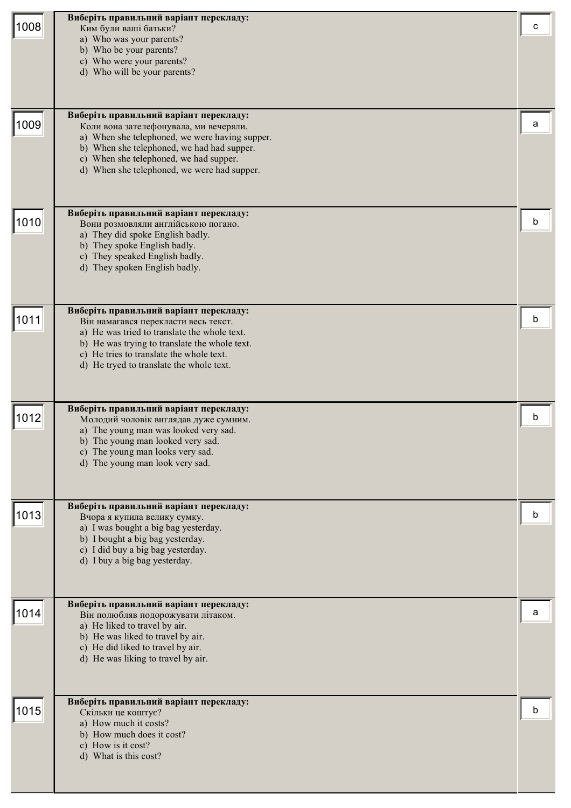| 1008 | Виберіть правильний варіант перекладу:<br>Ким були ваші батьки?<br>a) Who was your parents?<br>b) Who be your parents?<br>c) Who were your parents?<br>d) Who will be your parents?                                                                                       | с |
|------|---------------------------------------------------------------------------------------------------------------------------------------------------------------------------------------------------------------------------------------------------------------------------|---|
| 1009 | Виберіть правильний варіант перекладу:<br>Коли вона зателефонувала, ми вечеряли.<br>a) When she telephoned, we were having supper.<br>b) When she telephoned, we had had supper.<br>c) When she telephoned, we had supper.<br>d) When she telephoned, we were had supper. | а |
| 1010 | Виберіть правильний варіант перекладу:<br>Вони розмовляли англійською погано.<br>a) They did spoke English badly.<br>b) They spoke English badly.<br>c) They speaked English badly.<br>d) They spoken English badly.                                                      | b |
| 1011 | Виберіть правильний варіант перекладу:<br>Він намагався перекласти весь текст.<br>a) He was tried to translate the whole text.<br>b) He was trying to translate the whole text.<br>c) He tries to translate the whole text.<br>d) He tryed to translate the whole text.   | n |
| 1012 | Виберіть правильний варіант перекладу:<br>Молодий чоловік виглядав дуже сумним.<br>a) The young man was looked very sad.<br>b) The young man looked very sad.<br>c) The young man looks very sad.<br>d) The young man look very sad.                                      | h |
| 1013 | Виберіть правильний варіант перекладу:<br>Вчора я купила велику сумку.<br>a) I was bought a big bag yesterday.<br>b) I bought a big bag yesterday.<br>c) I did buy a big bag yesterday.<br>d) I buy a big bag yesterday.                                                  | b |
| 1014 | Виберіть правильний варіант перекладу:<br>Він полюбляв подорожувати літаком.<br>a) He liked to travel by air.<br>b) He was liked to travel by air.<br>c) He did liked to travel by air.<br>d) He was liking to travel by air.                                             | а |
| 1015 | Виберіть правильний варіант перекладу:<br>Скільки це коштує?<br>a) How much it costs?<br>b) How much does it cost?<br>c) How is it cost?<br>d) What is this cost?                                                                                                         | b |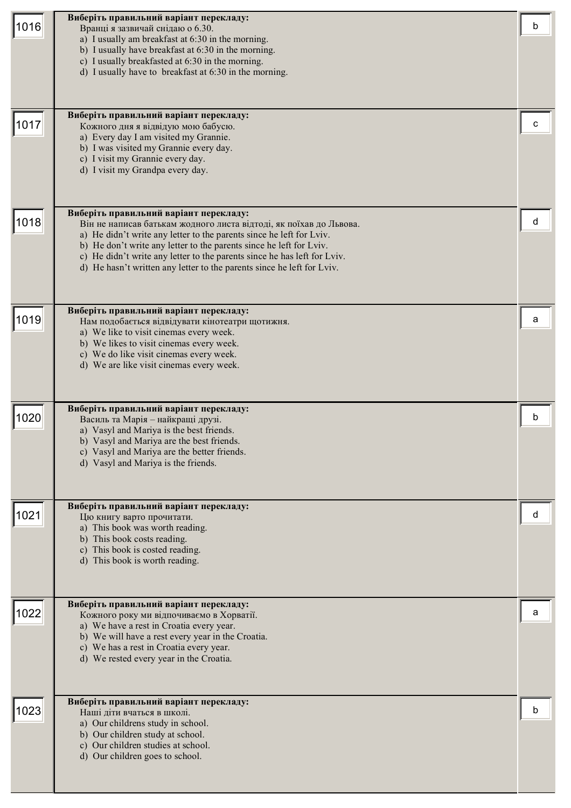| 1016 | Виберіть правильний варіант перекладу:<br>Вранці я зазвичай снідаю о 6.30.<br>a) I usually am breakfast at 6:30 in the morning.<br>b) I usually have breakfast at 6:30 in the morning.<br>c) I usually breakfasted at 6:30 in the morning.<br>d) I usually have to breakfast at 6:30 in the morning.<br>Виберіть правильний варіант перекладу:                                                                    | b |
|------|-------------------------------------------------------------------------------------------------------------------------------------------------------------------------------------------------------------------------------------------------------------------------------------------------------------------------------------------------------------------------------------------------------------------|---|
| 1017 | Кожного дня я відвідую мою бабусю.<br>a) Every day I am visited my Grannie.<br>b) I was visited my Grannie every day.<br>c) I visit my Grannie every day.<br>d) I visit my Grandpa every day.                                                                                                                                                                                                                     | с |
| 1018 | Виберіть правильний варіант перекладу:<br>Він не написав батькам жодного листа відтоді, як поїхав до Львова.<br>a) He didn't write any letter to the parents since he left for Lviv.<br>b) He don't write any letter to the parents since he left for Lviv.<br>c) He didn't write any letter to the parents since he has left for Lviv.<br>d) He hasn't written any letter to the parents since he left for Lviv. | d |
| 1019 | Виберіть правильний варіант перекладу:<br>Нам подобається відвідувати кінотеатри щотижня.<br>a) We like to visit cinemas every week.<br>b) We likes to visit cinemas every week.<br>c) We do like visit cinemas every week.<br>d) We are like visit cinemas every week.                                                                                                                                           | а |
| 1020 | Виберіть правильний варіант перекладу:<br>Василь та Марія - найкращі друзі.<br>a) Vasyl and Mariya is the best friends.<br>b) Vasyl and Mariya are the best friends.<br>c) Vasyl and Mariya are the better friends.<br>d) Vasyl and Mariya is the friends.                                                                                                                                                        | h |
| 1021 | Виберіть правильний варіант перекладу:<br>Цю книгу варто прочитати.<br>a) This book was worth reading.<br>b) This book costs reading.<br>c) This book is costed reading.<br>d) This book is worth reading.                                                                                                                                                                                                        | d |
| 1022 | Виберіть правильний варіант перекладу:<br>Кожного року ми відпочиваємо в Хорватії.<br>a) We have a rest in Croatia every year.<br>b) We will have a rest every year in the Croatia.<br>c) We has a rest in Croatia every year.<br>d) We rested every year in the Croatia.                                                                                                                                         | а |
| 1023 | Виберіть правильний варіант перекладу:<br>Наші діти вчаться в школі.<br>a) Our childrens study in school.<br>b) Our children study at school.<br>c) Our children studies at school.<br>d) Our children goes to school.                                                                                                                                                                                            | b |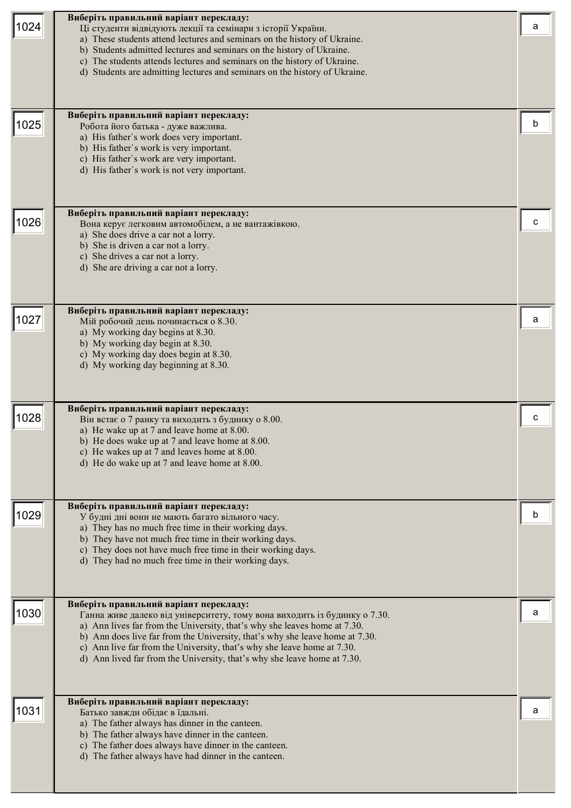| 1024<br>1025 | Виберіть правильний варіант перекладу:<br>Ці студенти відвідують лекції та семінари з історії України.<br>a) These students attend lectures and seminars on the history of Ukraine.<br>b) Students admitted lectures and seminars on the history of Ukraine.<br>c) The students attends lectures and seminars on the history of Ukraine.<br>d) Students are admitting lectures and seminars on the history of Ukraine.<br>Виберіть правильний варіант перекладу: | a<br>b |
|--------------|------------------------------------------------------------------------------------------------------------------------------------------------------------------------------------------------------------------------------------------------------------------------------------------------------------------------------------------------------------------------------------------------------------------------------------------------------------------|--------|
|              | Робота його батька - дуже важлива.<br>a) His father's work does very important.<br>b) His father's work is very important.<br>c) His father's work are very important.<br>d) His father's work is not very important.<br>Виберіть правильний варіант перекладу:                                                                                                                                                                                                  |        |
| 1026         | Вона керує легковим автомобілем, а не вантажівкою.<br>a) She does drive a car not a lorry.<br>b) She is driven a car not a lorry.<br>c) She drives a car not a lorry.<br>d) She are driving a car not a lorry.                                                                                                                                                                                                                                                   | c      |
| 1027         | Виберіть правильний варіант перекладу:<br>Мій робочий день починається о 8.30.<br>a) My working day begins at 8.30.<br>b) My working day begin at 8.30.<br>c) My working day does begin at 8.30.<br>d) My working day beginning at 8.30.                                                                                                                                                                                                                         | a      |
| 1028         | Виберіть правильний варіант перекладу:<br>Він встає о 7 ранку та виходить з будинку о 8.00.<br>a) He wake up at 7 and leave home at 8.00.<br>b) He does wake up at 7 and leave home at 8.00.<br>c) He wakes up at 7 and leaves home at 8.00.<br>d) He do wake up at 7 and leave home at 8.00.                                                                                                                                                                    | с      |
| 1029         | Виберіть правильний варіант перекладу:<br>У будні дні вони не мають багато вільного часу.<br>a) They has no much free time in their working days.<br>b) They have not much free time in their working days.<br>c) They does not have much free time in their working days.<br>d) They had no much free time in their working days.                                                                                                                               | b      |
| 1030         | Виберіть правильний варіант перекладу:<br>Ганна живе далеко від університету, тому вона виходить із будинку о 7.30.<br>a) Ann lives far from the University, that's why she leaves home at 7.30.<br>b) Ann does live far from the University, that's why she leave home at 7.30.<br>c) Ann live far from the University, that's why she leave home at 7.30.<br>d) Ann lived far from the University, that's why she leave home at 7.30.                          | a      |
| 1031         | Виберіть правильний варіант перекладу:<br>Батько завжди обідає в їдальні.<br>a) The father always has dinner in the canteen.<br>b) The father always have dinner in the canteen.<br>c) The father does always have dinner in the canteen.<br>d) The father always have had dinner in the canteen.                                                                                                                                                                | a      |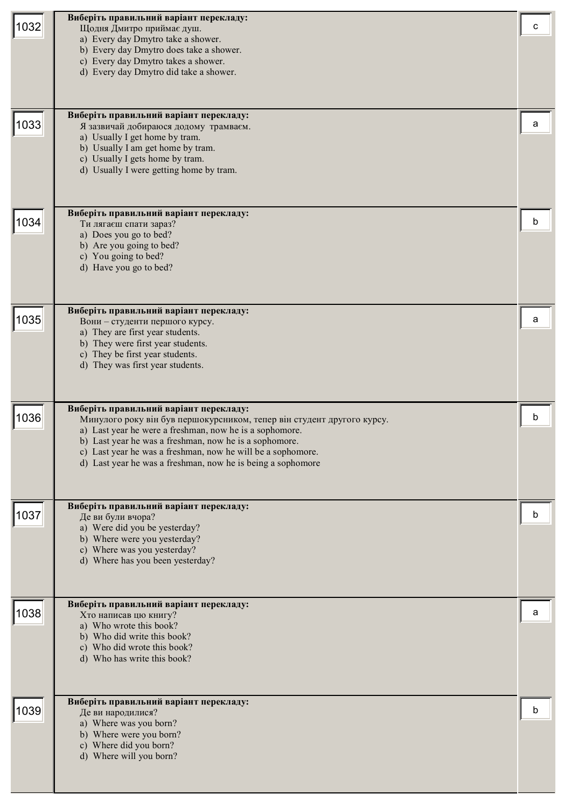| 1032 | Виберіть правильний варіант перекладу:<br>Щодня Дмитро приймає душ.<br>a) Every day Dmytro take a shower.<br>b) Every day Dmytro does take a shower.<br>c) Every day Dmytro takes a shower.<br>d) Every day Dmytro did take a shower.                                                                                                                               | с |
|------|---------------------------------------------------------------------------------------------------------------------------------------------------------------------------------------------------------------------------------------------------------------------------------------------------------------------------------------------------------------------|---|
| 1033 | Виберіть правильний варіант перекладу:<br>Я зазвичай добираюся додому трамваєм.<br>a) Usually I get home by tram.<br>b) Usually I am get home by tram.<br>c) Usually I gets home by tram.<br>d) Usually I were getting home by tram.                                                                                                                                | a |
| 1034 | Виберіть правильний варіант перекладу:<br>Ти лягаєш спати зараз?<br>a) Does you go to bed?<br>b) Are you going to bed?<br>c) You going to bed?<br>d) Have you go to bed?                                                                                                                                                                                            | b |
| 1035 | Виберіть правильний варіант перекладу:<br>Вони - студенти першого курсу.<br>a) They are first year students.<br>b) They were first year students.<br>c) They be first year students.<br>d) They was first year students.                                                                                                                                            | a |
| 1036 | Виберіть правильний варіант перекладу:<br>Минулого року він був першокурсником, тепер він студент другого курсу.<br>a) Last year he were a freshman, now he is a sophomore.<br>b) Last year he was a freshman, now he is a sophomore.<br>c) Last year he was a freshman, now he will be a sophomore.<br>d) Last year he was a freshman, now he is being a sophomore | b |
| 1037 | Виберіть правильний варіант перекладу:<br>Де ви були вчора?<br>a) Were did you be yesterday?<br>b) Where were you yesterday?<br>c) Where was you yesterday?<br>d) Where has you been yesterday?                                                                                                                                                                     | b |
| 1038 | Виберіть правильний варіант перекладу:<br>Хто написав цю книгу?<br>a) Who wrote this book?<br>b) Who did write this book?<br>c) Who did wrote this book?<br>d) Who has write this book?                                                                                                                                                                             | a |
| 1039 | Виберіть правильний варіант перекладу:<br>Де ви народилися?<br>a) Where was you born?<br>b) Where were you born?<br>c) Where did you born?<br>d) Where will you born?                                                                                                                                                                                               | b |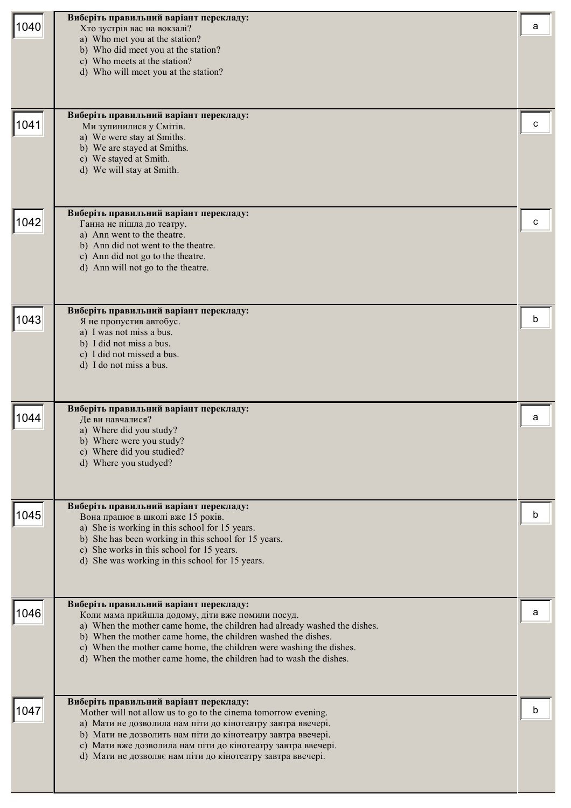| 1040 | Виберіть правильний варіант перекладу:<br>Хто зустрів вас на вокзалі?<br>a) Who met you at the station?<br>b) Who did meet you at the station?<br>c) Who meets at the station?<br>d) Who will meet you at the station?                                                                                                                                                                | a |
|------|---------------------------------------------------------------------------------------------------------------------------------------------------------------------------------------------------------------------------------------------------------------------------------------------------------------------------------------------------------------------------------------|---|
| 1041 | Виберіть правильний варіант перекладу:<br>Ми зупинилися у Смітів.<br>a) We were stay at Smiths.<br>b) We are stayed at Smiths.<br>c) We stayed at Smith.<br>d) We will stay at Smith.                                                                                                                                                                                                 | c |
| 1042 | Виберіть правильний варіант перекладу:<br>Ганна не пішла до театру.<br>a) Ann went to the theatre.<br>b) Ann did not went to the theatre.<br>c) Ann did not go to the theatre.<br>d) Ann will not go to the theatre.                                                                                                                                                                  | c |
| 1043 | Виберіть правильний варіант перекладу:<br>Я не пропустив автобус.<br>a) I was not miss a bus.<br>b) I did not miss a bus.<br>c) I did not missed a bus.<br>d) I do not miss a bus.                                                                                                                                                                                                    | b |
| 1044 | Виберіть правильний варіант перекладу:<br>Де ви навчалися?<br>a) Where did you study?<br>b) Where were you study?<br>c) Where did you studied?<br>d) Where you studyed?                                                                                                                                                                                                               | a |
| 1045 | Виберіть правильний варіант перекладу:<br>Вона працює в школі вже 15 років.<br>a) She is working in this school for 15 years.<br>b) She has been working in this school for 15 years.<br>c) She works in this school for 15 years.<br>d) She was working in this school for 15 years.                                                                                                 | b |
| 1046 | Виберіть правильний варіант перекладу:<br>Коли мама прийшла додому, діти вже помили посуд.<br>a) When the mother came home, the children had already washed the dishes.<br>b) When the mother came home, the children washed the dishes.<br>c) When the mother came home, the children were washing the dishes.<br>d) When the mother came home, the children had to wash the dishes. | а |
| 1047 | Виберіть правильний варіант перекладу:<br>Mother will not allow us to go to the cinema tomorrow evening.<br>а) Мати не дозволила нам піти до кінотеатру завтра ввечері.<br>b) Мати не дозволить нам піти до кінотеатру завтра ввечері.<br>с) Мати вже дозволила нам піти до кінотеатру завтра ввечері.<br>d) Мати не дозволяє нам піти до кінотеатру завтра ввечері.                  | h |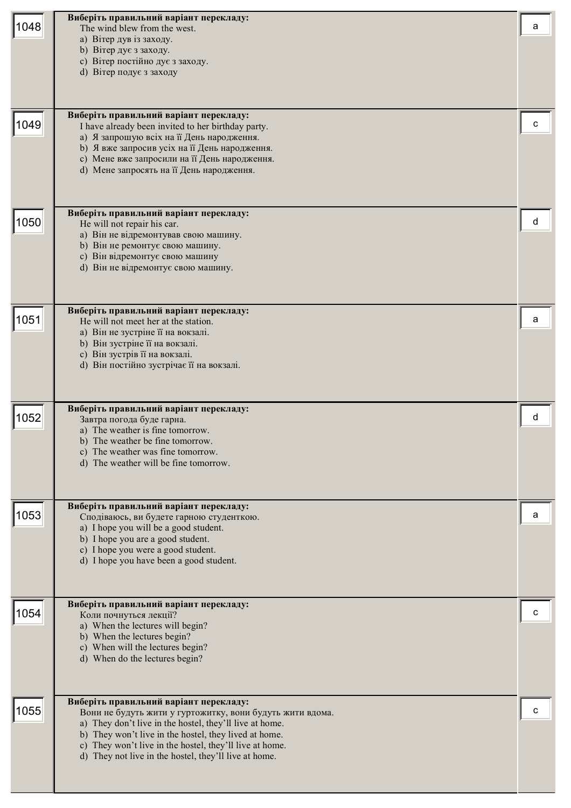| 1048 | Виберіть правильний варіант перекладу:<br>The wind blew from the west.<br>а) Вітер дув із заходу.<br>b) Вітер дує з заходу.<br>с) Вітер постійно дує з заходу.<br>d) Вітер подує з заходу<br>Виберіть правильний варіант перекладу:                                                                                                         | а |
|------|---------------------------------------------------------------------------------------------------------------------------------------------------------------------------------------------------------------------------------------------------------------------------------------------------------------------------------------------|---|
| 1049 | I have already been invited to her birthday party.<br>а) Я запрошую всіх на її День народження.<br>b) Я вже запросив усіх на її День народження.<br>с) Мене вже запросили на її День народження.<br>d) Мене запросять на її День народження.                                                                                                |   |
| 1050 | Виберіть правильний варіант перекладу:<br>He will not repair his car.<br>а) Він не відремонтував свою машину.<br>b) Він не ремонтує свою машину.<br>с) Він відремонтує свою машину<br>d) Він не відремонтує свою машину.                                                                                                                    | d |
| 1051 | Виберіть правильний варіант перекладу:<br>He will not meet her at the station.<br>а) Він не зустріне її на вокзалі.<br>b) Він зустріне її на вокзалі.<br>с) Він зустрів її на вокзалі.<br>d) Він постійно зустрічає її на вокзалі.                                                                                                          | а |
| 1052 | Виберіть правильний варіант перекладу:<br>Завтра погода буде гарна.<br>a) The weather is fine tomorrow.<br>b) The weather be fine tomorrow.<br>c) The weather was fine tomorrow.<br>d) The weather will be fine tomorrow.                                                                                                                   | d |
| 1053 | Виберіть правильний варіант перекладу:<br>Сподіваюсь, ви будете гарною студенткою.<br>a) I hope you will be a good student.<br>b) I hope you are a good student.<br>c) I hope you were a good student.<br>d) I hope you have been a good student.                                                                                           | a |
| 1054 | Виберіть правильний варіант перекладу:<br>Коли почнуться лекції?<br>a) When the lectures will begin?<br>b) When the lectures begin?<br>c) When will the lectures begin?<br>d) When do the lectures begin?                                                                                                                                   | с |
| 1055 | Виберіть правильний варіант перекладу:<br>Вони не будуть жити у гуртожитку, вони будуть жити вдома.<br>a) They don't live in the hostel, they'll live at home.<br>b) They won't live in the hostel, they lived at home.<br>c) They won't live in the hostel, they'll live at home.<br>d) They not live in the hostel, they'll live at home. | c |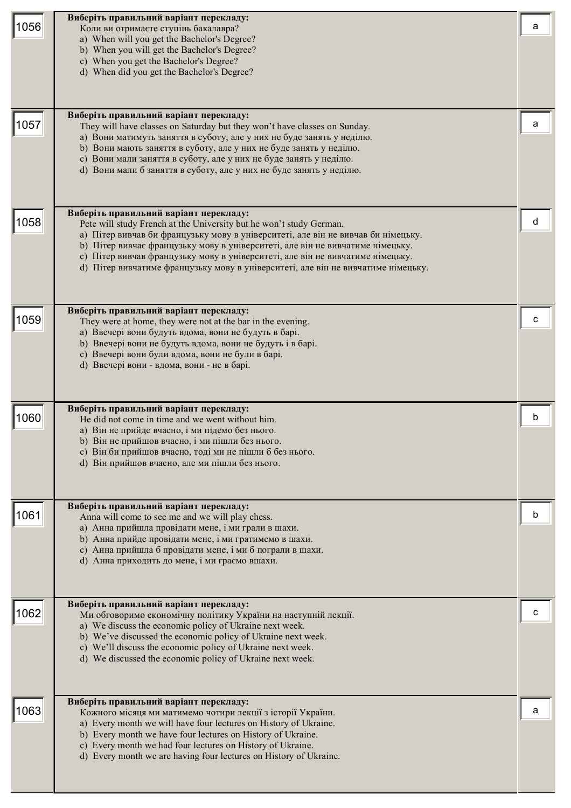| 1056 | Виберіть правильний варіант перекладу:<br>Коли ви отримаєте ступінь бакалавра?<br>a) When will you get the Bachelor's Degree?<br>b) When you will get the Bachelor's Degree?<br>c) When you get the Bachelor's Degree?<br>d) When did you get the Bachelor's Degree?                                                                                                                                                                                        | а |
|------|-------------------------------------------------------------------------------------------------------------------------------------------------------------------------------------------------------------------------------------------------------------------------------------------------------------------------------------------------------------------------------------------------------------------------------------------------------------|---|
| 1057 | Виберіть правильний варіант перекладу:<br>They will have classes on Saturday but they won't have classes on Sunday.<br>а) Вони матимуть заняття в суботу, але у них не буде занять у неділю.<br>b) Вони мають заняття в суботу, але у них не буде занять у неділю.<br>с) Вони мали заняття в суботу, але у них не буде занять у неділю.<br>d) Вони мали б заняття в суботу, але у них не буде занять у неділю.                                              | а |
| 1058 | Виберіть правильний варіант перекладу:<br>Pete will study French at the University but he won't study German.<br>а) Пітер вивчав би французьку мову в університеті, але він не вивчав би німецьку.<br>b) Пітер вивчає французьку мову в університеті, але він не вивчатиме німецьку.<br>с) Пітер вивчав французьку мову в університеті, але він не вивчатиме німецьку.<br>d) Пітер вивчатиме французьку мову в університеті, але він не вивчатиме німецьку. | d |
| 1059 | Виберіть правильний варіант перекладу:<br>They were at home, they were not at the bar in the evening.<br>а) Ввечері вони будуть вдома, вони не будуть в барі.<br>b) Ввечері вони не будуть вдома, вони не будуть і в барі.<br>с) Ввечері вони були вдома, вони не були в барі.<br>d) Ввечері вони - вдома, вони - не в барі.                                                                                                                                |   |
| 1060 | Виберіть правильний варіант перекладу:<br>He did not come in time and we went without him.<br>а) Він не прийде вчасно, і ми підемо без нього.<br>b) Він не прийшов вчасно, і ми пішли без нього.<br>с) Він би прийшов вчасно, тоді ми не пішли б без нього.<br>d) Він прийшов вчасно, але ми пішли без нього.                                                                                                                                               |   |
| 1061 | Виберіть правильний варіант перекладу:<br>Anna will come to see me and we will play chess.<br>а) Анна прийшла провідати мене, і ми грали в шахи.<br>b) Анна прийде провідати мене, і ми гратимемо в шахи.<br>с) Анна прийшла б провідати мене, і ми б пограли в шахи.<br>d) Анна приходить до мене, і ми граємо вшахи.                                                                                                                                      | b |
| 1062 | Виберіть правильний варіант перекладу:<br>Ми обговоримо економічну політику України на наступній лекції.<br>a) We discuss the economic policy of Ukraine next week.<br>b) We've discussed the economic policy of Ukraine next week.<br>c) We'll discuss the economic policy of Ukraine next week.<br>d) We discussed the economic policy of Ukraine next week.                                                                                              | с |
| 1063 | Виберіть правильний варіант перекладу:<br>Кожного місяця ми матимемо чотири лекції з історії України.<br>a) Every month we will have four lectures on History of Ukraine.<br>b) Every month we have four lectures on History of Ukraine.<br>c) Every month we had four lectures on History of Ukraine.<br>d) Every month we are having four lectures on History of Ukraine.                                                                                 | а |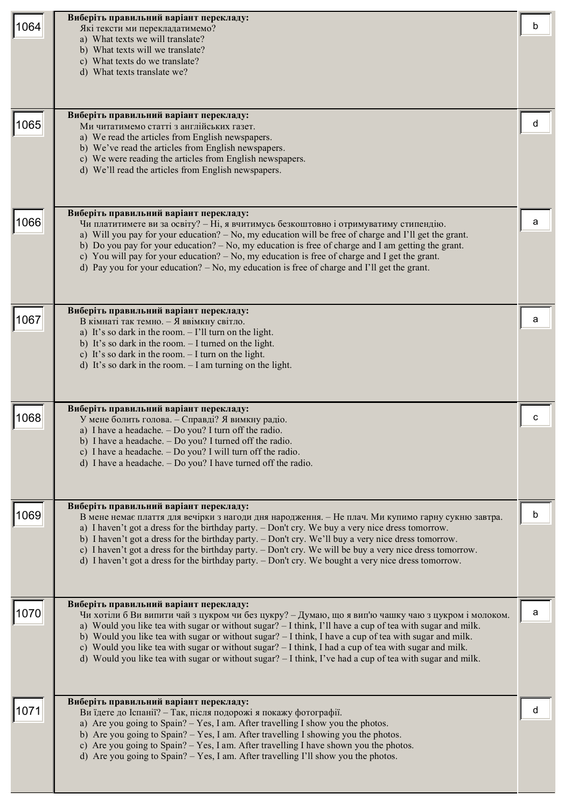| 1064 | Виберіть правильний варіант перекладу:<br>Які тексти ми перекладатимемо?<br>a) What texts we will translate?<br>b) What texts will we translate?<br>c) What texts do we translate?<br>d) What texts translate we?<br>Виберіть правильний варіант перекладу:                                                                                                                                                                                                                                                                                                                                | b |
|------|--------------------------------------------------------------------------------------------------------------------------------------------------------------------------------------------------------------------------------------------------------------------------------------------------------------------------------------------------------------------------------------------------------------------------------------------------------------------------------------------------------------------------------------------------------------------------------------------|---|
| 1065 | Ми читатимемо статті з англійських газет.<br>a) We read the articles from English newspapers.<br>b) We've read the articles from English newspapers.<br>c) We were reading the articles from English newspapers.<br>d) We'll read the articles from English newspapers.                                                                                                                                                                                                                                                                                                                    | d |
| 1066 | Виберіть правильний варіант перекладу:<br>Чи платитимете ви за освіту? - Ні, я вчитимусь безкоштовно і отримуватиму стипендію.<br>a) Will you pay for your education? – No, my education will be free of charge and I'll get the grant.<br>b) Do you pay for your education? $-$ No, my education is free of charge and I am getting the grant.<br>c) You will pay for your education? - No, my education is free of charge and I get the grant.<br>d) Pay you for your education? $-$ No, my education is free of charge and I'll get the grant.                                          | a |
| 1067 | Виберіть правильний варіант перекладу:<br>В кімнаті так темно. - Я ввімкну світло.<br>a) It's so dark in the room. $-$ I'll turn on the light.<br>b) It's so dark in the room. - I turned on the light.<br>c) It's so dark in the room. $-$ I turn on the light.<br>d) It's so dark in the room. $-$ I am turning on the light.                                                                                                                                                                                                                                                            | а |
| 1068 | Виберіть правильний варіант перекладу:<br>У мене болить голова. - Справді? Я вимкну радіо.<br>a) I have a headache. - Do you? I turn off the radio.<br>b) I have a headache. - Do you? I turned off the radio.<br>c) I have a headache. - Do you? I will turn off the radio.<br>d) I have a headache. $-$ Do you? I have turned off the radio.                                                                                                                                                                                                                                             | C |
| 1069 | Виберіть правильний варіант перекладу:<br>В мене немає плаття для вечірки з нагоди дня народження. - Не плач. Ми купимо гарну сукню завтра.<br>a) I haven't got a dress for the birthday party. - Don't cry. We buy a very nice dress tomorrow.<br>b) I haven't got a dress for the birthday party. - Don't cry. We'll buy a very nice dress tomorrow.<br>c) I haven't got a dress for the birthday party. – Don't cry. We will be buy a very nice dress tomorrow.<br>d) I haven't got a dress for the birthday party. - Don't cry. We bought a very nice dress tomorrow.                  | b |
| 1070 | Виберіть правильний варіант перекладу:<br>Чи хотіли б Ви випити чай з цукром чи без цукру? - Думаю, що я вип'ю чашку чаю з цукром і молоком.<br>a) Would you like tea with sugar or without sugar? - I think, I'll have a cup of tea with sugar and milk.<br>b) Would you like tea with sugar or without sugar? - I think, I have a cup of tea with sugar and milk.<br>c) Would you like tea with sugar or without sugar? $-1$ think, I had a cup of tea with sugar and milk.<br>d) Would you like tea with sugar or without sugar? $-1$ think, I've had a cup of tea with sugar and milk. | a |
| 1071 | Виберіть правильний варіант перекладу:<br>Ви їдете до Іспанії? - Так, після подорожі я покажу фотографії.<br>a) Are you going to Spain? – Yes, I am. After travelling I show you the photos.<br>b) Are you going to Spain? – Yes, I am. After travelling I showing you the photos.<br>c) Are you going to Spain? – Yes, I am. After travelling I have shown you the photos.<br>d) Are you going to Spain? $-$ Yes, I am. After travelling I'll show you the photos.                                                                                                                        | d |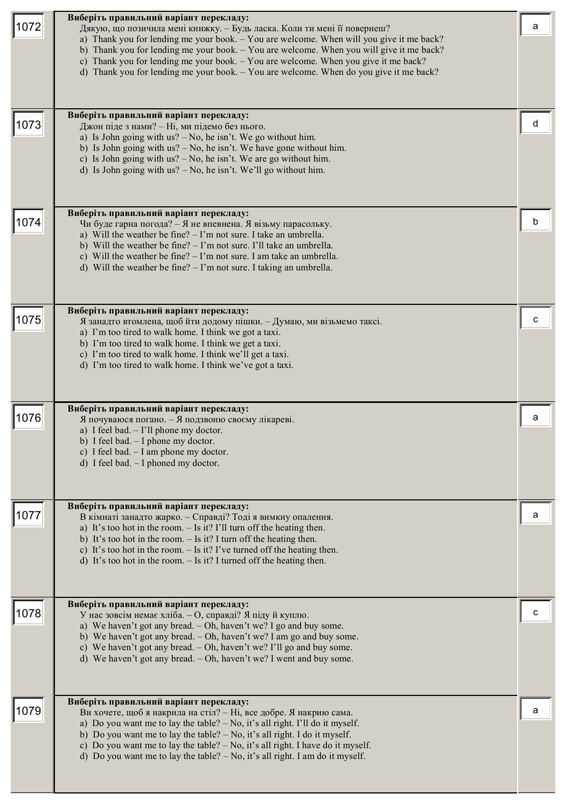| 1072 | Виберіть правильний варіант перекладу:<br>Дякую, що позичила мені книжку. - Будь ласка. Коли ти мені її повернеш?<br>a) Thank you for lending me your book. - You are welcome. When will you give it me back?<br>b) Thank you for lending me your book. $-$ You are welcome. When you will give it me back?<br>c) Thank you for lending me your book. - You are welcome. When you give it me back?<br>d) Thank you for lending me your book. - You are welcome. When do you give it me back?<br>Виберіть правильний варіант перекладу: | a |
|------|----------------------------------------------------------------------------------------------------------------------------------------------------------------------------------------------------------------------------------------------------------------------------------------------------------------------------------------------------------------------------------------------------------------------------------------------------------------------------------------------------------------------------------------|---|
| 1073 | Джон піде з нами? - Ні, ми підемо без нього.<br>a) Is John going with $us? - No$ , he isn't. We go without him.<br>b) Is John going with $us? - No$ , he isn't. We have gone without him.<br>c) Is John going with $us? - No$ , he isn't. We are go without him.<br>d) Is John going with us? $-$ No, he isn't. We'll go without him.                                                                                                                                                                                                  | d |
| 1074 | Виберіть правильний варіант перекладу:<br>Чи буде гарна погода? - Я не впевнена. Я візьму парасольку.<br>a) Will the weather be fine? $-1$ 'm not sure. I take an umbrella.<br>b) Will the weather be fine? $- \Gamma$ m not sure. I'll take an umbrella.<br>c) Will the weather be fine? $-1$ 'm not sure. I am take an umbrella.<br>d) Will the weather be fine? $-1$ 'm not sure. I taking an umbrella.                                                                                                                             | b |
| 1075 | Виберіть правильний варіант перекладу:<br>Я занадто втомлена, щоб йти додому пішки. - Думаю, ми візьмемо таксі.<br>a) I'm too tired to walk home. I think we got a taxi.<br>b) I'm too tired to walk home. I think we get a taxi.<br>c) I'm too tired to walk home. I think we'll get a taxi.<br>d) I'm too tired to walk home. I think we've got a taxi.                                                                                                                                                                              | c |
| 1076 | Виберіть правильний варіант перекладу:<br>Я почуваюся погано. - Я подзвоню своєму лікареві.<br>a) I feel bad. $-$ I'll phone my doctor.<br>b) I feel bad. $-$ I phone my doctor.<br>c) I feel bad. $- I$ am phone my doctor.<br>d) I feel bad. $-$ I phoned my doctor.                                                                                                                                                                                                                                                                 | a |
| 1077 | Виберіть правильний варіант перекладу:<br>В кімнаті занадто жарко. - Справді? Тоді я вимкну опалення.<br>a) It's too hot in the room. $-$ Is it? I'll turn off the heating then.<br>b) It's too hot in the room. $-$ Is it? I turn off the heating then.<br>c) It's too hot in the room. $-$ Is it? I've turned off the heating then.<br>d) It's too hot in the room. $-$ Is it? I turned off the heating then.                                                                                                                        | a |
| 1078 | Виберіть правильний варіант перекладу:<br>У нас зовсім немає хліба. - О, справді? Я піду й куплю.<br>a) We haven't got any bread. - Oh, haven't we? I go and buy some.<br>b) We haven't got any bread. - Oh, haven't we? I am go and buy some.<br>c) We haven't got any bread. $-$ Oh, haven't we? I'll go and buy some.<br>d) We haven't got any bread. $-Oh$ , haven't we? I went and buy some.                                                                                                                                      | с |
| 1079 | Виберіть правильний варіант перекладу:<br>Ви хочете, щоб я накрила на стіл? - Ні, все добре. Я накрию сама.<br>a) Do you want me to lay the table? $-$ No, it's all right. I'll do it myself.<br>b) Do you want me to lay the table? $-$ No, it's all right. I do it myself.<br>c) Do you want me to lay the table? $-$ No, it's all right. I have do it myself.<br>d) Do you want me to lay the table? $-$ No, it's all right. I am do it myself.                                                                                     | а |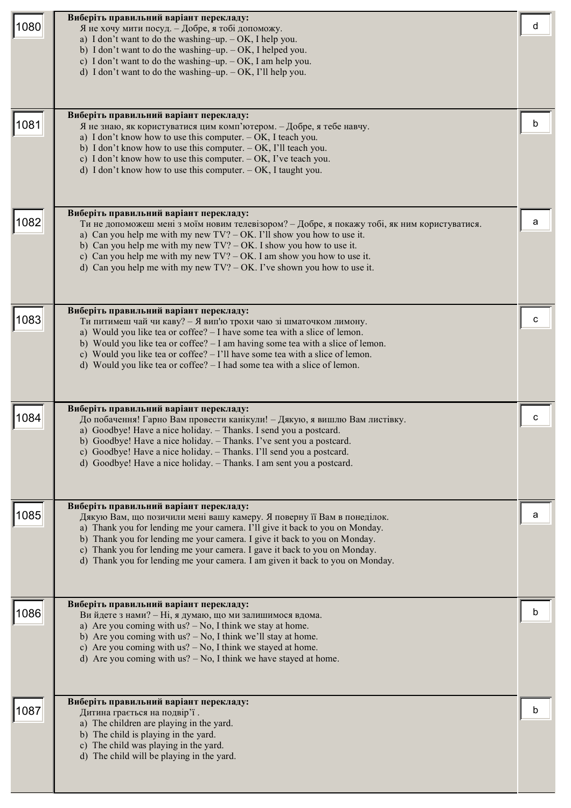| 1080 | Виберіть правильний варіант перекладу:<br>Я не хочу мити посуд. - Добре, я тобі допоможу.<br>a) I don't want to do the washing-up. $-OK$ , I help you.<br>b) I don't want to do the washing-up. $-OK$ , I helped you.<br>c) I don't want to do the washing-up. $-OK$ , I am help you.<br>d) I don't want to do the washing-up. $-OK$ , I'll help you.<br>Виберіть правильний варіант перекладу:                                                      | d |
|------|------------------------------------------------------------------------------------------------------------------------------------------------------------------------------------------------------------------------------------------------------------------------------------------------------------------------------------------------------------------------------------------------------------------------------------------------------|---|
| 1081 | Я не знаю, як користуватися цим комп'ютером. - Добре, я тебе навчу.<br>a) I don't know how to use this computer. $-$ OK, I teach you.<br>b) I don't know how to use this computer. $-$ OK, I'll teach you.<br>c) I don't know how to use this computer. $-$ OK, I've teach you.<br>d) I don't know how to use this computer. $-$ OK, I taught you.                                                                                                   | b |
| 1082 | Виберіть правильний варіант перекладу:<br>Ти не допоможеш мені з моїм новим телевізором? - Добре, я покажу тобі, як ним користуватися.<br>a) Can you help me with my new $TV$ ? – OK. I'll show you how to use it.<br>b) Can you help me with my new $TV$ ? – OK. I show you how to use it.<br>c) Can you help me with my new $TV$ ? – OK. I am show you how to use it.<br>d) Can you help me with my new $TV$ ? – OK. I've shown you how to use it. | a |
| 1083 | Виберіть правильний варіант перекладу:<br>Ти питимеш чай чи каву? - Я вип'ю трохи чаю зі шматочком лимону.<br>a) Would you like tea or coffee? - I have some tea with a slice of lemon.<br>b) Would you like tea or coffee? - I am having some tea with a slice of lemon.<br>c) Would you like tea or coffee? $-1$ 'll have some tea with a slice of lemon.<br>d) Would you like tea or coffee? - I had some tea with a slice of lemon.              | с |
| 1084 | Виберіть правильний варіант перекладу:<br>До побачення! Гарно Вам провести канікули! - Дякую, я вишлю Вам листівку.<br>a) Goodbye! Have a nice holiday. - Thanks. I send you a postcard.<br>b) Goodbye! Have a nice holiday. - Thanks. I've sent you a postcard.<br>c) Goodbye! Have a nice holiday. - Thanks. I'll send you a postcard.<br>d) Goodbye! Have a nice holiday. - Thanks. I am sent you a postcard.                                     | с |
| 1085 | Виберіть правильний варіант перекладу:<br>Дякую Вам, що позичили мені вашу камеру. Я поверну її Вам в понеділок.<br>a) Thank you for lending me your camera. I'll give it back to you on Monday.<br>b) Thank you for lending me your camera. I give it back to you on Monday.<br>c) Thank you for lending me your camera. I gave it back to you on Monday.<br>d) Thank you for lending me your camera. I am given it back to you on Monday.          | a |
| 1086 | Виберіть правильний варіант перекладу:<br>Ви йдете з нами? - Ні, я думаю, що ми залишимося вдома.<br>a) Are you coming with $us? - No$ , I think we stay at home.<br>b) Are you coming with $us? - No$ , I think we'll stay at home.<br>c) Are you coming with $us? - No$ , I think we stayed at home.<br>d) Are you coming with $us? - No$ , I think we have stayed at home.                                                                        | n |
| 1087 | Виберіть правильний варіант перекладу:<br>Дитина грається на подвір'ї.<br>a) The children are playing in the yard.<br>b) The child is playing in the yard.<br>c) The child was playing in the yard.<br>d) The child will be playing in the yard.                                                                                                                                                                                                     | h |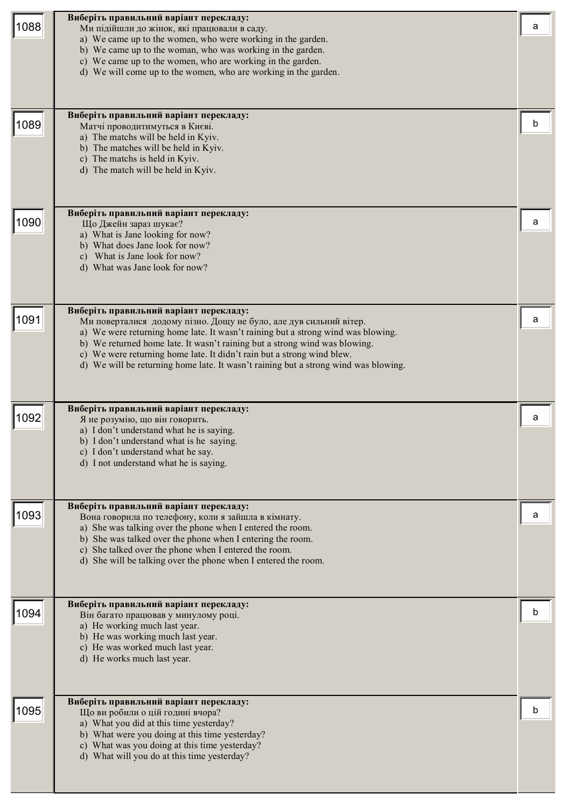| 1088 | Виберіть правильний варіант перекладу:<br>Ми підійшли до жінок, які працювали в саду.<br>a) We came up to the women, who were working in the garden.<br>b) We came up to the woman, who was working in the garden.<br>c) We came up to the women, who are working in the garden.<br>d) We will come up to the women, who are working in the garden.                                                                                            | a |
|------|------------------------------------------------------------------------------------------------------------------------------------------------------------------------------------------------------------------------------------------------------------------------------------------------------------------------------------------------------------------------------------------------------------------------------------------------|---|
| 1089 | Виберіть правильний варіант перекладу:<br>Матчі проводитимуться в Києві.<br>a) The matchs will be held in Kyiv.<br>b) The matches will be held in Kyiv.<br>c) The matchs is held in Kyiv.<br>d) The match will be held in Kyiv.                                                                                                                                                                                                                | b |
| 1090 | Виберіть правильний варіант перекладу:<br>Що Джейн зараз шукає?<br>a) What is Jane looking for now?<br>b) What does Jane look for now?<br>c) What is Jane look for now?<br>d) What was Jane look for now?                                                                                                                                                                                                                                      | a |
| 1091 | Виберіть правильний варіант перекладу:<br>Ми поверталися додому пізно. Дощу не було, але дув сильний вітер.<br>a) We were returning home late. It wasn't raining but a strong wind was blowing.<br>b) We returned home late. It wasn't raining but a strong wind was blowing.<br>c) We were returning home late. It didn't rain but a strong wind blew.<br>d) We will be returning home late. It wasn't raining but a strong wind was blowing. | а |
| 1092 | Виберіть правильний варіант перекладу:<br>Я не розумію, що він говорить.<br>a) I don't understand what he is saying.<br>b) I don't understand what is he saying.<br>c) I don't understand what he say.<br>d) I not understand what he is saying.                                                                                                                                                                                               | a |
| 1093 | Виберіть правильний варіант перекладу:<br>Вона говорила по телефону, коли я зайшла в кімнату.<br>a) She was talking over the phone when I entered the room.<br>b) She was talked over the phone when I entering the room.<br>c) She talked over the phone when I entered the room.<br>d) She will be talking over the phone when I entered the room.                                                                                           | a |
| 1094 | Виберіть правильний варіант перекладу:<br>Він багато працював у минулому році.<br>a) He working much last year.<br>b) He was working much last year.<br>c) He was worked much last year.<br>d) He works much last year.                                                                                                                                                                                                                        | b |
| 1095 | Виберіть правильний варіант перекладу:<br>Що ви робили о цій годині вчора?<br>a) What you did at this time yesterday?<br>b) What were you doing at this time yesterday?<br>c) What was you doing at this time yesterday?<br>d) What will you do at this time yesterday?                                                                                                                                                                        | b |